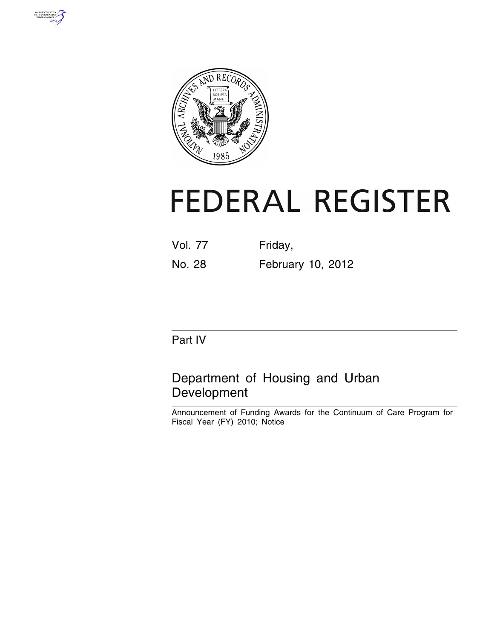



# **FEDERAL REGISTER**

| <b>Vol. 77</b> | Friday, |  |
|----------------|---------|--|
|                |         |  |

No. 28 February 10, 2012

# Part IV

# Department of Housing and Urban Development

Announcement of Funding Awards for the Continuum of Care Program for Fiscal Year (FY) 2010; Notice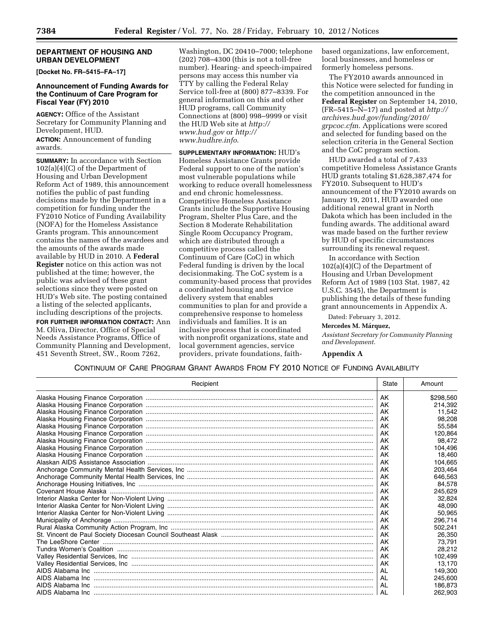#### **DEPARTMENT OF HOUSING AND URBAN DEVELOPMENT**

**[Docket No. FR–5415–FA–17]** 

#### **Announcement of Funding Awards for the Continuum of Care Program for Fiscal Year (FY) 2010**

**AGENCY:** Office of the Assistant Secretary for Community Planning and Development, HUD.

**ACTION:** Announcement of funding awards.

**SUMMARY:** In accordance with Section 102(a)(4)(C) of the Department of Housing and Urban Development Reform Act of 1989, this announcement notifies the public of past funding decisions made by the Department in a competition for funding under the FY2010 Notice of Funding Availability (NOFA) for the Homeless Assistance Grants program. This announcement contains the names of the awardees and the amounts of the awards made available by HUD in 2010. A **Federal Register** notice on this action was not published at the time; however, the public was advised of these grant selections since they were posted on HUD's Web site. The posting contained a listing of the selected applicants, including descriptions of the projects. **FOR FURTHER INFORMATION CONTACT:** Ann M. Oliva, Director, Office of Special Needs Assistance Programs, Office of Community Planning and Development, 451 Seventh Street, SW., Room 7262,

Washington, DC 20410–7000; telephone (202) 708–4300 (this is not a toll-free number). Hearing- and speech-impaired persons may access this number via TTY by calling the Federal Relay Service toll-free at (800) 877–8339. For general information on this and other HUD programs, call Community Connections at (800) 998–9999 or visit the HUD Web site at *[http://](http://www.hud.gov)  [www.hud.gov](http://www.hud.gov)* or *[http://](http://www.hudhre.info) [www.hudhre.info](http://www.hudhre.info)*.

**SUPPLEMENTARY INFORMATION:** HUD's Homeless Assistance Grants provide Federal support to one of the nation's most vulnerable populations while working to reduce overall homelessness and end chronic homelessness. Competitive Homeless Assistance Grants include the Supportive Housing Program, Shelter Plus Care, and the Section 8 Moderate Rehabilitation Single Room Occupancy Program, which are distributed through a competitive process called the Continuum of Care (CoC) in which Federal funding is driven by the local decisionmaking. The CoC system is a community-based process that provides a coordinated housing and service delivery system that enables communities to plan for and provide a comprehensive response to homeless individuals and families. It is an inclusive process that is coordinated with nonprofit organizations, state and local government agencies, service providers, private foundations, faithbased organizations, law enforcement, local businesses, and homeless or formerly homeless persons.

The FY2010 awards announced in this Notice were selected for funding in the competition announced in the **Federal Register** on September 14, 2010, (FR–5415–N–17) and posted at *[http://](http://archives.hud.gov/funding/2010/grpcoc.cfm) [archives.hud.gov/funding/2010/](http://archives.hud.gov/funding/2010/grpcoc.cfm) [grpcoc.cfm](http://archives.hud.gov/funding/2010/grpcoc.cfm)*. Applications were scored and selected for funding based on the selection criteria in the General Section and the CoC program section.

HUD awarded a total of 7,433 competitive Homeless Assistance Grants HUD grants totaling \$1,628,387,474 for FY2010. Subsequent to HUD's announcement of the FY2010 awards on January 19, 2011, HUD awarded one additional renewal grant in North Dakota which has been included in the funding awards. The additional award was made based on the further review by HUD of specific circumstances surrounding its renewal request.

In accordance with Section 102(a)(4)(C) of the Department of Housing and Urban Development Reform Act of 1989 (103 Stat. 1987, 42 U.S.C. 3545), the Department is publishing the details of these funding grant announcements in Appendix A.

Dated: February 3, 2012.

**Mercedes M. Márquez,** 

*Assistant Secretary for Community Planning and Development.* 

#### **Appendix A**

| Recipient | State     | Amount    |
|-----------|-----------|-----------|
|           | AK        | \$298.560 |
|           | AK        | 214,392   |
|           | AK        | 11.542    |
|           | AK        | 98.208    |
|           | AK        | 55,584    |
|           | AK        | 120,864   |
|           | AK        | 98.472    |
|           | AK        | 104.496   |
|           | AK        | 18,460    |
|           | AK        | 104.665   |
|           | AK        | 203.464   |
|           | AK        | 646.563   |
|           | AK        | 84.578    |
|           | AK        | 245.629   |
|           | AK        | 32,824    |
|           | AK        | 48.090    |
|           | AK        | 50.965    |
|           | AK        | 296,714   |
|           | AK        | 502.241   |
|           | AK        | 26,350    |
|           | AK        | 73,791    |
|           | AK        | 28.212    |
|           | AK        | 102.499   |
|           | AK        | 13,170    |
|           | <b>AL</b> | 149.300   |
|           | AL        | 245,600   |
|           | AL        | 186.873   |
|           |           | 262.903   |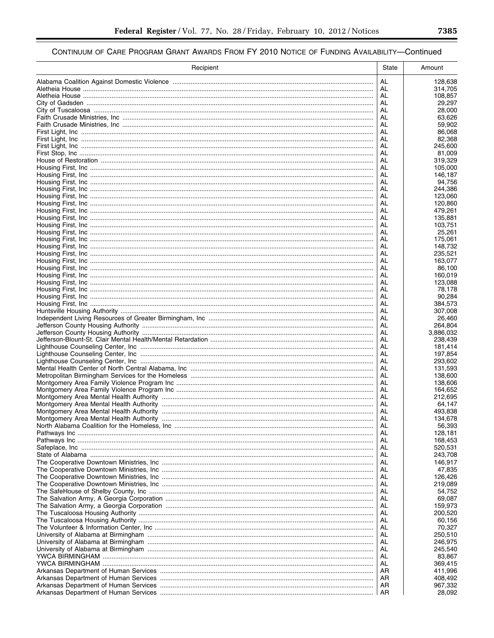| Recipient | State    | Amount             |
|-----------|----------|--------------------|
|           | AL       | 128,638            |
|           | AL       | 314,705            |
|           | AL       | 108,857            |
|           | AL<br>AL | 29,297<br>28,000   |
|           | AL       | 63,626             |
|           | AL       | 59,902             |
|           | AL       | 86,068             |
|           | AL       | 82,368             |
|           | AL<br>AL | 245,600<br>81,009  |
|           | AL       | 319,329            |
|           | AL       | 105,000            |
|           | AL       | 146.187            |
|           | AL       | 94,756             |
|           | AL<br>AL | 244,386<br>123,060 |
|           | AL       | 120,860            |
|           | AL       | 479,261            |
|           | AL       | 135,881            |
|           | AL<br>AL | 103,751<br>25,261  |
|           | AL       | 175,061            |
|           | AL       | 148,732            |
|           | AL       | 235.521            |
|           | AL       | 163,077            |
|           | AL       | 86,100<br>160,019  |
|           | AL<br>AL | 123,088            |
|           | AL       | 78,178             |
|           | AL       | 90,284             |
|           | AL       | 384,573            |
|           | AL<br>AL | 307,008<br>26,460  |
|           | AL       | 264,804            |
|           | AL       | 3,886,032          |
|           | AL       | 238,439            |
|           | AL       | 181,414            |
|           | AL<br>AL | 197,854<br>293,602 |
|           | AL       | 131,593            |
|           | AL       | 138,600            |
|           | AL       | 138,606            |
|           | AL       | 164,652            |
|           | AL<br>AL | 212,695<br>64,147  |
|           | AL       | 493,838            |
|           | AL       | 134.678            |
|           | AL       | 56,393             |
|           | AL       | 128,181            |
|           | AL<br>AL | 168,453<br>520,531 |
|           | AL       | 243,708            |
|           | AL       | 146,917            |
|           | AL       | 47,835             |
|           | AL       | 126,426            |
|           | AL<br>AL | 219,089<br>54,752  |
|           | AL       | 69,087             |
|           | AL       | 159,973            |
|           | AL       | 200,520            |
|           | AL       | 60,156             |
|           | AL<br>AL | 70,327<br>250,510  |
|           | AL       | 246,975            |
|           | AL       | 245,540            |
|           | AL       | 83,867             |
|           | AL       | 369,415            |
|           | AR<br>AR | 411,996<br>408,492 |
|           | AR       | 967,332            |
|           | AR       | 28,092             |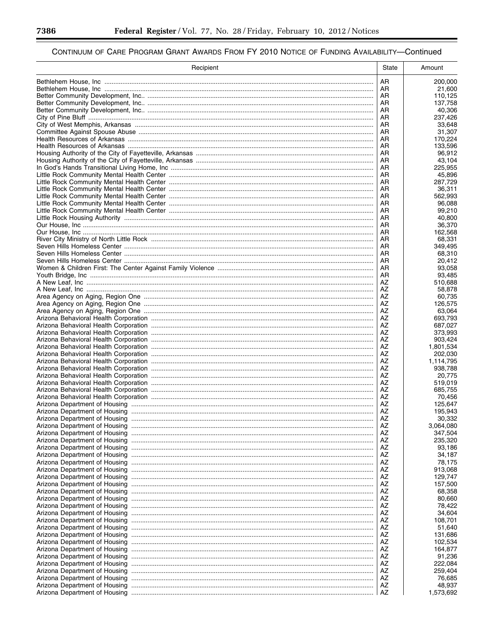▀

| Recipient | State    | Amount               |
|-----------|----------|----------------------|
|           | AR.      | 200,000              |
|           | AR.      | 21,600               |
|           | AR       | 110,125              |
|           | AR<br>AR | 137,758<br>40,306    |
|           | AR       | 237,426              |
|           | AR       | 33,648               |
|           | AR       | 31,307               |
|           | AR       | 170,224              |
|           | AR<br>AR | 133,596<br>96,912    |
|           | AR       | 43,104               |
|           | AR       | 225,955              |
|           | AR       | 45.896               |
|           | AR<br>AR | 287,729<br>36,311    |
|           | AR       | 562,993              |
|           | AR       | 96,088               |
|           | AR       | 99,210               |
|           | AR       | 40,800               |
|           | AR<br>AR | 36,370<br>162,568    |
|           | AR       | 68.331               |
|           | AR       | 349,495              |
|           | AR       | 68,310               |
|           | AR       | 20,412               |
|           | AR<br>AR | 93,058<br>93,485     |
|           | AZ       | 510.688              |
|           | AZ       | 58,878               |
|           | AZ       | 60,735               |
|           | AZ       | 126,575              |
|           | AZ<br>AZ | 63,064<br>693,793    |
|           | AZ       | 687,027              |
|           | AZ       | 373,993              |
|           | AZ       | 903,424              |
|           | AZ       | 1,801,534            |
|           | AZ<br>AZ | 202,030<br>1,114,795 |
|           | AZ       | 938,788              |
|           | AZ       | 20,775               |
|           | AZ       | 519,019              |
|           | AZ       | 685,755              |
|           | AZ<br>AZ | 70,456<br>125,647    |
|           | AZ       | 195.943              |
|           | AZ       | 30,332               |
|           | AZ       | 3,064,080            |
|           | AZ       | 347,504              |
|           | AZ<br>AZ | 235,320<br>93,186    |
|           | AZ       | 34,187               |
|           | AZ       | 78,175               |
|           | AZ       | 913,068              |
|           | AZ       | 129,747              |
|           | AZ<br>AZ | 157,500<br>68,358    |
|           | AZ       | 80,660               |
|           | AZ       | 78,422               |
|           | AZ       | 34,604               |
|           | AZ       | 108.701              |
|           | AZ<br>AZ | 51,640               |
|           | AZ       | 131,686<br>102,534   |
|           | AZ       | 164,877              |
|           | AZ       | 91,236               |
|           | AZ       | 222,084              |
|           | AZ       | 259,404              |
|           | AZ<br>AZ | 76,685<br>48,937     |
|           | AZ       | 1,573,692            |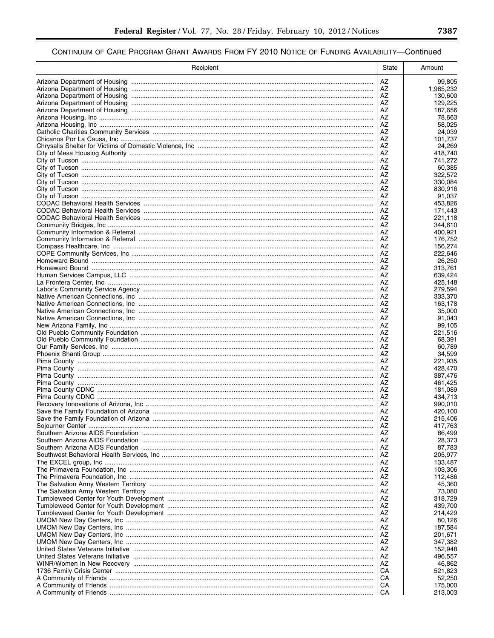| Recipient | <b>State</b> | Amount             |
|-----------|--------------|--------------------|
|           | AZ           | 99,805             |
|           | AZ           | 1,985,232          |
|           | AZ           | 130,600            |
|           | AZ<br>AZ     | 129,225<br>187,656 |
|           | AZ           | 78,663             |
|           | AZ           | 58,025             |
|           | AZ           | 24,039             |
|           | AZ           | 101,737            |
|           | AΖ<br>AZ     | 24,269<br>418,740  |
|           | AZ           | 741,272            |
|           | AZ           | 60,385             |
|           | AZ           | 322,572            |
|           | AZ<br>AΖ     | 330,084<br>830,916 |
|           | AZ           | 91,037             |
|           | AZ           | 453,826            |
|           | AZ           | 171,443            |
|           | AZ           | 221,118            |
|           | AZ<br>AZ     | 344,610<br>400.921 |
|           | AZ           | 176,752            |
|           | AΖ           | 156,274            |
|           | AZ           | 222.646            |
|           | AZ<br>AZ     | 26,250<br>313.761  |
|           | AZ           | 639.424            |
|           | AZ           | 425,148            |
|           | AZ           | 279,594            |
|           | AZ           | 333,370            |
|           | AZ<br>AZ     | 163,178<br>35,000  |
|           | AZ           | 91,043             |
|           | AZ           | 99,105             |
|           | AZ           | 221,516            |
|           | AZ<br>AZ     | 68,391             |
|           | AZ           | 60,789<br>34,599   |
|           | AZ           | 221,935            |
|           | AΖ           | 428,470            |
|           | AZ           | 387,476            |
|           | AZ<br>AZ     | 461,425<br>181,089 |
|           | AΖ           | 434,713            |
|           | AZ           | 990,010            |
|           | AΖ           | 420,100            |
|           | AZ           | 215,406            |
|           | AZ<br>AZ     | 417,763<br>86,499  |
|           | AΖ           | 28,373             |
|           | AZ           | 87,783             |
|           | AΖ           | 205,977            |
|           | AZ<br>AZ     | 133,487<br>103,306 |
|           | AZ           | 112,486            |
|           | AΖ           | 45,360             |
|           | AZ           | 73,080             |
|           | AZ           | 318,729            |
|           | AZ<br>AZ     | 439,700<br>214,429 |
|           | AZ           | 80,126             |
|           | AΖ           | 187,584            |
|           | AZ           | 201,671            |
|           | AZ<br>AZ     | 347,382            |
|           | AΖ           | 152,948<br>496,557 |
|           | AZ           | 46,862             |
|           | CA           | 521,823            |
|           | CА           | 52,250             |
|           | CA<br>CA     | 175,000            |
|           |              | 213,003            |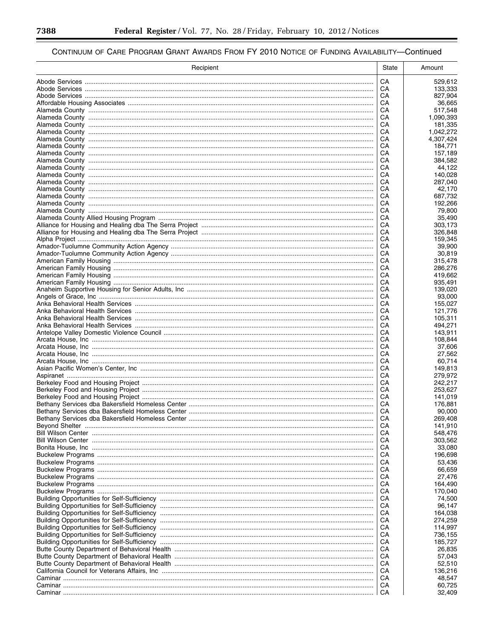| Recipient | State    | Amount               |
|-----------|----------|----------------------|
|           | CA       | 529,612              |
|           | CА       | 133,333              |
|           | CА       | 827,904              |
|           | CА       | 36,665               |
|           | CА       | 517,548              |
|           | CА<br>CА | 1,090,393            |
|           | CA       | 181,335<br>1,042,272 |
|           | CА       | 4,307,424            |
|           | CA       | 184,771              |
|           | CА       | 157,189              |
|           | CA       | 384,582              |
|           | CА       | 44,122               |
|           | CА<br>CА | 140,028<br>287,040   |
|           | CA       | 42,170               |
|           | CА       | 687,732              |
|           | CА       | 192,266              |
|           | CА       | 79,800               |
|           | CА       | 35.490               |
|           | CА<br>CА | 303,173<br>326,848   |
|           | CА       | 159,345              |
|           | CА       | 39,900               |
|           | CА       | 30,819               |
|           | CА       | 315,478              |
|           | CА       | 286,276              |
|           | CА       | 419,662              |
|           | CА       | 935,491              |
|           | CА<br>CА | 139,020<br>93,000    |
|           | CА       | 155,027              |
|           | CА       | 121,776              |
|           | CА       | 105,311              |
|           | CА       | 494,271              |
|           | CА       | 143,911              |
|           | CА       | 108,844              |
|           | CА<br>CA | 37,606<br>27,562     |
|           | CА       | 60,714               |
|           | CA       | 149,813              |
|           | CА       | 279,972              |
|           | CА       | 242,217              |
|           | CА       | 253,627              |
|           | CA       | 141,019              |
|           | CА<br>CA | 176,881<br>90.000    |
|           | CА       | 269,408              |
|           | CА       | 141,910              |
|           | CА       | 548.476              |
|           | CA       | 303,562              |
|           | CА       | 33,080               |
|           | CA       | 196,698              |
|           | CА<br>CA | 53,436<br>66,659     |
|           | CА       | 27,476               |
|           | CA       | 164,490              |
|           | CА       | 170,040              |
|           | CA       | 74,500               |
|           | CА       | 96,147               |
|           | CA       | 164,038              |
|           | CА<br>CA | 274,259<br>114,997   |
|           | CА       | 736,155              |
|           | CA       | 185,727              |
|           | CА       | 26,835               |
|           | CA       | 57,043               |
|           | CА       | 52,510               |
|           | CA       | 136,216              |
|           | CА       | 48,547               |
|           | CA<br>CA | 60,725<br>32,409     |
|           |          |                      |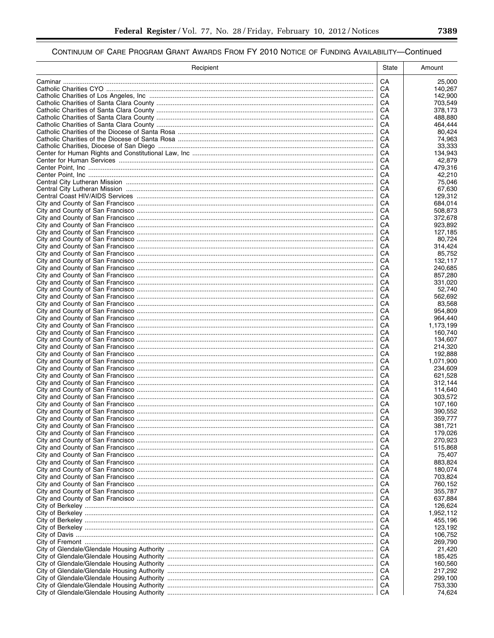| Recipient | State    | Amount               |
|-----------|----------|----------------------|
|           | CA       | 25,000               |
|           | CA       | 140,267              |
|           | CA       | 142,900              |
|           | CA<br>CA | 703,549<br>378,173   |
|           | CA       | 488.880              |
|           | CA       | 464,444              |
|           | CA       | 80,424               |
|           | CА       | 74,963               |
|           | CA<br>CA | 33,333<br>134,943    |
|           | CA       | 42,879               |
|           | CА       | 479,316              |
|           | CA       | 42,210               |
|           | CA<br>CA | 75,046<br>67,630     |
|           | CA       | 129,312              |
|           | CA       | 684,014              |
|           | CA       | 508,873              |
|           | CA<br>CA | 372,678              |
|           | CA       | 923,892<br>127,185   |
|           | CA       | 80.724               |
|           | CА       | 314,424              |
|           | CА       | 85.752               |
|           | CА       | 132,117              |
|           | CA<br>CА | 240,685<br>857,280   |
|           | CА       | 331,020              |
|           | CА       | 52.740               |
|           | CА       | 562,692              |
|           | CА<br>CA | 83,568<br>954,809    |
|           | CA       | 964,440              |
|           | CA       | 1,173,199            |
|           | CА       | 160,740              |
|           | CA       | 134,607              |
|           | CA<br>CA | 214,320<br>192,888   |
|           | CА       | 1,071,900            |
|           | CA       | 234,609              |
|           | CА       | 621,528              |
|           | CA       | 312,144              |
|           | CА<br>CA | 114,640<br>303,572   |
|           | CA       | 107,160              |
|           | CA       | 390,552              |
|           | CA       | 359,777              |
|           | CA       | 381,721              |
|           | CА<br>CA | 179,026<br>270,923   |
|           | CА       | 515,868              |
|           | CA       | 75,407               |
|           | CА       | 883,824              |
|           | CA       | 180,074              |
|           | CА<br>CA | 703,824<br>760,152   |
|           | CА       | 355,787              |
|           | CA       | 637,884              |
|           | CА       | 126,624              |
|           | CA<br>CА | 1,952,112<br>455,196 |
|           | CA       | 123,192              |
|           | CА       | 106,752              |
|           | CA       | 269,790              |
|           | CА       | 21,420               |
|           | CA<br>CA | 185,425<br>160,560   |
|           | CA       | 217,292              |
|           | CA       | 299,100              |
|           | CA       | 753,330              |
|           | CA       | 74,624               |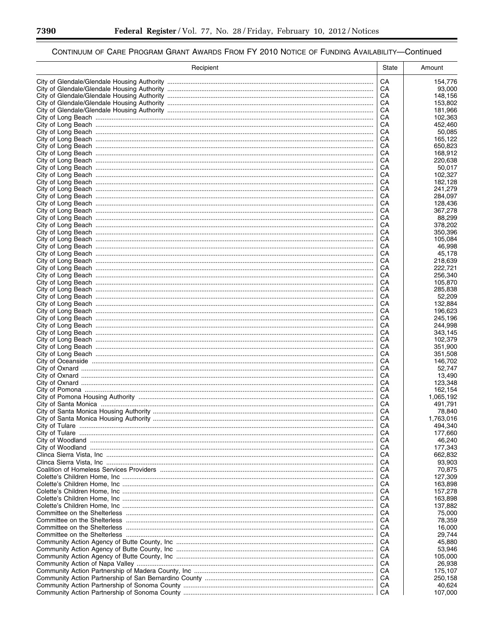▀

| Recipient | State    | Amount             |
|-----------|----------|--------------------|
|           | CA       | 154,776            |
|           | CA       | 93,000             |
|           | CA       | 148,156            |
|           | CA       | 153,802            |
|           | CA       | 181,966            |
|           | CA       | 102,363            |
|           | CA<br>CA | 452,460<br>50,085  |
|           | CA       | 165,122            |
|           | CA       | 650,823            |
|           | CA       | 168,912            |
|           | CA       | 220,638            |
|           | CA       | 50,017             |
|           | CA       | 102,327            |
|           | CA<br>CA | 182,128            |
|           | CA       | 241,279<br>284,097 |
|           | CA       | 128,436            |
|           | CA       | 367,278            |
|           | CA       | 88,299             |
|           | CA       | 378,202            |
|           | CA       | 350,396            |
|           | CA       | 105,084            |
|           | CА<br>CA | 46,998<br>45,178   |
|           | CA       | 218,639            |
|           | CA       | 222,721            |
|           | CА       | 256,340            |
|           | CA       | 105,870            |
|           | CA       | 285,838            |
|           | CA       | 52,209             |
|           | CА       | 132,884            |
|           | CA<br>CA | 196,623<br>245,196 |
|           | CA       | 244,998            |
|           | CA       | 343,145            |
|           | CA       | 102,379            |
|           | CA       | 351,900            |
|           | CA       | 351,508            |
|           | CA       | 146,702            |
|           | CA<br>CA | 52,747             |
|           | CA       | 13,490<br>123,348  |
|           | CA       | 162.154            |
|           | CA       | 1,065,192          |
|           | CA       | 491,791            |
|           | CA       | 78,840             |
|           | CA       | 1,763,016          |
|           | CА       | 494,340            |
|           | CA<br>CA | 177,660<br>46,240  |
|           | CA       | 177,343            |
|           | CA       | 662,832            |
|           | CA       | 93,903             |
|           | CA       | 70,875             |
|           | CA       | 127,309            |
|           | CA       | 163,898            |
|           | CA       | 157,278            |
|           | CA<br>CA | 163,898            |
|           | CA       | 137,882<br>75,000  |
|           | CA       | 78,359             |
|           | CA       | 16,000             |
|           | CA       | 29,744             |
|           | CA       | 45,880             |
|           | CA       | 53,946             |
|           | CA       | 105,000            |
|           | CA       | 26,938             |
|           | CA<br>CA | 175,107<br>250,158 |
|           | CA       | 40,624             |
|           | CA       | 107,000            |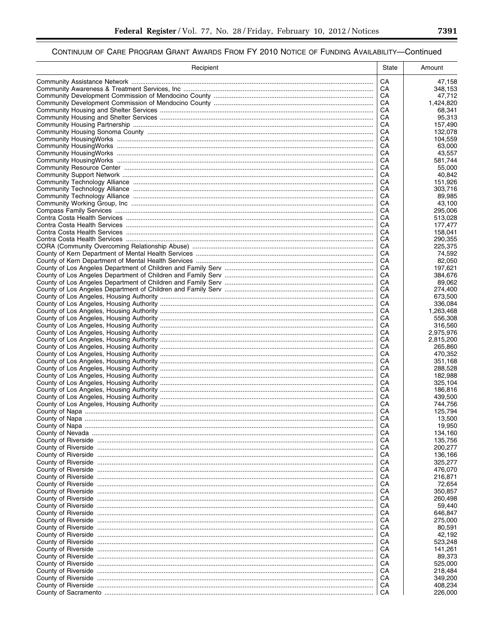| Recipient | State    | Amount               |
|-----------|----------|----------------------|
|           | CA       | 47,158               |
|           | СA       | 348,153              |
|           | СA       | 47,712               |
|           | CA<br>CA | 1,424,820<br>68,341  |
|           | СA       | 95,313               |
|           | СA       | 157,490              |
|           | CA       | 132,078              |
|           | CA<br>СA | 104,559<br>63,000    |
|           | СA       | 43,557               |
|           | CA       | 581,744              |
|           | СA       | 55,000               |
|           | СA<br>СA | 40,842<br>151,926    |
|           | CA       | 303,716              |
|           | CA       | 89,985               |
|           | CA       | 43,100               |
|           | CA       | 295,006              |
|           | CA<br>СA | 513,028<br>177,477   |
|           | СA       | 158,041              |
|           | CA       | 290.355              |
|           | CA       | 225,375              |
|           | CA<br>CA | 74,592<br>82,050     |
|           | CA       | 197.621              |
|           | CA       | 384,676              |
|           | CA       | 89,062               |
|           | СA<br>CA | 274,400<br>673,500   |
|           | CA       | 336,084              |
|           | CA       | 1,263,468            |
|           | CA       | 556,308              |
|           | CA<br>СA | 316,560<br>2,975,976 |
|           | СA       | 2,815,200            |
|           | CA       | 265,860              |
|           | CA       | 470,352              |
|           | СA<br>CA | 351,168<br>288,528   |
|           | CA       | 182,988              |
|           | CA       | 325,104              |
|           | СA       | 186,816              |
|           | СA<br>СA | 439,500<br>744,756   |
|           | CA       | 125,794              |
|           | CA       | 13,500               |
|           | CA       | 19,950               |
|           | CA       | 134,160              |
|           | CA<br>CA | 135,756<br>200,277   |
|           | CA       | 136,166              |
|           | CA       | 325,277              |
|           | CA       | 476,070              |
|           | CA<br>CA | 216,871<br>72,654    |
|           | CA       | 350,857              |
|           | CA       | 260,498              |
|           | CA<br>CA | 59,440               |
|           | CA       | 646,847<br>275,000   |
|           | CA       | 80,591               |
|           | CA       | 42,192               |
|           | CA<br>CA | 523,248              |
|           | CA       | 141,261<br>89,373    |
|           | CA       | 525,000              |
|           | CA       | 218,484              |
|           | CA       | 349,200              |
|           | CA<br>CA | 408,234<br>226,000   |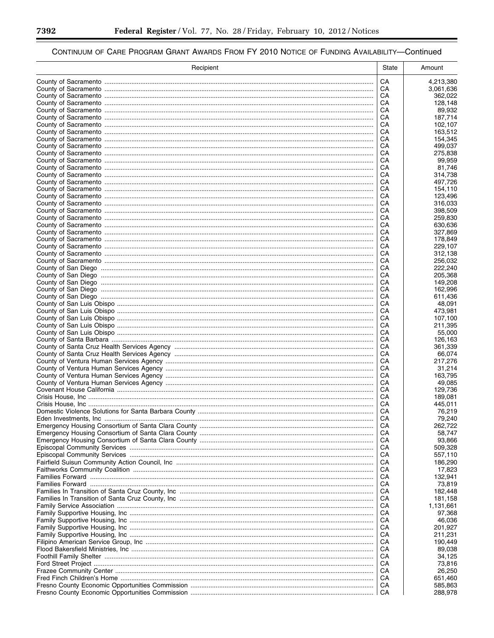▀

| Recipient | State    | Amount             |
|-----------|----------|--------------------|
|           | CA       | 4,213,380          |
|           | CA       | 3,061,636          |
|           | CА       | 362,022            |
|           | CA       | 128,148            |
|           | CА<br>CA | 89.932<br>187,714  |
|           | CА       | 102,107            |
|           | CА       | 163,512            |
|           | CA       | 154,345            |
|           | CA       | 499,037            |
|           | CA<br>CА | 275,838<br>99,959  |
|           | CА       | 81,746             |
|           | CА       | 314,738            |
|           | CА       | 497,726            |
|           | CА<br>CА | 154,110            |
|           | CА       | 123,496<br>316,033 |
|           | CА       | 398,509            |
|           | CА       | 259,830            |
|           | CА       | 630,636            |
|           | CА       | 327,869            |
|           | CA<br>CА | 178,849<br>229,107 |
|           | CA       | 312,138            |
|           | CА       | 256,032            |
|           | CA       | 222,240            |
|           | CА       | 205,368            |
|           | CA       | 149,208            |
|           | CА<br>CA | 162,996<br>611,436 |
|           | CА       | 48,091             |
|           | CA       | 473,981            |
|           | CА       | 107,100            |
|           | CA       | 211,395            |
|           | CА<br>CA | 55,000<br>126,163  |
|           | CА       | 361,339            |
|           | CА       | 66,074             |
|           | CA       | 217,276            |
|           | CA       | 31,214             |
|           | CА<br>CА | 163,795<br>49.085  |
|           | CА       | 129.736            |
|           | CА       | 189,081            |
|           | CА       | 445,011            |
|           | CА       | 76,219             |
|           | CА<br>CА | 79,240<br>262,722  |
|           | CА       | 58,747             |
|           | CА       | 93,866             |
|           | CА       | 509,328            |
|           | CА       | 557,110            |
|           | CА       | 186,290            |
|           | CА<br>CА | 17,823<br>132,941  |
|           | CА       | 73,819             |
|           | CА       | 182,448            |
|           | CА       | 181,158            |
|           | CА       | 1,131,661          |
|           | CА<br>CА | 97,368<br>46,036   |
|           | CА       | 201,927            |
|           | CА       | 211,231            |
|           | CА       | 190,449            |
|           | CА       | 89,038             |
|           | CА       | 34,125             |
|           | CА<br>CА | 73,816<br>26,250   |
|           | CА       | 651,460            |
|           | CА       | 585,863            |
|           | CA       | 288,978            |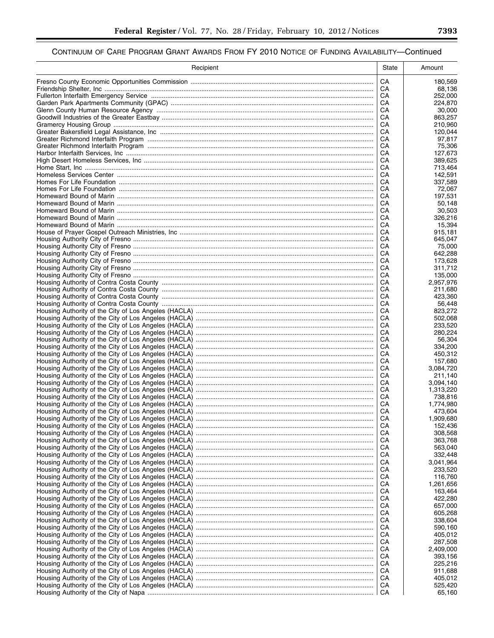| Recipient | State    | Amount               |
|-----------|----------|----------------------|
|           | CA       | 180,569              |
|           | CA       | 68,136               |
|           | CA       | 252,000              |
|           | CA       | 224,870              |
|           | CA<br>CA | 30.000<br>863,257    |
|           | CA       | 210,960              |
|           | CA       | 120,044              |
|           | CA       | 97,817               |
|           | CA       | 75,306               |
|           | CA       | 127,673              |
|           | CA<br>CA | 389,625<br>713,464   |
|           | CA       | 142,591              |
|           | CA       | 337,589              |
|           | CA       | 72,067               |
|           | CA       | 197,531              |
|           | CA       | 50,148               |
|           | CA       | 30,503               |
|           | CA<br>CA | 326,216<br>15,394    |
|           | CA       | 915,181              |
|           | CA       | 645.047              |
|           | CA       | 75,000               |
|           | CA       | 642,288              |
|           | CA       | 173,628              |
|           | CA       | 311,712              |
|           | CA<br>CA | 135,000<br>2,957,976 |
|           | CA       | 211,680              |
|           | CA       | 423,360              |
|           | CA       | 56,448               |
|           | CA       | 823,272              |
|           | CA       | 502,068              |
|           | CA<br>CA | 233,520<br>280,224   |
|           | CA       | 56,304               |
|           | CA       | 334,200              |
|           | CA       | 450,312              |
|           | CA       | 157,680              |
|           | CA       | 3,084,720            |
|           | CA<br>CA | 211,140<br>3,094,140 |
|           | CA       | 1,313,220            |
|           | CA       | 738,816              |
|           | CA       | 1,774,980            |
|           | CA       | 473,604              |
|           | CA       | 1,909,680            |
|           | CA<br>CA | 152,436<br>308,568   |
|           | CA       | 363,768              |
|           | CA       | 563,040              |
|           | CA       | 332,448              |
|           | CA       | 3,041,964            |
|           | CA       | 233,520              |
|           | CA       | 116,760              |
|           | CA<br>CA | 1,261,656<br>163,464 |
|           | CA       | 422,280              |
|           | CA       | 657,000              |
|           | CA       | 605,268              |
|           | CA       | 338,604              |
|           | CA       | 590,160              |
|           | CA<br>CA | 405,012<br>287,508   |
|           | CA       | 2,409,000            |
|           | CA       | 393,156              |
|           | CA       | 225,216              |
|           | CA       | 911,688              |
|           | CA       | 405,012              |
|           | CA       | 525,420              |
|           | CA       | 65,160               |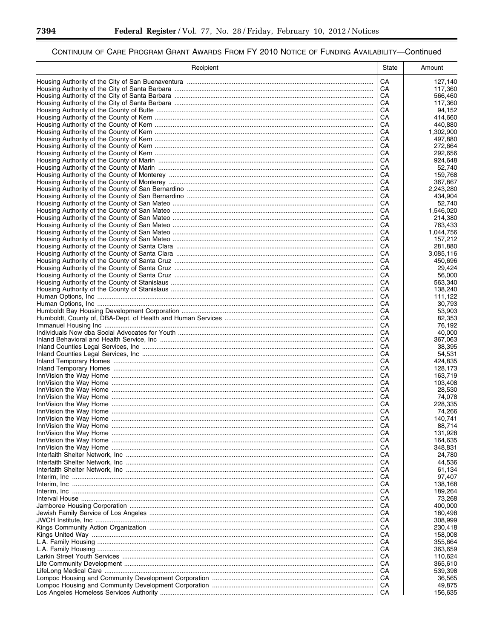▀

| Recipient | State    | Amount               |
|-----------|----------|----------------------|
|           | CA       | 127,140              |
|           | СA       | 117,360              |
|           | CА       | 566,460              |
|           | CA       | 117,360              |
|           | CА       | 94,152<br>414.660    |
|           | CA<br>CА | 440,880              |
|           | CA       | 1,302,900            |
|           | CА       | 497,880              |
|           | CA       | 272,664              |
|           | CА       | 292,656              |
|           | CA       | 924,648              |
|           | CА       | 52,740<br>159,768    |
|           | CA<br>CА | 367,867              |
|           | СA       | 2,243,280            |
|           | CА       | 434,904              |
|           | СA       | 52,740               |
|           | CА       | 1,546,020            |
|           | CA       | 214,380              |
|           | CA       | 763,433              |
|           | CA<br>CA | 1,044,756<br>157,212 |
|           | CА       | 281.880              |
|           | CА       | 3,085,116            |
|           | CА       | 450,696              |
|           | CА       | 29.424               |
|           | CА       | 56,000               |
|           | CА       | 563,340              |
|           | CА<br>CА | 138,240              |
|           | CА       | 111,122<br>30,793    |
|           | CA       | 53,903               |
|           | CА       | 82,353               |
|           | CA       | 76,192               |
|           | CА       | 40,000               |
|           | CA       | 367,063              |
|           | CА<br>CA | 38,395<br>54,531     |
|           | CА       | 424,835              |
|           | CA       | 128,173              |
|           | CА       | 163,719              |
|           | CA       | 103,408              |
|           | CА       | 28,530               |
|           | CA       | 74.078               |
|           | CА       | 228,335<br>74,266    |
|           | CA<br>CА | 140,741              |
|           | CА       | 88,714               |
|           | CA       | 131,928              |
|           | CA       | 164,635              |
|           | CА       | 348,831              |
|           | CA       | 24,780               |
|           | CА       | 44,536               |
|           | CA<br>CА | 61,134<br>97,407     |
|           | CA       | 138,168              |
|           | CА       | 189,264              |
|           | CA       | 73,268               |
|           | CА       | 400,000              |
|           | CA       | 180,498              |
|           | CА       | 308,999              |
|           | CA<br>CА | 230,418<br>158,008   |
|           | CА       | 355,664              |
|           | CА       | 363,659              |
|           | CA       | 110,624              |
|           | CА       | 365,610              |
|           | CA       | 539,398              |
|           | CА       | 36,565               |
|           | CA<br>CA | 49,875<br>156,635    |
|           |          |                      |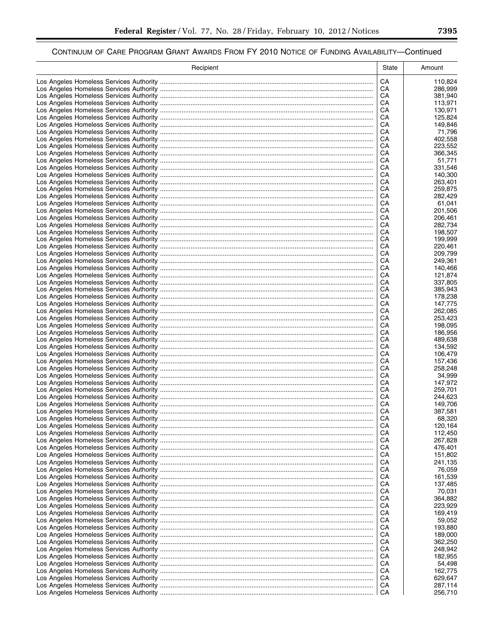| Recipient | <b>State</b> | Amount             |
|-----------|--------------|--------------------|
|           | CA           | 110,824            |
|           | СA           | 286,999            |
|           | CА           | 381,940            |
|           | CA           | 113,971            |
|           | CА           | 130,971            |
|           | CA<br>CА     | 125,824            |
|           | CA           | 149,846<br>71,796  |
|           | CА           | 402,558            |
|           | CА           | 223,552            |
|           | CА           | 366,345            |
|           | CА           | 51,771             |
|           | CА           | 331,546            |
|           | CА           | 140,300            |
|           | CА           | 263,401            |
|           | CА<br>CА     | 259,875<br>282,429 |
|           | CА           | 61,041             |
|           | CА           | 201,506            |
|           | CА           | 206,461            |
|           | CА           | 282,734            |
|           | CА           | 198,507            |
|           | CА           | 199,999            |
|           | CА           | 220,461            |
|           | CA           | 209,799            |
|           | CА<br>CA     | 249,361<br>140,466 |
|           | CА           | 121,874            |
|           | CA           | 337,805            |
|           | CА           | 385,943            |
|           | CA           | 178,238            |
|           | CА           | 147,775            |
|           | CA           | 262,085            |
|           | CА           | 253,423            |
|           | CA           | 198,095            |
|           | CА<br>CA     | 186,956            |
|           | CА           | 489,638<br>134,592 |
|           | CА           | 106,479            |
|           | CА           | 157,436            |
|           | CA           | 258,248            |
|           | CА           | 34,999             |
|           | CА           | 147,972            |
|           | CА           | 259,701            |
|           | CA           | 244,623            |
|           | CА<br>CА     | 149,706<br>387,581 |
|           | CА           | 68,320             |
|           | CA           | 120,164            |
|           | CA           | 112,450            |
|           | CA           | 267,828            |
|           | CА           | 476,401            |
|           | CA           | 151,802            |
|           | CА           | 241,135            |
|           | CА           | 76,059             |
|           | CА<br>CА     | 161,539<br>137,485 |
|           | CА           | 70,031             |
|           | CА           | 364,882            |
|           | CА           | 223,929            |
|           | CА           | 169,419            |
|           | CА           | 59,052             |
|           | CА           | 193,880            |
|           | CА           | 189,000            |
|           | CА           | 362,250            |
|           | CА           | 248,942            |
|           | CА<br>CA     | 182,955<br>54,498  |
|           | CA           | 162,775            |
|           | CA           | 629,647            |
|           | CA           | 287,114            |
|           | CA           | 256,710            |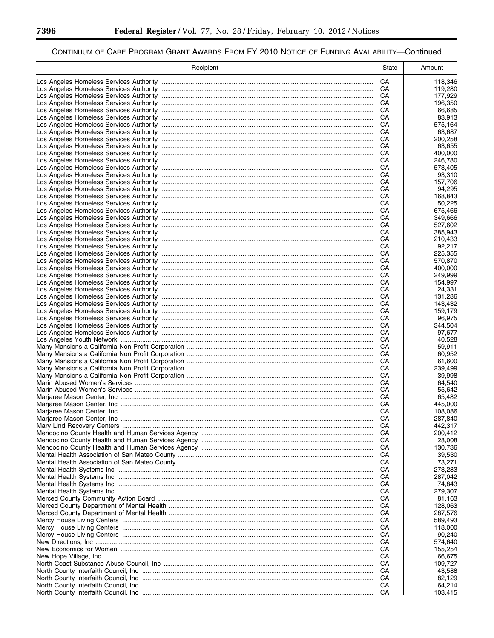▀

| Recipient | State    | Amount             |
|-----------|----------|--------------------|
|           | CA       | 118,346            |
|           | CA       | 119,280            |
|           | CA       | 177,929            |
|           | CA       | 196,350            |
|           | CA       | 66,685             |
|           | CA       | 83,913             |
|           | CA       | 575,164            |
|           | CA       | 63,687             |
|           | CA       | 200,258            |
|           | CA       | 63,655             |
|           | CA<br>CA | 400,000<br>246,780 |
|           | CA       | 573,405            |
|           | CA       | 93,310             |
|           | CA       | 157,706            |
|           | CA       | 94,295             |
|           | CA       | 168,843            |
|           | CA       | 50,225             |
|           | CA       | 675,466            |
|           | CА       | 349,666            |
|           | CA       | 527,602            |
|           | CA       | 385,943            |
|           | CA       | 210.433            |
|           | CA       | 92,217             |
|           | CA       | 225.355            |
|           | CA       | 570,870            |
|           | CA<br>CA | 400,000<br>249,999 |
|           | CA       | 154,997            |
|           | CA       | 24,331             |
|           | CA       | 131,286            |
|           | CA       | 143,432            |
|           | CA       | 159,179            |
|           | CA       | 96,975             |
|           | CA       | 344,504            |
|           | CA       | 97,677             |
|           | CA       | 40,528             |
|           | CA       | 59,911             |
|           | CA       | 60,952             |
|           | CA       | 61,600             |
|           | CA       | 239,499            |
|           | CA<br>CA | 39.998<br>64.540   |
|           | CA       | 55,642             |
|           | CA       | 65.482             |
|           | CA       | 445.000            |
|           | CA       | 108,086            |
|           | CA       | 287,840            |
|           | CA       | 442,317            |
|           | CA       | 200,412            |
|           | CA       | 28,008             |
|           | CA       | 130,736            |
|           | CA       | 39,530             |
|           | CA       | 73,271             |
|           | CA       | 273,283            |
|           | CA       | 287,042            |
|           | CA<br>CA | 74,843<br>279,307  |
|           | CA       | 81,163             |
|           | CA       | 128,063            |
|           | CA       | 287,576            |
|           | CA       | 589,493            |
|           | CA       | 118,000            |
|           | CA       | 90,240             |
|           | CA       | 574,640            |
|           | CA       | 155,254            |
|           | CA       | 66,675             |
|           | CA       | 109,727            |
|           | CA       | 43,588             |
|           | CA       | 82,129             |
|           | CA<br>CA | 64,214<br>103,415  |
|           |          |                    |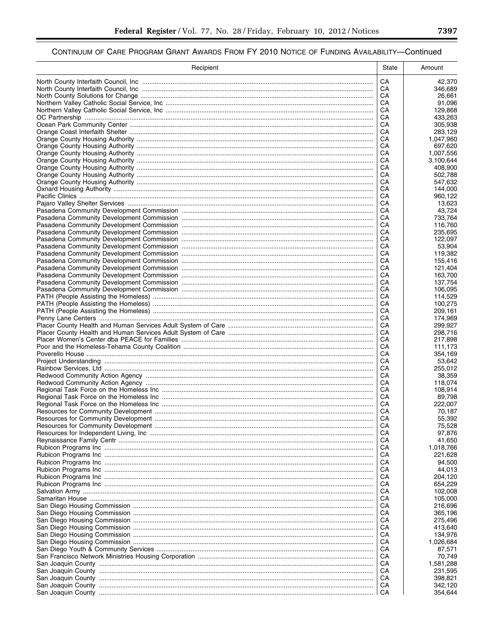| Recipient | <b>State</b> | Amount             |
|-----------|--------------|--------------------|
|           | CA           | 42,370             |
|           | СA           | 346,689            |
|           | CA           | 26,661             |
|           | CA           | 91,096             |
|           | CA           | 129,868            |
|           | CA<br>CA     | 433,263<br>305,938 |
|           | CA           | 283,129            |
|           | CА           | 1,047,960          |
|           | CА           | 697,620            |
|           | CА           | 1,007,556          |
|           | CА           | 3.100.644          |
|           | CА           | 408,900            |
|           | CА           | 502,788            |
|           | CА           | 547,632            |
|           | CА           | 144,000            |
|           | CА           | 960,122            |
|           | CА<br>CА     | 13,623<br>43,724   |
|           | CА           | 733,764            |
|           | CА           | 116,760            |
|           | CА           | 235,695            |
|           | CА           | 122,097            |
|           | CА           | 53,904             |
|           | CA           | 119,382            |
|           | CА           | 155,416            |
|           | CA           | 121,404            |
|           | CА           | 163,700            |
|           | CA           | 137,754            |
|           | CА           | 106,095            |
|           | CA           | 114,529            |
|           | CА<br>CA     | 100,275<br>209,161 |
|           | CA           | 174,969            |
|           | CA           | 299,927            |
|           | CА           | 298,716            |
|           | CA           | 217,898            |
|           | CА           | 111,173            |
|           | CA           | 354,169            |
|           | CА           | 53,642             |
|           | CA           | 255,012            |
|           | CА           | 38,359             |
|           | CA           | 118,074            |
|           | CА<br>CA     | 108.914            |
|           | CА           | 89,798<br>222,007  |
|           | CA           | 70,187             |
|           | CА           | 55,392             |
|           | CА           | 75,528             |
|           | CА           | 97,876             |
|           | CA           | 41,650             |
|           | CА           | 1,018,766          |
|           | CА           | 221,628            |
|           | CА           | 94,500             |
|           | CА           | 44,013             |
|           | CА           | 204,120            |
|           | CА           | 654,229            |
|           | CА<br>CА     | 102,008            |
|           | CА           | 105,000<br>216,696 |
|           | CА           | 365,196            |
|           | CА           | 275,496            |
|           | CА           | 413,640            |
|           | CА           | 134,976            |
|           | CА           | 1,026,684          |
|           | CА           | 87,571             |
|           | CА           | 70,749             |
|           | CА           | 1,581,288          |
|           | CА           | 231,595            |
|           | CА           | 398,821            |
|           | CA           | 342,120            |
|           | CA           | 354,644            |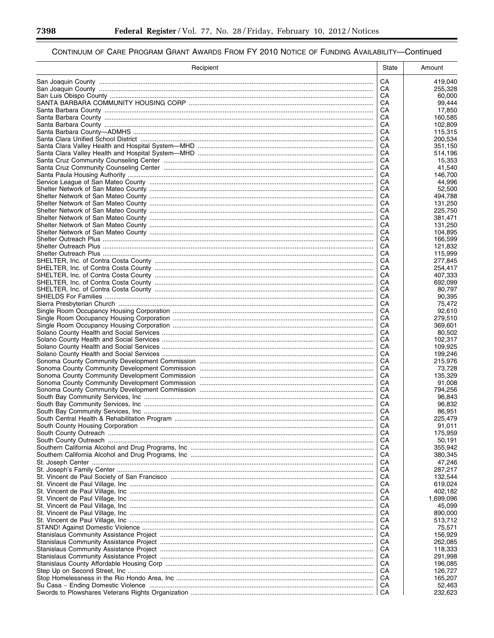▀

| Recipient | State    | Amount             |
|-----------|----------|--------------------|
|           | CA       | 419,040            |
|           | CA       | 255,328            |
|           | CА       | 60,000             |
|           | CА       | 99,444             |
|           | CA       | 17,850             |
|           | CA<br>CA | 160,585<br>102,809 |
|           | CА       | 115,315            |
|           | CА       | 200,534            |
|           | CА       | 351,150            |
|           | CА       | 514,196            |
|           | CА       | 15,353             |
|           | CА       | 41,540             |
|           | CА       | 146,700            |
|           | CА       | 44,996             |
|           | CА<br>CA | 52,500<br>494,788  |
|           | CA       | 131,250            |
|           | CA       | 225,750            |
|           | CA       | 381,471            |
|           | CA       | 131,250            |
|           | CА       | 104,895            |
|           | CA       | 166,599            |
|           | CА       | 121,832            |
|           | CA       | 115,999            |
|           | CA       | 277,845            |
|           | CA<br>CА | 254,417            |
|           | СA       | 407,333<br>692,099 |
|           | CА       | 80,797             |
|           | СA       | 90,395             |
|           | CА       | 75,472             |
|           | CА       | 92,610             |
|           | CА       | 279,510            |
|           | CA       | 369,601            |
|           | CA       | 80,502             |
|           | CA       | 102,317            |
|           | CA<br>CА | 109,925<br>199,246 |
|           | CА       | 215,976            |
|           | CА       | 73,728             |
|           | CА       | 135.329            |
|           | CА       | 91,008             |
|           | CА       | 794.256            |
|           | CА       | 96,843             |
|           | CА       | 96.832             |
|           | CА       | 86,951             |
|           | CA       | 225,479            |
|           | CA       | 91,011             |
|           | CА<br>CА | 175,959<br>50,191  |
|           | CА       | 355,942            |
|           | CА       | 380,345            |
|           | CА       | 47,246             |
|           | CА       | 287,217            |
|           | CА       | 132,544            |
|           | CА       | 619,024            |
|           | CА       | 402,182            |
|           | CА       | 1,699,096          |
|           | CА       | 45,099             |
|           | CА       | 890,000            |
|           | CА       | 513,712            |
|           | CА<br>CА | 75,571<br>156,929  |
|           | CА       | 262,085            |
|           | CА       | 118,333            |
|           | CА       | 291,998            |
|           | CА       | 196,085            |
|           | CА       | 126,727            |
|           | CA       | 165,207            |
|           | CА       | 52,463             |
|           | CA       | 232,623            |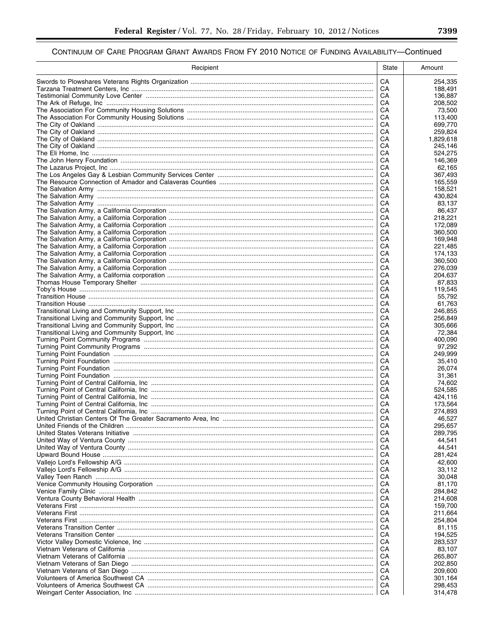| Recipient | State    | Amount             |
|-----------|----------|--------------------|
|           | CA       | 254,335            |
|           | СA       | 188,491            |
|           | CA       | 136,887            |
|           | CA<br>CA | 208,502<br>73,500  |
|           | CA       | 113,400            |
|           | CA       | 699,770            |
|           | CA       | 259,824            |
|           | CA       | 1,829,618          |
|           | CA       | 245,146            |
|           | CA<br>CA | 524,275<br>146,369 |
|           | CA       | 62,165             |
|           | CA       | 367.493            |
|           | CA       | 165,559            |
|           | CA       | 158,521            |
|           | CA<br>CA | 430,824<br>83,137  |
|           | CA       | 86,437             |
|           | CА       | 218,221            |
|           | CA       | 172,089            |
|           | CА       | 360,500            |
|           | CA       | 169,948            |
|           | CА<br>CA | 221,485<br>174,133 |
|           | CA       | 360,500            |
|           | CA       | 276,039            |
|           | CА       | 204,637            |
|           | CA       | 87,833             |
|           | CA       | 119,545            |
|           | CA<br>CА | 55,792<br>61,763   |
|           | CA       | 246,855            |
|           | CA       | 256,849            |
|           | CA       | 305,666            |
|           | CА       | 72,384             |
|           | CA<br>CA | 400,090<br>97,292  |
|           | CA       | 249,999            |
|           | CA       | 35,410             |
|           | CA       | 26,074             |
|           | CA       | 31,361             |
|           | CA<br>CA | 74,602<br>524,585  |
|           | CA       | 424,116            |
|           | CA       | 173,564            |
|           | CA       | 274,893            |
|           | CA       | 46,527             |
|           | CА       | 295,657            |
|           | CA<br>CA | 289,795            |
|           | CA       | 44,541<br>44,541   |
|           | CA       | 281,424            |
|           | CA       | 42,600             |
|           | CA       | 33,112             |
|           | CA       | 30,048             |
|           | CA       | 81,170             |
|           | CA<br>CA | 284,842<br>214,608 |
|           | CA       | 159,700            |
|           | CA       | 211,664            |
|           | CA       | 254,804            |
|           | CA       | 81,115             |
|           | CA       | 194,525            |
|           | CA<br>CA | 283,537<br>83,107  |
|           | CA       | 265,807            |
|           | CA       | 202,850            |
|           | CA       | 209,600            |
|           | CA       | 301,164            |
|           | CA<br>CA | 298,453            |
|           |          | 314,478            |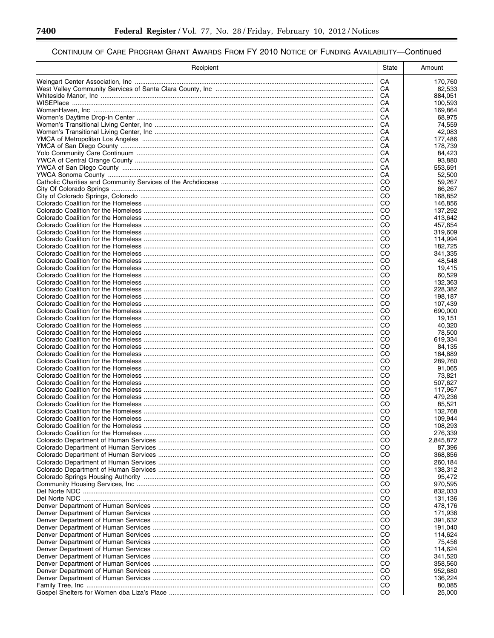▀

| Recipient | <b>State</b>        | Amount              |
|-----------|---------------------|---------------------|
|           | CA                  | 170,760             |
|           | СA                  | 82,533              |
|           | CА                  | 884,051             |
|           | CA                  | 100,593             |
|           | CА<br>CА            | 169,864<br>68,975   |
|           | CА                  | 74,559              |
|           | CA                  | 42,083              |
|           | CА                  | 177,486             |
|           | CА                  | 178,739             |
|           | CА                  | 84,423              |
|           | CА<br>CА            | 93,880<br>553,691   |
|           | CA                  | 52,500              |
|           | CO                  | 59,267              |
|           | CO                  | 66,267              |
|           | CO                  | 168,852             |
|           | CO<br>CO            | 146,856<br>137,292  |
|           | CO                  | 413,642             |
|           | CO                  | 457.654             |
|           | CO                  | 319,609             |
|           | CO                  | 114,994             |
|           | CO<br>CO            | 182,725             |
|           | CO                  | 341,335<br>48,548   |
|           | CO                  | 19,415              |
|           | CO                  | 60,529              |
|           | CO                  | 132.363             |
|           | CO                  | 228,382             |
|           | CO<br>CO            | 198,187<br>107,439  |
|           | CO                  | 690,000             |
|           | CO                  | 19,151              |
|           | CO                  | 40,320              |
|           | CO                  | 78,500              |
|           | CO                  | 619,334             |
|           | CO<br>CO            | 84,135<br>184,889   |
|           | CO                  | 289,760             |
|           | CO                  | 91,065              |
|           | CO                  | 73,821              |
|           | CO                  | 507,627             |
|           | CO<br>CO            | 117,967             |
|           | CO                  | 479,236<br>85,521   |
|           | CO                  | 132,768             |
|           | CO                  | 109,944             |
|           | CO                  | 108,293             |
|           | CO                  | 276,339             |
|           | CO<br>CO            | 2,845,872<br>87,396 |
|           | CO                  | 368,856             |
|           | CO                  | 260,184             |
|           | CO                  | 138,312             |
|           | CO                  | 95,472              |
|           | CO                  | 970,595             |
|           | CO<br>CO            | 832,033<br>131,136  |
|           | CO                  | 478,176             |
|           | CO                  | 171,936             |
|           | CO                  | 391,632             |
|           | CO                  | 191,040             |
|           | CO                  | 114,624             |
|           | CO<br>CO            | 75,456<br>114,624   |
|           | CO                  | 341,520             |
|           | CO                  | 358,560             |
|           | CO                  | 952,680             |
|           | CO                  | 136,224             |
|           | <sub>CO</sub><br>CO | 80,085<br>25,000    |
|           |                     |                     |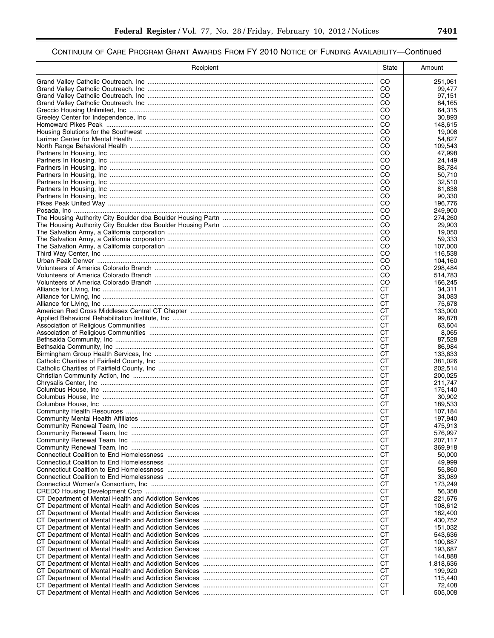| Recipient | State                          | Amount               |
|-----------|--------------------------------|----------------------|
|           | CO.                            | 251,061              |
|           | CO.                            | 99,477               |
|           | CO                             | 97,151               |
|           | CO<br>CO                       | 84,165<br>64,315     |
|           | CO                             | 30,893               |
|           | CO                             | 148,615              |
|           | CO                             | 19,008               |
|           | CO                             | 54,827               |
|           | <sub>CO</sub><br><sub>CO</sub> | 109,543<br>47,998    |
|           | CO                             | 24,149               |
|           | CO                             | 88,784               |
|           | <sub>CO</sub>                  | 50,710               |
|           | CO                             | 32,510               |
|           | <sub>CO</sub><br>CO            | 81,838<br>90,330     |
|           | <sub>CO</sub>                  | 196,776              |
|           | CO                             | 249,900              |
|           | CO                             | 274,260              |
|           | CO                             | 29,903               |
|           | <sub>CO</sub><br><sub>CO</sub> | 19,050               |
|           | <sub>CO</sub>                  | 59,333<br>107,000    |
|           | <sub>CO</sub>                  | 116,538              |
|           | <sub>CO</sub>                  | 104,160              |
|           | <sub>CO</sub>                  | 298,484              |
|           | CO                             | 514,783              |
|           | <sub>CO</sub><br>CТ            | 166.245<br>34,311    |
|           | СT                             | 34,083               |
|           | CТ                             | 75,678               |
|           | СT                             | 133,000              |
|           | СT                             | 99,878               |
|           | СT<br>СT                       | 63,604<br>8,065      |
|           | СT                             | 87,528               |
|           | СT                             | 86,984               |
|           | СT                             | 133,633              |
|           | СT                             | 381,026              |
|           | СT<br>СT                       | 202,514<br>200,025   |
|           | CТ                             | 211,747              |
|           | СT                             | 175,140              |
|           | СT                             | 30,902               |
|           | СT                             | 189,533              |
|           | CТ<br>СT                       | 107,184              |
|           | CТ                             | 197,940<br>475,913   |
|           | CТ                             | 576,997              |
|           | CТ                             | 207,117              |
|           | CТ                             | 369,918              |
|           | CТ                             | 50.000               |
|           | CТ<br>CТ                       | 49,999<br>55,860     |
|           | CТ                             | 33,089               |
|           | CТ                             | 173,249              |
|           | СT                             | 56,358               |
|           | CТ                             | 221,676              |
|           | СT<br>CТ                       | 108,612<br>182,400   |
|           | СT                             | 430,752              |
|           | CТ                             | 151,032              |
|           | СT                             | 543,636              |
|           | CТ                             | 100,887              |
|           | СT                             | 193,687              |
|           | CТ<br>CТ                       | 144,888<br>1,818,636 |
|           | CТ                             | 199,920              |
|           | CТ                             | 115,440              |
|           | CТ                             | 72,408               |
|           | CТ                             | 505,008              |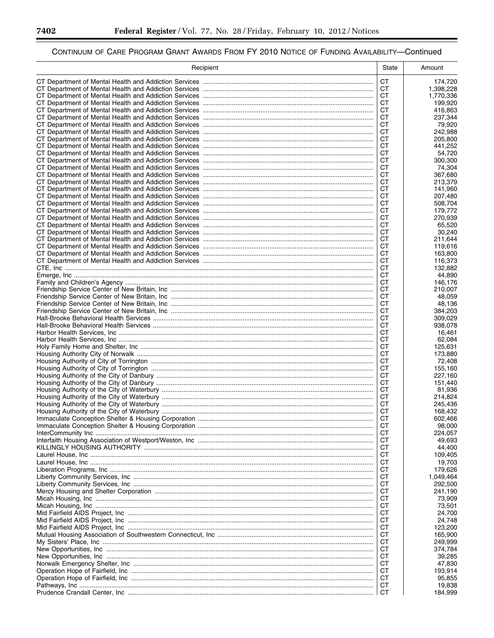Ξ

▀

| Recipient | State     | Amount             |
|-----------|-----------|--------------------|
|           | <b>CT</b> | 174,720            |
|           | СT        | 1,398,228          |
|           | СT        | 1,770,336          |
|           | СT        | 199,920            |
|           | СT        | 416.863            |
|           | СT        | 237,344            |
|           | СT<br>СT  | 79,920<br>242,988  |
|           | СT        | 205,800            |
|           | СT        | 441,252            |
|           | СT        | 54,720             |
|           | СT        | 300,300            |
|           | СT        | 74,304             |
|           | СT        | 367,680            |
|           | СT        | 213,379            |
|           | СT        | 141,960            |
|           | СT<br>СT  | 207,480<br>508,704 |
|           | СT        | 179,772            |
|           | СT        | 270,939            |
|           | CТ        | 65.520             |
|           | СT        | 30,240             |
|           | СT        | 211,644            |
|           | CТ        | 119,616            |
|           | СT        | 163,800            |
|           | СT        | 116,373            |
|           | СT        | 132.882            |
|           | СT        | 44,890             |
|           | СT<br>СT  | 146,176            |
|           | СT        | 210,007<br>48,059  |
|           | СT        | 48,136             |
|           | СT        | 384,203            |
|           | СT        | 309,029            |
|           | СT        | 938,078            |
|           | CТ        | 16,461             |
|           | СT        | 62,084             |
|           | СT        | 125,631            |
|           | СT        | 173,880            |
|           | СT<br>СT  | 72,408<br>155,160  |
|           | СT        | 227,160            |
|           | СT        | 151,440            |
|           | СT        | 81,936             |
|           | СT        | 214,824            |
|           | СT        | 245,436            |
|           | СT        | 168,432            |
|           | СT        | 602,466            |
|           | СT        | 98,000             |
|           | CT        | 224,057            |
|           | СT        | 49,693             |
|           | СT<br>СT  | 44,400<br>109,405  |
|           | СT        | 19,703             |
|           | СT        | 179,626            |
|           | СT        | 1,049,464          |
|           | СT        | 292,500            |
|           | СT        | 241,190            |
|           | СT        | 73,909             |
|           | СT        | 73,501             |
|           | СT        | 24,700             |
|           | СT        | 24,748             |
|           | СT        | 123,200            |
|           | СT<br>СT  | 165,900            |
|           | СT        | 249,999<br>374,784 |
|           | СT        | 39,285             |
|           | СT        | 47,830             |
|           | СT        | 193,914            |
|           | СT        | 95,855             |
|           | CТ        | 19,838             |
|           | CT        | 184,999            |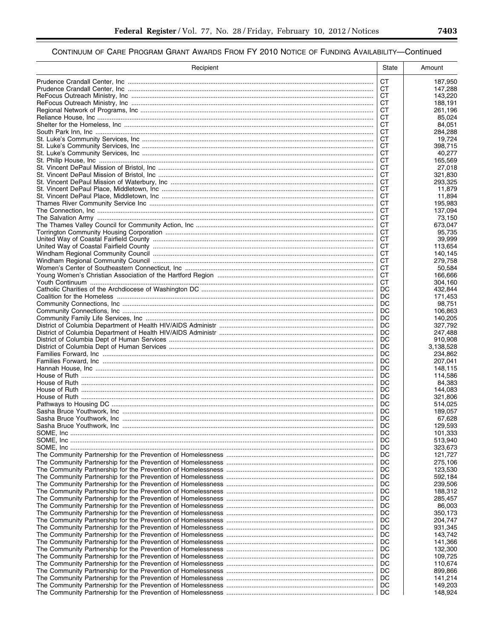| Recipient | State     | Amount             |
|-----------|-----------|--------------------|
|           | <b>CT</b> | 187,950            |
|           | CT.       | 147,288            |
|           | СT        | 143,220            |
|           | СT<br>СT  | 188,191<br>261,196 |
|           | СT        | 85,024             |
|           | СT        | 84,051             |
|           | CТ        | 284,288            |
|           | CТ        | 19,724             |
|           | CТ<br>СT  | 398.715<br>40.277  |
|           | CТ        | 165,569            |
|           | СT        | 27,018             |
|           | СT        | 321,830            |
|           | СT        | 293,325            |
|           | СT<br>СT  | 11,879<br>11,894   |
|           | <b>CT</b> | 195,983            |
|           | СT        | 137,094            |
|           | <b>CT</b> | 73,150             |
|           | СT        | 673,047            |
|           | СT<br>СT  | 95,735<br>39,999   |
|           | CТ        | 113,654            |
|           | СT        | 140,145            |
|           | СT        | 279,758            |
|           | СT        | 50,584             |
|           | CТ<br>СT  | 166.666<br>304,160 |
|           | DC        | 432,844            |
|           | DC        | 171,453            |
|           | DC        | 98,751             |
|           | DC        | 106,863            |
|           | DC<br>DC  | 140,205<br>327,792 |
|           | DC        | 247,488            |
|           | DC        | 910,908            |
|           | DC        | 3,138,528          |
|           | DC        | 234,862            |
|           | DC<br>DC  | 207,041<br>148,115 |
|           | DC        | 114,586            |
|           | DC        | 84,383             |
|           | DC        | 144,083            |
|           | DC<br>DC  | 321,806            |
|           | DC        | 514,025<br>189,057 |
|           | DC        | 67,628             |
|           | DC        | 129,593            |
|           | DC        | 101,333            |
|           | DC        | 513,940            |
|           | DC<br>DC  | 323,673<br>121,727 |
|           | DC        | 275,106            |
|           | DC        | 123,530            |
|           | DC        | 592,184            |
|           | DC        | 239,506            |
|           | DC<br>DC  | 188,312<br>285,457 |
|           | DC        | 86,003             |
|           | DC        | 350,173            |
|           | DC        | 204,747            |
|           | DC        | 931,345            |
|           | DC<br>DC  | 143,742<br>141,366 |
|           | DC        | 132,300            |
|           | DC        | 109,725            |
|           | DC        | 110,674            |
|           | DC        | 899,866            |
|           | DC<br>DC  | 141,214<br>149,203 |
|           | DC        | 148,924            |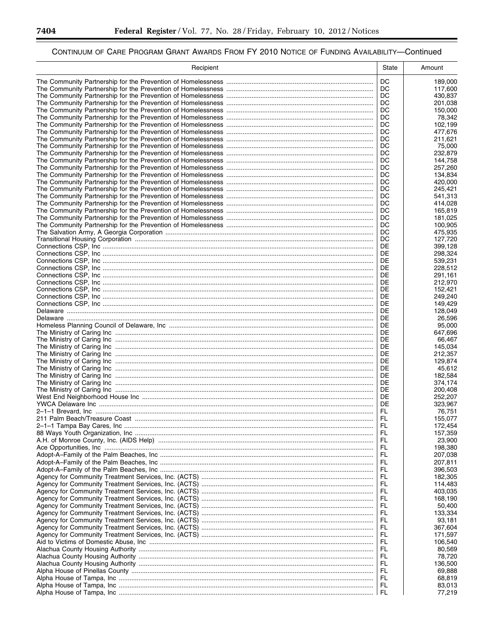▀

| Recipient | <b>State</b> | Amount             |
|-----------|--------------|--------------------|
|           | DC.          | 189,000            |
|           | DC.          | 117,600            |
|           | DC           | 430,837            |
|           | DC           | 201,038            |
|           | DC           | 150,000            |
|           | DC<br>DC     | 78,342<br>102,199  |
|           | DC           | 477,676            |
|           | DC           | 211,621            |
|           | DC           | 75,000             |
|           | DC           | 232,879            |
|           | DC<br>DC     | 144,758<br>257,260 |
|           | DC           | 134,834            |
|           | DC           | 420,000            |
|           | DC           | 245,421            |
|           | DC           | 541,313            |
|           | DC<br>DC     | 414,028<br>165,819 |
|           | DC           | 181,025            |
|           | DC           | 100,905            |
|           | DC           | 475,935            |
|           | DC           | 127,720            |
|           | DE<br>DE     | 399,128<br>298,324 |
|           | DE           | 539,231            |
|           | DE           | 228,512            |
|           | DE           | 291,161            |
|           | DE           | 212,970            |
|           | DE<br>DE     | 152,421            |
|           | DE           | 249,240<br>149,429 |
|           | DE           | 128,049            |
|           | DE           | 26,596             |
|           | DE           | 95,000             |
|           | DE<br>DE     | 647,696            |
|           | DE           | 66,467<br>145,034  |
|           | DE           | 212,357            |
|           | DE           | 129,874            |
|           | DE           | 45,612             |
|           | DE<br>DE     | 182,584<br>374,174 |
|           | DE           | 200,408            |
|           | DE           | 252,207            |
|           | DE           | 323,967            |
|           | FL.          | 76,751             |
|           | FL.          | 155,077            |
|           | FL<br>FL.    | 172,454<br>157,359 |
|           | FL.          | 23,900             |
|           | FL           | 198,380            |
|           | FL.          | 207,038            |
|           | FL           | 207,811            |
|           | FL.<br>FL    | 396,503<br>182,305 |
|           | FL.          | 114,483            |
|           | FL           | 403,035            |
|           | FL.          | 168,190            |
|           | FL           | 50,400             |
|           | FL.<br>FL    | 133,334<br>93.181  |
|           | FL.          | 367,604            |
|           | FL           | 171,597            |
|           | FL.          | 106,540            |
|           | FL           | 80,569             |
|           | FL.<br>FL    | 78,720<br>136,500  |
|           | FL.          | 69,888             |
|           | FL           | 68,819             |
|           | FL.          | 83,013             |
|           | FL.          | 77,219             |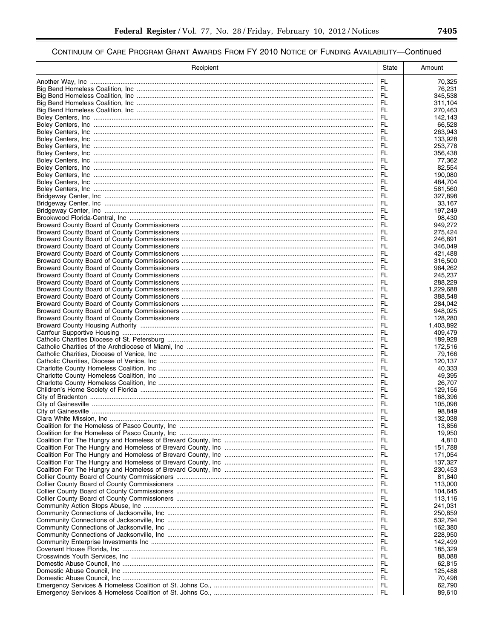| Recipient | <b>State</b> | Amount               |
|-----------|--------------|----------------------|
|           | FL.          | 70,325               |
|           | FL.          | 76,231               |
|           | FL           | 345,538              |
|           | FL.          | 311,104              |
|           | FL.<br>FL.   | 270.463<br>142,143   |
|           | FL           | 66,528               |
|           | FL.          | 263,943              |
|           | FL.          | 133,928              |
|           | FL.          | 253,778              |
|           | FL.<br>FL    | 356,438<br>77,362    |
|           | FL           | 82,554               |
|           | FL           | 190.080              |
|           | FL           | 484,704              |
|           | FL           | 581,560              |
|           | FL           | 327,898              |
|           | FL<br>FL     | 33,167<br>197,249    |
|           | FL           | 98,430               |
|           | FL           | 949,272              |
|           | FL           | 275,424              |
|           | FL.          | 246,891              |
|           | FL           | 346,049              |
|           | FL.          | 421,488              |
|           | FL<br>FL.    | 316,500<br>964.262   |
|           | FL.          | 245,237              |
|           | FL.          | 288,229              |
|           | FL.          | 1,229,688            |
|           | FL.          | 388,548              |
|           | FL           | 284,042              |
|           | FL.          | 948,025              |
|           | FL<br>FL.    | 128,280<br>1,403,892 |
|           | FL           | 409,479              |
|           | FL.          | 189,928              |
|           | FL           | 172,516              |
|           | FL.          | 79,166               |
|           | FL.          | 120,137              |
|           | FL.<br>FL    | 40,333               |
|           | FL           | 49,395<br>26,707     |
|           | FL           | 129.156              |
|           | FL           | 168,396              |
|           | FL.          | 105,098              |
|           | FL.          | 98,849               |
|           | FL.          | 132,038              |
|           | FL<br>FL     | 13,856<br>19,950     |
|           | FL.          | 4,810                |
|           | FL           | 151,788              |
|           | FL           | 171,054              |
|           | FL           | 137,327              |
|           | FL           | 230,453              |
|           | FL           | 81,840               |
|           | FL<br>FL     | 113,000<br>104,645   |
|           | FL           | 113,116              |
|           | FL           | 241,031              |
|           | FL           | 250,859              |
|           | FL           | 532,794              |
|           | FL           | 162,380              |
|           | FL<br>FL     | 228,950<br>142,499   |
|           | FL           | 185,329              |
|           | FL           | 88,088               |
|           | FL           | 62,815               |
|           | FL           | 125,488              |
|           | FL           | 70,498               |
|           | FL           | 62,790               |
|           | FL           | 89,610               |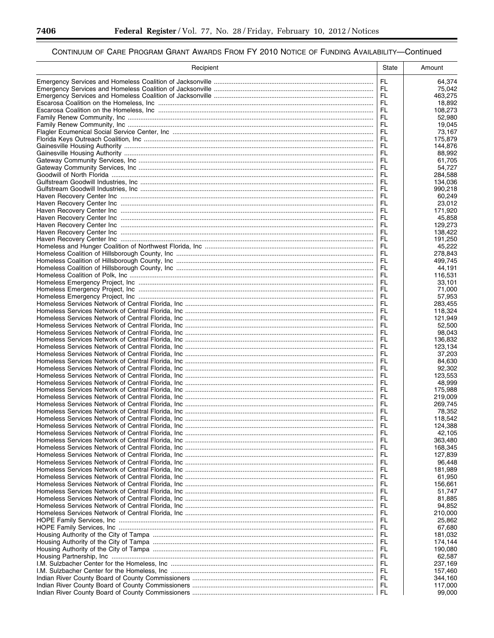▀

| Recipient | <b>State</b> | Amount             |
|-----------|--------------|--------------------|
|           | FL.          | 64,374             |
|           | FL.          | 75,042             |
|           | FL.          | 463,275            |
|           | FL.          | 18.892             |
|           | FL.<br>FL    | 108,273<br>52.980  |
|           | FL           | 19,045             |
|           | FL           | 73,167             |
|           | FL.          | 175,879            |
|           | FL.          | 144,876            |
|           | FL.          | 88,992             |
|           | FL           | 61,705             |
|           | FL.<br>FL    | 54,727<br>284,588  |
|           | FL.          | 134,036            |
|           | FL           | 990,218            |
|           | FL.          | 60,249             |
|           | FL           | 23,012             |
|           | FL           | 171,920            |
|           | FL           | 45,858             |
|           | FL<br>FL     | 129,273<br>138,422 |
|           | FL           | 191,250            |
|           | FL           | 45,222             |
|           | FL           | 278,843            |
|           | FL           | 499,745            |
|           | FL.          | 44,191             |
|           | FL           | 116,531            |
|           | FL.<br>FL    | 33,101             |
|           | FL.          | 71,000<br>57,953   |
|           | FL.          | 283,455            |
|           | FL.          | 118,324            |
|           | FL.          | 121,949            |
|           | FL.          | 52,500             |
|           | FL           | 98,043             |
|           |              | 136,832            |
|           | FL<br>FL     | 123,134<br>37,203  |
|           | FL.          | 84,630             |
|           | FL           | 92,302             |
|           | FL.          | 123.553            |
|           | FL           | 48,999             |
|           | FL.          | 175,988            |
|           | FL           | 219,009            |
|           | FL           | 269,745            |
|           | FL<br>FL.    | 78,352<br>118,542  |
|           | FL           | 124,388            |
|           | FL           | 42,105             |
|           | FL           | 363,480            |
|           | FL           | 168,345            |
|           | FL           | 127,839            |
|           | FL           | 96,448             |
|           | FL           | 181,989            |
|           | FL<br>FL     | 61,950<br>156,661  |
|           | FL           | 51,747             |
|           | FL           | 81,885             |
|           | FL           | 94,852             |
|           | FL           | 210,000            |
|           | FL           | 25,862             |
|           | FL           | 67,680             |
|           | FL           | 181,032            |
|           | FL<br>FL     | 174,144<br>190,080 |
|           | FL           | 62,587             |
|           | FL           | 237,169            |
|           | FL           | 157,460            |
|           | FL           | 344,160            |
|           | FL.          | 117,000            |
|           |              | 99,000             |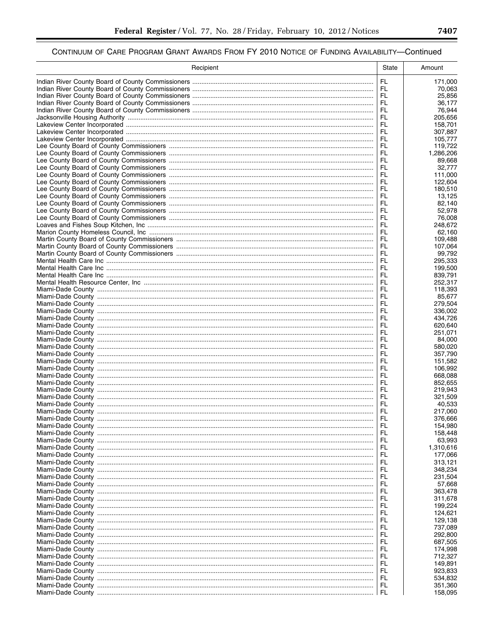| Recipient | State      | Amount              |
|-----------|------------|---------------------|
|           | FL.        | 171,000             |
|           | FL         | 70.063              |
|           | FL.        | 25,856              |
|           | FL.        | 36,177              |
|           | FL.<br>FL. | 76,944              |
|           | FL.        | 205,656<br>158,701  |
|           | FL.        | 307,887             |
|           | FL.        | 105,777             |
|           | FL.        | 119,722             |
|           | FL.        | 1,286,206           |
|           | FL.        | 89,668              |
|           | FL.<br>FL. | 32,777<br>111,000   |
|           | FL         | 122,604             |
|           | FL         | 180,510             |
|           | FL         | 13,125              |
|           | FL         | 82,140              |
|           | FL         | 52,978              |
|           | FL<br>FL.  | 76,008              |
|           | FL         | 248,672<br>62.160   |
|           | FL         | 109,488             |
|           | FL         | 107,064             |
|           | FL.        | 99.792              |
|           | FL         | 295,333             |
|           | FL.        | 199,500             |
|           | FL<br>FL.  | 839,791<br>252,317  |
|           | FL         | 118.393             |
|           | FL.        | 85,677              |
|           | FL         | 279,504             |
|           | FL         | 336,002             |
|           | FL         | 434,726             |
|           | FL         | 620,640             |
|           | FL<br>FL.  | 251,071<br>84,000   |
|           | FL.        | 580,020             |
|           | FL         | 357,790             |
|           | FL.        | 151,582             |
|           | FL.        | 106,992             |
|           | FL         | 668,088             |
|           | FL<br>FL   | 852,655<br>219,943  |
|           | FL         | 321,509             |
|           | FL.        | 40,533              |
|           | FL.        | 217,060             |
|           | FL.        | 376,666             |
|           | FL         | 154,980             |
|           | FL<br>FL   | 158,448             |
|           | FL.        | 63,993<br>1,310,616 |
|           | FL         | 177,066             |
|           | FL         | 313,121             |
|           | FL         | 348,234             |
|           | FL         | 231,504             |
|           | FL         | 57,668              |
|           | FL<br>FL   | 363,478<br>311,678  |
|           | FL         | 199,224             |
|           | FL         | 124,621             |
|           | FL         | 129,138             |
|           | FL         | 737,089             |
|           | FL         | 292,800             |
|           | FL<br>FL   | 687,505             |
|           | FL         | 174,998<br>712,327  |
|           | FL         | 149,891             |
|           | FL.        | 923,833             |
|           | FL         | 534,832             |
|           | FL         | 351,360             |
|           | FL.        | 158,095             |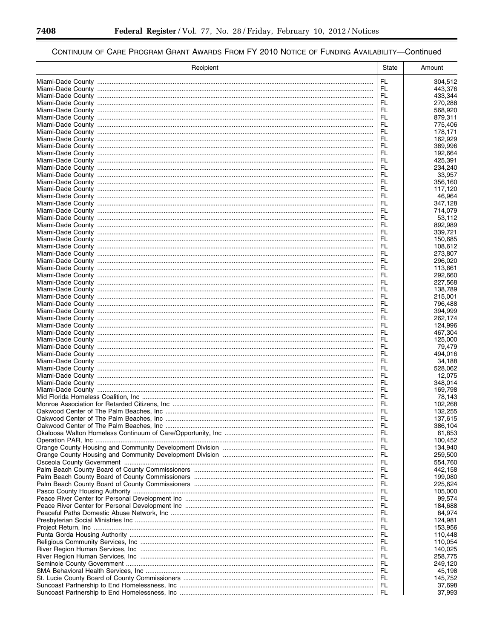▀

| Recipient | State      | Amount             |
|-----------|------------|--------------------|
|           | <b>FL</b>  | 304,512            |
|           | FL         | 443,376            |
|           | FL         | 433,344            |
|           | FL<br>FL.  | 270,288<br>568,920 |
|           | FL.        | 879,311            |
|           | FL         | 775,406            |
|           | FL.        | 178,171            |
|           | FL         | 162,929            |
|           | FL.        | 389,996            |
|           | FL<br>FL.  | 192,664<br>425.391 |
|           | FL.        | 234,240            |
|           | FL.        | 33.957             |
|           | FL.        | 356,160            |
|           | FL.        | 117,120            |
|           | FL<br>FL.  | 46,964<br>347,128  |
|           | FL.        | 714,079            |
|           | FL.        | 53,112             |
|           | FL.        | 892,989            |
|           | FL.        | 339,721            |
|           | FL.<br>FL  | 150,685<br>108,612 |
|           | FL.        | 273.807            |
|           | FL         | 296,020            |
|           | FL         | 113,661            |
|           | FL         | 292,660            |
|           | FL         | 227,568            |
|           | FL<br>FL.  | 138,789<br>215,001 |
|           | FL         | 796,488            |
|           | FL         | 394,999            |
|           | FL         | 262,174            |
|           | FL.        | 124,996            |
|           | FL         | 467,304            |
|           | FL.<br>FL  | 125,000<br>79,479  |
|           | FL.        | 494,016            |
|           | FL         | 34,188             |
|           | FL.        | 528,062            |
|           | FL         | 12,075             |
|           | FL<br>FL.  | 348,014<br>169,798 |
|           | FL         | 78,143             |
|           | FL.        | 102,268            |
|           | FL.        | 132,255            |
|           | FL.        | 137,615            |
|           | FL         | 386,104            |
|           | FL.<br>FL. | 61,853<br>100,452  |
|           | FL.        | 134,940            |
|           | FL         | 259,500            |
|           | FL.        | 554,760            |
|           | FL         | 442,158            |
|           | FL<br>FL   | 199,080            |
|           | FL         | 225,624<br>105,000 |
|           | FL         | 99,574             |
|           | FL         | 184,688            |
|           | FL.        | 84,974             |
|           | FL         | 124,981            |
|           | FL.<br>FL  | 153,956<br>110,448 |
|           | FL.        | 110,054            |
|           | FL         | 140,025            |
|           | FL.        | 258,775            |
|           | FL         | 249,120            |
|           | FL.        | 45,198             |
|           | FL<br>FL   | 145,752<br>37,698  |
|           | FL.        | 37,993             |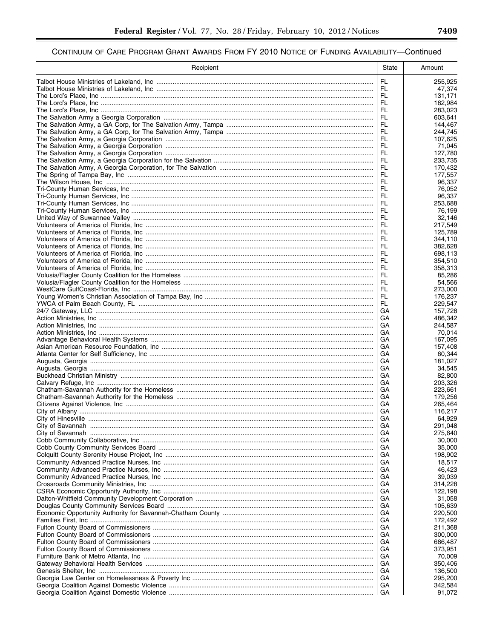| Recipient | State      | Amount             |
|-----------|------------|--------------------|
|           | FL.        | 255,925            |
|           | FL.        | 47,374             |
|           | FL.        | 131,171            |
|           | FL.<br>FL  | 182,984<br>283.023 |
|           | FL.        | 603.641            |
|           | FL         | 144,467            |
|           | FL.        | 244,745            |
|           | FL         | 107,625            |
|           | FL<br>FL   | 71,045<br>127,780  |
|           | FL.        | 233.735            |
|           | FL         | 170,432            |
|           | FL         | 177,557            |
|           | FL<br>FL   | 96,337<br>76,052   |
|           | FL.        | 96,337             |
|           | FL         | 253,688            |
|           | FL.        | 76,199             |
|           | FL         | 32.146             |
|           | FL.<br>FL. | 217.549<br>125,789 |
|           | FL.        | 344,110            |
|           | FL         | 382,628            |
|           | FL.        | 698,113            |
|           | FL         | 354,510            |
|           | FL.<br>FL  | 358,313<br>85,286  |
|           | FL.        | 54,566             |
|           | FL.        | 273,000            |
|           | FL.        | 176.237            |
|           | FL.        | 229,547            |
|           | GA<br>GA   | 157,728<br>486,342 |
|           | GA         | 244,587            |
|           | GА         | 70,014             |
|           | GА         | 167,095            |
|           | GA         | 157,408            |
|           | GА<br>GА   | 60,344<br>181,027  |
|           | GА         | 34,545             |
|           | GА         | 82,800             |
|           | GА         | 203,326            |
|           | GА<br>GА   | 223,661<br>179,256 |
|           | GА         | 265,464            |
|           | GА         | 116,217            |
|           | GA         | 64,929             |
|           | GА         | 291,048            |
|           | GА<br>GА   | 275,640            |
|           | GА         | 30,000<br>35,000   |
|           | GА         | 198,902            |
|           | GА         | 18,517             |
|           | GА         | 46,423             |
|           | GА<br>GА   | 39,039<br>314,228  |
|           | GА         | 122,198            |
|           | GА         | 31,058             |
|           | GА         | 105,639            |
|           | GА         | 220,500            |
|           | GА<br>GА   | 172,492<br>211,368 |
|           | GА         | 300,000            |
|           | GА         | 686,487            |
|           | GА         | 373,951            |
|           | GА         | 70,009             |
|           | GА<br>GА   | 350,406<br>136,500 |
|           | GА         | 295,200            |
|           | GА         | 342,584            |
|           | GA         | 91,072             |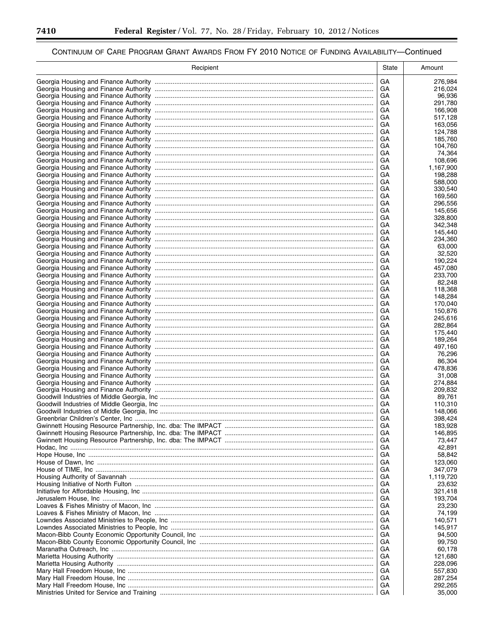-

▀

| GA<br>276,984<br>GA<br>216,024<br>GA<br>96,936<br>GA<br>291,780<br>GA<br>166,908<br>GA<br>517,128<br>GA<br>163,056<br>GA<br>124,788<br>GA<br>185,760<br>GA<br>104,760<br>GA<br>74,364<br>GA<br>108,696<br>GA<br>1,167,900<br>GA<br>198,288<br>GA<br>588,000<br>GA<br>330,540<br>GA<br>169,560<br>GA<br>296,556<br>GA<br>145,656<br>GA<br>328,800<br>GA<br>342,348<br>GA<br>145,440<br>GA<br>234,360<br>GA<br>63,000<br>GA<br>32,520<br>GA<br>190,224<br>GA<br>457,080<br>GA<br>233,700<br>GA<br>82,248<br>GA<br>118,368<br>GA<br>148,284<br>GA<br>170,040<br>GA<br>150,876<br>GA<br>245,616<br>GA<br>282,864<br>GA<br>175,440<br>GA<br>189,264<br>GA<br>497,160<br>GA<br>76,296<br>GA<br>86,304<br>GA<br>478,836<br>GA<br>31,008<br>GA<br>274,884<br>GA<br>209,832<br>GA<br>89,761<br>GA<br>110,310<br>GA<br>148,066<br>GA<br>398,424<br>GA<br>183,928<br>GA<br>146,895<br>GA<br>73,447<br>GA<br>42,891<br>GA<br>58,842<br>GА<br>123,060<br>GA<br>347,079<br>GA<br>1,119,720<br>GA<br>23,632<br>GА<br>321,418<br>GA<br>193,704<br>GА<br>23,230<br>GA<br>74,199<br>GА<br>140,571<br>GA<br>145,917<br>GА<br>94,500<br>GA<br>99,750<br>GА<br>60,178<br>GA<br>121,680<br>GA<br>228,096<br>GA<br>557,830<br>GA<br>287,254<br>GA<br>292,265<br>GA<br>35,000 | Recipient | State | Amount |
|-------------------------------------------------------------------------------------------------------------------------------------------------------------------------------------------------------------------------------------------------------------------------------------------------------------------------------------------------------------------------------------------------------------------------------------------------------------------------------------------------------------------------------------------------------------------------------------------------------------------------------------------------------------------------------------------------------------------------------------------------------------------------------------------------------------------------------------------------------------------------------------------------------------------------------------------------------------------------------------------------------------------------------------------------------------------------------------------------------------------------------------------------------------------------------------------------------------------------------------------------------|-----------|-------|--------|
|                                                                                                                                                                                                                                                                                                                                                                                                                                                                                                                                                                                                                                                                                                                                                                                                                                                                                                                                                                                                                                                                                                                                                                                                                                                       |           |       |        |
|                                                                                                                                                                                                                                                                                                                                                                                                                                                                                                                                                                                                                                                                                                                                                                                                                                                                                                                                                                                                                                                                                                                                                                                                                                                       |           |       |        |
|                                                                                                                                                                                                                                                                                                                                                                                                                                                                                                                                                                                                                                                                                                                                                                                                                                                                                                                                                                                                                                                                                                                                                                                                                                                       |           |       |        |
|                                                                                                                                                                                                                                                                                                                                                                                                                                                                                                                                                                                                                                                                                                                                                                                                                                                                                                                                                                                                                                                                                                                                                                                                                                                       |           |       |        |
|                                                                                                                                                                                                                                                                                                                                                                                                                                                                                                                                                                                                                                                                                                                                                                                                                                                                                                                                                                                                                                                                                                                                                                                                                                                       |           |       |        |
|                                                                                                                                                                                                                                                                                                                                                                                                                                                                                                                                                                                                                                                                                                                                                                                                                                                                                                                                                                                                                                                                                                                                                                                                                                                       |           |       |        |
|                                                                                                                                                                                                                                                                                                                                                                                                                                                                                                                                                                                                                                                                                                                                                                                                                                                                                                                                                                                                                                                                                                                                                                                                                                                       |           |       |        |
|                                                                                                                                                                                                                                                                                                                                                                                                                                                                                                                                                                                                                                                                                                                                                                                                                                                                                                                                                                                                                                                                                                                                                                                                                                                       |           |       |        |
|                                                                                                                                                                                                                                                                                                                                                                                                                                                                                                                                                                                                                                                                                                                                                                                                                                                                                                                                                                                                                                                                                                                                                                                                                                                       |           |       |        |
|                                                                                                                                                                                                                                                                                                                                                                                                                                                                                                                                                                                                                                                                                                                                                                                                                                                                                                                                                                                                                                                                                                                                                                                                                                                       |           |       |        |
|                                                                                                                                                                                                                                                                                                                                                                                                                                                                                                                                                                                                                                                                                                                                                                                                                                                                                                                                                                                                                                                                                                                                                                                                                                                       |           |       |        |
|                                                                                                                                                                                                                                                                                                                                                                                                                                                                                                                                                                                                                                                                                                                                                                                                                                                                                                                                                                                                                                                                                                                                                                                                                                                       |           |       |        |
|                                                                                                                                                                                                                                                                                                                                                                                                                                                                                                                                                                                                                                                                                                                                                                                                                                                                                                                                                                                                                                                                                                                                                                                                                                                       |           |       |        |
|                                                                                                                                                                                                                                                                                                                                                                                                                                                                                                                                                                                                                                                                                                                                                                                                                                                                                                                                                                                                                                                                                                                                                                                                                                                       |           |       |        |
|                                                                                                                                                                                                                                                                                                                                                                                                                                                                                                                                                                                                                                                                                                                                                                                                                                                                                                                                                                                                                                                                                                                                                                                                                                                       |           |       |        |
|                                                                                                                                                                                                                                                                                                                                                                                                                                                                                                                                                                                                                                                                                                                                                                                                                                                                                                                                                                                                                                                                                                                                                                                                                                                       |           |       |        |
|                                                                                                                                                                                                                                                                                                                                                                                                                                                                                                                                                                                                                                                                                                                                                                                                                                                                                                                                                                                                                                                                                                                                                                                                                                                       |           |       |        |
|                                                                                                                                                                                                                                                                                                                                                                                                                                                                                                                                                                                                                                                                                                                                                                                                                                                                                                                                                                                                                                                                                                                                                                                                                                                       |           |       |        |
|                                                                                                                                                                                                                                                                                                                                                                                                                                                                                                                                                                                                                                                                                                                                                                                                                                                                                                                                                                                                                                                                                                                                                                                                                                                       |           |       |        |
|                                                                                                                                                                                                                                                                                                                                                                                                                                                                                                                                                                                                                                                                                                                                                                                                                                                                                                                                                                                                                                                                                                                                                                                                                                                       |           |       |        |
|                                                                                                                                                                                                                                                                                                                                                                                                                                                                                                                                                                                                                                                                                                                                                                                                                                                                                                                                                                                                                                                                                                                                                                                                                                                       |           |       |        |
|                                                                                                                                                                                                                                                                                                                                                                                                                                                                                                                                                                                                                                                                                                                                                                                                                                                                                                                                                                                                                                                                                                                                                                                                                                                       |           |       |        |
|                                                                                                                                                                                                                                                                                                                                                                                                                                                                                                                                                                                                                                                                                                                                                                                                                                                                                                                                                                                                                                                                                                                                                                                                                                                       |           |       |        |
|                                                                                                                                                                                                                                                                                                                                                                                                                                                                                                                                                                                                                                                                                                                                                                                                                                                                                                                                                                                                                                                                                                                                                                                                                                                       |           |       |        |
|                                                                                                                                                                                                                                                                                                                                                                                                                                                                                                                                                                                                                                                                                                                                                                                                                                                                                                                                                                                                                                                                                                                                                                                                                                                       |           |       |        |
|                                                                                                                                                                                                                                                                                                                                                                                                                                                                                                                                                                                                                                                                                                                                                                                                                                                                                                                                                                                                                                                                                                                                                                                                                                                       |           |       |        |
|                                                                                                                                                                                                                                                                                                                                                                                                                                                                                                                                                                                                                                                                                                                                                                                                                                                                                                                                                                                                                                                                                                                                                                                                                                                       |           |       |        |
|                                                                                                                                                                                                                                                                                                                                                                                                                                                                                                                                                                                                                                                                                                                                                                                                                                                                                                                                                                                                                                                                                                                                                                                                                                                       |           |       |        |
|                                                                                                                                                                                                                                                                                                                                                                                                                                                                                                                                                                                                                                                                                                                                                                                                                                                                                                                                                                                                                                                                                                                                                                                                                                                       |           |       |        |
|                                                                                                                                                                                                                                                                                                                                                                                                                                                                                                                                                                                                                                                                                                                                                                                                                                                                                                                                                                                                                                                                                                                                                                                                                                                       |           |       |        |
|                                                                                                                                                                                                                                                                                                                                                                                                                                                                                                                                                                                                                                                                                                                                                                                                                                                                                                                                                                                                                                                                                                                                                                                                                                                       |           |       |        |
|                                                                                                                                                                                                                                                                                                                                                                                                                                                                                                                                                                                                                                                                                                                                                                                                                                                                                                                                                                                                                                                                                                                                                                                                                                                       |           |       |        |
|                                                                                                                                                                                                                                                                                                                                                                                                                                                                                                                                                                                                                                                                                                                                                                                                                                                                                                                                                                                                                                                                                                                                                                                                                                                       |           |       |        |
|                                                                                                                                                                                                                                                                                                                                                                                                                                                                                                                                                                                                                                                                                                                                                                                                                                                                                                                                                                                                                                                                                                                                                                                                                                                       |           |       |        |
|                                                                                                                                                                                                                                                                                                                                                                                                                                                                                                                                                                                                                                                                                                                                                                                                                                                                                                                                                                                                                                                                                                                                                                                                                                                       |           |       |        |
|                                                                                                                                                                                                                                                                                                                                                                                                                                                                                                                                                                                                                                                                                                                                                                                                                                                                                                                                                                                                                                                                                                                                                                                                                                                       |           |       |        |
|                                                                                                                                                                                                                                                                                                                                                                                                                                                                                                                                                                                                                                                                                                                                                                                                                                                                                                                                                                                                                                                                                                                                                                                                                                                       |           |       |        |
|                                                                                                                                                                                                                                                                                                                                                                                                                                                                                                                                                                                                                                                                                                                                                                                                                                                                                                                                                                                                                                                                                                                                                                                                                                                       |           |       |        |
|                                                                                                                                                                                                                                                                                                                                                                                                                                                                                                                                                                                                                                                                                                                                                                                                                                                                                                                                                                                                                                                                                                                                                                                                                                                       |           |       |        |
|                                                                                                                                                                                                                                                                                                                                                                                                                                                                                                                                                                                                                                                                                                                                                                                                                                                                                                                                                                                                                                                                                                                                                                                                                                                       |           |       |        |
|                                                                                                                                                                                                                                                                                                                                                                                                                                                                                                                                                                                                                                                                                                                                                                                                                                                                                                                                                                                                                                                                                                                                                                                                                                                       |           |       |        |
|                                                                                                                                                                                                                                                                                                                                                                                                                                                                                                                                                                                                                                                                                                                                                                                                                                                                                                                                                                                                                                                                                                                                                                                                                                                       |           |       |        |
|                                                                                                                                                                                                                                                                                                                                                                                                                                                                                                                                                                                                                                                                                                                                                                                                                                                                                                                                                                                                                                                                                                                                                                                                                                                       |           |       |        |
|                                                                                                                                                                                                                                                                                                                                                                                                                                                                                                                                                                                                                                                                                                                                                                                                                                                                                                                                                                                                                                                                                                                                                                                                                                                       |           |       |        |
|                                                                                                                                                                                                                                                                                                                                                                                                                                                                                                                                                                                                                                                                                                                                                                                                                                                                                                                                                                                                                                                                                                                                                                                                                                                       |           |       |        |
|                                                                                                                                                                                                                                                                                                                                                                                                                                                                                                                                                                                                                                                                                                                                                                                                                                                                                                                                                                                                                                                                                                                                                                                                                                                       |           |       |        |
|                                                                                                                                                                                                                                                                                                                                                                                                                                                                                                                                                                                                                                                                                                                                                                                                                                                                                                                                                                                                                                                                                                                                                                                                                                                       |           |       |        |
|                                                                                                                                                                                                                                                                                                                                                                                                                                                                                                                                                                                                                                                                                                                                                                                                                                                                                                                                                                                                                                                                                                                                                                                                                                                       |           |       |        |
|                                                                                                                                                                                                                                                                                                                                                                                                                                                                                                                                                                                                                                                                                                                                                                                                                                                                                                                                                                                                                                                                                                                                                                                                                                                       |           |       |        |
|                                                                                                                                                                                                                                                                                                                                                                                                                                                                                                                                                                                                                                                                                                                                                                                                                                                                                                                                                                                                                                                                                                                                                                                                                                                       |           |       |        |
|                                                                                                                                                                                                                                                                                                                                                                                                                                                                                                                                                                                                                                                                                                                                                                                                                                                                                                                                                                                                                                                                                                                                                                                                                                                       |           |       |        |
|                                                                                                                                                                                                                                                                                                                                                                                                                                                                                                                                                                                                                                                                                                                                                                                                                                                                                                                                                                                                                                                                                                                                                                                                                                                       |           |       |        |
|                                                                                                                                                                                                                                                                                                                                                                                                                                                                                                                                                                                                                                                                                                                                                                                                                                                                                                                                                                                                                                                                                                                                                                                                                                                       |           |       |        |
|                                                                                                                                                                                                                                                                                                                                                                                                                                                                                                                                                                                                                                                                                                                                                                                                                                                                                                                                                                                                                                                                                                                                                                                                                                                       |           |       |        |
|                                                                                                                                                                                                                                                                                                                                                                                                                                                                                                                                                                                                                                                                                                                                                                                                                                                                                                                                                                                                                                                                                                                                                                                                                                                       |           |       |        |
|                                                                                                                                                                                                                                                                                                                                                                                                                                                                                                                                                                                                                                                                                                                                                                                                                                                                                                                                                                                                                                                                                                                                                                                                                                                       |           |       |        |
|                                                                                                                                                                                                                                                                                                                                                                                                                                                                                                                                                                                                                                                                                                                                                                                                                                                                                                                                                                                                                                                                                                                                                                                                                                                       |           |       |        |
|                                                                                                                                                                                                                                                                                                                                                                                                                                                                                                                                                                                                                                                                                                                                                                                                                                                                                                                                                                                                                                                                                                                                                                                                                                                       |           |       |        |
|                                                                                                                                                                                                                                                                                                                                                                                                                                                                                                                                                                                                                                                                                                                                                                                                                                                                                                                                                                                                                                                                                                                                                                                                                                                       |           |       |        |
|                                                                                                                                                                                                                                                                                                                                                                                                                                                                                                                                                                                                                                                                                                                                                                                                                                                                                                                                                                                                                                                                                                                                                                                                                                                       |           |       |        |
|                                                                                                                                                                                                                                                                                                                                                                                                                                                                                                                                                                                                                                                                                                                                                                                                                                                                                                                                                                                                                                                                                                                                                                                                                                                       |           |       |        |
|                                                                                                                                                                                                                                                                                                                                                                                                                                                                                                                                                                                                                                                                                                                                                                                                                                                                                                                                                                                                                                                                                                                                                                                                                                                       |           |       |        |
|                                                                                                                                                                                                                                                                                                                                                                                                                                                                                                                                                                                                                                                                                                                                                                                                                                                                                                                                                                                                                                                                                                                                                                                                                                                       |           |       |        |
|                                                                                                                                                                                                                                                                                                                                                                                                                                                                                                                                                                                                                                                                                                                                                                                                                                                                                                                                                                                                                                                                                                                                                                                                                                                       |           |       |        |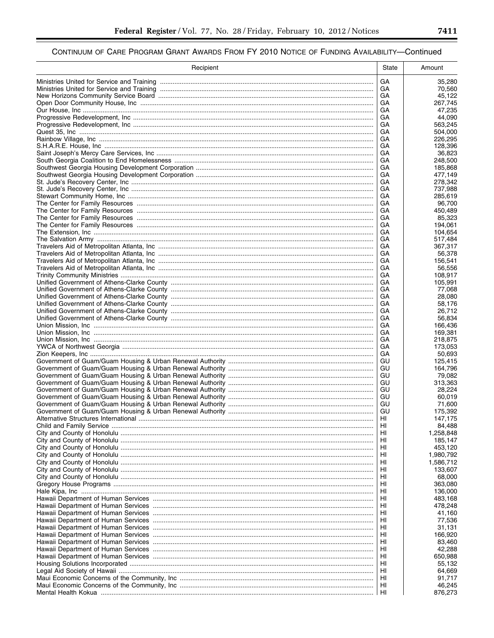| Recipient | State     | Amount                 |
|-----------|-----------|------------------------|
|           | <b>GA</b> | 35,280                 |
|           | GA.       | 70,560                 |
|           | GА        | 45,122                 |
|           | GA<br>GA  | 267,745<br>47,235      |
|           | GA        | 44,090                 |
|           | GA        | 563,245                |
|           | GA        | 504,000                |
|           | GА        | 226,295                |
|           | GА        | 128.396                |
|           | GА<br>GА  | 36,823<br>248,500      |
|           | GА        | 185,868                |
|           | GА        | 477,149                |
|           | GА        | 278,342                |
|           | GA<br>GА  | 737,988<br>285,619     |
|           | GА        | 96,700                 |
|           | GA        | 450,489                |
|           | GA        | 85,323                 |
|           | GA        | 194,061                |
|           | GА        | 104,654                |
|           | GA<br>GА  | 517,484<br>367,317     |
|           | GA        | 56,378                 |
|           | GА        | 156,541                |
|           | GA        | 56,556                 |
|           | GА        | 108,917                |
|           | GA<br>GА  | 105,991<br>77,068      |
|           | GA        | 28,080                 |
|           | GА        | 58,176                 |
|           | GA        | 26,712                 |
|           | GА        | 56,834                 |
|           | GA<br>GA  | 166,436<br>169,381     |
|           | GA        | 218,875                |
|           | GA        | 173,053                |
|           | GА        | 50,693                 |
|           | GU        | 125,415                |
|           | GU<br>GU  | 164,796<br>79.082      |
|           | GU        | 313,363                |
|           | GU        | 28.224                 |
|           | GU        | 60,019                 |
|           | GU        | 71,600                 |
|           | GU<br>HI  | 175,392<br>147,175     |
|           | HI        | 84,488                 |
|           | HI        | 1,258,848              |
|           | HI        | 185,147                |
|           | HI        | 453,120                |
|           | HI<br>HI  | 1,980,792<br>1,586,712 |
|           | HI        | 133,607                |
|           | HI        | 68,000                 |
|           | HI        | 363,080                |
|           | HI        | 136,000                |
|           | HI<br>HI  | 483,168<br>478,248     |
|           | HI        | 41,160                 |
|           | HI        | 77,536                 |
|           | HI        | 31,131                 |
|           | HI        | 166,920                |
|           | HI        | 83,460                 |
|           | HI<br>HI  | 42,288<br>650,988      |
|           | HI        | 55,132                 |
|           | HI        | 64,669                 |
|           | HI        | 91,717                 |
|           | HI        | 46,245                 |
|           | l Hi      | 876,273                |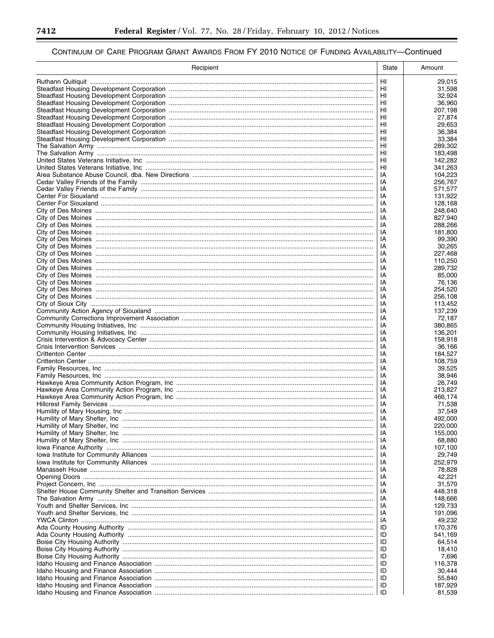۳

▀

| Recipient | State      | Amount             |
|-----------|------------|--------------------|
|           | HI         | 29,015             |
|           | HI         | 31,598             |
|           | HI         | 32,924             |
|           | HI         | 36,960             |
|           | HI         | 207,198            |
|           | HI         | 27,874             |
|           | HI<br>HI   | 29,653<br>36,384   |
|           | HI         | 33,384             |
|           | HI         | 289,302            |
|           | HI         | 183,498            |
|           | HI         | 142,282            |
|           | HI         | 341,263            |
|           | IA         | 104,223            |
|           | IA<br>IA   | 256,767<br>571,577 |
|           | IA         | 131,922            |
|           | IA         | 128,168            |
|           | IA         | 248,640            |
|           | IA         | 827,940            |
|           | IA         | 288,266            |
|           | IA         | 181,800            |
|           | IA<br>IA   | 99,390<br>30,265   |
|           | IA         | 227.468            |
|           | IA         | 110,250            |
|           | IA         | 289.732            |
|           | IA         | 85,000             |
|           | IA         | 76,136             |
|           | IA         | 254,520            |
|           | IA<br>IA   | 256,108<br>113,452 |
|           | IA         | 137,239            |
|           | IA         | 72,187             |
|           | IA         | 380,865            |
|           | IA         | 136,201            |
|           | IA         | 158,918            |
|           | IA         | 36,166             |
|           | IA<br>IA   | 184,527<br>108,759 |
|           | IA         | 39,525             |
|           | IA         | 38.946             |
|           | IA         | 26,749             |
|           | IA         | 213,827            |
|           | IA         | 466,174            |
|           | IA         | 71.538             |
|           | IA<br>IA   | 37,549<br>492,000  |
|           | IA         | 220,000            |
|           | IA         | 155,000            |
|           | IA         | 68,880             |
|           | IA         | 107,100            |
|           | IA         | 29,749             |
|           | IA         | 252,979            |
|           | IA<br>IA   | 78,828<br>42,221   |
|           | IA         | 31,570             |
|           | IA         | 448,318            |
|           | IA         | 148,666            |
|           | IA         | 129,733            |
|           | IA         | 191,096            |
|           | IA         | 49,232             |
|           | ID<br>ID   | 170,376            |
|           | ID         | 541,169<br>64,514  |
|           | ID         | 18,410             |
|           | ID         | 7,696              |
|           | ID         | 116,378            |
|           | ID         | 30,444             |
|           | ID         | 55,840             |
|           | ID<br>∣ ID | 187,929            |
|           |            | 81,539             |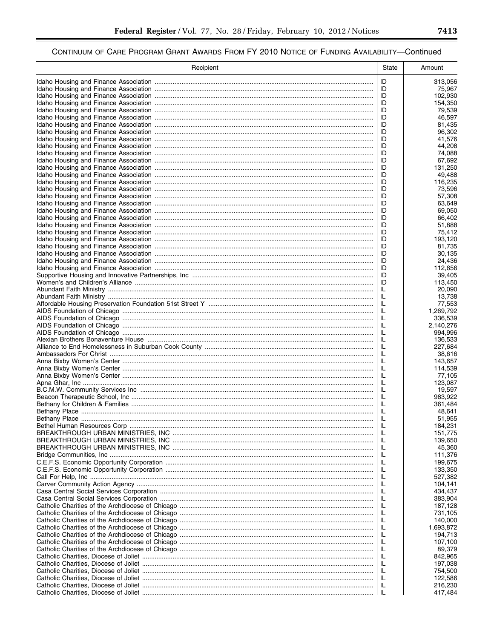| ID<br>313,056<br>ID<br>75,967<br>ID<br>102,930<br>ID<br>154,350<br>ID<br>79,539<br>ID<br>46,597<br>ID<br>81,435<br>ID<br>96,302<br>ID<br>41,576<br>ID<br>44,208<br>ID<br>74,088<br>ID<br>67,692<br>ID<br>131,250<br>ID<br>49,488<br>ID<br>116,235<br>ID<br>73,596<br>ID<br>57,308<br>ID<br>63,649<br>ID<br>69,050<br>ID<br>66,402<br>ID<br>51,888<br>ID<br>75.412<br>ID<br>193,120<br>81,735<br>ID<br>ID<br>30,135<br>24,436<br>ID<br>ID<br>112,656<br>ID<br>39,405<br>ID<br>113,450<br>IL<br>20,090<br>IL<br>13,738<br>IL<br>77,553<br>IL<br>1,269,792<br>IL<br>336,539<br>IL<br>2,140,276<br>IL<br>994,996<br>IL<br>136,533<br>IL<br>227,684<br>IL<br>38,616<br>IL<br>143,657<br>IL<br>114,539<br>IL<br>77,105<br>IL<br>123,087<br>IL<br>19,597<br>IL<br>983,922<br>IL<br>361,484<br>IL<br>48,641<br>IL<br>51,955<br>IL<br>184,231<br>IL<br>151,775<br>IL<br>139,650<br>IL<br>45,360<br>IL<br>111,376<br>IL<br>199,675<br>IL<br>133,350<br>IL<br>527,382<br>IL<br>104,141<br>IL<br>434,437<br>IL<br>383,904<br>IL<br>187,128<br>IL<br>731,105<br>IL<br>140,000<br>IL<br>1,693,872<br>IL<br>194,713<br>IL<br>107,100<br>IL<br>89,379<br>IL<br>842,965<br>IL<br>197,038<br>IL<br>754,500<br>IL<br>122,586<br>IL<br>216,230<br>ΙL<br>417,484 | Recipient | State | Amount |
|---------------------------------------------------------------------------------------------------------------------------------------------------------------------------------------------------------------------------------------------------------------------------------------------------------------------------------------------------------------------------------------------------------------------------------------------------------------------------------------------------------------------------------------------------------------------------------------------------------------------------------------------------------------------------------------------------------------------------------------------------------------------------------------------------------------------------------------------------------------------------------------------------------------------------------------------------------------------------------------------------------------------------------------------------------------------------------------------------------------------------------------------------------------------------------------------------------------------------------------------|-----------|-------|--------|
|                                                                                                                                                                                                                                                                                                                                                                                                                                                                                                                                                                                                                                                                                                                                                                                                                                                                                                                                                                                                                                                                                                                                                                                                                                             |           |       |        |
|                                                                                                                                                                                                                                                                                                                                                                                                                                                                                                                                                                                                                                                                                                                                                                                                                                                                                                                                                                                                                                                                                                                                                                                                                                             |           |       |        |
|                                                                                                                                                                                                                                                                                                                                                                                                                                                                                                                                                                                                                                                                                                                                                                                                                                                                                                                                                                                                                                                                                                                                                                                                                                             |           |       |        |
|                                                                                                                                                                                                                                                                                                                                                                                                                                                                                                                                                                                                                                                                                                                                                                                                                                                                                                                                                                                                                                                                                                                                                                                                                                             |           |       |        |
|                                                                                                                                                                                                                                                                                                                                                                                                                                                                                                                                                                                                                                                                                                                                                                                                                                                                                                                                                                                                                                                                                                                                                                                                                                             |           |       |        |
|                                                                                                                                                                                                                                                                                                                                                                                                                                                                                                                                                                                                                                                                                                                                                                                                                                                                                                                                                                                                                                                                                                                                                                                                                                             |           |       |        |
|                                                                                                                                                                                                                                                                                                                                                                                                                                                                                                                                                                                                                                                                                                                                                                                                                                                                                                                                                                                                                                                                                                                                                                                                                                             |           |       |        |
|                                                                                                                                                                                                                                                                                                                                                                                                                                                                                                                                                                                                                                                                                                                                                                                                                                                                                                                                                                                                                                                                                                                                                                                                                                             |           |       |        |
|                                                                                                                                                                                                                                                                                                                                                                                                                                                                                                                                                                                                                                                                                                                                                                                                                                                                                                                                                                                                                                                                                                                                                                                                                                             |           |       |        |
|                                                                                                                                                                                                                                                                                                                                                                                                                                                                                                                                                                                                                                                                                                                                                                                                                                                                                                                                                                                                                                                                                                                                                                                                                                             |           |       |        |
|                                                                                                                                                                                                                                                                                                                                                                                                                                                                                                                                                                                                                                                                                                                                                                                                                                                                                                                                                                                                                                                                                                                                                                                                                                             |           |       |        |
|                                                                                                                                                                                                                                                                                                                                                                                                                                                                                                                                                                                                                                                                                                                                                                                                                                                                                                                                                                                                                                                                                                                                                                                                                                             |           |       |        |
|                                                                                                                                                                                                                                                                                                                                                                                                                                                                                                                                                                                                                                                                                                                                                                                                                                                                                                                                                                                                                                                                                                                                                                                                                                             |           |       |        |
|                                                                                                                                                                                                                                                                                                                                                                                                                                                                                                                                                                                                                                                                                                                                                                                                                                                                                                                                                                                                                                                                                                                                                                                                                                             |           |       |        |
|                                                                                                                                                                                                                                                                                                                                                                                                                                                                                                                                                                                                                                                                                                                                                                                                                                                                                                                                                                                                                                                                                                                                                                                                                                             |           |       |        |
|                                                                                                                                                                                                                                                                                                                                                                                                                                                                                                                                                                                                                                                                                                                                                                                                                                                                                                                                                                                                                                                                                                                                                                                                                                             |           |       |        |
|                                                                                                                                                                                                                                                                                                                                                                                                                                                                                                                                                                                                                                                                                                                                                                                                                                                                                                                                                                                                                                                                                                                                                                                                                                             |           |       |        |
|                                                                                                                                                                                                                                                                                                                                                                                                                                                                                                                                                                                                                                                                                                                                                                                                                                                                                                                                                                                                                                                                                                                                                                                                                                             |           |       |        |
|                                                                                                                                                                                                                                                                                                                                                                                                                                                                                                                                                                                                                                                                                                                                                                                                                                                                                                                                                                                                                                                                                                                                                                                                                                             |           |       |        |
|                                                                                                                                                                                                                                                                                                                                                                                                                                                                                                                                                                                                                                                                                                                                                                                                                                                                                                                                                                                                                                                                                                                                                                                                                                             |           |       |        |
|                                                                                                                                                                                                                                                                                                                                                                                                                                                                                                                                                                                                                                                                                                                                                                                                                                                                                                                                                                                                                                                                                                                                                                                                                                             |           |       |        |
|                                                                                                                                                                                                                                                                                                                                                                                                                                                                                                                                                                                                                                                                                                                                                                                                                                                                                                                                                                                                                                                                                                                                                                                                                                             |           |       |        |
|                                                                                                                                                                                                                                                                                                                                                                                                                                                                                                                                                                                                                                                                                                                                                                                                                                                                                                                                                                                                                                                                                                                                                                                                                                             |           |       |        |
|                                                                                                                                                                                                                                                                                                                                                                                                                                                                                                                                                                                                                                                                                                                                                                                                                                                                                                                                                                                                                                                                                                                                                                                                                                             |           |       |        |
|                                                                                                                                                                                                                                                                                                                                                                                                                                                                                                                                                                                                                                                                                                                                                                                                                                                                                                                                                                                                                                                                                                                                                                                                                                             |           |       |        |
|                                                                                                                                                                                                                                                                                                                                                                                                                                                                                                                                                                                                                                                                                                                                                                                                                                                                                                                                                                                                                                                                                                                                                                                                                                             |           |       |        |
|                                                                                                                                                                                                                                                                                                                                                                                                                                                                                                                                                                                                                                                                                                                                                                                                                                                                                                                                                                                                                                                                                                                                                                                                                                             |           |       |        |
|                                                                                                                                                                                                                                                                                                                                                                                                                                                                                                                                                                                                                                                                                                                                                                                                                                                                                                                                                                                                                                                                                                                                                                                                                                             |           |       |        |
|                                                                                                                                                                                                                                                                                                                                                                                                                                                                                                                                                                                                                                                                                                                                                                                                                                                                                                                                                                                                                                                                                                                                                                                                                                             |           |       |        |
|                                                                                                                                                                                                                                                                                                                                                                                                                                                                                                                                                                                                                                                                                                                                                                                                                                                                                                                                                                                                                                                                                                                                                                                                                                             |           |       |        |
|                                                                                                                                                                                                                                                                                                                                                                                                                                                                                                                                                                                                                                                                                                                                                                                                                                                                                                                                                                                                                                                                                                                                                                                                                                             |           |       |        |
|                                                                                                                                                                                                                                                                                                                                                                                                                                                                                                                                                                                                                                                                                                                                                                                                                                                                                                                                                                                                                                                                                                                                                                                                                                             |           |       |        |
|                                                                                                                                                                                                                                                                                                                                                                                                                                                                                                                                                                                                                                                                                                                                                                                                                                                                                                                                                                                                                                                                                                                                                                                                                                             |           |       |        |
|                                                                                                                                                                                                                                                                                                                                                                                                                                                                                                                                                                                                                                                                                                                                                                                                                                                                                                                                                                                                                                                                                                                                                                                                                                             |           |       |        |
|                                                                                                                                                                                                                                                                                                                                                                                                                                                                                                                                                                                                                                                                                                                                                                                                                                                                                                                                                                                                                                                                                                                                                                                                                                             |           |       |        |
|                                                                                                                                                                                                                                                                                                                                                                                                                                                                                                                                                                                                                                                                                                                                                                                                                                                                                                                                                                                                                                                                                                                                                                                                                                             |           |       |        |
|                                                                                                                                                                                                                                                                                                                                                                                                                                                                                                                                                                                                                                                                                                                                                                                                                                                                                                                                                                                                                                                                                                                                                                                                                                             |           |       |        |
|                                                                                                                                                                                                                                                                                                                                                                                                                                                                                                                                                                                                                                                                                                                                                                                                                                                                                                                                                                                                                                                                                                                                                                                                                                             |           |       |        |
|                                                                                                                                                                                                                                                                                                                                                                                                                                                                                                                                                                                                                                                                                                                                                                                                                                                                                                                                                                                                                                                                                                                                                                                                                                             |           |       |        |
|                                                                                                                                                                                                                                                                                                                                                                                                                                                                                                                                                                                                                                                                                                                                                                                                                                                                                                                                                                                                                                                                                                                                                                                                                                             |           |       |        |
|                                                                                                                                                                                                                                                                                                                                                                                                                                                                                                                                                                                                                                                                                                                                                                                                                                                                                                                                                                                                                                                                                                                                                                                                                                             |           |       |        |
|                                                                                                                                                                                                                                                                                                                                                                                                                                                                                                                                                                                                                                                                                                                                                                                                                                                                                                                                                                                                                                                                                                                                                                                                                                             |           |       |        |
|                                                                                                                                                                                                                                                                                                                                                                                                                                                                                                                                                                                                                                                                                                                                                                                                                                                                                                                                                                                                                                                                                                                                                                                                                                             |           |       |        |
|                                                                                                                                                                                                                                                                                                                                                                                                                                                                                                                                                                                                                                                                                                                                                                                                                                                                                                                                                                                                                                                                                                                                                                                                                                             |           |       |        |
|                                                                                                                                                                                                                                                                                                                                                                                                                                                                                                                                                                                                                                                                                                                                                                                                                                                                                                                                                                                                                                                                                                                                                                                                                                             |           |       |        |
|                                                                                                                                                                                                                                                                                                                                                                                                                                                                                                                                                                                                                                                                                                                                                                                                                                                                                                                                                                                                                                                                                                                                                                                                                                             |           |       |        |
|                                                                                                                                                                                                                                                                                                                                                                                                                                                                                                                                                                                                                                                                                                                                                                                                                                                                                                                                                                                                                                                                                                                                                                                                                                             |           |       |        |
|                                                                                                                                                                                                                                                                                                                                                                                                                                                                                                                                                                                                                                                                                                                                                                                                                                                                                                                                                                                                                                                                                                                                                                                                                                             |           |       |        |
|                                                                                                                                                                                                                                                                                                                                                                                                                                                                                                                                                                                                                                                                                                                                                                                                                                                                                                                                                                                                                                                                                                                                                                                                                                             |           |       |        |
|                                                                                                                                                                                                                                                                                                                                                                                                                                                                                                                                                                                                                                                                                                                                                                                                                                                                                                                                                                                                                                                                                                                                                                                                                                             |           |       |        |
|                                                                                                                                                                                                                                                                                                                                                                                                                                                                                                                                                                                                                                                                                                                                                                                                                                                                                                                                                                                                                                                                                                                                                                                                                                             |           |       |        |
|                                                                                                                                                                                                                                                                                                                                                                                                                                                                                                                                                                                                                                                                                                                                                                                                                                                                                                                                                                                                                                                                                                                                                                                                                                             |           |       |        |
|                                                                                                                                                                                                                                                                                                                                                                                                                                                                                                                                                                                                                                                                                                                                                                                                                                                                                                                                                                                                                                                                                                                                                                                                                                             |           |       |        |
|                                                                                                                                                                                                                                                                                                                                                                                                                                                                                                                                                                                                                                                                                                                                                                                                                                                                                                                                                                                                                                                                                                                                                                                                                                             |           |       |        |
|                                                                                                                                                                                                                                                                                                                                                                                                                                                                                                                                                                                                                                                                                                                                                                                                                                                                                                                                                                                                                                                                                                                                                                                                                                             |           |       |        |
|                                                                                                                                                                                                                                                                                                                                                                                                                                                                                                                                                                                                                                                                                                                                                                                                                                                                                                                                                                                                                                                                                                                                                                                                                                             |           |       |        |
|                                                                                                                                                                                                                                                                                                                                                                                                                                                                                                                                                                                                                                                                                                                                                                                                                                                                                                                                                                                                                                                                                                                                                                                                                                             |           |       |        |
|                                                                                                                                                                                                                                                                                                                                                                                                                                                                                                                                                                                                                                                                                                                                                                                                                                                                                                                                                                                                                                                                                                                                                                                                                                             |           |       |        |
|                                                                                                                                                                                                                                                                                                                                                                                                                                                                                                                                                                                                                                                                                                                                                                                                                                                                                                                                                                                                                                                                                                                                                                                                                                             |           |       |        |
|                                                                                                                                                                                                                                                                                                                                                                                                                                                                                                                                                                                                                                                                                                                                                                                                                                                                                                                                                                                                                                                                                                                                                                                                                                             |           |       |        |
|                                                                                                                                                                                                                                                                                                                                                                                                                                                                                                                                                                                                                                                                                                                                                                                                                                                                                                                                                                                                                                                                                                                                                                                                                                             |           |       |        |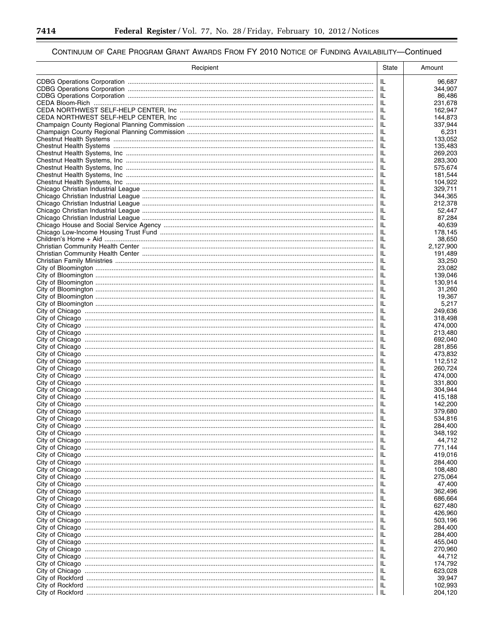-

▀

| Recipient | <b>State</b> | Amount              |
|-----------|--------------|---------------------|
|           | IL           | 96,687              |
|           | IL           | 344,907             |
|           | JL.          | 86,486              |
|           | IL           | 231,678             |
|           | IL<br>IL.    | 162,947<br>144,873  |
|           | IL           | 337,944             |
|           | IL           | 6,231               |
|           | IL           | 133,052             |
|           | IL           | 135,483             |
|           | IL<br>IL     | 269,203<br>283,300  |
|           | IL           | 575,674             |
|           | IL           | 181,544             |
|           | IL           | 104,922             |
|           | IL           | 329.711             |
|           | IL<br>IL     | 344,365<br>212,378  |
|           | IL           | 52,447              |
|           | IL           | 87,284              |
|           | IL           | 40,639              |
|           | IL<br>IL     | 178.145             |
|           | IL           | 38,650<br>2,127,900 |
|           | IL           | 191,489             |
|           | IL           | 33,250              |
|           | IL           | 23,082              |
|           | IL           | 139,046             |
|           | IL<br>IL     | 130,914<br>31,260   |
|           | IL           | 19,367              |
|           | IL           | 5,217               |
|           | IL           | 249,636             |
|           | IL           | 318,498             |
|           | IL<br>JL.    | 474,000<br>213,480  |
|           | IL           | 692,040             |
|           | IL           | 281,856             |
|           | IL           | 473,832             |
|           | IL<br>IL     | 112,512             |
|           | IL           | 260,724<br>474,000  |
|           | IL           | 331,800             |
|           | IL           | 304,944             |
|           | IL           | 415,188             |
|           | IL<br>IL     | 142,200<br>379,680  |
|           | IL           | 534,816             |
|           | ΙL           | 284,400             |
|           | IL           | 348,192             |
|           | IL           | 44,712              |
|           | IL<br>IL     | 771,144<br>419,016  |
|           | IL           | 284,400             |
|           | IL           | 108,480             |
|           | IL           | 275,064             |
|           | IL           | 47,400              |
|           | IL<br>IL     | 362,496<br>686,664  |
|           | IL           | 627,480             |
|           | IL           | 426,960             |
|           | IL           | 503,196             |
|           | IL           | 284,400             |
|           | IL           | 284,400             |
|           | IL<br>IL     | 455,040<br>270,960  |
|           | IL           | 44,712              |
|           | IL           | 174,792             |
|           | JL.          | 623,028             |
|           | IL           | 39,947              |
|           | JL.<br>-lL   | 102,993<br>204,120  |
|           |              |                     |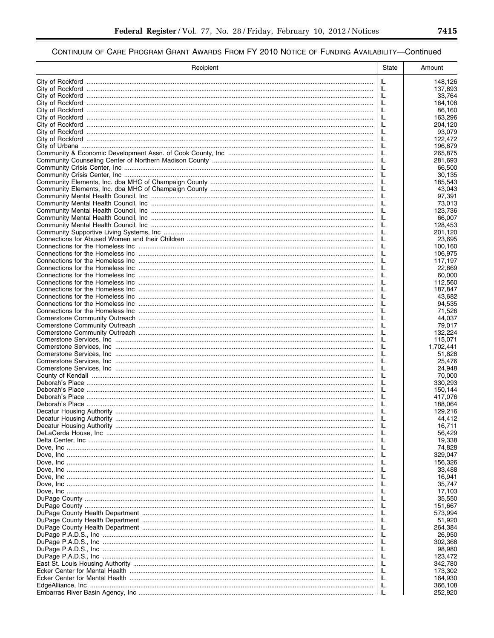| Recipient | State    | Amount              |
|-----------|----------|---------------------|
|           | IL       | 148,126             |
|           | IL       | 137,893             |
|           | IL       | 33,764              |
|           | IL       | 164,108             |
|           | IL       | 86.160              |
|           | IL<br>IL | 163,296             |
|           | IL       | 204,120<br>93,079   |
|           | IL       | 122,472             |
|           | IL       | 196.879             |
|           | IL       | 265,875             |
|           | IL       | 281,693             |
|           | IL       | 66,500              |
|           | IL       | 30,135              |
|           | IL<br>IL | 185,543<br>43,043   |
|           | IL       | 97,391              |
|           | IL       | 73,013              |
|           | IL       | 123,736             |
|           | IL       | 66,007              |
|           | IL       | 128,453             |
|           | IL<br>IL | 201,120<br>23,695   |
|           | IL       | 100,160             |
|           | IL       | 106,975             |
|           | IL       | 117,197             |
|           | IL       | 22,869              |
|           | IL       | 60,000              |
|           | IL       | 112,560             |
|           | IL<br>IL | 187,847<br>43,682   |
|           | IL       | 94,535              |
|           | IL       | 71,526              |
|           | IL       | 44,037              |
|           | IL       | 79,017              |
|           | IL       | 132,224             |
|           | IL       | 115,071             |
|           | IL<br>IL | 1,702,441<br>51,828 |
|           | IL       | 25,476              |
|           | IL       | 24,948              |
|           | IL       | 70,000              |
|           | IL       | 330,293             |
|           | IL       | 150,144             |
|           | IL<br>IL | 417,076             |
|           | ΙL       | 188,064<br>129,216  |
|           | -lL      | 44.412              |
|           | IL.      | 16,711              |
|           | IL       | 56,429              |
|           | IL       | 19,338              |
|           | IL       | 74,828              |
|           | IL<br>IL | 329,047<br>156,326  |
|           | IL       | 33,488              |
|           | IL       | 16,941              |
|           | IL       | 35,747              |
|           | IL       | 17,103              |
|           | IL       | 35,550              |
|           | IL       | 151,667             |
|           | IL<br>IL | 573,994<br>51,920   |
|           | IL       | 264,384             |
|           | IL       | 26,950              |
|           | IL       | 302,368             |
|           | IL       | 98,980              |
|           | IL       | 123,472             |
|           | IL       | 342,780             |
|           | IL       | 173,302             |
|           | IL<br>IL | 164,930<br>366,108  |
|           | -lL      | 252,920             |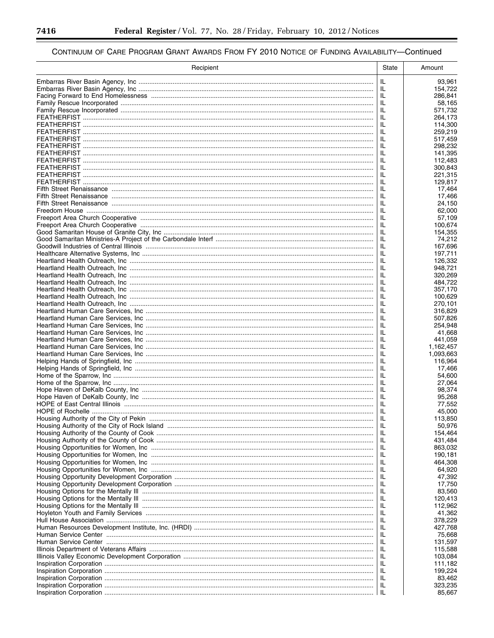Ξ

▀

| Recipient | <b>State</b> | Amount               |
|-----------|--------------|----------------------|
|           | IL           | 93,961               |
|           | IL           | 154,722              |
|           | IL           | 286,841              |
|           | IL           | 58,165               |
|           | IL<br>IL     | 571,732              |
|           | IL           | 264,173<br>114,300   |
|           | IL           | 259,219              |
|           | IL           | 517,459              |
|           | IL           | 298,232              |
|           | IL           | 141,395              |
|           | IL           | 112.483              |
|           | IL<br>IL     | 300,843<br>221,315   |
|           | IL           | 129,817              |
|           | IL           | 17,464               |
|           | IL           | 17,466               |
|           | IL           | 24,150               |
|           | IL           | 62,000               |
|           | IL           | 57,109               |
|           | IL<br>IL     | 100,674<br>154,355   |
|           | IL           | 74,212               |
|           | IL           | 167,696              |
|           | IL           | 197,711              |
|           | IL           | 126,332              |
|           | IL           | 948,721              |
|           | IL           | 320,269              |
|           | IL<br>IL     | 484,722<br>357,170   |
|           | IL           | 100,629              |
|           | IL           | 270,101              |
|           | IL           | 316,829              |
|           | IL           | 507,826              |
|           | IL           | 254,948              |
|           | IL<br>IL     | 41,668               |
|           | IL           | 441,059<br>1,162,457 |
|           | JL.          | 1,093,663            |
|           | IL           | 116,964              |
|           | IL           | 17,466               |
|           | IL           | 54,600               |
|           | ΙL<br>IL     | 27,064               |
|           | IL           | 98,374<br>95,268     |
|           | IL           | 77,552               |
|           | IL           | 45,000               |
|           | IL           | 113,850              |
|           | IL.          | 50,976               |
|           | JL.          | 154,464              |
|           | JL.          | 431,484              |
|           | IL<br>IL.    | 863,032<br>190,181   |
|           | IL           | 464,308              |
|           | IL.          | 64,920               |
|           | IL           | 47,392               |
|           | IL.          | 17,750               |
|           | IL           | 83,560               |
|           | IL.<br>IL    | 120,413<br>112,962   |
|           | IL.          | 41,362               |
|           | IL           | 378,229              |
|           | IL.          | 427,768              |
|           | IL           | 75,668               |
|           | IL.          | 131,597              |
|           | IL           | 115,588              |
|           | IL.<br>IL    | 103,084              |
|           | IL.          | 111,182<br>199,224   |
|           | IL           | 83,462               |
|           | JL.          | 323,235              |
|           |              | 85,667               |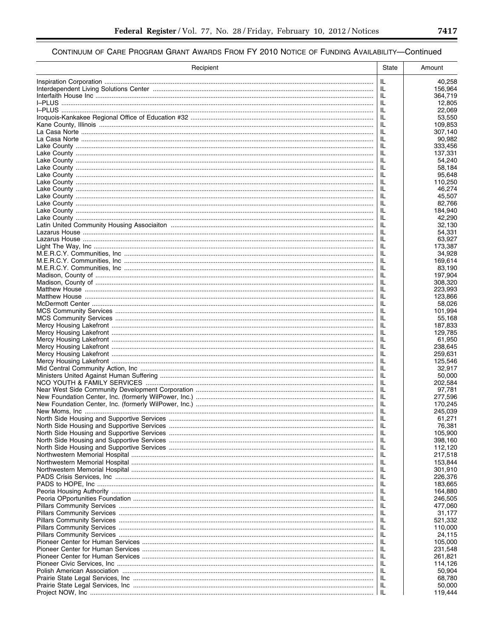| Recipient | State    | Amount             |
|-----------|----------|--------------------|
|           | IL       | 40,258             |
|           | IL       | 156,964            |
|           | IL       | 364,719            |
|           | IL       | 12.805             |
|           | IL<br>IL | 22,069<br>53,550   |
|           | IL       | 109,853            |
|           | IL       | 307,140            |
|           | IL       | 90,982             |
|           | IL       | 333.456            |
|           | IL       | 137,331            |
|           | IL<br>IL | 54,240<br>58,184   |
|           | IL       | 95,648             |
|           | IL       | 110,250            |
|           | IL       | 46,274             |
|           | IL       | 45,507             |
|           | IL       | 82,766             |
|           | IL<br>IL | 184,940<br>42,290  |
|           | IL       | 32,130             |
|           | IL       | 54,331             |
|           | IL       | 63,927             |
|           | IL       | 173,387            |
|           | IL       | 34,928             |
|           | IL<br>IL | 169,614<br>83.190  |
|           | IL       | 197,904            |
|           | IL       | 308,320            |
|           | IL       | 223,993            |
|           | IL       | 123,866            |
|           | IL       | 58,026             |
|           | IL<br>IL | 101,994<br>55,168  |
|           | IL       | 187,833            |
|           | IL       | 129,785            |
|           | IL       | 61,950             |
|           | IL       | 238,645            |
|           | IL       | 259,631            |
|           | IL<br>IL | 125,546<br>32,917  |
|           | IL       | 50,000             |
|           | IL       | 202,584            |
|           | IL       | 97.781             |
|           | IL       | 277,596            |
|           | IL       | 170,245            |
|           | IL<br>IL | 245,039<br>61,271  |
|           | IL.      | 76,381             |
|           | -lL      | 105,900            |
|           | IL.      | 398,160            |
|           | IL       | 112,120            |
|           | IL       | 217,518            |
|           | IL<br>IL | 153,844<br>301,910 |
|           | IL       | 226,376            |
|           | IL       | 183,665            |
|           | IL       | 164,880            |
|           | IL       | 246,505            |
|           | IL       | 477,060            |
|           | IL<br>IL | 31,177<br>521,332  |
|           | IL       | 110,000            |
|           | IL       | 24,115             |
|           | IL       | 105,000            |
|           | IL       | 231,548            |
|           | IL       | 261,821            |
|           | IL       | 114,126            |
|           | ΙL<br>IL | 50,904<br>68,780   |
|           | JL.      | 50,000             |
|           | -IL.     | 119,444            |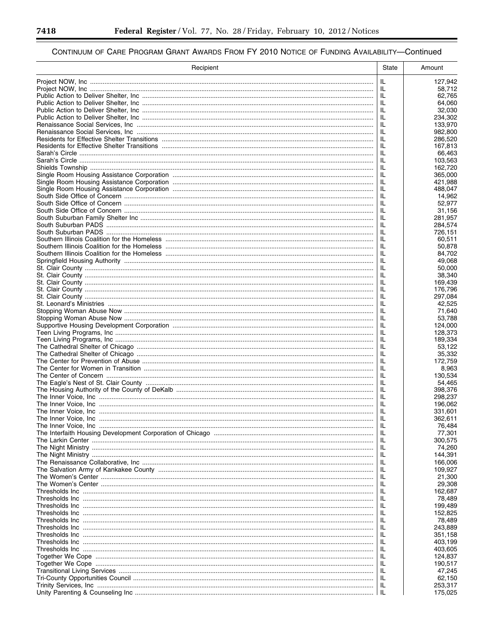Ξ

▀

| Recipient | <b>State</b> | Amount             |
|-----------|--------------|--------------------|
|           | IL           | 127,942            |
|           | IL.          | 58,712             |
|           | IL           | 62,765             |
|           | IL           | 64.060             |
|           | IL<br>IL     | 32,030<br>234,302  |
|           | IL           | 133,970            |
|           | IL           | 982,800            |
|           | IL           | 286,520            |
|           | IL           | 167,813            |
|           | IL           | 66,463             |
|           | IL           | 103,563            |
|           | IL           | 162.720            |
|           | IL           | 365,000            |
|           | IL           | 421,988            |
|           | IL           | 488,047            |
|           | IL<br>IL     | 14,962             |
|           | IL           | 52,977<br>31,156   |
|           | IL           | 281,957            |
|           | IL           | 284,574            |
|           | IL           | 726,151            |
|           | IL           | 60,511             |
|           | IL           | 50,878             |
|           | IL           | 84,702             |
|           | IL           | 49,068             |
|           | IL           | 50,000             |
|           | JL.          | 38,340             |
|           | IL           | 169,439            |
|           | IL<br>IL     | 176,796<br>297,084 |
|           | JL.          | 42,525             |
|           | IL           | 71,640             |
|           | IL           | 53,788             |
|           | IL           | 124,000            |
|           | IL           | 128,373            |
|           | IL           | 189,334            |
|           | IL           | 53,122             |
|           | IL           | 35,332             |
|           | IL<br>IL     | 172,759<br>8,963   |
|           | IL           | 130.534            |
|           | IL           | 54.465             |
|           | IL           | 398,376            |
|           | IL           | 298,237            |
|           | IL           | 196,062            |
|           | IL           | 331.601            |
|           | IL           | 362.611            |
|           | IL           | 76,484             |
|           | JL.          | 77,301             |
|           | JL.          | 300,575            |
|           | JL.          | 74,260             |
|           | JL.<br>JL.   | 144,391<br>166,006 |
|           | JL.          | 109,927            |
|           | JL.          | 21,300             |
|           | JL.          | 29,308             |
|           | JL.          | 162,687            |
|           | JL.          | 78,489             |
|           | JL.          | 199,489            |
|           | JL.          | 152,825            |
|           | JL.          | 78,489             |
|           | JL.          | 243,889            |
|           | JL.          | 351,158            |
|           | IL           | 403,199            |
|           | JL.<br>JL.   | 403,605<br>124,837 |
|           | JL.          | 190,517            |
|           | JL.          | 47,245             |
|           | IL.          | 62,150             |
|           | JL.          | 253,317            |
|           | IL.          | 175,025            |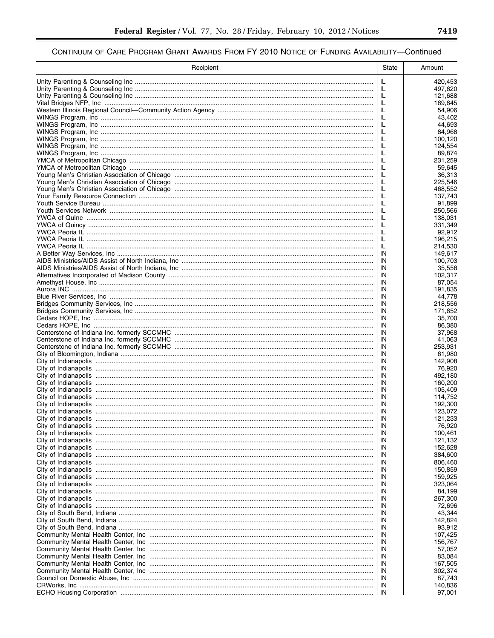| Recipient | <b>State</b> | Amount             |
|-----------|--------------|--------------------|
|           | IL           | 420,453            |
|           | IL.          | 497,620            |
|           | IL           | 121,688            |
|           | IL           | 169,845            |
|           | IL<br>IL     | 54,906<br>43,402   |
|           | IL           | 44,693             |
|           | IL           | 84,968             |
|           | IL           | 100,120            |
|           | IL           | 124,554            |
|           | IL           | 89,874             |
|           | IL           | 231,259            |
|           | IL           | 59,645             |
|           | IL<br>IL     | 36.313<br>225,546  |
|           | IL           | 468,552            |
|           | IL           | 137,743            |
|           | IL           | 91,899             |
|           | IL           | 250,566            |
|           | IL           | 138,031            |
|           | IL           | 331,349            |
|           | IL           | 92,912             |
|           | IL<br>IL     | 196,215<br>214,530 |
|           | IN           | 149,617            |
|           | IN           | 100,703            |
|           | IN           | 35,558             |
|           | IN           | 102,317            |
|           | IN           | 87,054             |
|           | IN           | 191,835            |
|           | IN           | 44,778             |
|           | IN           | 218,556            |
|           | IN           | 171,652            |
|           | IN<br>IN     | 35,700<br>86,380   |
|           | IN           | 37,968             |
|           | IN           | 41,063             |
|           | IN           | 253,931            |
|           | IN           | 61,980             |
|           | IN           | 142,908            |
|           | IN           | 76,920             |
|           | IN<br>IN     | 492,180<br>160,200 |
|           | IN           | 105,409            |
|           | IN           | 114.752            |
|           | IN           | 192,300            |
|           | IN           | 123,072            |
|           | IN           | 121,233            |
|           | IN           | 76,920             |
|           | IN           | 100,461            |
|           | IN           | 121,132            |
|           | IN<br>IN     | 152,628<br>384,600 |
|           | IN           | 806,460            |
|           | IN           | 150,859            |
|           | IN           | 159,925            |
|           | IN           | 323,064            |
|           | IN           | 84,199             |
|           | IN           | 267,300            |
|           | IN           | 72,696             |
|           | IN           | 43,344             |
|           | IN<br>IN     | 142,824<br>93,912  |
|           | IN           | 107,425            |
|           | IN           | 156,767            |
|           | IN           | 57,052             |
|           | IN           | 83,084             |
|           | IN           | 167,505            |
|           | IN           | 302,374            |
|           | IN           | 87,743             |
|           | IN           | 140,836            |
|           | IN           | 97,001             |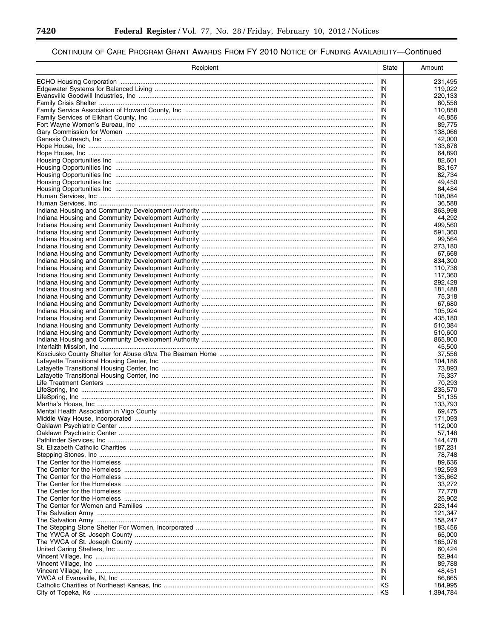-

▀

| Recipient | <b>State</b> | Amount             |
|-----------|--------------|--------------------|
|           | IN           | 231,495            |
|           | IN           | 119,022            |
|           | IN           | 220,133            |
|           | IN<br>IN     | 60.558<br>110,858  |
|           | -IN          | 46,856             |
|           | IN           | 89,775             |
|           | IN           | 138,066            |
|           | IN           | 42,000             |
|           | IN<br>IN     | 133,678<br>64,890  |
|           | IN           | 82,601             |
|           | IN           | 83,167             |
|           | IN           | 82,734             |
|           | IN           | 49,450             |
|           | IN<br>IN     | 84,484<br>108,084  |
|           | IN           | 36,588             |
|           | IN           | 363,998            |
|           | IN           | 44,292             |
|           | IN           | 499,560            |
|           | IN           | 591,360            |
|           | IN<br>IN     | 99,564<br>273,180  |
|           | IN           | 67,668             |
|           | IN           | 834,300            |
|           | IN           | 110,736            |
|           | IN           | 117,360            |
|           | IN           | 292,428            |
|           | IN<br>IN     | 181,488<br>75,318  |
|           | IN           | 67,680             |
|           |              | 105,924            |
|           | IN           | 435,180            |
|           |              | 510,384            |
|           | IN<br>IN     | 510,600<br>865,800 |
|           | IN           | 45,500             |
|           | -IN          | 37,556             |
|           | IN           | 104,186            |
|           | IN           | 73,893             |
|           | IN<br>IN     | 75,337<br>70,293   |
|           | IN           | 235,570            |
|           | IN           | 51.135             |
|           | IN           | 133,793            |
|           | IN           | 69,475             |
|           | IN           | 171.093            |
|           | IN<br>IN     | 112,000<br>57,148  |
|           | IN           | 144,478            |
|           | IN           | 187,231            |
|           | IN           | 78,748             |
|           | IN           | 89.636             |
|           | IN           | 192,593            |
|           | IN<br>IN     | 135,662<br>33,272  |
|           | IN           | 77,778             |
|           | IN           | 25,902             |
|           | IN           | 223,144            |
|           | IN           | 121,347            |
|           | IN           | 158,247            |
|           | IN<br>IN     | 183,456<br>65,000  |
|           | IN           | 165,076            |
|           | IN           | 60,424             |
|           | IN           | 52,944             |
|           | IN           | 89,788             |
|           | IN           | 48,451             |
|           | IN<br>κs     | 86,865<br>184,995  |
|           | КS           | 1,394,784          |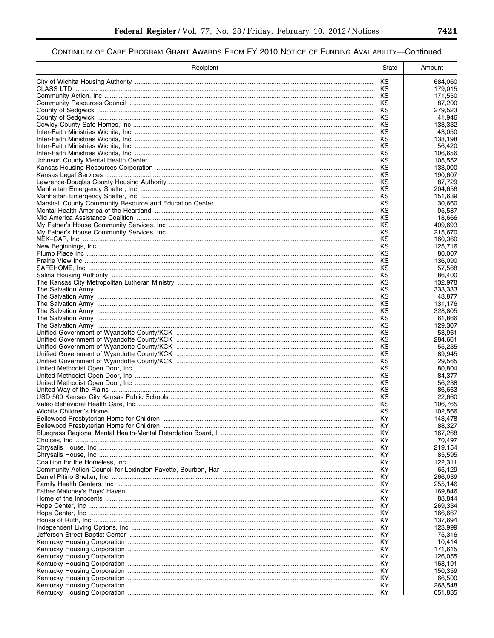| Recipient | State     | Amount            |
|-----------|-----------|-------------------|
|           | KS        | 684,060           |
|           | κs        | 179,015           |
|           | ΚS<br>ΚS  | 171,550<br>87,200 |
|           | ΚS        | 279,523           |
|           | κs        | 41.946            |
|           | κs        | 133,332           |
|           | κs<br>κs  | 43,050<br>138,198 |
|           | κs        | 56,420            |
|           | κs        | 106,656           |
|           | κs        | 105,552           |
|           | κs        | 133,000           |
|           | κs<br>κs  | 190,607<br>87,729 |
|           | κs        | 204,656           |
|           | κs        | 151,639           |
|           | κs        | 30,660            |
|           | ΚS<br>κs  | 95,587<br>18,666  |
|           | κs        | 409,693           |
|           | κs        | 215,670           |
|           | ΚS        | 160,360           |
|           | κs<br>κs  | 125.716<br>80,007 |
|           | κs        | 136,090           |
|           | κs        | 57,568            |
|           | κs        | 86,400            |
|           | ΚS<br>κs  | 132,978           |
|           | ΚS        | 333,333<br>48,877 |
|           | ΚS        | 131,176           |
|           | ΚS        | 328,805           |
|           | ΚS<br>ΚS  | 61,866<br>129,307 |
|           | κs        | 53,961            |
|           | κs        | 284,661           |
|           | κs        | 55,235            |
|           | κs<br>κs  | 89,945<br>29,565  |
|           | κs        | 80,804            |
|           | κs        | 84,377            |
|           | κs<br>κs  | 56,238            |
|           | κs        | 86,663<br>22,660  |
|           | κs        | 106,765           |
|           | КS        | 102,566           |
|           | KY        | 143,478           |
|           | ΚY<br>ΚY  | 88,327<br>167,268 |
|           | ΚY        | 70,497            |
|           | ΚY        | 219,154           |
|           | ΚY        | 85,595            |
|           | ΚY<br>ΚY  | 122,311<br>65,129 |
|           | ΚY        | 266,039           |
|           | ΚY        | 255,146           |
|           | ΚY        | 169,846           |
|           | KY.<br>ΚY | 88,844<br>269,334 |
|           | ΚY        | 166,667           |
|           | ΚY        | 137,694           |
|           | KY.       | 128,999           |
|           | ΚY<br>KY. | 75,316<br>10,414  |
|           | ΚY        | 171,615           |
|           | KY.       | 126,055           |
|           | ΚY        | 168,191           |
|           | ΚY<br>ΚY  | 150,359<br>66,500 |
|           | ΚY        | 268,548           |
|           | ΚY        | 651,835           |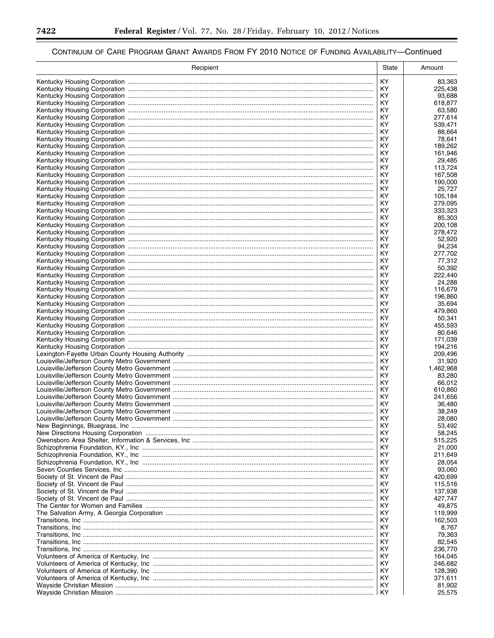▀

| Recipient | State    | Amount             |
|-----------|----------|--------------------|
|           | KY       | 83,363             |
|           | KY.      | 225,438            |
|           | KY       | 93,688             |
|           | KY       | 618,877            |
|           | KY       | 63,580             |
|           | KY<br>KY | 277,614<br>539,471 |
|           | KY       | 88,664             |
|           | KY       | 78,641             |
|           | KY       | 189,262            |
|           | KY       | 161,946            |
|           | KY.      | 29,485             |
|           | KY       | 113,724            |
|           | ΚY       | 167,508            |
|           | KY       | 190,000            |
|           | ΚY<br>ΚY | 25,727<br>105,184  |
|           | ΚY       | 279,095            |
|           | KY       | 333,323            |
|           | ΚY       | 85,303             |
|           | ΚY       | 200,108            |
|           | ΚY       | 278,472            |
|           | KY       | 52,920             |
|           | KY       | 94,234             |
|           | KY       | 277,702            |
|           | KY<br>KY | 77,312<br>50,392   |
|           | ΚY       | 222,440            |
|           |          | 24,288             |
|           | ΚY       | 116,679            |
|           | KY.      | 196,860            |
|           | ΚY       | 35,694             |
|           | KY       | 479,860            |
|           | ΚY       | 50,341             |
|           | KY       | 455,593            |
|           | KY<br>KY | 80,646<br>171,039  |
|           | KY       | 194,216            |
|           | KY       | 209,496            |
|           | KY       | 31,920             |
|           | KY       | 1,462,968          |
|           | KY       | 83,280             |
|           | ΚY       | 66,012             |
|           | KY       | 610,860            |
|           | ΚY<br>ΚY | 241,656            |
|           | ΚY       | 36,480<br>38,249   |
|           | KY       | 28,080             |
|           | ΚY       | 53,492             |
|           | ΚY       | 58,245             |
|           | ΚY       | 515,225            |
|           | ΚY       | 21,000             |
|           | ΚY       | 211,649            |
|           | ΚY       | 28,054             |
|           | ΚY       | 93,060             |
|           | ΚY<br>ΚY | 420,699<br>115,516 |
|           | ΚY       | 137,938            |
|           | ΚY       | 427.747            |
|           | ΚY       | 49.875             |
|           | ΚY       | 119,999            |
|           | ΚY       | 162,503            |
|           | ΚY       | 8,767              |
|           | ΚY       | 79,363             |
|           | ΚY       | 82,545             |
|           | ΚY       | 236,770            |
|           | ΚY<br>ΚY | 164,045<br>246,682 |
|           | ΚY       | 128,390            |
|           | ΚY       | 371,611            |
|           | ΚY       | 81,902             |
|           | ΚY       | 25,575             |

۳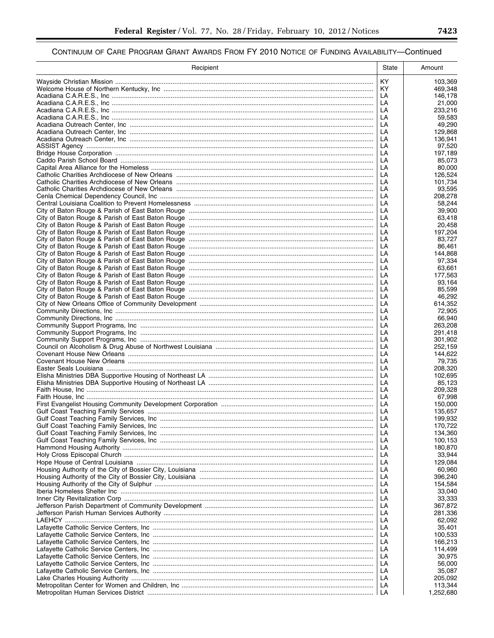▀

| Recipient                                                                        | State     | Amount             |
|----------------------------------------------------------------------------------|-----------|--------------------|
|                                                                                  | <b>KY</b> | 103,369            |
|                                                                                  | KY.       | 469,348            |
|                                                                                  | LA        | 146,178            |
|                                                                                  | LA        | 21,000             |
|                                                                                  | LA<br>LA  | 233,216<br>59.583  |
|                                                                                  | LA        | 49,290             |
|                                                                                  | LA        | 129,868            |
|                                                                                  | LA        | 136,941            |
|                                                                                  | LA        | 97,520             |
|                                                                                  | LA        | 197,189            |
|                                                                                  | LA        | 85,073<br>80,000   |
| Catholic Charities Archdiocese of New Orleans ………………………………………………………………………………………… | LA<br>LA  | 126.524            |
|                                                                                  | LA        | 101,734            |
|                                                                                  | LA        | 93,595             |
|                                                                                  | LA        | 208,278            |
|                                                                                  | LA        | 58,244             |
|                                                                                  | LA        | 39,900             |
|                                                                                  | LA<br>LA  | 63,418<br>20,458   |
|                                                                                  | LA        | 197.204            |
|                                                                                  | LA        | 83,727             |
|                                                                                  | LA        | 86,461             |
|                                                                                  |           | 144,868            |
|                                                                                  | LA        | 97,334             |
|                                                                                  |           | 63,661             |
|                                                                                  |           | 177,563            |
|                                                                                  |           | 93,164<br>85,599   |
|                                                                                  |           | 46,292             |
|                                                                                  |           | 614,352            |
|                                                                                  | LA        | 72,905             |
|                                                                                  | LA        | 66,940             |
|                                                                                  | LA        | 263,208            |
|                                                                                  | LA        | 291,418            |
|                                                                                  | LA<br>LA  | 301,902<br>252,159 |
|                                                                                  | LA        | 144,622            |
|                                                                                  | LA        | 79,735             |
|                                                                                  | LA        | 208,320            |
|                                                                                  | LA        | 102,695            |
|                                                                                  | LA        | 85,123             |
|                                                                                  | LA        | 209,328            |
|                                                                                  | LA<br>LA  | 67,998<br>150,000  |
|                                                                                  | LA        | 135,657            |
|                                                                                  | LA        | 199,932            |
|                                                                                  | LA        | 170,722            |
|                                                                                  | LA        | 134,360            |
|                                                                                  | LA        | 100,153            |
|                                                                                  | LA        | 180,870            |
|                                                                                  | LA<br>LA  | 33,944<br>129,084  |
|                                                                                  | LA        | 60,960             |
|                                                                                  | LA        | 396,240            |
|                                                                                  | LA        | 154,584            |
|                                                                                  | LA        | 33,040             |
|                                                                                  | LA        | 33,333             |
|                                                                                  | LA        | 367,872            |
|                                                                                  | LA<br>LA  | 281,336<br>62,092  |
|                                                                                  | LA        | 35,401             |
|                                                                                  | LA        | 100,533            |
|                                                                                  | LA        | 166,213            |
|                                                                                  | LA        | 114,499            |
|                                                                                  | LA        | 30,975             |
|                                                                                  | LA        | 56,000             |
|                                                                                  | LA<br>LA  | 35,087<br>205,092  |
|                                                                                  | LA        | 113,344            |
|                                                                                  | LA        | 1,252,680          |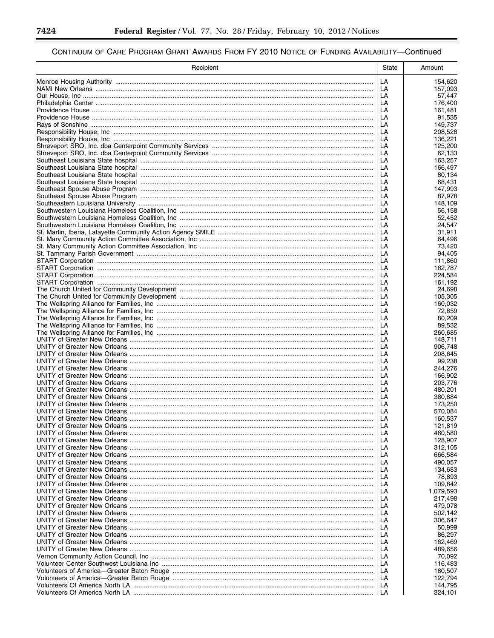▀

| Recipient | State    | Amount             |
|-----------|----------|--------------------|
|           | LA       | 154,620            |
|           | LA       | 157,093            |
|           | LA       | 57,447             |
|           | LA       | 176,400            |
|           | LA       | 161.481            |
|           | LA       | 91,535             |
|           | LA<br>LA | 149,737<br>208,528 |
|           | LA       | 136,221            |
|           | LA       | 125,200            |
|           | LA       | 62,133             |
|           | LA       | 163,257            |
|           | LA       | 166,497            |
|           | LA       | 80,134             |
|           | LA       | 68,431             |
|           | LA       | 147,993            |
|           | LA       | 87,978             |
|           | LA<br>LA | 148,109<br>56,158  |
|           | LA       | 52,452             |
|           | LA       | 24,547             |
|           | LA       | 31,911             |
|           | LA       | 64,496             |
|           | LA       | 73,420             |
|           | LA       | 94,405             |
|           | LA       | 111,860            |
|           | LA       | 162,787            |
|           | LA       | 224,584            |
|           | LA<br>LA | 161,192<br>24,698  |
|           | LA       | 105,305            |
|           | LA       | 160,032            |
|           | LA       | 72,859             |
|           | LA       | 80,209             |
|           | LA       | 89,532             |
|           | LA       | 260,685            |
|           | LA       | 148,711            |
|           | LA       | 906,748            |
|           | LA       | 208,645            |
|           | LA<br>LA | 99,238<br>244,276  |
|           | LA       | 166,902            |
|           | LA       | 203,776            |
|           | LA       | 480,201            |
|           | LA       | 380.884            |
|           | LA       | 173.250            |
|           | LA       | 570,084            |
|           | LA       | 160,537            |
|           | LA       | 121,819            |
|           | LA       | 460,580            |
|           | LA       | 128,907            |
|           | LA<br>LA | 312,105<br>666,584 |
|           | LA       | 490,057            |
|           | LA       | 134,683            |
|           | LA       | 78,893             |
|           | LA       | 109,842            |
|           | LA       | 1,079,593          |
|           | LA       | 217,498            |
|           | LA       | 479,078            |
|           | LA       | 502,142            |
|           | LA       | 306,647            |
|           | LA       | 50.999             |
|           | LA       | 86,297             |
|           | LA       | 162,469            |
|           | LA<br>LA | 489,656<br>70,092  |
|           | LA       | 116,483            |
|           | LA       | 180,507            |
|           | LA       | 122,794            |
|           | LA       | 144,795            |
|           |          | 324,101            |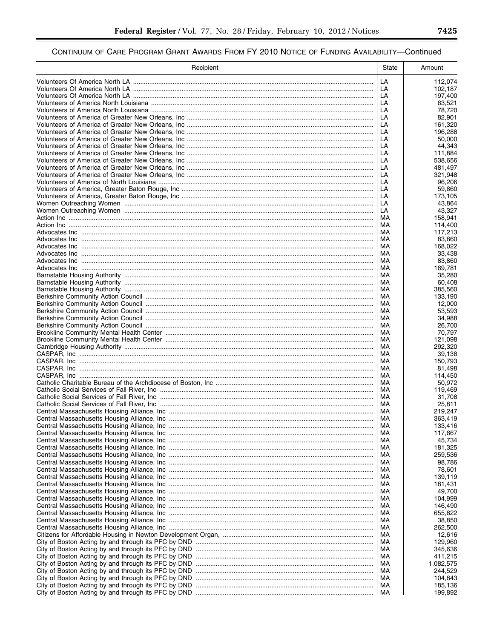| Recipient | State    | Amount               |
|-----------|----------|----------------------|
|           | LA       | 112,074              |
|           | LA       | 102.187              |
|           | LA       | 197,400              |
|           | LA       | 63.521               |
|           | LA<br>LA | 78,720<br>82,901     |
|           | LA       | 161,320              |
|           | LA       | 196,288              |
|           | LA       | 50,000               |
|           | LA       | 44,343               |
|           | LA       | 111,884              |
|           | LA       | 538,656              |
|           | LA<br>LA | 481,497<br>321,948   |
|           | LA       | 96,206               |
|           | LA       | 59,860               |
|           | LA       | 173,105              |
|           | LA       | 43,864               |
|           | LA       | 43,327               |
|           | MA       | 158,941              |
|           | МA<br>МA | 114,400<br>117,213   |
|           | MA       | 83,860               |
|           | MA       | 168,022              |
|           | МA       | 33,438               |
|           | МA       | 83,860               |
|           | MA       | 169,781              |
|           | МA       | 35,280               |
|           | МA<br>МA | 60,408<br>385,560    |
|           | MA       | 133,190              |
|           | МA       | 12,000               |
|           | MA       | 53,593               |
|           | МA       | 34,988               |
|           | MA       | 26,700               |
|           | МA<br>MA | 70,797<br>121,098    |
|           | МA       | 292,320              |
|           | MA       | 39,138               |
|           | MA       | 150,793              |
|           | MA       | 81,498               |
|           | MA       | 114,450              |
|           | MA<br>MA | 50,972<br>119,469    |
|           | MA       | 31,708               |
|           | MA       | 25,811               |
|           | MA       | 219,247              |
|           | MA       | 363,419              |
|           | МA       | 133,416              |
|           | MA       | 117,667              |
|           | MA<br>MA | 45,734<br>181,325    |
|           | MA       | 259,536              |
|           | MA       | 98,786               |
|           | MA       | 78,601               |
|           | MA       | 139,119              |
|           | MA       | 181,431              |
|           | MA       | 49,700               |
|           | MA<br>МA | 104,999<br>146,490   |
|           | MA       | 655,822              |
|           | MA       | 38,850               |
|           | MA       | 262,500              |
|           | МA       | 12,616               |
|           | MA       | 129,960              |
|           | MA<br>MA | 345,636              |
|           | MA       | 411,215<br>1,082,575 |
|           | MA       | 244,529              |
|           | MA       | 104,843              |
|           | МA       | 185,136              |
|           | MA       | 199,892              |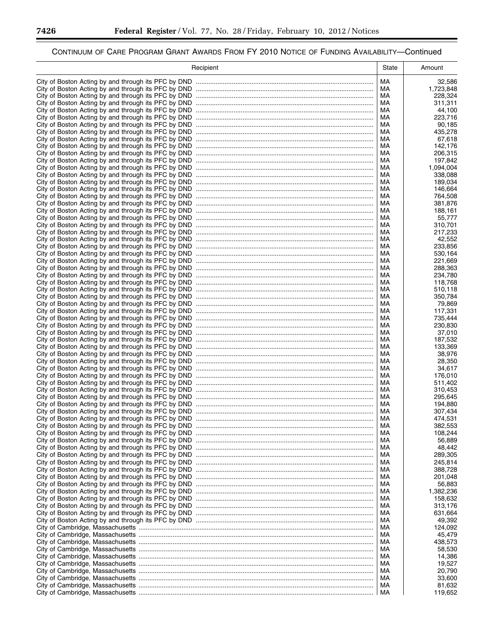▀

# CONTINUUM OF CARE PROGRAM GRANT AWARDS FROM FY 2010 NOTICE OF FUNDING AVAILABILITY—Continued

| Recipient                                                                          | State    | Amount             |
|------------------------------------------------------------------------------------|----------|--------------------|
|                                                                                    | MA       | 32,586             |
|                                                                                    | MA.      | 1,723,848          |
|                                                                                    | MA       | 228,324            |
|                                                                                    | МA       | 311,311            |
|                                                                                    | МA       | 44,100<br>223.716  |
|                                                                                    | МA<br>МA | 90,185             |
|                                                                                    | МA       | 435,278            |
|                                                                                    | МA       | 67,618             |
|                                                                                    | МA       | 142,176            |
|                                                                                    | МA       | 206,315            |
|                                                                                    | МA       | 197,842            |
|                                                                                    | МA       | 1,094,004          |
|                                                                                    | МA<br>МA | 338,088<br>189,034 |
|                                                                                    | МA       | 146,664            |
|                                                                                    | МA       | 764,508            |
|                                                                                    | МA       | 381,876            |
|                                                                                    | MA       | 188,161            |
|                                                                                    | МA       | 55,777             |
|                                                                                    | МA       | 310,701            |
|                                                                                    | МA<br>MA | 217,233<br>42.552  |
|                                                                                    | МA       | 233,856            |
|                                                                                    | MA       | 530,164            |
|                                                                                    | МA       | 221,669            |
|                                                                                    | MA       | 288.363            |
|                                                                                    | МA       | 234,780            |
|                                                                                    | MA       | 118,768            |
|                                                                                    | МA       | 510,118            |
|                                                                                    | MA<br>МA | 350,784<br>79,869  |
|                                                                                    | МA       | 117,331            |
|                                                                                    | МA       | 735,444            |
|                                                                                    | МA       | 230,830            |
|                                                                                    | МA       | 37,010             |
|                                                                                    | МA       | 187,532            |
|                                                                                    | МA<br>МA | 133,369<br>38,976  |
|                                                                                    | МA       | 28,350             |
|                                                                                    | МA       | 34,617             |
| City of Boston Acting by and through its PFC by DND                                | МA       | 176,010            |
|                                                                                    | МA       | 511,402            |
|                                                                                    | МA       | 310,453            |
|                                                                                    | МA       | 295,645            |
|                                                                                    | МA<br>МA | 194,880<br>307,434 |
|                                                                                    | МA       | 474,531            |
| City of Boston Acting by and through its PFC by DND                                | МA       | 382,553            |
|                                                                                    | МA       | 108,244            |
|                                                                                    | МA       | 56,889             |
| City of Boston Acting by and through its PFC by DND                                | МA       | 48,442             |
| City of Boston Acting by and through its PFC by DND ……………………………………………………………………………… | МA       | 289,305            |
| City of Boston Acting by and through its PFC by DND                                | МA<br>МA | 245,814<br>388,728 |
| City of Boston Acting by and through its PFC by DND                                | МA       | 201,048            |
| City of Boston Acting by and through its PFC by DND ……………………………………………………………………………… | МA       | 56,883             |
| City of Boston Acting by and through its PFC by DND ……………………………………………………………………………… | МA       | 1,382,236          |
|                                                                                    | МA       | 158,632            |
|                                                                                    | МA       | 313,176            |
|                                                                                    | МA       | 631,664            |
|                                                                                    | МA<br>МA | 49,392<br>124,092  |
|                                                                                    | МA       | 45,479             |
|                                                                                    | МA       | 438,573            |
|                                                                                    | МA       | 58,530             |
|                                                                                    | МA       | 14,386             |
|                                                                                    | МA       | 19,527             |
|                                                                                    | МA       | 20,790             |
|                                                                                    | МA       | 33,600             |
|                                                                                    | МA<br>МA | 81,632<br>119,652  |
|                                                                                    |          |                    |

-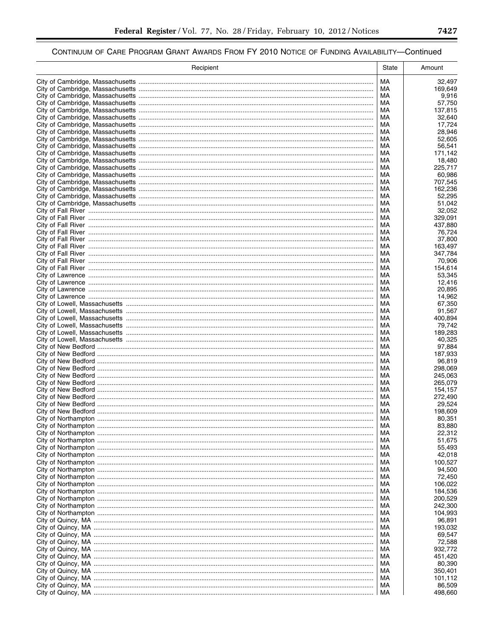| Recipient | State    | Amount             |
|-----------|----------|--------------------|
|           | МA       | 32,497             |
|           | МA       | 169,649            |
|           | МA       | 9,916              |
|           | МA       | 57,750             |
|           | МA<br>МA | 137,815<br>32,640  |
|           | МA       | 17,724             |
|           | МA       | 28,946             |
|           | МA       | 52,605             |
|           | МA       | 56,541             |
|           | МA<br>MA | 171,142<br>18,480  |
|           | МA       | 225,717            |
|           | МA       | 60,986             |
|           | МA       | 707,545            |
|           | MA       | 162,236            |
|           | МA<br>MA | 52,295<br>51,042   |
|           | МA       | 32,052             |
|           | MA       | 329,091            |
|           | МA       | 437,880            |
|           | MA       | 76,724             |
|           | МA<br>MA | 37,800<br>163.497  |
|           | МA       | 347,784            |
|           | MA       | 70,906             |
|           | МA       | 154,614            |
|           | МA       | 53,345             |
|           | МA       | 12,416             |
|           | МA<br>МA | 20,895<br>14,962   |
|           | МA       | 67,350             |
|           | МA       | 91,567             |
|           | МA       | 400,894            |
|           | МA       | 79,742             |
|           | МA       | 189,283            |
|           | МA<br>МA | 40,325<br>97,884   |
|           | МA       | 187,933            |
|           | МA       | 96,819             |
|           | МA       | 298,069            |
|           | МA<br>МA | 245,063<br>265,079 |
|           | МA       | 154,157            |
|           | МA       | 272,490            |
|           | МA       | 29,524             |
|           | MA       | 198,609            |
|           | МA       | 80,351             |
|           | МA<br>МA | 83,880<br>22,312   |
|           | МA       | 51,675             |
|           | МA       | 55,493             |
|           | МA       | 42,018             |
|           | МA       | 100,527            |
|           | МA       | 94,500             |
|           | МA<br>МA | 72,450<br>106.022  |
|           | МA       | 184,536            |
|           | МA       | 200,529            |
|           | МA       | 242,300            |
|           | МA       | 104,993            |
|           | МA<br>МA | 96,891<br>193,032  |
|           | МA       | 69,547             |
|           | МA       | 72,588             |
|           | МA       | 932,772            |
|           | МA       | 451,420            |
|           | МA       | 80,390             |
|           | МA<br>МA | 350,401<br>101,112 |
|           | МA       | 86,509             |
|           | МA       | 498,660            |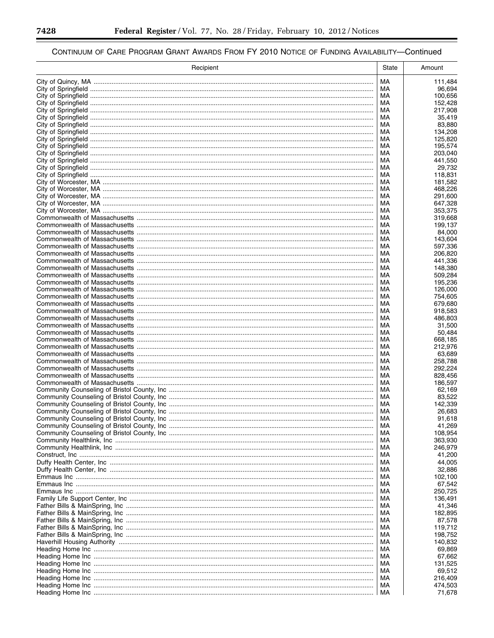-

▀

| Recipient | State    | Amount             |
|-----------|----------|--------------------|
|           | MA       | 111,484            |
|           | MA       | 96,694             |
|           | МA       | 100,656            |
|           | MA       | 152,428            |
|           | MA<br>MA | 217,908<br>35,419  |
|           | МA       | 83,880             |
|           | МA       | 134,208            |
|           | МA       | 125,820            |
|           | МA       | 195.574            |
|           | МA<br>MA | 203,040<br>441,550 |
|           | MA       | 29,732             |
|           | MA       | 118,831            |
|           | MA       | 181,582            |
|           | MA       | 468,226            |
|           | MA<br>MA | 291,600<br>647,328 |
|           | MA       | 353,375            |
|           | MA       | 319,668            |
|           | MA       | 199,137            |
|           | МA       | 84,000             |
|           | MA<br>MA | 143,604<br>597,336 |
|           | МA       | 206,820            |
|           | MA       | 441,336            |
|           | MA       | 148.380            |
|           | МA       | 509,284            |
|           | MA<br>МA | 195,236<br>126,000 |
|           | MA       | 754,605            |
|           | МA       | 679,680            |
|           | MA       | 918,583            |
|           | МA       | 486,803            |
|           | MA<br>МA | 31,500<br>50,484   |
|           | МA       | 668,185            |
|           | МA       | 212,976            |
|           | МA       | 63,689             |
|           | MA       | 258,788            |
|           | МA<br>MA | 292,224<br>828,456 |
|           | MA       | 186,597            |
|           | MA       | 62,169             |
|           | MA       | 83,522             |
|           | MA       | 142,339            |
|           | МA<br>MA | 26,683<br>91,618   |
|           | МA       | 41,269             |
|           | МA       | 108,954            |
|           | МA       | 363,930            |
|           | МA       | 246,979            |
|           | MA<br>МA | 41,200<br>44,005   |
|           | MA       | 32,886             |
|           | МA       | 102,100            |
|           | MA       | 67,542             |
|           | МA       | 250,725            |
|           | MA<br>МA | 136,491<br>41,346  |
|           | MA       | 182,895            |
|           | МA       | 87,578             |
|           | MA       | 119,712            |
|           | МA       | 198,752            |
|           | MA<br>МA | 140,832<br>69,869  |
|           | MA       | 67,662             |
|           | МA       | 131,525            |
|           | MA       | 69,512             |
|           | МA       | 216,409            |
|           | МA<br>МA | 474,503<br>71,678  |
|           |          |                    |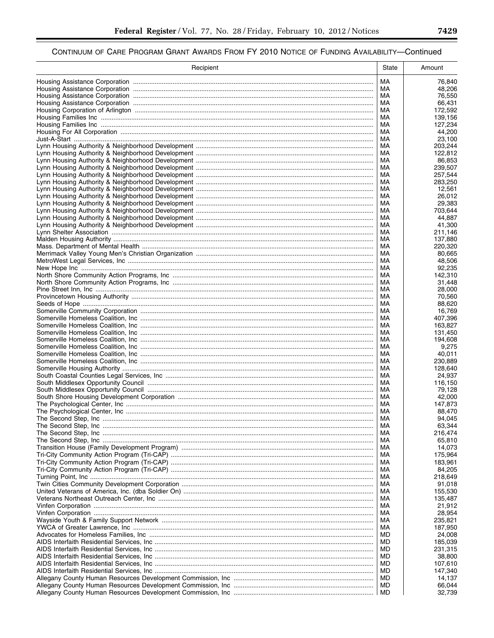| Recipient | State           | Amount             |
|-----------|-----------------|--------------------|
|           | MA              | 76,840             |
|           | MA              | 48,206             |
|           | МA              | 76,550             |
|           | МA<br>МA        | 66,431<br>172,592  |
|           | МA              | 139,156            |
|           | МA              | 127,234            |
|           | МA              | 44,200             |
|           | МA<br>MA        | 23,100<br>203.244  |
|           | МA              | 122,812            |
|           | MA              | 86,853             |
|           | МA              | 239,507            |
|           | MA<br>МA        | 257,544<br>283,250 |
|           | MA              | 12,561             |
|           | МA              | 26,012             |
|           | MA              | 29,383             |
|           | МA<br>MA        | 703,644<br>44.887  |
|           | МA              | 41,300             |
|           | МA              | 211.146            |
|           | МA              | 137,880            |
|           | МA              | 220,320            |
|           | МA<br>МA        | 80,665<br>48.506   |
|           | МA              | 92,235             |
|           | МA              | 142,310            |
|           | МA              | 31,448             |
|           | МA<br>МA        | 28,000<br>70,560   |
|           | МA              | 88,620             |
|           | MA              | 16,769             |
|           | МA<br>MA        | 407,396<br>163,827 |
|           | МA              | 131,450            |
|           | МA              | 194,608            |
|           | МA              | 9,275              |
|           | МA<br>МA        | 40,011<br>230,889  |
|           | MA              | 128,640            |
|           | МA              | 24,937             |
|           | MA<br>МA        | 116,150<br>79,128  |
|           | MA              | 42,000             |
|           | МA              | 147,873            |
|           | MA              | 88,470             |
|           | МA<br>МA        | 94,045<br>63,344   |
|           | MA              | 216,474            |
|           | MA              | 65,810             |
|           | МA              | 14,073             |
|           | МA<br>МA        | 175,964<br>183,961 |
|           | МA              | 84,205             |
|           | МA              | 218,649            |
|           | МA              | 91,018             |
|           | МA<br>MA        | 155,530<br>135,487 |
|           | МA              | 21,912             |
|           | MA              | 28,954             |
|           | МA              | 235,821            |
|           | MA<br>MD        | 187,950<br>24,008  |
|           | <b>MD</b>       | 185,039            |
|           | MD              | 231,315            |
|           | <b>MD</b><br>MD | 38,800<br>107,610  |
|           | <b>MD</b>       | 147,340            |
|           | MD              | 14,137             |
|           | MD              | 66,044             |
|           | MD              | 32,739             |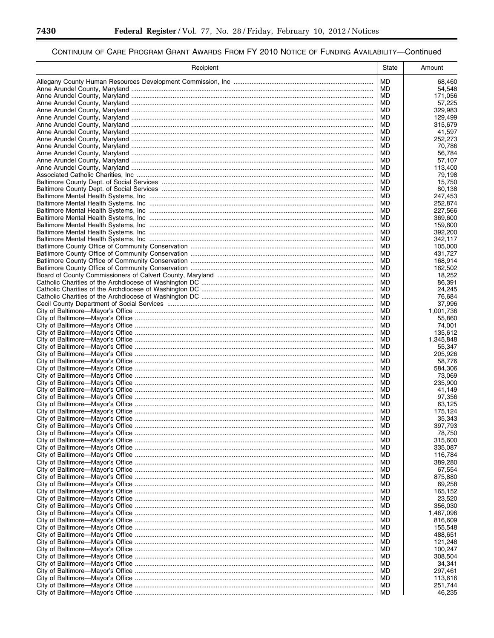▀

| Recipient | <b>State</b> | Amount             |
|-----------|--------------|--------------------|
|           | MD           | 68,460             |
|           | MD           | 54,548             |
|           | MD           | 171,056            |
|           | MD<br>MD     | 57,225<br>329,983  |
|           | MD           | 129,499            |
|           | MD           | 315,679            |
|           | MD           | 41,597             |
|           | MD           | 252,273            |
|           | MD           | 70,786             |
|           | MD           | 56,784             |
|           | MD           | 57,107             |
|           | MD<br>MD     | 113,400<br>79,198  |
|           | MD           | 15,750             |
|           | MD           | 80,138             |
|           | MD           | 247,453            |
|           | MD           | 252,874            |
|           | MD           | 227,566            |
|           | MD           | 369,600            |
|           | MD           | 159,600            |
|           | MD<br>MD     | 392,200<br>342,117 |
|           | MD           | 105,000            |
|           | MD           | 431,727            |
|           | MD           | 168,914            |
|           | MD           | 162,502            |
|           | MD           | 18,252             |
|           | MD           | 86,391             |
|           | MD           | 24,245             |
|           | MD<br>MD     | 76,684<br>37,996   |
|           | MD           | 1,001,736          |
|           | MD           | 55,860             |
|           | MD           | 74,001             |
|           | MD           | 135,612            |
|           | MD           | 1,345,848          |
|           | MD           | 55,347             |
|           | MD           | 205,926            |
|           | MD<br>MD     | 58,776<br>584,306  |
|           | MD           | 73,069             |
|           | MD           | 235,900            |
|           | MD           | 41,149             |
|           | MD           | 97,356             |
|           | MD           | 63,125             |
|           | MD           | 175,124            |
|           | MD           | 35,343             |
|           | MD<br>MD     | 397,793<br>78,750  |
|           | MD           | 315,600            |
|           | MD           | 335,087            |
|           | MD           | 116,784            |
|           | MD           | 389,280            |
|           | MD           | 67,554             |
|           | MD           | 875,880            |
|           | MD           | 69,258             |
|           | MD           | 165,152            |
|           | MD<br>MD     | 23,520<br>356,030  |
|           | MD           | 1,467,096          |
|           | MD           | 816,609            |
|           | MD           | 155,548            |
|           | MD           | 488,651            |
|           | MD           | 121,248            |
|           | MD           | 100,247            |
|           | MD           | 308,504            |
|           | MD           | 34,341             |
|           | MD<br>MD     | 297,461<br>113,616 |
|           | MD           | 251,744            |
|           | MD.          | 46,235             |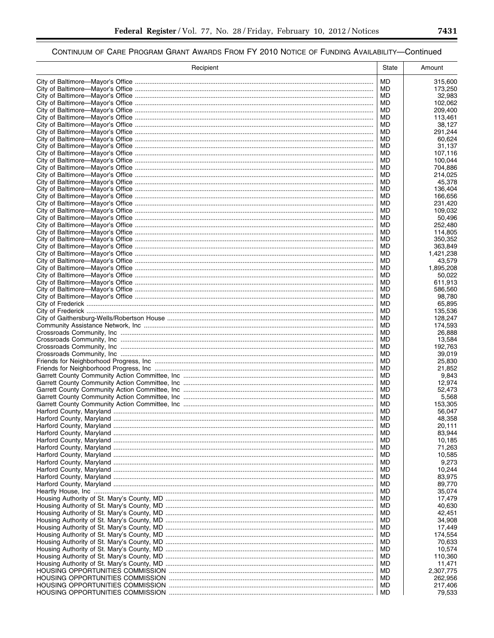| Recipient | State           | Amount             |
|-----------|-----------------|--------------------|
|           | MD              | 315,600            |
|           | MD              | 173,250            |
|           | MD              | 32,983             |
|           | MD<br>MD        | 102,062            |
|           | MD              | 209,400<br>113,461 |
|           | MD              | 38,127             |
|           | MD              | 291,244            |
|           | MD              | 60,624             |
|           | MD              | 31,137             |
|           | MD<br>MD        | 107,116<br>100,044 |
|           | MD              | 704,886            |
|           | MD              | 214,025            |
|           | MD              | 45,378             |
|           | MD<br>MD        | 136,404<br>166,656 |
|           | MD              | 231,420            |
|           | MD              | 109,032            |
|           | MD              | 50,496             |
|           | MD              | 252,480            |
|           | MD<br>MD        | 114,805<br>350.352 |
|           | <b>MD</b>       | 363.849            |
|           | MD              | 1,421,238          |
|           | <b>MD</b>       | 43,579             |
|           | MD              | 1,895,208          |
|           | MD<br>MD        | 50,022             |
|           | MD              | 611,913<br>586,560 |
|           | MD              | 98,780             |
|           | MD              | 65,895             |
|           | MD              | 135,536            |
|           | MD<br>MD        | 128,247<br>174,593 |
|           | MD              | 26,888             |
|           | MD              | 13,584             |
|           | MD              | 192,763            |
|           | MD              | 39,019             |
|           | MD<br>MD        | 25,830<br>21,852   |
|           | MD              | 9,843              |
|           | MD              | 12,974             |
|           | MD              | 52,473             |
|           | MD              | 5,568              |
|           | MD<br>MD        | 153,305<br>56,047  |
|           | MD              | 48,358             |
|           | MD              | 20,111             |
|           | MD              | 83,944             |
|           | MD              | 10,185             |
|           | <b>MD</b><br>MD | 71,263<br>10,585   |
|           | <b>MD</b>       | 9,273              |
|           | MD              | 10,244             |
|           | <b>MD</b>       | 83,975             |
|           | MD              | 89,770             |
|           | <b>MD</b><br>MD | 35,074<br>17,479   |
|           | <b>MD</b>       | 40,630             |
|           | MD              | 42,451             |
|           | <b>MD</b>       | 34,908             |
|           | MD              | 17,449             |
|           | <b>MD</b><br>MD | 174,554<br>70,633  |
|           | <b>MD</b>       | 10,574             |
|           | MD              | 110,360            |
|           | <b>MD</b>       | 11,471             |
|           | MD              | 2,307,775          |
|           | <b>MD</b><br>MD | 262,956<br>217,406 |
|           | MD              | 79,533             |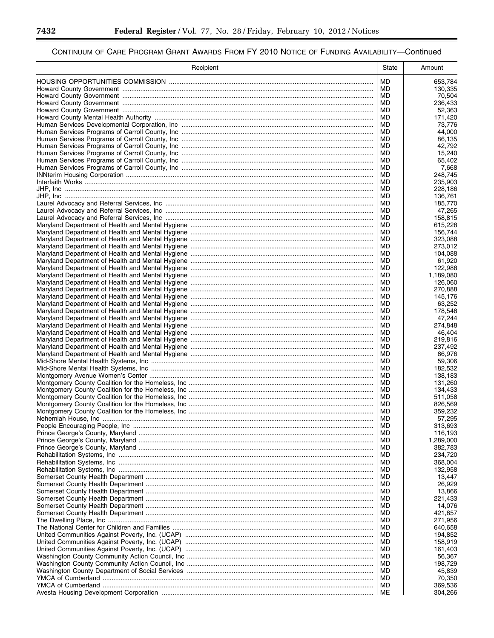-

▀

| Recipient | State    | Amount               |
|-----------|----------|----------------------|
|           | MD       | 653,784              |
|           | MD       | 130,335              |
|           | MD       | 70,504               |
|           | MD<br>MD | 236,433<br>52,363    |
|           | MD       | 171,420              |
|           | MD       | 73,776               |
|           | MD       | 44,000               |
|           | MD       | 86,135               |
|           | MD       | 42,792               |
|           | MD<br>MD | 15,240<br>65,402     |
|           | MD       | 7,668                |
|           | MD       | 248,745              |
|           | MD       | 235,903              |
|           | MD<br>MD | 228,186<br>136,761   |
|           | MD       | 185,770              |
|           | MD       | 47,265               |
|           | MD       | 158,815              |
|           | MD       | 615,228              |
|           | MD<br>MD | 156,744<br>323,088   |
|           | MD       | 273,012              |
|           | MD       | 104,088              |
|           | MD       | 61,920               |
|           | MD       | 122,988              |
|           | MD<br>MD | 1,189,080<br>126,060 |
|           | MD       | 270,888              |
|           | MD       | 145,176              |
|           | MD       | 63,252               |
|           | MD       | 178,548              |
|           | MD<br>MD | 47,244<br>274,848    |
|           | MD       | 46,404               |
|           | MD       | 219,816              |
|           | MD       | 237,492              |
|           | MD       | 86,976               |
|           | MD<br>MD | 59,306<br>182,532    |
|           | MD       | 138,183              |
|           | MD       | 131,260              |
|           | MD       | 134,433              |
|           | MD<br>MD | 511,058<br>826,569   |
|           | MD       | 359,232              |
|           | MD       | 57,295               |
|           | MD       | 313,693              |
|           | MD       | 116,193              |
|           | MD<br>MD | 1,289,000<br>382,783 |
|           | MD       | 234.720              |
|           | MD       | 368,004              |
|           | MD       | 132,958              |
|           | MD       | 13,447               |
|           | MD<br>MD | 26,929               |
|           | MD       | 13,866<br>221,433    |
|           | MD       | 14,076               |
|           | MD       | 421,857              |
|           | MD       | 271,956              |
|           | MD       | 640,658              |
|           | MD<br>MD | 194,852<br>158,919   |
|           | MD       | 161,403              |
|           | MD       | 56,367               |
|           | MD       | 198,729              |
|           | MD<br>MD | 45,839               |
|           | MD       | 70,350<br>369,536    |
|           | МE       | 304,266              |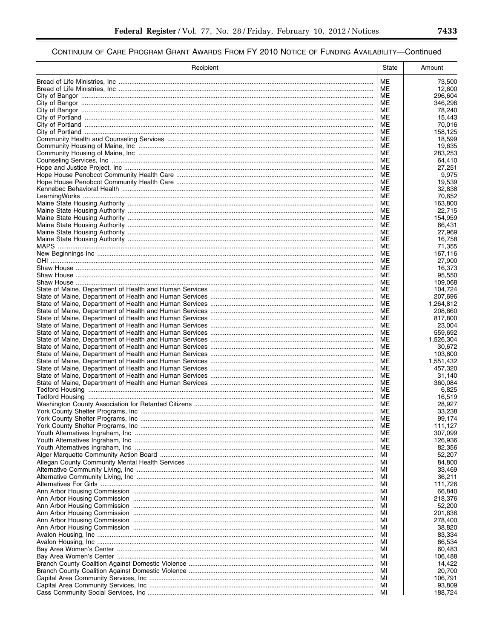| Recipient | State    | Amount               |
|-----------|----------|----------------------|
|           | ME       | 73,500               |
|           | ME       | 12.600               |
|           | ME       | 296,604              |
|           | ME<br>ME | 346,296              |
|           | ME       | 78,240<br>15,443     |
|           | МE       | 70,016               |
|           | ME       | 158,125              |
|           | МE       | 18,599               |
|           | ME       | 19,635               |
|           | ME<br>ME | 283,253<br>64,410    |
|           | ME       | 27,251               |
|           | ME       | 9,975                |
|           | ME       | 19,539               |
|           | ME       | 32,838               |
|           | ME<br>ME | 70,652<br>163,800    |
|           | ME       | 22,715               |
|           | ME       | 154,959              |
|           | МE       | 66,431               |
|           | МE       | 27,969               |
|           | ME<br>МE | 16,758<br>71,355     |
|           | МE       | 167,116              |
|           | МE       | 27,900               |
|           | ME       | 16,373               |
|           | МE       | 95,550               |
|           | ME       | 109,068              |
|           | ME<br>ME | 104,724<br>207,696   |
|           | МE       | 1,264,812            |
|           | ME       | 208,860              |
|           | ME       | 817,800              |
|           | ME       | 23,004               |
|           | МE<br>ME | 559,692<br>1,526,304 |
|           | ME       | 30,672               |
|           | ME       | 103,800              |
|           | МE       | 1,551,432            |
|           | ME       | 457,320              |
|           | ME<br>ME | 31,140<br>360.084    |
|           | ME       | 6,825                |
|           | ME       | 16,519               |
|           | МE       | 28,927               |
|           | ME       | 33,238               |
|           | ME<br>ME | 99,174<br>111,127    |
|           | ME       | 307,099              |
|           | ME       | 126,936              |
|           | МE       | 82,356               |
|           | MI       | 52,207               |
|           | MI       | 84,800               |
|           | MI<br>МI | 33,469<br>36,211     |
|           | МI       | 111,726              |
|           | МI       | 66,840               |
|           | МI       | 218,376              |
|           | МI       | 52,200               |
|           | МI<br>МI | 201,636<br>278,400   |
|           | МI       | 38,820               |
|           | МI       | 83,334               |
|           | МI       | 86,534               |
|           | МI       | 60,483               |
|           | МI<br>МI | 106,488              |
|           | МI       | 14,422<br>20,700     |
|           | МI       | 106,791              |
|           | MI       | 93,809               |
|           | MI       | 188,724              |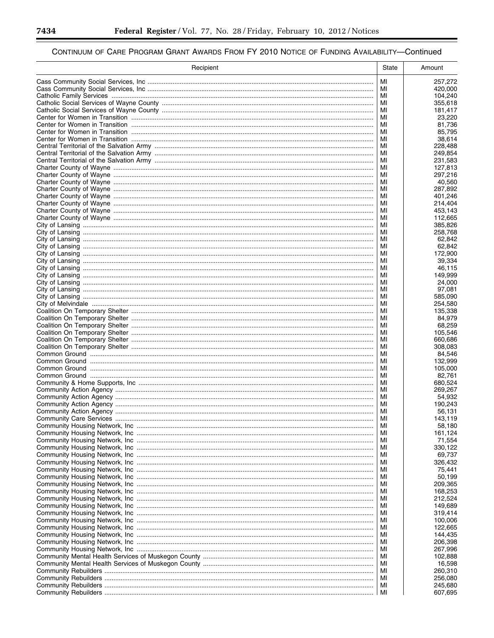-

▀

| Recipient | State    | Amount             |
|-----------|----------|--------------------|
|           | МI       | 257,272            |
|           | MI       | 420,000            |
|           | МI       | 104,240            |
|           | MI<br>МI | 355,618<br>181,417 |
|           | МI       | 23,220             |
|           | МI       | 81,736             |
|           | МI       | 85,795             |
|           | МI       | 38,614             |
|           | MI       | 228,488            |
|           | МI<br>MI | 249,854<br>231,583 |
|           | МI       | 127,813            |
|           | МI       | 297,216            |
|           | МI       | 40,560             |
|           | МI       | 287,892            |
|           | МI       | 401,246            |
|           | МI<br>МI | 214,404<br>453,143 |
|           | МI       | 112,665            |
|           | МI       | 385,826            |
|           | МI       | 258,768            |
|           | МI       | 62,842             |
|           | МI       | 62,842             |
|           | MI<br>МI | 172,900<br>39,334  |
|           | MI       | 46,115             |
|           | МI       | 149,999            |
|           | MI       | 24.000             |
|           | МI       | 97,081             |
|           | MI       | 585,090            |
|           | МI       | 254,580            |
|           | MI<br>МI | 135,338<br>84,979  |
|           | MI       | 68,259             |
|           | МI       | 105,546            |
|           | МI       | 660,686            |
|           | МI       | 308,083            |
|           | MI       | 84,546             |
|           | МI<br>MI | 132,999            |
|           | МI       | 105,000<br>82.761  |
|           | МI       | 680,524            |
|           | МI       | 269,267            |
|           | МI       | 54,932             |
|           | МI       | 190,243            |
|           | МI       | 56,131             |
|           | МI<br>MI | 143,119<br>58,180  |
|           | МI       | 161,124            |
|           | МI       | 71,554             |
|           | МI       | 330,122            |
|           | МI       | 69,737             |
|           | МI       | 326,432            |
|           | МI<br>МI | 75,441<br>50,199   |
|           | МI       | 209,365            |
|           | МI       | 168,253            |
|           | МI       | 212,524            |
|           | МI       | 149,689            |
|           | МI       | 319,414            |
|           | МI       | 100,006            |
|           | МI<br>МI | 122,665<br>144,435 |
|           | МI       | 206,398            |
|           | МI       | 267,996            |
|           | МI       | 102,888            |
|           | МI       | 16,598             |
|           | МI       | 260,310            |
|           | МI       | 256,080            |
|           | МI<br>MI | 245,680<br>607,695 |
|           |          |                    |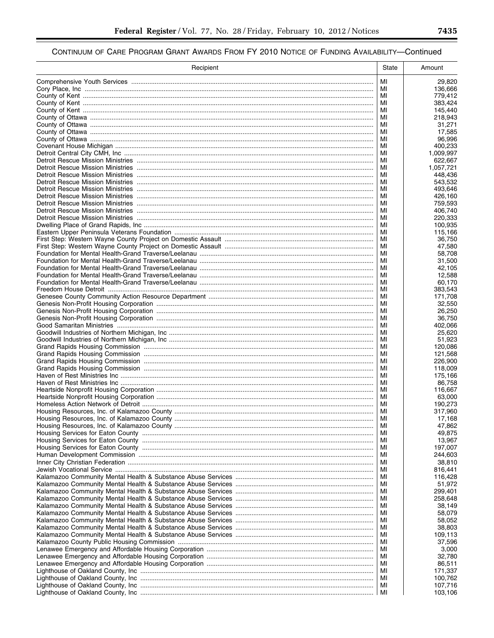| MI<br>29,820<br>MI<br>136,666<br>МI<br>779,412<br>MI<br>383,424<br>МI<br>145,440<br>218,943<br>МI<br>MI<br>31,271<br>MI<br>17,585<br>МI<br>96,996<br>MI<br>400,233<br>МI<br>1,009,997<br>MI<br>622,667<br>MI<br>1,057,721<br>MI<br>448,436<br>MI<br>543,532<br>MI<br>493,646<br>MI<br>426,160<br>MI<br>759,593<br>MI<br>406,740<br>MI<br>220,333<br>MI<br>100,935<br>MI<br>115,166<br>MI<br>36.750<br>MI<br>47,580<br>MI<br>58,708<br>MI<br>31.500<br>MI<br>42.105<br>MI<br>12.588<br>MI<br>60.170<br>MI<br>383,543<br>MI<br>171,708<br>MI<br>32,550<br>MI<br>26,250<br>MI<br>36,750<br>MI<br>402,066<br>MI<br>25,620<br>MI<br>51,923<br>MI<br>120,086<br>MI<br>121,568<br>МI<br>226,900<br>MI<br>118,009<br>MI<br>175,166<br>MI<br>86.758<br>МI<br>116,667<br>MI<br>63,000<br>MI<br>190,273<br>MI<br>317.960<br>MI<br>17,168<br>47,862<br>MI<br>MI<br>49,875<br>13,967<br>MI<br>MI<br>197,007<br>МI<br>244,603<br>MI<br>38,810<br>816,441<br>МI<br>MI<br>116,428<br>МI<br>51,972<br>MI<br>299,401<br>258,648<br>МI<br>MI<br>38,149<br>МI<br>58,079<br>MI<br>58,052<br>38,803<br>MI<br>MI<br>109,113<br>MI<br>37,596<br>MI<br>3,000<br>32,780<br>MI<br>МI<br>86,511<br>MI | Recipient | State | Amount  |
|---------------------------------------------------------------------------------------------------------------------------------------------------------------------------------------------------------------------------------------------------------------------------------------------------------------------------------------------------------------------------------------------------------------------------------------------------------------------------------------------------------------------------------------------------------------------------------------------------------------------------------------------------------------------------------------------------------------------------------------------------------------------------------------------------------------------------------------------------------------------------------------------------------------------------------------------------------------------------------------------------------------------------------------------------------------------------------------------------------------------------------------------------------------------------|-----------|-------|---------|
|                                                                                                                                                                                                                                                                                                                                                                                                                                                                                                                                                                                                                                                                                                                                                                                                                                                                                                                                                                                                                                                                                                                                                                           |           |       |         |
|                                                                                                                                                                                                                                                                                                                                                                                                                                                                                                                                                                                                                                                                                                                                                                                                                                                                                                                                                                                                                                                                                                                                                                           |           |       |         |
|                                                                                                                                                                                                                                                                                                                                                                                                                                                                                                                                                                                                                                                                                                                                                                                                                                                                                                                                                                                                                                                                                                                                                                           |           |       |         |
|                                                                                                                                                                                                                                                                                                                                                                                                                                                                                                                                                                                                                                                                                                                                                                                                                                                                                                                                                                                                                                                                                                                                                                           |           |       |         |
|                                                                                                                                                                                                                                                                                                                                                                                                                                                                                                                                                                                                                                                                                                                                                                                                                                                                                                                                                                                                                                                                                                                                                                           |           |       |         |
|                                                                                                                                                                                                                                                                                                                                                                                                                                                                                                                                                                                                                                                                                                                                                                                                                                                                                                                                                                                                                                                                                                                                                                           |           |       |         |
|                                                                                                                                                                                                                                                                                                                                                                                                                                                                                                                                                                                                                                                                                                                                                                                                                                                                                                                                                                                                                                                                                                                                                                           |           |       |         |
|                                                                                                                                                                                                                                                                                                                                                                                                                                                                                                                                                                                                                                                                                                                                                                                                                                                                                                                                                                                                                                                                                                                                                                           |           |       |         |
|                                                                                                                                                                                                                                                                                                                                                                                                                                                                                                                                                                                                                                                                                                                                                                                                                                                                                                                                                                                                                                                                                                                                                                           |           |       |         |
|                                                                                                                                                                                                                                                                                                                                                                                                                                                                                                                                                                                                                                                                                                                                                                                                                                                                                                                                                                                                                                                                                                                                                                           |           |       |         |
|                                                                                                                                                                                                                                                                                                                                                                                                                                                                                                                                                                                                                                                                                                                                                                                                                                                                                                                                                                                                                                                                                                                                                                           |           |       |         |
|                                                                                                                                                                                                                                                                                                                                                                                                                                                                                                                                                                                                                                                                                                                                                                                                                                                                                                                                                                                                                                                                                                                                                                           |           |       |         |
|                                                                                                                                                                                                                                                                                                                                                                                                                                                                                                                                                                                                                                                                                                                                                                                                                                                                                                                                                                                                                                                                                                                                                                           |           |       |         |
|                                                                                                                                                                                                                                                                                                                                                                                                                                                                                                                                                                                                                                                                                                                                                                                                                                                                                                                                                                                                                                                                                                                                                                           |           |       |         |
|                                                                                                                                                                                                                                                                                                                                                                                                                                                                                                                                                                                                                                                                                                                                                                                                                                                                                                                                                                                                                                                                                                                                                                           |           |       |         |
|                                                                                                                                                                                                                                                                                                                                                                                                                                                                                                                                                                                                                                                                                                                                                                                                                                                                                                                                                                                                                                                                                                                                                                           |           |       |         |
|                                                                                                                                                                                                                                                                                                                                                                                                                                                                                                                                                                                                                                                                                                                                                                                                                                                                                                                                                                                                                                                                                                                                                                           |           |       |         |
|                                                                                                                                                                                                                                                                                                                                                                                                                                                                                                                                                                                                                                                                                                                                                                                                                                                                                                                                                                                                                                                                                                                                                                           |           |       |         |
|                                                                                                                                                                                                                                                                                                                                                                                                                                                                                                                                                                                                                                                                                                                                                                                                                                                                                                                                                                                                                                                                                                                                                                           |           |       |         |
|                                                                                                                                                                                                                                                                                                                                                                                                                                                                                                                                                                                                                                                                                                                                                                                                                                                                                                                                                                                                                                                                                                                                                                           |           |       |         |
|                                                                                                                                                                                                                                                                                                                                                                                                                                                                                                                                                                                                                                                                                                                                                                                                                                                                                                                                                                                                                                                                                                                                                                           |           |       |         |
|                                                                                                                                                                                                                                                                                                                                                                                                                                                                                                                                                                                                                                                                                                                                                                                                                                                                                                                                                                                                                                                                                                                                                                           |           |       |         |
|                                                                                                                                                                                                                                                                                                                                                                                                                                                                                                                                                                                                                                                                                                                                                                                                                                                                                                                                                                                                                                                                                                                                                                           |           |       |         |
|                                                                                                                                                                                                                                                                                                                                                                                                                                                                                                                                                                                                                                                                                                                                                                                                                                                                                                                                                                                                                                                                                                                                                                           |           |       |         |
|                                                                                                                                                                                                                                                                                                                                                                                                                                                                                                                                                                                                                                                                                                                                                                                                                                                                                                                                                                                                                                                                                                                                                                           |           |       |         |
|                                                                                                                                                                                                                                                                                                                                                                                                                                                                                                                                                                                                                                                                                                                                                                                                                                                                                                                                                                                                                                                                                                                                                                           |           |       |         |
|                                                                                                                                                                                                                                                                                                                                                                                                                                                                                                                                                                                                                                                                                                                                                                                                                                                                                                                                                                                                                                                                                                                                                                           |           |       |         |
|                                                                                                                                                                                                                                                                                                                                                                                                                                                                                                                                                                                                                                                                                                                                                                                                                                                                                                                                                                                                                                                                                                                                                                           |           |       |         |
|                                                                                                                                                                                                                                                                                                                                                                                                                                                                                                                                                                                                                                                                                                                                                                                                                                                                                                                                                                                                                                                                                                                                                                           |           |       |         |
|                                                                                                                                                                                                                                                                                                                                                                                                                                                                                                                                                                                                                                                                                                                                                                                                                                                                                                                                                                                                                                                                                                                                                                           |           |       |         |
|                                                                                                                                                                                                                                                                                                                                                                                                                                                                                                                                                                                                                                                                                                                                                                                                                                                                                                                                                                                                                                                                                                                                                                           |           |       |         |
|                                                                                                                                                                                                                                                                                                                                                                                                                                                                                                                                                                                                                                                                                                                                                                                                                                                                                                                                                                                                                                                                                                                                                                           |           |       |         |
|                                                                                                                                                                                                                                                                                                                                                                                                                                                                                                                                                                                                                                                                                                                                                                                                                                                                                                                                                                                                                                                                                                                                                                           |           |       |         |
|                                                                                                                                                                                                                                                                                                                                                                                                                                                                                                                                                                                                                                                                                                                                                                                                                                                                                                                                                                                                                                                                                                                                                                           |           |       |         |
|                                                                                                                                                                                                                                                                                                                                                                                                                                                                                                                                                                                                                                                                                                                                                                                                                                                                                                                                                                                                                                                                                                                                                                           |           |       |         |
|                                                                                                                                                                                                                                                                                                                                                                                                                                                                                                                                                                                                                                                                                                                                                                                                                                                                                                                                                                                                                                                                                                                                                                           |           |       |         |
|                                                                                                                                                                                                                                                                                                                                                                                                                                                                                                                                                                                                                                                                                                                                                                                                                                                                                                                                                                                                                                                                                                                                                                           |           |       |         |
|                                                                                                                                                                                                                                                                                                                                                                                                                                                                                                                                                                                                                                                                                                                                                                                                                                                                                                                                                                                                                                                                                                                                                                           |           |       |         |
|                                                                                                                                                                                                                                                                                                                                                                                                                                                                                                                                                                                                                                                                                                                                                                                                                                                                                                                                                                                                                                                                                                                                                                           |           |       |         |
|                                                                                                                                                                                                                                                                                                                                                                                                                                                                                                                                                                                                                                                                                                                                                                                                                                                                                                                                                                                                                                                                                                                                                                           |           |       |         |
|                                                                                                                                                                                                                                                                                                                                                                                                                                                                                                                                                                                                                                                                                                                                                                                                                                                                                                                                                                                                                                                                                                                                                                           |           |       |         |
|                                                                                                                                                                                                                                                                                                                                                                                                                                                                                                                                                                                                                                                                                                                                                                                                                                                                                                                                                                                                                                                                                                                                                                           |           |       |         |
|                                                                                                                                                                                                                                                                                                                                                                                                                                                                                                                                                                                                                                                                                                                                                                                                                                                                                                                                                                                                                                                                                                                                                                           |           |       |         |
|                                                                                                                                                                                                                                                                                                                                                                                                                                                                                                                                                                                                                                                                                                                                                                                                                                                                                                                                                                                                                                                                                                                                                                           |           |       |         |
|                                                                                                                                                                                                                                                                                                                                                                                                                                                                                                                                                                                                                                                                                                                                                                                                                                                                                                                                                                                                                                                                                                                                                                           |           |       |         |
|                                                                                                                                                                                                                                                                                                                                                                                                                                                                                                                                                                                                                                                                                                                                                                                                                                                                                                                                                                                                                                                                                                                                                                           |           |       |         |
|                                                                                                                                                                                                                                                                                                                                                                                                                                                                                                                                                                                                                                                                                                                                                                                                                                                                                                                                                                                                                                                                                                                                                                           |           |       |         |
|                                                                                                                                                                                                                                                                                                                                                                                                                                                                                                                                                                                                                                                                                                                                                                                                                                                                                                                                                                                                                                                                                                                                                                           |           |       |         |
|                                                                                                                                                                                                                                                                                                                                                                                                                                                                                                                                                                                                                                                                                                                                                                                                                                                                                                                                                                                                                                                                                                                                                                           |           |       |         |
|                                                                                                                                                                                                                                                                                                                                                                                                                                                                                                                                                                                                                                                                                                                                                                                                                                                                                                                                                                                                                                                                                                                                                                           |           |       |         |
|                                                                                                                                                                                                                                                                                                                                                                                                                                                                                                                                                                                                                                                                                                                                                                                                                                                                                                                                                                                                                                                                                                                                                                           |           |       |         |
|                                                                                                                                                                                                                                                                                                                                                                                                                                                                                                                                                                                                                                                                                                                                                                                                                                                                                                                                                                                                                                                                                                                                                                           |           |       |         |
|                                                                                                                                                                                                                                                                                                                                                                                                                                                                                                                                                                                                                                                                                                                                                                                                                                                                                                                                                                                                                                                                                                                                                                           |           |       |         |
|                                                                                                                                                                                                                                                                                                                                                                                                                                                                                                                                                                                                                                                                                                                                                                                                                                                                                                                                                                                                                                                                                                                                                                           |           |       |         |
|                                                                                                                                                                                                                                                                                                                                                                                                                                                                                                                                                                                                                                                                                                                                                                                                                                                                                                                                                                                                                                                                                                                                                                           |           |       |         |
|                                                                                                                                                                                                                                                                                                                                                                                                                                                                                                                                                                                                                                                                                                                                                                                                                                                                                                                                                                                                                                                                                                                                                                           |           |       | 171,337 |
| МI<br>100,762                                                                                                                                                                                                                                                                                                                                                                                                                                                                                                                                                                                                                                                                                                                                                                                                                                                                                                                                                                                                                                                                                                                                                             |           |       |         |
| 107,716<br>MI<br>MI<br>103,106                                                                                                                                                                                                                                                                                                                                                                                                                                                                                                                                                                                                                                                                                                                                                                                                                                                                                                                                                                                                                                                                                                                                            |           |       |         |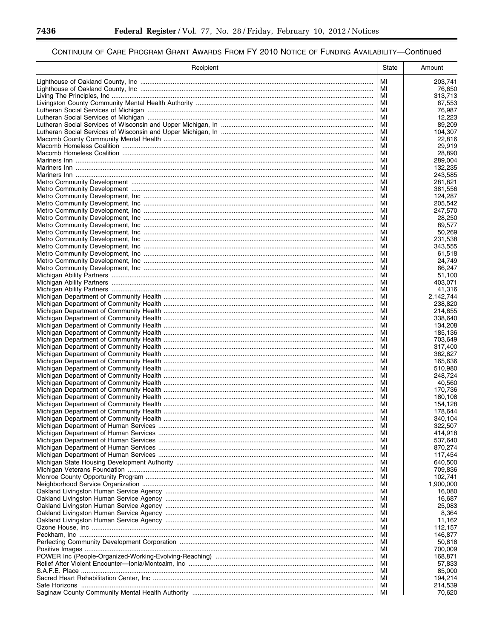▀

| Recipient | State    | Amount             |
|-----------|----------|--------------------|
|           | МI       | 203,741            |
|           | MI       | 76,650             |
|           | МI       | 313,713            |
|           | MI       | 67,553             |
|           | МI<br>МI | 76,987<br>12,223   |
|           | МI       | 89,209             |
|           | МI       | 104,307            |
|           | MI       | 22,816             |
|           | MI       | 29,919             |
|           | MI<br>MI | 28,890<br>289,004  |
|           | МI       | 132,235            |
|           | МI       | 243,585            |
|           | МI       | 281,821            |
|           | МI<br>МI | 381,556            |
|           | МI       | 124,287<br>205,542 |
|           | МI       | 247,570            |
|           | МI       | 28,250             |
|           | МI       | 89,577             |
|           | МI       | 50,269             |
|           | МI<br>МI | 231,538<br>343,555 |
|           | МI       | 61,518             |
|           | МI       | 24,749             |
|           | MI       | 66,247             |
|           | MI       | 51,100             |
|           | MI<br>МI | 403,071<br>41,316  |
|           | MI       | 2,142,744          |
|           | МI       | 238,820            |
|           | MI       | 214,855            |
|           | МI       | 338,640            |
|           | MI<br>МI | 134,208<br>185,136 |
|           | МI       | 703,649            |
|           | МI       | 317,400            |
|           | MI       | 362,827            |
|           | MI<br>MI | 165,636            |
|           | MI       | 510,980<br>248,724 |
|           | МI       | 40.560             |
|           | МI       | 170.736            |
|           | МI       | 180,108            |
|           | МI<br>MI | 154.128<br>178,644 |
|           | МI       | 340,104            |
|           | МI       | 322,507            |
|           | МI       | 414,918            |
|           | МI       | 537,640            |
|           | МI<br>МI | 870,274<br>117,454 |
|           | МI       | 640,500            |
|           | МI       | 709,836            |
|           | МI       | 102,741            |
|           | МI       | 1,900,000          |
|           | МI       | 16,080             |
|           | МI<br>МI | 16,687<br>25,083   |
|           | МI       | 8,364              |
|           | МI       | 11,162             |
|           | МI       | 112,157            |
|           | МI<br>МI | 146,877            |
|           | МI       | 50,818<br>700,009  |
|           | МI       | 168,871            |
|           | МI       | 57,833             |
|           | МI       | 85,000             |
|           | МI       | 194,214            |
|           | МI<br>MI | 214,539<br>70,620  |
|           |          |                    |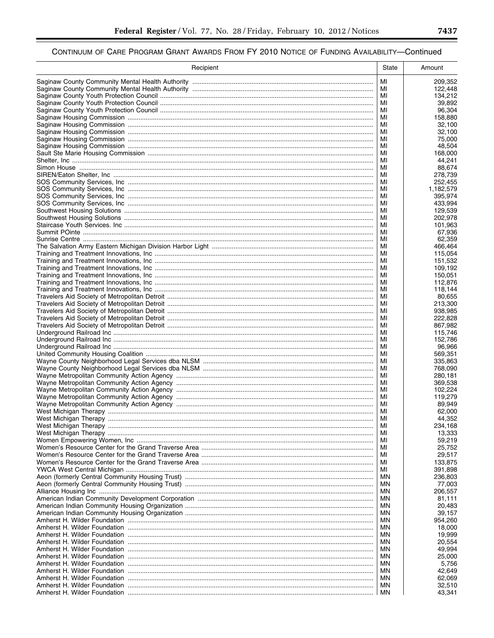| МI<br>209,352<br>122,448<br>МI<br>МI<br>134,212<br>MI<br>39,892<br>МI<br>96,304<br>MI<br>158,880<br>MI<br>32,100<br>MI<br>32,100<br>МI<br>75,000<br>MI<br>48,504<br>МI<br>168,000<br>MI<br>44,241<br>МI<br>88,674<br>MI<br>278,739<br>MI<br>252,455<br>MI<br>1,182,579<br>МI<br>395,974<br>MI<br>433,994<br>MI<br>129,539<br>MI<br>202,978<br>MI<br>101,963<br>MI<br>67,936<br>MI<br>62,359<br>MI<br>466,464<br>MI<br>115,054<br>MI<br>151,532<br>МI<br>109,192<br>MI<br>150,051<br>MI<br>112,876<br>MI<br>118,144<br>MI<br>80,655<br>МI<br>213,300<br>MI<br>938,985<br>МI<br>222,828<br>MI<br>867,982<br>МI<br>115,746<br>MI<br>152,786<br>МI<br>96,966<br>MI<br>569,351<br>МI<br>335,863<br>MI<br>768,090<br>МI<br>280,181<br>MI<br>369,538<br>МI<br>102,224<br>MI<br>119,279<br>МI<br>89,949<br>MI<br>62,000<br>MI<br>44,352<br>234,168<br>МI<br>МI<br>13,333<br>59,219<br>MI<br>МI<br>25,752<br>29,517<br>MI<br>МI<br>133,875<br>391,898<br>МI<br>236,803<br>ΜN<br>77,003<br>ΜN<br>MN<br>206,557<br>81,111<br>ΜN<br>20,483<br>ΜN<br>39,157<br>ΜN<br>MN<br>954,260<br>18,000<br>ΜN<br>19,999<br>ΜN<br>20,554<br>ΜN<br>49,994<br>ΜN<br>25,000<br>ΜN<br>5,756<br>ΜN<br>42,649<br>ΜN<br>62,069<br>ΜN<br>32,510<br><b>MN</b><br>МN<br>43,341 | Recipient | State | Amount |
|---------------------------------------------------------------------------------------------------------------------------------------------------------------------------------------------------------------------------------------------------------------------------------------------------------------------------------------------------------------------------------------------------------------------------------------------------------------------------------------------------------------------------------------------------------------------------------------------------------------------------------------------------------------------------------------------------------------------------------------------------------------------------------------------------------------------------------------------------------------------------------------------------------------------------------------------------------------------------------------------------------------------------------------------------------------------------------------------------------------------------------------------------------------------------------------------------------------------------------------------|-----------|-------|--------|
|                                                                                                                                                                                                                                                                                                                                                                                                                                                                                                                                                                                                                                                                                                                                                                                                                                                                                                                                                                                                                                                                                                                                                                                                                                             |           |       |        |
|                                                                                                                                                                                                                                                                                                                                                                                                                                                                                                                                                                                                                                                                                                                                                                                                                                                                                                                                                                                                                                                                                                                                                                                                                                             |           |       |        |
|                                                                                                                                                                                                                                                                                                                                                                                                                                                                                                                                                                                                                                                                                                                                                                                                                                                                                                                                                                                                                                                                                                                                                                                                                                             |           |       |        |
|                                                                                                                                                                                                                                                                                                                                                                                                                                                                                                                                                                                                                                                                                                                                                                                                                                                                                                                                                                                                                                                                                                                                                                                                                                             |           |       |        |
|                                                                                                                                                                                                                                                                                                                                                                                                                                                                                                                                                                                                                                                                                                                                                                                                                                                                                                                                                                                                                                                                                                                                                                                                                                             |           |       |        |
|                                                                                                                                                                                                                                                                                                                                                                                                                                                                                                                                                                                                                                                                                                                                                                                                                                                                                                                                                                                                                                                                                                                                                                                                                                             |           |       |        |
|                                                                                                                                                                                                                                                                                                                                                                                                                                                                                                                                                                                                                                                                                                                                                                                                                                                                                                                                                                                                                                                                                                                                                                                                                                             |           |       |        |
|                                                                                                                                                                                                                                                                                                                                                                                                                                                                                                                                                                                                                                                                                                                                                                                                                                                                                                                                                                                                                                                                                                                                                                                                                                             |           |       |        |
|                                                                                                                                                                                                                                                                                                                                                                                                                                                                                                                                                                                                                                                                                                                                                                                                                                                                                                                                                                                                                                                                                                                                                                                                                                             |           |       |        |
|                                                                                                                                                                                                                                                                                                                                                                                                                                                                                                                                                                                                                                                                                                                                                                                                                                                                                                                                                                                                                                                                                                                                                                                                                                             |           |       |        |
|                                                                                                                                                                                                                                                                                                                                                                                                                                                                                                                                                                                                                                                                                                                                                                                                                                                                                                                                                                                                                                                                                                                                                                                                                                             |           |       |        |
|                                                                                                                                                                                                                                                                                                                                                                                                                                                                                                                                                                                                                                                                                                                                                                                                                                                                                                                                                                                                                                                                                                                                                                                                                                             |           |       |        |
|                                                                                                                                                                                                                                                                                                                                                                                                                                                                                                                                                                                                                                                                                                                                                                                                                                                                                                                                                                                                                                                                                                                                                                                                                                             |           |       |        |
|                                                                                                                                                                                                                                                                                                                                                                                                                                                                                                                                                                                                                                                                                                                                                                                                                                                                                                                                                                                                                                                                                                                                                                                                                                             |           |       |        |
|                                                                                                                                                                                                                                                                                                                                                                                                                                                                                                                                                                                                                                                                                                                                                                                                                                                                                                                                                                                                                                                                                                                                                                                                                                             |           |       |        |
|                                                                                                                                                                                                                                                                                                                                                                                                                                                                                                                                                                                                                                                                                                                                                                                                                                                                                                                                                                                                                                                                                                                                                                                                                                             |           |       |        |
|                                                                                                                                                                                                                                                                                                                                                                                                                                                                                                                                                                                                                                                                                                                                                                                                                                                                                                                                                                                                                                                                                                                                                                                                                                             |           |       |        |
|                                                                                                                                                                                                                                                                                                                                                                                                                                                                                                                                                                                                                                                                                                                                                                                                                                                                                                                                                                                                                                                                                                                                                                                                                                             |           |       |        |
|                                                                                                                                                                                                                                                                                                                                                                                                                                                                                                                                                                                                                                                                                                                                                                                                                                                                                                                                                                                                                                                                                                                                                                                                                                             |           |       |        |
|                                                                                                                                                                                                                                                                                                                                                                                                                                                                                                                                                                                                                                                                                                                                                                                                                                                                                                                                                                                                                                                                                                                                                                                                                                             |           |       |        |
|                                                                                                                                                                                                                                                                                                                                                                                                                                                                                                                                                                                                                                                                                                                                                                                                                                                                                                                                                                                                                                                                                                                                                                                                                                             |           |       |        |
|                                                                                                                                                                                                                                                                                                                                                                                                                                                                                                                                                                                                                                                                                                                                                                                                                                                                                                                                                                                                                                                                                                                                                                                                                                             |           |       |        |
|                                                                                                                                                                                                                                                                                                                                                                                                                                                                                                                                                                                                                                                                                                                                                                                                                                                                                                                                                                                                                                                                                                                                                                                                                                             |           |       |        |
|                                                                                                                                                                                                                                                                                                                                                                                                                                                                                                                                                                                                                                                                                                                                                                                                                                                                                                                                                                                                                                                                                                                                                                                                                                             |           |       |        |
|                                                                                                                                                                                                                                                                                                                                                                                                                                                                                                                                                                                                                                                                                                                                                                                                                                                                                                                                                                                                                                                                                                                                                                                                                                             |           |       |        |
|                                                                                                                                                                                                                                                                                                                                                                                                                                                                                                                                                                                                                                                                                                                                                                                                                                                                                                                                                                                                                                                                                                                                                                                                                                             |           |       |        |
|                                                                                                                                                                                                                                                                                                                                                                                                                                                                                                                                                                                                                                                                                                                                                                                                                                                                                                                                                                                                                                                                                                                                                                                                                                             |           |       |        |
|                                                                                                                                                                                                                                                                                                                                                                                                                                                                                                                                                                                                                                                                                                                                                                                                                                                                                                                                                                                                                                                                                                                                                                                                                                             |           |       |        |
|                                                                                                                                                                                                                                                                                                                                                                                                                                                                                                                                                                                                                                                                                                                                                                                                                                                                                                                                                                                                                                                                                                                                                                                                                                             |           |       |        |
|                                                                                                                                                                                                                                                                                                                                                                                                                                                                                                                                                                                                                                                                                                                                                                                                                                                                                                                                                                                                                                                                                                                                                                                                                                             |           |       |        |
|                                                                                                                                                                                                                                                                                                                                                                                                                                                                                                                                                                                                                                                                                                                                                                                                                                                                                                                                                                                                                                                                                                                                                                                                                                             |           |       |        |
|                                                                                                                                                                                                                                                                                                                                                                                                                                                                                                                                                                                                                                                                                                                                                                                                                                                                                                                                                                                                                                                                                                                                                                                                                                             |           |       |        |
|                                                                                                                                                                                                                                                                                                                                                                                                                                                                                                                                                                                                                                                                                                                                                                                                                                                                                                                                                                                                                                                                                                                                                                                                                                             |           |       |        |
|                                                                                                                                                                                                                                                                                                                                                                                                                                                                                                                                                                                                                                                                                                                                                                                                                                                                                                                                                                                                                                                                                                                                                                                                                                             |           |       |        |
|                                                                                                                                                                                                                                                                                                                                                                                                                                                                                                                                                                                                                                                                                                                                                                                                                                                                                                                                                                                                                                                                                                                                                                                                                                             |           |       |        |
|                                                                                                                                                                                                                                                                                                                                                                                                                                                                                                                                                                                                                                                                                                                                                                                                                                                                                                                                                                                                                                                                                                                                                                                                                                             |           |       |        |
|                                                                                                                                                                                                                                                                                                                                                                                                                                                                                                                                                                                                                                                                                                                                                                                                                                                                                                                                                                                                                                                                                                                                                                                                                                             |           |       |        |
|                                                                                                                                                                                                                                                                                                                                                                                                                                                                                                                                                                                                                                                                                                                                                                                                                                                                                                                                                                                                                                                                                                                                                                                                                                             |           |       |        |
|                                                                                                                                                                                                                                                                                                                                                                                                                                                                                                                                                                                                                                                                                                                                                                                                                                                                                                                                                                                                                                                                                                                                                                                                                                             |           |       |        |
|                                                                                                                                                                                                                                                                                                                                                                                                                                                                                                                                                                                                                                                                                                                                                                                                                                                                                                                                                                                                                                                                                                                                                                                                                                             |           |       |        |
|                                                                                                                                                                                                                                                                                                                                                                                                                                                                                                                                                                                                                                                                                                                                                                                                                                                                                                                                                                                                                                                                                                                                                                                                                                             |           |       |        |
|                                                                                                                                                                                                                                                                                                                                                                                                                                                                                                                                                                                                                                                                                                                                                                                                                                                                                                                                                                                                                                                                                                                                                                                                                                             |           |       |        |
|                                                                                                                                                                                                                                                                                                                                                                                                                                                                                                                                                                                                                                                                                                                                                                                                                                                                                                                                                                                                                                                                                                                                                                                                                                             |           |       |        |
|                                                                                                                                                                                                                                                                                                                                                                                                                                                                                                                                                                                                                                                                                                                                                                                                                                                                                                                                                                                                                                                                                                                                                                                                                                             |           |       |        |
|                                                                                                                                                                                                                                                                                                                                                                                                                                                                                                                                                                                                                                                                                                                                                                                                                                                                                                                                                                                                                                                                                                                                                                                                                                             |           |       |        |
|                                                                                                                                                                                                                                                                                                                                                                                                                                                                                                                                                                                                                                                                                                                                                                                                                                                                                                                                                                                                                                                                                                                                                                                                                                             |           |       |        |
|                                                                                                                                                                                                                                                                                                                                                                                                                                                                                                                                                                                                                                                                                                                                                                                                                                                                                                                                                                                                                                                                                                                                                                                                                                             |           |       |        |
|                                                                                                                                                                                                                                                                                                                                                                                                                                                                                                                                                                                                                                                                                                                                                                                                                                                                                                                                                                                                                                                                                                                                                                                                                                             |           |       |        |
|                                                                                                                                                                                                                                                                                                                                                                                                                                                                                                                                                                                                                                                                                                                                                                                                                                                                                                                                                                                                                                                                                                                                                                                                                                             |           |       |        |
|                                                                                                                                                                                                                                                                                                                                                                                                                                                                                                                                                                                                                                                                                                                                                                                                                                                                                                                                                                                                                                                                                                                                                                                                                                             |           |       |        |
|                                                                                                                                                                                                                                                                                                                                                                                                                                                                                                                                                                                                                                                                                                                                                                                                                                                                                                                                                                                                                                                                                                                                                                                                                                             |           |       |        |
|                                                                                                                                                                                                                                                                                                                                                                                                                                                                                                                                                                                                                                                                                                                                                                                                                                                                                                                                                                                                                                                                                                                                                                                                                                             |           |       |        |
|                                                                                                                                                                                                                                                                                                                                                                                                                                                                                                                                                                                                                                                                                                                                                                                                                                                                                                                                                                                                                                                                                                                                                                                                                                             |           |       |        |
|                                                                                                                                                                                                                                                                                                                                                                                                                                                                                                                                                                                                                                                                                                                                                                                                                                                                                                                                                                                                                                                                                                                                                                                                                                             |           |       |        |
|                                                                                                                                                                                                                                                                                                                                                                                                                                                                                                                                                                                                                                                                                                                                                                                                                                                                                                                                                                                                                                                                                                                                                                                                                                             |           |       |        |
|                                                                                                                                                                                                                                                                                                                                                                                                                                                                                                                                                                                                                                                                                                                                                                                                                                                                                                                                                                                                                                                                                                                                                                                                                                             |           |       |        |
|                                                                                                                                                                                                                                                                                                                                                                                                                                                                                                                                                                                                                                                                                                                                                                                                                                                                                                                                                                                                                                                                                                                                                                                                                                             |           |       |        |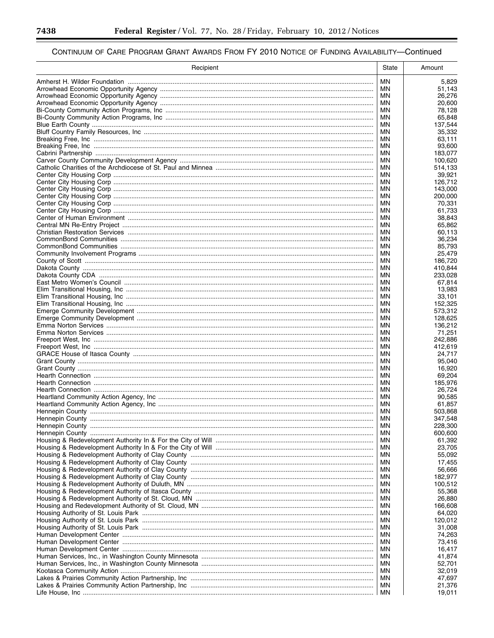▀

| Recipient | State    | Amount             |
|-----------|----------|--------------------|
|           | MN       | 5,829              |
|           | MN       | 51,143             |
|           | ΜN       | 26,276             |
|           | MN       | 20,600             |
|           | ΜN<br>MN | 78,128<br>65,848   |
|           | MN       | 137,544            |
|           | MN       | 35,332             |
|           | ΜN       | 63,111             |
|           | ΜN       | 93,600             |
|           | ΜN       | 183,077            |
|           | ΜN       | 100,620            |
|           | ΜN       | 514,133            |
|           | ΜN<br>ΜN | 39,921<br>126,712  |
|           | MN       | 143,000            |
|           | ΜN       | 200,000            |
|           | ΜN       | 70,331             |
|           | ΜN       | 61,733             |
|           | ΜN       | 38,843             |
|           | ΜN       | 65,862             |
|           | ΜN<br>MN | 60,113<br>36,234   |
|           | ΜN       | 85,793             |
|           | MN       | 25,479             |
|           | ΜN       | 186,720            |
|           | MN       | 410,844            |
|           | ΜN       | 233.028            |
|           | MN       | 67,814             |
|           | ΜN       | 13,983             |
|           | MN<br>ΜN | 33,101<br>152,325  |
|           | MN       | 573,312            |
|           | ΜN       | 128,625            |
|           | MN       | 136,212            |
|           | MN       | 71,251             |
|           | MN       | 242,886            |
|           | MN       | 412.619            |
|           | ΜN<br>ΜN | 24,717<br>95,040   |
|           | ΜN       | 16,920             |
|           | ΜN       | 69,204             |
|           | ΜN       | 185,976            |
|           | ΜN       | 26,724             |
|           | ΜN       | 90.585             |
|           | ΜN       | 61,857             |
|           | MN<br>MN | 503,868            |
|           | ΜN       | 347,548<br>228,300 |
|           | ΜN       | 600,600            |
|           | ΜN       | 61,392             |
|           | ΜN       | 23,705             |
|           | ΜN       | 55,092             |
|           | ΜN       | 17,455             |
|           | ΜN       | 56,666             |
|           | ΜN<br>ΜN | 182,977            |
|           | ΜN       | 100,512<br>55,368  |
|           | ΜN       | 26,880             |
|           | ΜN       | 166,608            |
|           | ΜN       | 64,020             |
|           | ΜN       | 120,012            |
|           | ΜN       | 31,008             |
|           | ΜN       | 74,263             |
|           | ΜN<br>ΜN | 73,416             |
|           | ΜN       | 16,417<br>41,874   |
|           | ΜN       | 52,701             |
|           | ΜN       | 32,019             |
|           | ΜN       | 47,697             |
|           | ΜN       | 21,376             |
|           | МN       | 19,011             |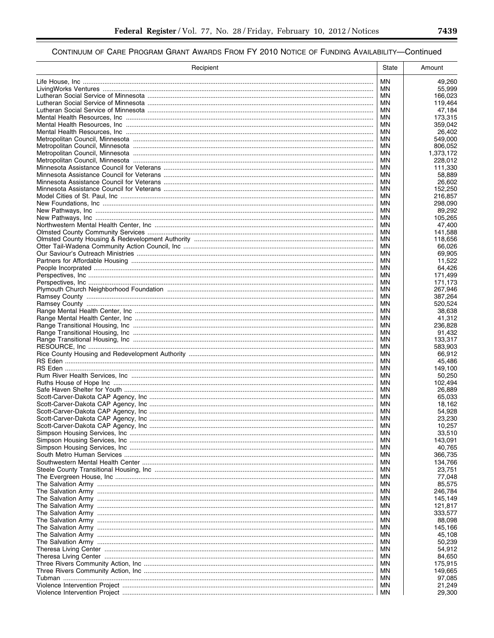| Recipient | <b>State</b> | Amount            |
|-----------|--------------|-------------------|
|           | MN.          | 49,260            |
|           | <b>MN</b>    | 55.999            |
|           | ΜN           | 166,023           |
|           | MN.          | 119,464           |
|           | <b>MN</b>    | 47,184            |
|           | <b>MN</b>    | 173,315           |
|           | ΜN<br>MN     | 359,042<br>26,402 |
|           | <b>MN</b>    | 549,000           |
|           | <b>MN</b>    | 806,052           |
|           | MN           | 1,373,172         |
|           | MN           | 228,012           |
|           | ΜN           | 111,330           |
|           | ΜN           | 58.889            |
|           | ΜN<br>ΜN     | 26,602<br>152,250 |
|           | ΜN           | 216,857           |
|           | ΜN           | 298,090           |
|           | ΜN           | 89,292            |
|           | ΜN           | 105,265           |
|           | ΜN           | 47,400            |
|           | ΜN           | 141,588           |
|           | ΜN           | 118,656           |
|           | ΜN<br>ΜN     | 66,026<br>69,905  |
|           | ΜN           | 11,522            |
|           | ΜN           | 64,426            |
|           | ΜN           | 171,499           |
|           | MN           | 171,173           |
|           | ΜN           | 267,946           |
|           | MN           | 387,264           |
|           | <b>MN</b>    | 520,524           |
|           | MN.<br>ΜN    | 38,638<br>41,312  |
|           | MN           | 236,828           |
|           | ΜN           | 91,432            |
|           | MN           | 133,317           |
|           | ΜN           | 583,903           |
|           | MN           | 66,912            |
|           | MN           | 45,486            |
|           | MN           | 149,100           |
|           | MN<br>ΜN     | 50,250<br>102.494 |
|           | ΜN           | 26,889            |
|           | ΜN           | 65,033            |
|           | ΜN           | 18,162            |
|           | ΜN           | 54,928            |
|           | ΜN           | 23,230            |
|           | ΜN           | 10,257            |
|           | ΜN           | 33,510            |
|           | ΜN<br>ΜN     | 143,091<br>40,765 |
|           | ΜN           | 366,735           |
|           | ΜN           | 134,766           |
|           | ΜN           | 23,751            |
|           | ΜN           | 77,048            |
|           | ΜN           | 85,575            |
|           | ΜN           | 246,784           |
|           | ΜN           | 145,149           |
|           | ΜN           | 121,817           |
|           | ΜN<br>ΜN     | 333,577<br>88,098 |
|           | ΜN           | 145,166           |
|           | ΜN           | 45,108            |
|           | ΜN           | 50,239            |
|           | ΜN           | 54,912            |
|           | ΜN           | 84,650            |
|           | ΜN           | 175,915           |
|           | ΜN           | 149,665           |
|           | ΜN<br>ΜN     | 97,085<br>21,249  |
|           | ΜN           | 29,300            |
|           |              |                   |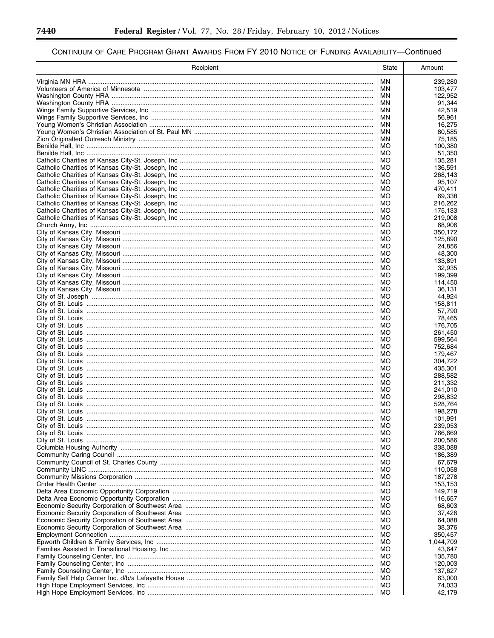▀

| Recipient | <b>State</b>    | Amount             |
|-----------|-----------------|--------------------|
|           | MN              | 239,280            |
|           | ΜN              | 103,477            |
|           | ΜN              | 122,952            |
|           | ΜN<br>ΜN        | 91,344             |
|           | MN.             | 42,519<br>56,961   |
|           | ΜN              | 16,275             |
|           | MN              | 80,585             |
|           | ΜN              | 75,185             |
|           | MO              | 100,380            |
|           | <b>MO</b><br>MO | 51,350<br>135,281  |
|           | MO              | 136,591            |
|           | MO              | 268,143            |
|           | MO              | 95,107             |
|           | MO              | 470,411            |
|           | МO<br>МO        | 69,338<br>216,262  |
|           | МO              | 175,133            |
|           | MO              | 219,008            |
|           | МO              | 68,906             |
|           | МO              | 350,172            |
|           | МO<br>МO        | 125,890<br>24,856  |
|           | МO              | 48,300             |
|           | МO              | 133,891            |
|           | МO              | 32,935             |
|           | МO              | 199.399            |
|           | MO              | 114,450<br>36.131  |
|           | МO<br>MO        | 44,924             |
|           | МO              | 158,811            |
|           | MO              | 57,790             |
|           | МO              | 78,465             |
|           | MO              | 176,705            |
|           | МO<br>MO        | 261,450<br>599,564 |
|           | МO              | 752,684            |
|           | MO              | 179,467            |
|           | МO              | 304,722            |
|           | MO              | 435,301            |
|           | <b>MO</b><br>MO | 288,582<br>211,332 |
|           | MO              | 241,010            |
|           | MO              | 298,832            |
|           | MO              | 528,764            |
|           | MO              | 198,278            |
|           | MO<br>MO        | 101,991            |
|           | MO              | 239,053<br>766,669 |
|           | MO              | 200,586            |
|           | MO              | 338,088            |
|           | MO              | 186,389            |
|           | МO              | 67,679             |
|           | MO<br>MO        | 110,058<br>187,278 |
|           | MO              | 153,153            |
|           | МO              | 149,719            |
|           | MO              | 116,657            |
|           | MO              | 68,603             |
|           | MO              | 37,426             |
|           | МO<br>MO        | 64,088<br>38,376   |
|           | МO              | 350,457            |
|           | MO              | 1,044,709          |
|           | МO              | 43,647             |
|           | MO              | 135,780            |
|           | MO              | 120,003            |
|           | MO<br>MO        | 137,627<br>63,000  |
|           | MO              | 74,033             |
|           | MO              | 42,179             |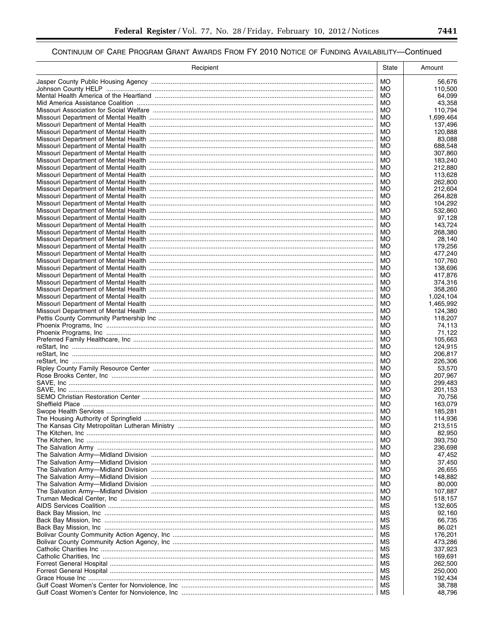$\equiv$ 

| Recipient | State           | Amount               |
|-----------|-----------------|----------------------|
|           | MO.             | 56,676               |
|           | MO.             | 110,500              |
|           | МO              | 64,099               |
|           | MO<br>МO        | 43,358               |
|           | <b>MO</b>       | 110,794<br>1,699,464 |
|           | МO              | 137,496              |
|           | MO              | 120,888              |
|           | МO              | 83,088               |
|           | MO              | 688,548              |
|           | МO<br>MO        | 307,860<br>183,240   |
|           | МO              | 212,880              |
|           | MO              | 113,628              |
|           | MO              | 262,800              |
|           | MO<br>МO        | 212,604              |
|           | МO              | 264,828<br>104,292   |
|           | МO              | 532,860              |
|           | МO              | 97,128               |
|           | МO              | 143,724              |
|           | МO              | 268,380              |
|           | МO<br>МO        | 28,140<br>179,256    |
|           | МO              | 477,240              |
|           | МO              | 107,760              |
|           | МO              | 138.696              |
|           | МO              | 417,876              |
|           | MO<br>МO        | 374,316<br>358,260   |
|           | MO              | 1,024,104            |
|           | МO              | 1,465,992            |
|           | MO              | 124,380              |
|           | МO              | 118,207              |
|           | MO<br>МO        | 74,113<br>71,122     |
|           | MO              | 105,663              |
|           | МO              | 124,915              |
|           | MO              | 206,817              |
|           | МO              | 226,306              |
|           | MO<br>МO        | 53,570<br>207,967    |
|           | MO              | 299,483              |
|           | MO              | 201,153              |
|           | MO              | 70,756               |
|           | MO              | 163,079              |
|           | MO<br><b>MO</b> | 185,281<br>114,936   |
|           | MO              | 213,515              |
|           | МO              | 82,950               |
|           | MO              | 393,750              |
|           | МO              | 236,698              |
|           | MO<br>МO        | 47,452<br>37,450     |
|           | МO              | 26,655               |
|           | МO              | 148,882              |
|           | МO              | 80,000               |
|           | МO              | 107,887              |
|           | МO              | 518,157              |
|           | МS<br>мs        | 132,605<br>92,160    |
|           | ΜS              | 66,735               |
|           | МS              | 86,021               |
|           | ΜS              | 176,201              |
|           | мs              | 473,286              |
|           | ΜS<br>мs        | 337,923<br>169,691   |
|           | МS              | 262,500              |
|           | МS              | 250,000              |
|           | ΜS              | 192,434              |
|           | МS              | 38,788               |
|           | МS              | 48,796               |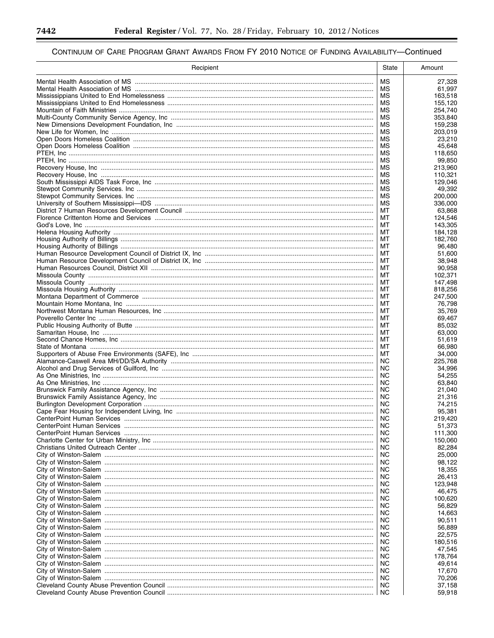▀

| Recipient | <b>State</b>           | Amount             |
|-----------|------------------------|--------------------|
|           | МS                     | 27,328             |
|           | МS                     | 61,997             |
|           | МS                     | 163,518            |
|           | МS                     | 155,120            |
|           | МS<br>МS               | 254,740<br>353,840 |
|           | ΜS                     | 159,238            |
|           | МS                     | 203,019            |
|           | МS                     | 23,210             |
|           | МS                     | 45,648             |
|           | МS<br>МS               | 118,650<br>99,850  |
|           | МS                     | 213.960            |
|           | МS                     | 110,321            |
|           | МS                     | 129,046            |
|           | МS                     | 49,392             |
|           | МS<br>МS               | 200,000<br>336,000 |
|           | МT                     | 63,868             |
|           | МT                     | 124,546            |
|           | МT                     | 143,305            |
|           | МT                     | 184,128            |
|           | MT<br>МT               | 182,760<br>96.480  |
|           | МT                     | 51.600             |
|           | МT                     | 38,948             |
|           | МT                     | 90,958             |
|           | МT                     | 102.371            |
|           | МT<br>МT               | 147,498<br>818,256 |
|           | МT                     | 247,500            |
|           | МT                     | 76,798             |
|           | МT                     | 35,769             |
|           | МT                     | 69,467             |
|           | МT<br>МT               | 85,032<br>63,000   |
|           | МT                     | 51,619             |
|           | MT                     | 66,980             |
|           | МT                     | 34,000             |
|           | NC.                    | 225,768            |
|           | NC.<br>NC.             | 34,996<br>54,255   |
|           | NC                     | 63.840             |
|           | NC                     | 21.040             |
|           | ΝC                     | 21,316             |
|           | NC                     | 74,215             |
|           | NC<br><b>NC</b>        | 95,381<br>219,420  |
|           | NC                     | 51,373             |
|           | <b>NC</b>              | 111,300            |
|           | <b>NC</b>              | 150,060            |
|           | <b>NC</b>              | 82,284             |
|           | <b>NC</b><br><b>NC</b> | 25,000<br>98,122   |
|           | <b>NC</b>              | 18,355             |
|           | <b>NC</b>              | 26,413             |
|           | <b>NC</b>              | 123,948            |
|           | NC                     | 46,475             |
|           | <b>NC</b><br><b>NC</b> | 100,620<br>56,829  |
|           | <b>NC</b>              | 14,663             |
|           | NC                     | 90,511             |
|           | <b>NC</b>              | 56,889             |
|           | NC                     | 22,575             |
|           | <b>NC</b><br>NC        | 180,516<br>47,545  |
|           | <b>NC</b>              | 178,764            |
|           | <b>NC</b>              | 49,614             |
|           | <b>NC</b>              | 17,670             |
|           | <b>NC</b>              | 70,206             |
|           | <b>NC</b>              | 37,158             |
|           | NC                     | 59,918             |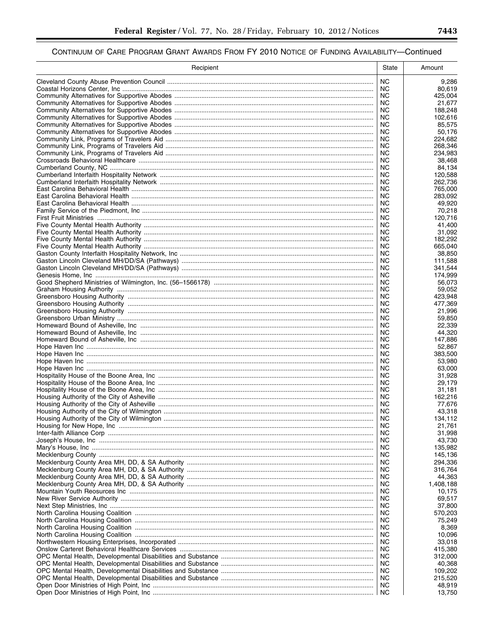| Recipient | State                  | Amount             |
|-----------|------------------------|--------------------|
|           | NC.                    | 9,286              |
|           | ΝC                     | 80,619             |
|           | <b>NC</b><br><b>NC</b> | 425,004            |
|           | <b>NC</b>              | 21,677<br>188,248  |
|           | NC.                    | 102,616            |
|           | <b>NC</b>              | 85,575             |
|           | NC.                    | 50,176             |
|           | NC.<br>ΝC              | 224,682<br>268.346 |
|           | NC.                    | 234,983            |
|           | ΝC                     | 38.468             |
|           | NC.                    | 84,134             |
|           | NC.<br><b>NC</b>       | 120.588<br>262,736 |
|           | NC.                    | 765,000            |
|           | <b>NC</b>              | 283,092            |
|           | NC.                    | 49,920             |
|           | <b>NC</b><br>NC.       | 70,218<br>120,716  |
|           | NC.                    | 41,400             |
|           | NC.                    | 31,092             |
|           | <b>NC</b>              | 182,292            |
|           | NC.<br>NC.             | 665,040<br>38,850  |
|           | NC.                    | 111,588            |
|           | NC.                    | 341,544            |
|           | NC.                    | 174,999            |
|           | <b>NC</b><br><b>NC</b> | 56,073<br>59,052   |
|           | <b>NC</b>              | 423,948            |
|           | <b>NC</b>              | 477,369            |
|           | <b>NC</b>              | 21,996             |
|           | <b>NC</b><br><b>NC</b> | 59,850<br>22,339   |
|           | NC.                    | 44,320             |
|           | NC.                    | 147,886            |
|           | <b>NC</b>              | 52,867             |
|           | NC.<br>NC.             | 383,500<br>53,980  |
|           | ΝC                     | 63,000             |
|           | NC.                    | 31.928             |
|           | NC.<br>NC.             | 29.179<br>31,181   |
|           | NC.                    | 162,216            |
|           | ΝC                     | 77,676             |
|           | NC.                    | 43,318             |
|           | NC.<br><b>NC</b>       | 134.112<br>21,761  |
|           | NC.                    | 31,998             |
|           | NC.                    | 43,730             |
|           | NC.                    | 135,982            |
|           | <b>NC</b><br>NC        | 145,136<br>294,336 |
|           | <b>NC</b>              | 316,764            |
|           | NC.                    | 44,363             |
|           | <b>NC</b>              | 1,408,188          |
|           | NC<br><b>NC</b>        | 10,175<br>69,517   |
|           | NC.                    | 37,800             |
|           | NC.                    | 570,203            |
|           | NС<br><b>NC</b>        | 75,249             |
|           | NC.                    | 8,369<br>10,096    |
|           | NC.                    | 33,018             |
|           | NC                     | 415,380            |
|           | <b>NC</b><br>NC.       | 312,000<br>40,368  |
|           | <b>NC</b>              | 109,202            |
|           | NC.                    | 215,520            |
|           | NC.                    | 48,919             |
|           | NC.                    | 13,750             |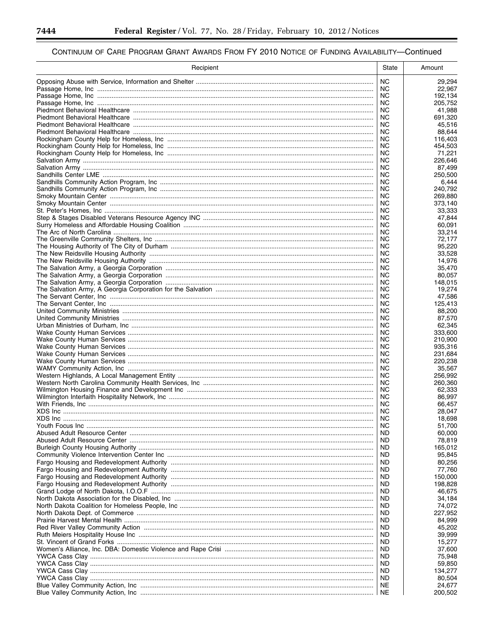▀

| Recipient | State            | Amount            |
|-----------|------------------|-------------------|
|           | NC.              | 29,294            |
|           | NC.              | 22,967            |
|           | NC               | 192,134           |
|           | NC.<br><b>NC</b> | 205.752           |
|           | NC.              | 41,988<br>691,320 |
|           | NC               | 45,516            |
|           | NC.              | 88.644            |
|           | NC               | 116,403           |
|           | NC               | 454,503           |
|           | NC               | 71,221            |
|           | NC.              | 226,646           |
|           | NC               | 87,499            |
|           | NC.<br>NC        | 250,500<br>6,444  |
|           | <b>NC</b>        | 240,792           |
|           | NC               | 269,880           |
|           | NC.              | 373,140           |
|           | <b>NC</b>        | 33,333            |
|           | <b>NC</b>        | 47,844            |
|           | NC               | 60,091            |
|           | NC               | 33,214            |
|           | NC.<br>NC        | 72,177<br>95,220  |
|           | NC               | 33,528            |
|           | NC               | 14,976            |
|           | NC               | 35.470            |
|           | NC               | 80.057            |
|           | NC               | 148,015           |
|           | NC               | 19,274            |
|           | NC.              | 47,586            |
|           | NC<br>NC.        | 125,413           |
|           | NC               | 88,200<br>87,570  |
|           | NC.              | 62,345            |
|           | NC               | 333,600           |
|           | NC.              | 210,900           |
|           | NC.              | 935,316           |
|           | NC               | 231,684           |
|           | NC               | 220,238           |
|           | NC<br>NC.        | 35,567<br>256,992 |
|           | NC.              | 260,360           |
|           | NC.              | 62,333            |
|           | NC.              | 86,997            |
|           | NC               | 66,457            |
|           | NC               | 28,047            |
|           | NC.              | 18,698            |
|           | <b>NC</b>        | 51,700            |
|           | ND.              | 60,000            |
|           | ND.<br>ND        | 78,819            |
|           | ND.              | 165,012<br>95,845 |
|           | ND               | 80,256            |
|           | ND.              | 77,760            |
|           | ND               | 150,000           |
|           | ND.              | 198,828           |
|           | ND               | 46,675            |
|           | ND.              | 34,184            |
|           | ND               | 74,072            |
|           | ND.<br>ND        | 227,952           |
|           | ND.              | 84,999<br>45,202  |
|           | ND               | 39,999            |
|           | ND               | 15,277            |
|           | ND               | 37,600            |
|           | ND.              | 75,948            |
|           | ND               | 59,850            |
|           | ND.              | 134,277           |
|           | ND.              | 80,504            |
|           | NE<br>NE         | 24,677            |
|           |                  | 200,502           |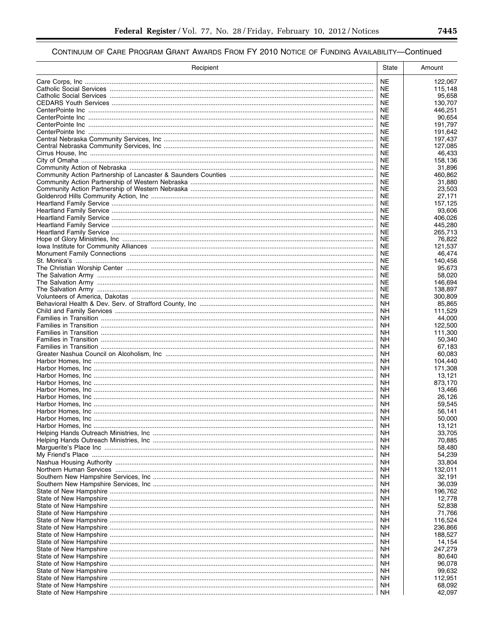| Recipient | State                  | Amount             |
|-----------|------------------------|--------------------|
|           | <b>NE</b>              | 122,067            |
|           | NE                     | 115,148            |
|           | NE                     | 95,658             |
|           | NE                     | 130,707            |
|           | <b>NE</b>              | 446,251            |
|           | <b>NE</b>              | 90,654             |
|           | NE.<br><b>NE</b>       | 191,797<br>191,642 |
|           | <b>NE</b>              | 197,437            |
|           | NE.                    | 127,085            |
|           | <b>NE</b>              | 46,433             |
|           | NE.                    | 158,136            |
|           | NE                     | 31,896             |
|           | NE                     | 460,862            |
|           | NE                     | 31,880             |
|           | NE<br>NE               | 23,503<br>27,171   |
|           | NE                     | 157,125            |
|           | <b>NE</b>              | 93,606             |
|           | NE                     | 406,026            |
|           | NE                     | 445,280            |
|           | NE                     | 265,713            |
|           | <b>NE</b>              | 76,822             |
|           | <b>NE</b><br><b>NE</b> | 121,537<br>46,474  |
|           | <b>NE</b>              | 140,456            |
|           | <b>NE</b>              | 95,673             |
|           | NE                     | 58,020             |
|           | NE                     | 146,694            |
|           | <b>NE</b>              | 138,897            |
|           | <b>NE</b>              | 300,809            |
|           | NΗ                     | 85,865             |
|           | <b>NH</b><br>NΗ        | 111,529<br>44,000  |
|           | NΗ                     | 122,500            |
|           | NΗ                     | 111,300            |
|           | NΗ                     | 50,340             |
|           | NΗ                     | 67,183             |
|           | NΗ                     | 60,083             |
|           | NΗ                     | 104,440            |
|           | NΗ<br>NΗ               | 171,308<br>13,121  |
|           | NΗ                     | 873,170            |
|           | NΗ                     | 13,466             |
|           | NΗ                     | 26,126             |
|           | NΗ                     | 59,545             |
|           | NΗ                     | 56,141             |
|           | <b>NH</b>              | 50,000             |
|           | ΝH                     | 13,121             |
|           | <b>NH</b><br><b>NH</b> | 33,705<br>70,885   |
|           | <b>NH</b>              | 58,480             |
|           | <b>NH</b>              | 54,239             |
|           | <b>NH</b>              | 33,804             |
|           | <b>NH</b>              | 132,011            |
|           | <b>NH</b>              | 32,191             |
|           | <b>NH</b>              | 36,039             |
|           | <b>NH</b><br><b>NH</b> | 196,762<br>12,778  |
|           | <b>NH</b>              | 52,838             |
|           | <b>NH</b>              | 71,766             |
|           | <b>NH</b>              | 116,524            |
|           | <b>NH</b>              | 236,866            |
|           | <b>NH</b>              | 188,527            |
|           | <b>NH</b>              | 14,154             |
|           | <b>NH</b>              | 247,279            |
|           | <b>NH</b><br><b>NH</b> | 80,640<br>96,078   |
|           | <b>NH</b>              | 99,632             |
|           | <b>NH</b>              | 112,951            |
|           | <b>NH</b>              | 68,092             |
|           | <b>NH</b>              | 42,097             |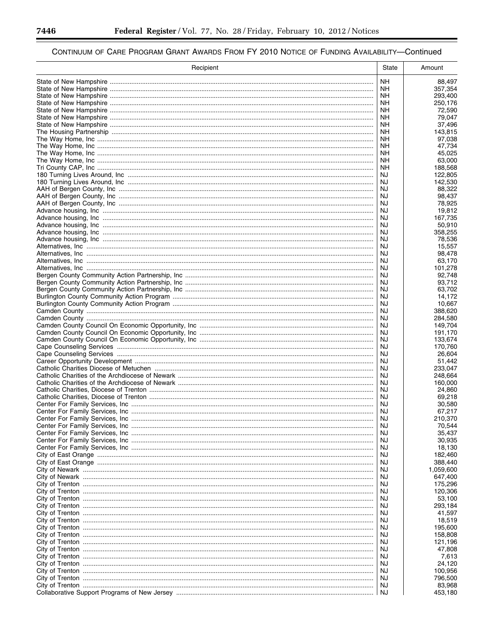-

▀

| Recipient | State           | Amount               |
|-----------|-----------------|----------------------|
|           | <b>NH</b>       | 88,497               |
|           | NΗ              | 357,354              |
|           | NΗ<br>NΗ        | 293,400              |
|           | NΗ              | 250,176<br>72,590    |
|           | ΝH              | 79,047               |
|           | NΗ              | 37,496               |
|           | <b>NH</b>       | 143,815              |
|           | NΗ<br><b>NH</b> | 97,038<br>47,734     |
|           | NΗ              | 45.025               |
|           | ΝH              | 63,000               |
|           | NΗ              | 188,568              |
|           | NJ<br>NJ        | 122,805<br>142,530   |
|           | NJ              | 88,322               |
|           | NJ              | 98,437               |
|           | NJ              | 78,925               |
|           | NJ<br>NJ        | 19,812<br>167,735    |
|           | NJ              | 50,910               |
|           | NJ              | 358,255              |
|           | NJ              | 78,536               |
|           | NJ<br>NJ        | 15,557<br>98,478     |
|           | NJ              | 63,170               |
|           | NJ              | 101,278              |
|           | NJ              | 92.748               |
|           | NJ<br>NJ        | 93,712<br>63,702     |
|           | NJ              | 14,172               |
|           | NJ              | 10,667               |
|           | NJ              | 388,620              |
|           | NJ<br>NJ        | 284,580<br>149,704   |
|           | NJ              | 191,170              |
|           | NJ              | 133,674              |
|           | NJ              | 170,760              |
|           | NJ<br>NJ        | 26,604<br>51,442     |
|           | NJ              | 233,047              |
|           | NJ              | 248,664              |
|           | NJ<br>NJ        | 160,000              |
|           | NJ              | 24,860<br>69,218     |
|           | NJ              | 30,580               |
|           | NJ              | 67,217               |
|           | NJ              | 210,370              |
|           | NJ<br>NJ        | 70,544<br>35,437     |
|           | ΝJ              | 30,935               |
|           | NJ              | 18,130               |
|           | NJ              | 182,460              |
|           | NJ<br>NJ        | 388,440<br>1,059,600 |
|           | NJ              | 647,400              |
|           | NJ              | 175,296              |
|           | NJ              | 120,306              |
|           | NJ<br>NJ        | 53,100<br>293,184    |
|           | NJ              | 41,597               |
|           | NJ              | 18,519               |
|           | NJ              | 195,600              |
|           | NJ<br>NJ        | 158,808<br>121,196   |
|           | NJ              | 47,808               |
|           | NJ              | 7,613                |
|           | NJ              | 24,120               |
|           | NJ<br>NJ        | 100,956<br>796,500   |
|           | NJ              | 83,968               |
|           | NJ              | 453,180              |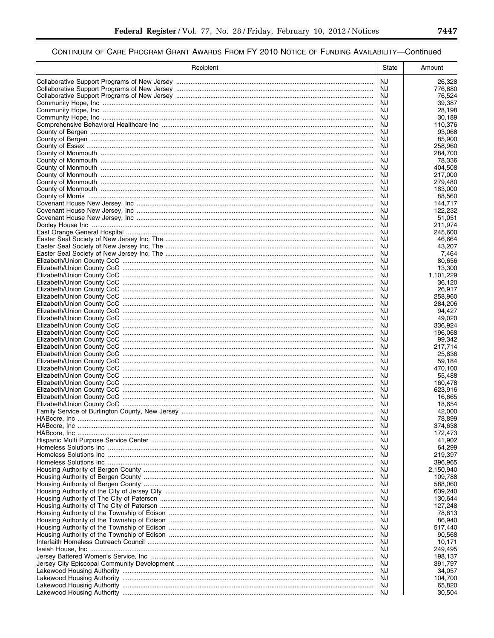$\equiv$ 

| Recipient | State           | Amount               |
|-----------|-----------------|----------------------|
|           | <b>NJ</b>       | 26,328               |
|           | NJ              | 776,880              |
|           | NJ<br>NJ        | 76,524<br>39,387     |
|           | <b>NJ</b>       | 28,198               |
|           | NJ              | 30,189               |
|           | NJ              | 110,376              |
|           | NJ              | 93,068               |
|           | NJ              | 85,900               |
|           | NJ<br>NJ        | 258,960<br>284,700   |
|           | NJ              | 78,336               |
|           | NJ              | 404,508              |
|           | NJ              | 217,000              |
|           | NJ              | 279,480              |
|           | NJ<br>NJ        | 183,000<br>88,560    |
|           | NJ              | 144,717              |
|           | NJ              | 122,232              |
|           | NJ              | 51,051               |
|           | NJ              | 211,974              |
|           | NJ<br>NJ        | 245,600              |
|           | NJ              | 46,664<br>43.207     |
|           | NJ              | 7,464                |
|           | NJ              | 80.656               |
|           | NJ              | 13,300               |
|           | NJ              | 1,101,229            |
|           | <b>NJ</b><br>NJ | 36,120<br>26,917     |
|           | <b>NJ</b>       | 258,960              |
|           | NJ              | 284,206              |
|           | NJ              | 94,427               |
|           | <b>NJ</b>       | 49,020               |
|           | NJ<br>NJ        | 336,924<br>196,068   |
|           | NJ              | 99,342               |
|           | NJ              | 217,714              |
|           | NJ              | 25,836               |
|           | NJ              | 59,184               |
|           | NJ              | 470,100              |
|           | NJ<br>NJ        | 55,488<br>160,478    |
|           | NJ              | 623,916              |
|           | NJ              | 16,665               |
|           | NJ              | 18,654               |
|           | NJ              | 42,000               |
|           | NJ<br>NJ        | 78,899<br>374,638    |
|           | NJ              | 172,473              |
|           | NJ              | 41,902               |
|           | NJ              | 64,299               |
|           | NJ              | 219,397              |
|           | NJ<br>NJ        | 396,965<br>2,150,940 |
|           | NJ              | 109,788              |
|           | NJ              | 588,060              |
|           | NJ              | 639,240              |
|           | NJ              | 130,644              |
|           | NJ              | 127,248              |
|           | NJ<br>NJ        | 78,813<br>86,940     |
|           | NJ              | 517,440              |
|           | NJ              | 90,568               |
|           | NJ              | 10,171               |
|           | NJ              | 249,495              |
|           | NJ<br>NJ        | 198,137<br>391,797   |
|           | NJ              | 34,057               |
|           | NJ              | 104,700              |
|           | NJ              | 65,820               |
|           | NJ              | 30,504               |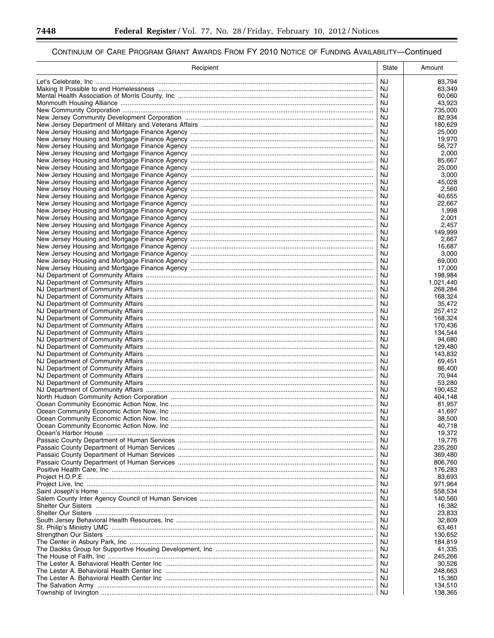▀

# CONTINUUM OF CARE PROGRAM GRANT AWARDS FROM FY 2010 NOTICE OF FUNDING AVAILABILITY-Continued

| Recipient                                                                         | State    | Amount             |
|-----------------------------------------------------------------------------------|----------|--------------------|
|                                                                                   | NJ       | 83,794             |
|                                                                                   | NJ       | 63,349             |
| Mental Health Association of Morris County, Inc ……………………………………………………………………………………… | NJ       | 60,060             |
|                                                                                   | NJ       | 43,923             |
|                                                                                   | NJ       | 735,000            |
|                                                                                   | NJ<br>NJ | 82,934<br>180,629  |
|                                                                                   | NJ       | 25,000             |
|                                                                                   | NJ       | 19,970             |
|                                                                                   | NJ       | 56,727             |
|                                                                                   | NJ       | 2,000              |
|                                                                                   | NJ       | 85.667             |
|                                                                                   | NJ       | 25,000             |
|                                                                                   | NJ       | 3,000              |
|                                                                                   | NJ       | 45,028             |
|                                                                                   | NJ<br>NJ | 2,560<br>40,655    |
|                                                                                   | NJ       | 22,667             |
|                                                                                   | NJ       | 1,998              |
|                                                                                   | NJ       | 2,001              |
|                                                                                   | NJ       | 2,457              |
|                                                                                   | NJ       | 149.999            |
|                                                                                   | NJ       | 2,667              |
|                                                                                   | NJ       | 16,687             |
|                                                                                   | NJ       | 3,000              |
|                                                                                   | NJ       | 69,000             |
|                                                                                   | NJ<br>NJ | 17,000<br>198,984  |
|                                                                                   | NJ       | 1,021,440          |
|                                                                                   | NJ       | 268,284            |
|                                                                                   | NJ       | 168,324            |
|                                                                                   | NJ       | 35,472             |
|                                                                                   | NJ       | 257,412            |
|                                                                                   | NJ       | 168,324            |
|                                                                                   | NJ       | 170,436            |
|                                                                                   | NJ       | 134,544            |
|                                                                                   | NJ       | 94,680             |
|                                                                                   | NJ<br>NJ | 129,480<br>143,832 |
|                                                                                   | NJ       | 69,451             |
|                                                                                   | NJ       | 86,400             |
|                                                                                   | NJ       | 70,944             |
|                                                                                   | NJ       | 53,280             |
|                                                                                   | NJ       | 190,452            |
|                                                                                   | NJ       | 404,148            |
|                                                                                   | NJ       | 81,957             |
|                                                                                   | NJ       | 41,697             |
|                                                                                   | NJ       | 38,500             |
|                                                                                   | NJ       | 40,718             |
|                                                                                   | NJ<br>NJ | 19,372<br>19,776   |
|                                                                                   | NJ       | 235,260            |
|                                                                                   | NJ       | 369,480            |
|                                                                                   | NJ       | 806,760            |
|                                                                                   | NJ       | 176,283            |
|                                                                                   | NJ       | 83,693             |
|                                                                                   | NJ       | 971,964            |
|                                                                                   | NJ       | 558,534            |
|                                                                                   | NJ       | 140,560            |
|                                                                                   | NJ       | 16,382             |
|                                                                                   | NJ<br>NJ | 23,833<br>32,809   |
|                                                                                   | NJ       | 63,461             |
|                                                                                   | NJ       | 130,652            |
|                                                                                   | NJ       | 184,819            |
|                                                                                   | NJ       | 41,335             |
|                                                                                   | NJ       | 245,266            |
|                                                                                   | NJ       | 30,526             |
|                                                                                   | NJ       | 248,663            |
|                                                                                   | NJ       | 15,360             |
|                                                                                   | NJ       | 134,510            |
|                                                                                   | NJ       | 138,365            |

۳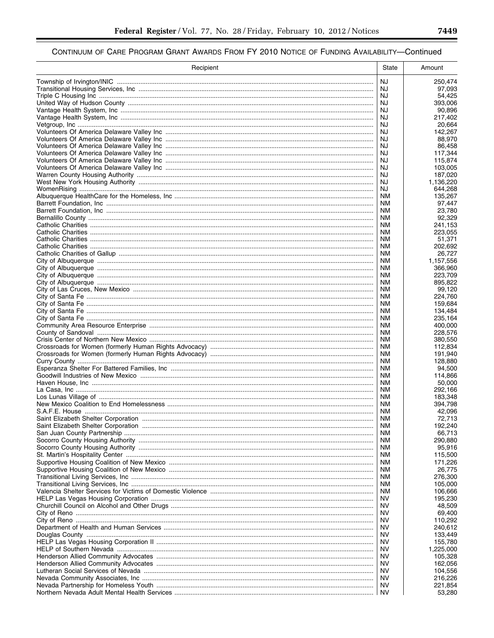▀

| Recipient | State                  | Amount             |
|-----------|------------------------|--------------------|
|           | NJ                     | 250,474            |
|           | NJ.                    | 97.093             |
|           | NJ                     | 54,425             |
|           | NJ                     | 393,006            |
|           | NJ<br>NJ.              | 90,896<br>217,402  |
|           | NJ                     | 20,664             |
|           | NJ                     | 142,267            |
|           | NJ                     | 88,970             |
|           | NJ                     | 86,458             |
|           | NJ<br>NJ               | 117,344<br>115,874 |
|           | NJ                     | 103.005            |
|           | NJ                     | 187,020            |
|           | NJ                     | 1,136,220          |
|           | NJ                     | 644,268            |
|           | ΝM<br><b>NM</b>        | 135,267<br>97,447  |
|           | ΝM                     | 23,780             |
|           | ΝM                     | 92,329             |
|           | <b>NM</b>              | 241,153            |
|           | ΝM                     | 223,055            |
|           | <b>NM</b><br>ΝM        | 51.371<br>202,692  |
|           | <b>NM</b>              | 26,727             |
|           | ΝM                     | 1,157,556          |
|           | <b>NM</b>              | 366,960            |
|           | ΝM                     | 223,709            |
|           | <b>NM</b>              | 895,822            |
|           | ΝM<br><b>NM</b>        | 99,120<br>224,760  |
|           | <b>NM</b>              | 159,684            |
|           | NM.                    | 134,484            |
|           | ΝM                     | 235,164            |
|           | NM.                    | 400,000            |
|           | <b>NM</b><br>NM.       | 228,576<br>380,550 |
|           | ΝM                     | 112,834            |
|           | <b>NM</b>              | 191,940            |
|           | ΝM                     | 128,880            |
|           | <b>NM</b>              | 94,500             |
|           | ΝM<br><b>NM</b>        | 114.866<br>50,000  |
|           | <b>NM</b>              | 292,166            |
|           | <b>NM</b>              | 183,348            |
|           | <b>NM</b>              | 394,798            |
|           | NM.                    | 42,096             |
|           | <b>NM</b><br><b>NM</b> | 72,713<br>192,240  |
|           | NM.                    | 66,713             |
|           | NM.                    | 290,880            |
|           | <b>NM</b>              | 95,916             |
|           | NM                     | 115,500            |
|           | <b>NM</b>              | 171,226            |
|           | NM.<br><b>NM</b>       | 26,775<br>276,300  |
|           | NM                     | 105,000            |
|           | NM                     | 106,666            |
|           | NV.                    | 195,230            |
|           | NV                     | 48,509             |
|           | NV.<br>NV              | 69,400<br>110,292  |
|           | NV.                    | 240,612            |
|           | NV                     | 133,449            |
|           | NV.                    | 155,780            |
|           | NV                     | 1,225,000          |
|           | NV.                    | 105,328            |
|           | NV<br><b>NV</b>        | 162,056<br>104,556 |
|           | NV                     | 216,226            |
|           | <b>NV</b>              | 221,854            |
|           | ΝV                     | 53,280             |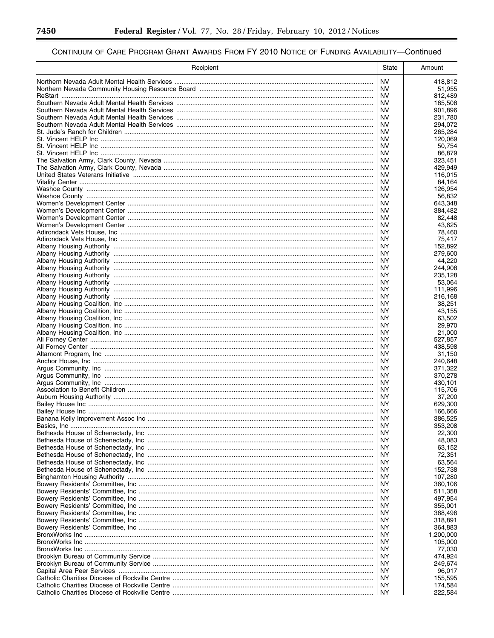▀

| Recipient | <b>State</b>           | Amount               |
|-----------|------------------------|----------------------|
|           | <b>NV</b>              | 418,812              |
|           | NV.                    | 51,955               |
|           | ΝV                     | 812,489              |
|           | <b>NV</b><br><b>NV</b> | 185,508              |
|           | <b>NV</b>              | 901,896<br>231,780   |
|           | ΝV                     | 294,072              |
|           | <b>NV</b>              | 265,284              |
|           | ΝV                     | 120,069              |
|           | <b>NV</b>              | 50,754               |
|           | <b>NV</b>              | 86,879               |
|           | <b>NV</b>              | 323,451              |
|           | <b>NV</b>              | 429,949              |
|           | <b>NV</b>              | 116,015              |
|           | <b>NV</b><br><b>NV</b> | 84,164<br>126.954    |
|           | <b>NV</b>              | 56,832               |
|           | <b>NV</b>              | 643,348              |
|           | <b>NV</b>              | 384,482              |
|           | <b>NV</b>              | 82,448               |
|           | <b>NV</b>              | 43,625               |
|           | NY.                    | 78.460               |
|           | <b>NY</b>              | 75,417               |
|           | ΝY                     | 152,892              |
|           | <b>NY</b>              | 279,600              |
|           | ΝY<br><b>NY</b>        | 44,220<br>244.908    |
|           | ΝY                     | 235,128              |
|           | NY.                    | 53,064               |
|           | ΝY                     | 111,996              |
|           | NY.                    | 216,168              |
|           | ΝY                     | 38,251               |
|           | NY.                    | 43,155               |
|           | ΝY                     | 63,502               |
|           | NY.                    | 29,970               |
|           | NY.                    | 21,000               |
|           | NY.<br>NY.             | 527,857<br>438,598   |
|           | NY.                    | 31,150               |
|           | <b>NY</b>              | 240,648              |
|           | NY.                    | 371,322              |
|           | <b>NY</b>              | 370,278              |
|           | NY.                    | 430,101              |
|           | NY.                    | 115,706              |
|           | NY.                    | 37,200               |
|           | NY.                    | 629.300              |
|           | NY.                    | 166,666              |
|           | NY.                    | 386.525              |
|           | ΝY<br>NY.              | 353,208<br>22,300    |
|           | NY.                    | 48,083               |
|           | ΝY                     | 63,152               |
|           | NY.                    | 72,351               |
|           | NY.                    | 63,564               |
|           | NY.                    | 152,738              |
|           | ΝY                     | 107,280              |
|           | NY.                    | 360.106              |
|           | ΝY                     | 511,358              |
|           | NY.                    | 497,954              |
|           | ΝY                     | 355,001              |
|           | NY.<br>ΝY              | 368,496              |
|           |                        | 318,891              |
|           | NY.<br>ΝY              | 364,883<br>1,200,000 |
|           | NY.                    | 105,000              |
|           | ΝY                     | 77,030               |
|           | NY.                    | 474,924              |
|           | ΝY                     | 249,674              |
|           | NY.                    | 96,017               |
|           | ΝY                     | 155,595              |
|           | NY.                    | 174,584              |
|           | NY.                    | 222,584              |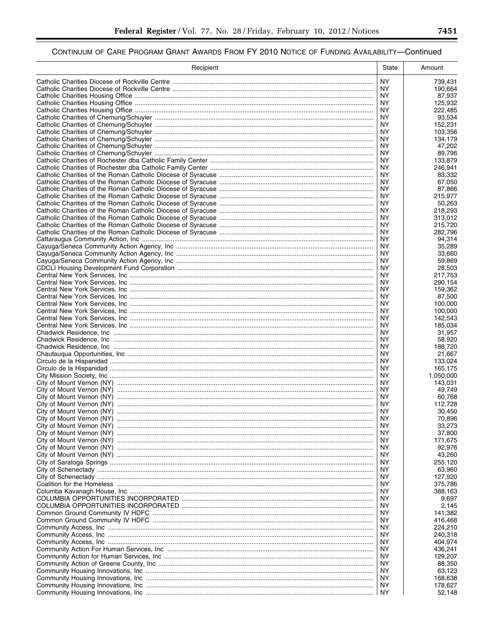| Recipient                                                                         | State            | Amount             |
|-----------------------------------------------------------------------------------|------------------|--------------------|
|                                                                                   | NY.              | 739,431            |
| Catholic Charities Diocese of Rockville Centre ………………………………………………………………………………………… | ΝY               | 190,664            |
|                                                                                   | NY.              | 87,937             |
|                                                                                   | ΝY<br>ΝY         | 125,932<br>222.485 |
|                                                                                   | NY.              | 93,534             |
|                                                                                   | ΝY               | 152,231            |
|                                                                                   | NY.              | 103,356            |
|                                                                                   | ΝY<br>NY.        | 134,179<br>47,202  |
|                                                                                   | NY               | 89,796             |
|                                                                                   | NY.              | 133,879            |
|                                                                                   | NY.              | 246,941            |
|                                                                                   | NY.<br><b>NY</b> | 83.332<br>67,050   |
|                                                                                   | NY.              | 87,866             |
|                                                                                   | ΝY               | 215,977            |
|                                                                                   | ΝY               | 50,263             |
|                                                                                   | NY.<br>ΝY        | 218,293            |
|                                                                                   | NY.              | 313,012<br>215,720 |
|                                                                                   | ΝY               | 282,796            |
|                                                                                   | <b>NY</b>        | 94,314             |
|                                                                                   | ΝY               | 35,289             |
|                                                                                   | <b>NY</b><br>ΝY  | 33,660<br>59,869   |
|                                                                                   | <b>NY</b>        | 28,503             |
|                                                                                   | NY               | 217,753            |
|                                                                                   | NY.              | 290,154            |
|                                                                                   | ΝY<br><b>NY</b>  | 159,362<br>87,500  |
|                                                                                   | ΝY               | 100,000            |
|                                                                                   | NY.              | 100,000            |
|                                                                                   | ΝY               | 142,543            |
|                                                                                   | NY.<br>ΝY        | 185,034<br>31,957  |
|                                                                                   | NY.              | 58,920             |
|                                                                                   | <b>NY</b>        | 188,720            |
|                                                                                   | NY.              | 21,667             |
|                                                                                   | NY<br>NY.        | 133,024<br>165,175 |
|                                                                                   | <b>NY</b>        | 1,050,000          |
|                                                                                   | NY.              | 143,031            |
|                                                                                   | <b>NY</b>        | 49,749             |
|                                                                                   | NY.<br><b>NY</b> | 60,768<br>112,728  |
|                                                                                   | NY.              | 30,450             |
|                                                                                   | <b>NY</b>        | 70,896             |
|                                                                                   | ΝY               | 33,273             |
|                                                                                   | NY.<br>NY.       | 37,800             |
|                                                                                   | ΝY               | 171,675<br>92,976  |
|                                                                                   | NY.              | 43,260             |
|                                                                                   | ΝY               | 255,120            |
|                                                                                   | NY.              | 63,960             |
|                                                                                   | ΝY<br>NY.        | 127,920<br>375,786 |
|                                                                                   | ΝY               | 388,163            |
|                                                                                   | NY.              | 9,697              |
|                                                                                   | ΝY               | 2,145              |
|                                                                                   | NY.<br>ΝY        | 141,382<br>416,468 |
|                                                                                   | NY.              | 224,210            |
|                                                                                   | ΝY               | 240,318            |
|                                                                                   | NY.<br>ΝY        | 404,974<br>436,241 |
|                                                                                   | NY.              | 129,207            |
|                                                                                   | ΝY               | 88,350             |
|                                                                                   | NY.              | 63,123             |
|                                                                                   | ΝY<br>NY.        | 168,638            |
|                                                                                   | ΝY               | 178,627<br>52,148  |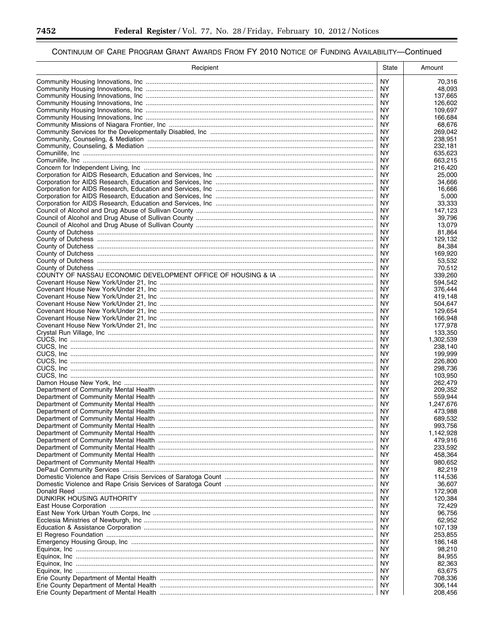▀

| Recipient | State            | Amount               |
|-----------|------------------|----------------------|
|           | <b>NY</b>        | 70,316               |
|           | NY.              | 48,093               |
|           | ΝY               | 137,665              |
|           | NY.              | 126,602              |
|           |                  | 109,697<br>166,684   |
|           | ΝY               | 68,676               |
|           | NY.              | 269,042              |
|           | ΝY               | 238,951              |
|           | NY.<br><b>NY</b> | 232,181              |
|           | <b>NY</b>        | 635,623<br>663,215   |
|           | NY.              | 216,420              |
|           | NY.              | 25,000               |
|           | <b>NY</b>        | 34,666               |
|           | NY.              | 16,666               |
|           | ΝY<br>ΝY         | 5,000<br>33,333      |
|           | ΝY               | 147,123              |
|           | NY.              | 39,796               |
|           | NY.              | 13,079               |
|           | ΝY               | 81,864               |
|           | <b>NY</b><br>ΝY  | 129,132<br>84,384    |
|           | <b>NY</b>        | 169,920              |
|           | NY.              | 53,532               |
|           | <b>NY</b>        | 70,512               |
|           | ΝY               | 339,260              |
|           | NY.              | 594,542              |
|           | NY.<br>NY.       | 376.444<br>419,148   |
|           | ΝY               | 504,647              |
|           |                  | 129,654              |
|           | ΝY               | 166,948              |
|           |                  | 177,978              |
|           | ΝY               | 133,350              |
|           | NY.<br><b>NY</b> | 1,302,539<br>238,140 |
|           | NY.              | 199,999              |
|           | <b>NY</b>        | 226,800              |
|           | <b>NY</b>        | 298,736              |
|           | <b>NY</b>        | 103,950              |
|           | NY.<br>NY.       | 262,479<br>209,352   |
|           | NY.              | 559,944              |
|           | NY.              | 1,247,676            |
|           | NY.              | 473,988              |
|           | <b>NY</b>        | 689.532              |
|           | ΝY               | 993,756              |
|           | ΝY<br>NY.        | 1,142,928<br>479,916 |
|           | ΝY               | 233,592              |
|           | ΝY               | 458,364              |
|           | ΝY               | 980,652              |
|           | NY.              | 82,219               |
|           | ΝY               | 114,536              |
|           | ΝY<br>ΝY         | 36,607<br>172,908    |
|           | NY.              | 120,384              |
|           | ΝY               | 72,429               |
|           | NY.              | 96,756               |
|           | ΝY               | 62,952               |
|           | NY.              | 107,139              |
|           | ΝY<br>NY.        | 253,855<br>186,148   |
|           | ΝY               | 98,210               |
|           | NY.              | 84,955               |
|           | ΝY               | 82,363               |
|           | NY.              | 63,675               |
|           | ΝY               | 708,336              |
|           | NY.<br>ΝY        | 306,144<br>208,456   |
|           |                  |                      |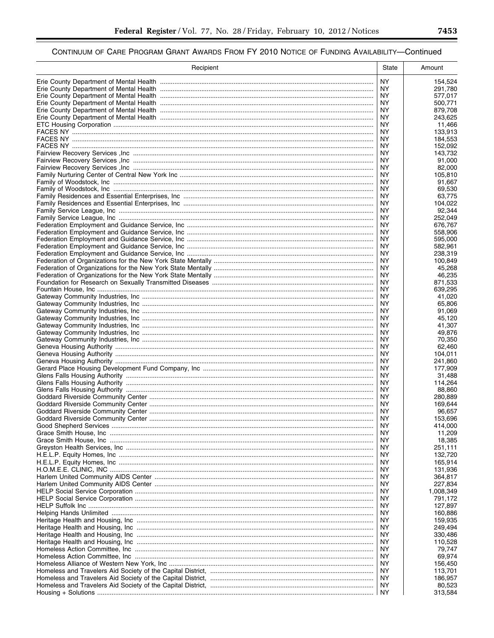| Recipient | State            | Amount             |
|-----------|------------------|--------------------|
|           | <b>NY</b>        | 154,524            |
|           | NY.              | 291,780            |
|           | ΝY               | 577,017            |
|           | NY.              | 500,771            |
|           | <b>NY</b>        | 879,708            |
|           | NY.<br><b>NY</b> | 243,625<br>11,466  |
|           | <b>NY</b>        | 133,913            |
|           | ΝY               | 184,553            |
|           | ΝY               | 152,092            |
|           | <b>NY</b>        | 143.732            |
|           | ΝY               | 91,000             |
|           | ΝY               | 82,000             |
|           | ΝY<br>ΝY         | 105,810<br>91,667  |
|           | ΝY               | 69,530             |
|           | ΝY               | 63,775             |
|           | ΝY               | 104,022            |
|           | <b>NY</b>        | 92,344             |
|           | NY               | 252,049            |
|           | ΝY               | 676,767            |
|           | ΝY<br><b>NY</b>  | 558,906<br>595,000 |
|           | ΝY               | 582,961            |
|           | NY               | 238,319            |
|           | <b>NY</b>        | 100,849            |
|           | <b>NY</b>        | 45,268             |
|           | ΝY               | 46,235             |
|           | NY               | 871,533            |
|           | ΝY<br>NY         | 639,295            |
|           | ΝY               | 41,020<br>65,806   |
|           | NY               | 91,069             |
|           | ΝY               | 45,120             |
|           | ΝY               | 41,307             |
|           | ΝY               | 49,876             |
|           | NY.              | 70,350             |
|           | <b>NY</b><br>ΝY  | 62,460<br>104,011  |
|           | <b>NY</b>        | 241,860            |
|           | ΝY               | 177,909            |
|           | <b>NY</b>        | 31,488             |
|           | ΝY               | 114,264            |
|           | ΝY               | 88,860             |
|           | ΝY               | 280.889            |
|           | ΝY<br>ΝY         | 169.644<br>96.657  |
|           | NY.              | 153,696            |
|           | NY               | 414,000            |
|           | NY               | 11,209             |
|           | ΝY               | 18,385             |
|           | ΝY               | 251,111            |
|           | ΝY               | 132,720            |
|           | NY<br>ΝY         | 165,914<br>131,936 |
|           | ΝY               | 364,817            |
|           | ΝY               | 227,834            |
|           | NY               | 1,008,349          |
|           | ΝY               | 791,172            |
|           | ΝY               | 127,897            |
|           | ΝY<br>ΝY         | 160,886            |
|           | ΝY               | 159,935<br>249,494 |
|           | ΝY               | 330,486            |
|           | ΝY               | 110,528            |
|           | ΝY               | 79,747             |
|           | ΝY               | 69,974             |
|           | ΝY               | 156,450            |
|           | ΝY               | 113,701            |
|           | NY<br>NY.        | 186,957<br>80,523  |
|           | ΝY               | 313,584            |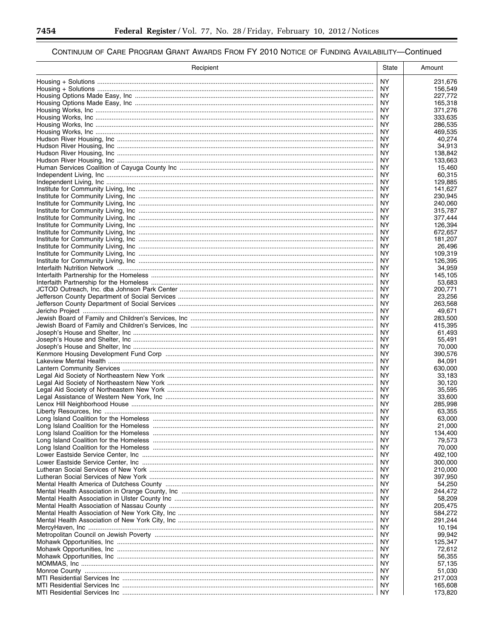▀

| Recipient | State            | Amount             |
|-----------|------------------|--------------------|
|           | NY.              | 231,676            |
|           | NY.              | 156,549            |
|           | ΝY               | 227,772            |
|           | NY.              | 165,318            |
|           | ΝY               | 371,276            |
|           | NY.<br>ΝY        | 333,635<br>286,535 |
|           | NY.              | 469,535            |
|           | NY.              | 40,274             |
|           | NY.              | 34,913             |
|           | NY.              | 138,842            |
|           | NY               | 133,663            |
|           | ΝY               | 15,460             |
|           | ΝY               | 60,315             |
|           | ΝY               | 129,885            |
|           | NY.<br>ΝY        | 141,627<br>230,945 |
|           | ΝY               | 240,060            |
|           | ΝY               | 315,787            |
|           | NY.              | 377,444            |
|           | ΝY               | 126,394            |
|           | ΝY               | 672,657            |
|           | ΝY               | 181,207            |
|           | ΝY               | 26,496             |
|           | NY.              | 109,319            |
|           | ΝY<br>NY.        | 126,395<br>34,959  |
|           | ΝY               | 145,105            |
|           | NY.              | 53,683             |
|           | ΝY               | 200,771            |
|           | NY.              | 23,256             |
|           | ΝY               | 263,568            |
|           | NY.              | 49,671             |
|           | ΝY               | 283,500            |
|           | NY.              | 415,395            |
|           | ΝY               | 61,493             |
|           | NY.<br><b>NY</b> | 55,491<br>70,000   |
|           | NY.              | 390,576            |
|           | NY.              | 84,091             |
|           | NY.              | 630,000            |
|           | NY               | 33.183             |
|           | ΝY               | 30.120             |
|           | ΝY               | 35.595             |
|           | ΝY               | 33,600             |
|           | ΝY               | 285,998            |
|           | NY.<br>NY.       | 63,355<br>63,000   |
|           | ΝY               | 21,000             |
|           | NY.              | 134,400            |
|           | NY.              | 79,573             |
|           | NY.              | 70,000             |
|           | NY.              | 492,100            |
|           | ΝY               | 300,000            |
|           | NY.              | 210,000            |
|           | NY.              | 397,950            |
|           | NY.              | 54,250<br>244.472  |
|           | ΝY<br>NY.        | 58,209             |
|           | NY.              | 205,475            |
|           | NY.              | 584,272            |
|           | ΝY               | 291,244            |
|           | NY.              | 10,194             |
|           | NY.              | 99,942             |
|           | NY.              | 125,347            |
|           | NY.              | 72,612             |
|           | NY.              | 56,355             |
|           | NY.              | 57,135             |
|           | NY.              | 51,030             |
|           | NY.<br>NY.       | 217,003<br>165,608 |
|           | NY.              | 173,820            |
|           |                  |                    |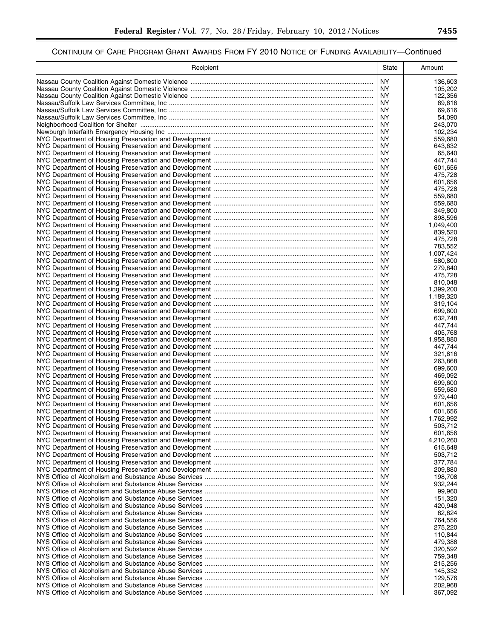| Recipient | State           | Amount                 |
|-----------|-----------------|------------------------|
|           | NY.             | 136,603                |
|           | ΝY              | 105,202                |
|           | ΝY              | 122,356                |
|           | ΝY              | 69,616                 |
|           | ΝY<br>NY.       | 69,616<br>54.090       |
|           | NY.             | 243,070                |
|           | NY.             | 102,234                |
|           | ΝY              | 559,680                |
|           | NY.             | 643,632                |
|           | NY<br>NY.       | 65,640<br>447,744      |
|           | NY.             | 601,656                |
|           | NY.             | 475,728                |
|           | NY              | 601,656                |
|           | ΝY              | 475,728                |
|           | ΝY<br>ΝY        | 559,680<br>559,680     |
|           | NY.             | 349,800                |
|           | NY.             | 898,596                |
|           | NY.             | 1,049,400              |
|           | NY.             | 839,520                |
|           | <b>NY</b><br>ΝY | 475,728<br>783,552     |
|           | <b>NY</b>       | 1,007,424              |
|           | ΝY              | 580,800                |
|           | <b>NY</b>       | 279,840                |
|           | ΝY              | 475,728                |
|           | NY.             | 810,048                |
|           | ΝY<br>NY.       | 1,399,200<br>1,189,320 |
|           | ΝY              | 319,104                |
|           | NY.             | 699,600                |
|           | ΝY              | 632,748                |
|           | NY.             | 447,744                |
|           | ΝY<br>NY.       | 405,768<br>1,958,880   |
|           | ΝY              | 447,744                |
|           | NY.             | 321,816                |
|           | NY              | 263,868                |
|           | NY.             | 699,600                |
|           | NY<br>NY.       | 469.092<br>699,600     |
|           | ΝY              | 559,680                |
|           | NY.             | 979,440                |
|           | ΝY              | 601,656                |
|           | NY.             | 601,656                |
|           | NY.<br>ΝY       | 1,762,992<br>503,712   |
|           | NY.             | 601,656                |
|           | NY.             | 4,210,260              |
|           | ΝY              | 615,648                |
|           | NY.             | 503,712                |
|           | ΝY<br>ΝY        | 377,784                |
|           | ΝY              | 209,880<br>198,708     |
|           | ΝY              | 932,244                |
|           | ΝY              | 99,960                 |
|           | ΝY              | 151,320                |
|           | ΝY              | 420,948                |
|           | ΝY<br>ΝY        | 82,824<br>764,556      |
|           | ΝY              | 275,220                |
|           | ΝY              | 110,844                |
|           | ΝY              | 479,388                |
|           | ΝY              | 320,592                |
|           | ΝY              | 759,348                |
|           | ΝY<br>ΝY        | 215,256<br>145,332     |
|           | ΝY              | 129,576                |
|           | NY.             | 202,968                |
|           | ΝY              | 367,092                |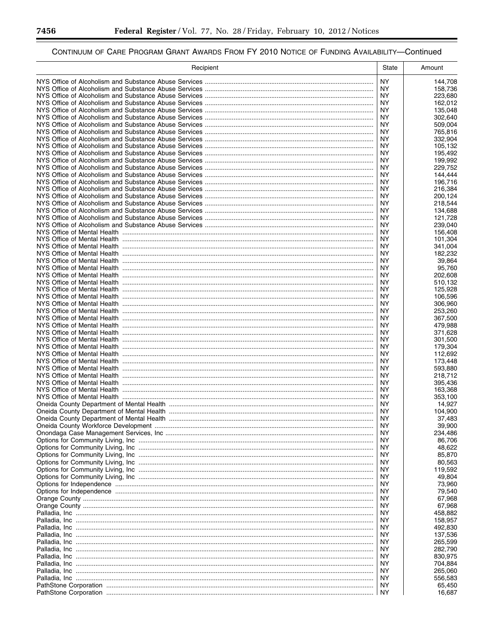▀

| <b>NY</b><br>144,708<br>NY.<br>158,736<br>NY.<br>223,680<br>NY.<br>162,012<br>NY.<br>135,048<br>NY.<br>302.640<br>NY.<br>509,004<br>NY.<br>765,816<br>NY.<br>332,904<br>NY.<br>105,132<br>NY.<br>195,492<br>NY.<br>199,992<br>NY.<br>229,752<br>NY.<br>144,444<br>NY.<br>196,716<br>ΝY<br>216,384<br>NY.<br>200,124<br>ΝY<br>218,544<br>NY.<br>134,688<br>ΝY<br>121,728<br>NY.<br>239,040<br>ΝY<br>156,408<br><b>NY</b><br>101,304<br>ΝY<br>341,004<br>NY.<br>182,232<br>NY.<br>39,864<br>NY.<br>95,760<br>NY.<br>202,608<br>NY.<br>510,132<br>NY.<br>125,928<br>NY.<br>106,596<br>NY.<br>306,960<br>NY.<br>253,260<br>NY.<br>367,500<br>NY.<br>479,988<br>NY.<br>371,628<br>NY.<br>301,500<br><b>NY</b><br>179,304<br>NY.<br>112,692<br>NY.<br>173,448<br>NY.<br>593,880<br>NY.<br>218,712<br>NY.<br>395,436<br>NY.<br>163.368<br>NY.<br>353,100<br>NY.<br>14,927<br>NY.<br>104.900<br>NY.<br>37,483<br>ΝY<br>39,900<br>NY.<br>234,486<br>NY.<br>86,706<br>NY.<br>48.622<br>NY.<br>85,870<br>NY.<br>80,563<br>NY.<br>119,592<br>NY.<br>49,804<br>NY<br>73,960<br>NY.<br>79,540<br>NY.<br>67,968<br>NY.<br>67,968<br>NY<br>458,882<br>NY.<br>158,957<br>NY.<br>492,830<br>NY.<br>137,536<br>NY<br>265,599<br>NY.<br>282,790<br>NY.<br>830,975<br>NY.<br>704,884<br>NY.<br>265,060<br>NY.<br>556,583<br>NY.<br>65,450<br>NY.<br>16,687 | Recipient | State | Amount |
|---------------------------------------------------------------------------------------------------------------------------------------------------------------------------------------------------------------------------------------------------------------------------------------------------------------------------------------------------------------------------------------------------------------------------------------------------------------------------------------------------------------------------------------------------------------------------------------------------------------------------------------------------------------------------------------------------------------------------------------------------------------------------------------------------------------------------------------------------------------------------------------------------------------------------------------------------------------------------------------------------------------------------------------------------------------------------------------------------------------------------------------------------------------------------------------------------------------------------------------------------------------------------------------------------------------------------------------|-----------|-------|--------|
|                                                                                                                                                                                                                                                                                                                                                                                                                                                                                                                                                                                                                                                                                                                                                                                                                                                                                                                                                                                                                                                                                                                                                                                                                                                                                                                                       |           |       |        |
|                                                                                                                                                                                                                                                                                                                                                                                                                                                                                                                                                                                                                                                                                                                                                                                                                                                                                                                                                                                                                                                                                                                                                                                                                                                                                                                                       |           |       |        |
|                                                                                                                                                                                                                                                                                                                                                                                                                                                                                                                                                                                                                                                                                                                                                                                                                                                                                                                                                                                                                                                                                                                                                                                                                                                                                                                                       |           |       |        |
|                                                                                                                                                                                                                                                                                                                                                                                                                                                                                                                                                                                                                                                                                                                                                                                                                                                                                                                                                                                                                                                                                                                                                                                                                                                                                                                                       |           |       |        |
|                                                                                                                                                                                                                                                                                                                                                                                                                                                                                                                                                                                                                                                                                                                                                                                                                                                                                                                                                                                                                                                                                                                                                                                                                                                                                                                                       |           |       |        |
|                                                                                                                                                                                                                                                                                                                                                                                                                                                                                                                                                                                                                                                                                                                                                                                                                                                                                                                                                                                                                                                                                                                                                                                                                                                                                                                                       |           |       |        |
|                                                                                                                                                                                                                                                                                                                                                                                                                                                                                                                                                                                                                                                                                                                                                                                                                                                                                                                                                                                                                                                                                                                                                                                                                                                                                                                                       |           |       |        |
|                                                                                                                                                                                                                                                                                                                                                                                                                                                                                                                                                                                                                                                                                                                                                                                                                                                                                                                                                                                                                                                                                                                                                                                                                                                                                                                                       |           |       |        |
|                                                                                                                                                                                                                                                                                                                                                                                                                                                                                                                                                                                                                                                                                                                                                                                                                                                                                                                                                                                                                                                                                                                                                                                                                                                                                                                                       |           |       |        |
|                                                                                                                                                                                                                                                                                                                                                                                                                                                                                                                                                                                                                                                                                                                                                                                                                                                                                                                                                                                                                                                                                                                                                                                                                                                                                                                                       |           |       |        |
|                                                                                                                                                                                                                                                                                                                                                                                                                                                                                                                                                                                                                                                                                                                                                                                                                                                                                                                                                                                                                                                                                                                                                                                                                                                                                                                                       |           |       |        |
|                                                                                                                                                                                                                                                                                                                                                                                                                                                                                                                                                                                                                                                                                                                                                                                                                                                                                                                                                                                                                                                                                                                                                                                                                                                                                                                                       |           |       |        |
|                                                                                                                                                                                                                                                                                                                                                                                                                                                                                                                                                                                                                                                                                                                                                                                                                                                                                                                                                                                                                                                                                                                                                                                                                                                                                                                                       |           |       |        |
|                                                                                                                                                                                                                                                                                                                                                                                                                                                                                                                                                                                                                                                                                                                                                                                                                                                                                                                                                                                                                                                                                                                                                                                                                                                                                                                                       |           |       |        |
|                                                                                                                                                                                                                                                                                                                                                                                                                                                                                                                                                                                                                                                                                                                                                                                                                                                                                                                                                                                                                                                                                                                                                                                                                                                                                                                                       |           |       |        |
|                                                                                                                                                                                                                                                                                                                                                                                                                                                                                                                                                                                                                                                                                                                                                                                                                                                                                                                                                                                                                                                                                                                                                                                                                                                                                                                                       |           |       |        |
|                                                                                                                                                                                                                                                                                                                                                                                                                                                                                                                                                                                                                                                                                                                                                                                                                                                                                                                                                                                                                                                                                                                                                                                                                                                                                                                                       |           |       |        |
|                                                                                                                                                                                                                                                                                                                                                                                                                                                                                                                                                                                                                                                                                                                                                                                                                                                                                                                                                                                                                                                                                                                                                                                                                                                                                                                                       |           |       |        |
|                                                                                                                                                                                                                                                                                                                                                                                                                                                                                                                                                                                                                                                                                                                                                                                                                                                                                                                                                                                                                                                                                                                                                                                                                                                                                                                                       |           |       |        |
|                                                                                                                                                                                                                                                                                                                                                                                                                                                                                                                                                                                                                                                                                                                                                                                                                                                                                                                                                                                                                                                                                                                                                                                                                                                                                                                                       |           |       |        |
|                                                                                                                                                                                                                                                                                                                                                                                                                                                                                                                                                                                                                                                                                                                                                                                                                                                                                                                                                                                                                                                                                                                                                                                                                                                                                                                                       |           |       |        |
|                                                                                                                                                                                                                                                                                                                                                                                                                                                                                                                                                                                                                                                                                                                                                                                                                                                                                                                                                                                                                                                                                                                                                                                                                                                                                                                                       |           |       |        |
|                                                                                                                                                                                                                                                                                                                                                                                                                                                                                                                                                                                                                                                                                                                                                                                                                                                                                                                                                                                                                                                                                                                                                                                                                                                                                                                                       |           |       |        |
|                                                                                                                                                                                                                                                                                                                                                                                                                                                                                                                                                                                                                                                                                                                                                                                                                                                                                                                                                                                                                                                                                                                                                                                                                                                                                                                                       |           |       |        |
|                                                                                                                                                                                                                                                                                                                                                                                                                                                                                                                                                                                                                                                                                                                                                                                                                                                                                                                                                                                                                                                                                                                                                                                                                                                                                                                                       |           |       |        |
|                                                                                                                                                                                                                                                                                                                                                                                                                                                                                                                                                                                                                                                                                                                                                                                                                                                                                                                                                                                                                                                                                                                                                                                                                                                                                                                                       |           |       |        |
|                                                                                                                                                                                                                                                                                                                                                                                                                                                                                                                                                                                                                                                                                                                                                                                                                                                                                                                                                                                                                                                                                                                                                                                                                                                                                                                                       |           |       |        |
|                                                                                                                                                                                                                                                                                                                                                                                                                                                                                                                                                                                                                                                                                                                                                                                                                                                                                                                                                                                                                                                                                                                                                                                                                                                                                                                                       |           |       |        |
|                                                                                                                                                                                                                                                                                                                                                                                                                                                                                                                                                                                                                                                                                                                                                                                                                                                                                                                                                                                                                                                                                                                                                                                                                                                                                                                                       |           |       |        |
|                                                                                                                                                                                                                                                                                                                                                                                                                                                                                                                                                                                                                                                                                                                                                                                                                                                                                                                                                                                                                                                                                                                                                                                                                                                                                                                                       |           |       |        |
|                                                                                                                                                                                                                                                                                                                                                                                                                                                                                                                                                                                                                                                                                                                                                                                                                                                                                                                                                                                                                                                                                                                                                                                                                                                                                                                                       |           |       |        |
|                                                                                                                                                                                                                                                                                                                                                                                                                                                                                                                                                                                                                                                                                                                                                                                                                                                                                                                                                                                                                                                                                                                                                                                                                                                                                                                                       |           |       |        |
|                                                                                                                                                                                                                                                                                                                                                                                                                                                                                                                                                                                                                                                                                                                                                                                                                                                                                                                                                                                                                                                                                                                                                                                                                                                                                                                                       |           |       |        |
|                                                                                                                                                                                                                                                                                                                                                                                                                                                                                                                                                                                                                                                                                                                                                                                                                                                                                                                                                                                                                                                                                                                                                                                                                                                                                                                                       |           |       |        |
|                                                                                                                                                                                                                                                                                                                                                                                                                                                                                                                                                                                                                                                                                                                                                                                                                                                                                                                                                                                                                                                                                                                                                                                                                                                                                                                                       |           |       |        |
|                                                                                                                                                                                                                                                                                                                                                                                                                                                                                                                                                                                                                                                                                                                                                                                                                                                                                                                                                                                                                                                                                                                                                                                                                                                                                                                                       |           |       |        |
|                                                                                                                                                                                                                                                                                                                                                                                                                                                                                                                                                                                                                                                                                                                                                                                                                                                                                                                                                                                                                                                                                                                                                                                                                                                                                                                                       |           |       |        |
|                                                                                                                                                                                                                                                                                                                                                                                                                                                                                                                                                                                                                                                                                                                                                                                                                                                                                                                                                                                                                                                                                                                                                                                                                                                                                                                                       |           |       |        |
|                                                                                                                                                                                                                                                                                                                                                                                                                                                                                                                                                                                                                                                                                                                                                                                                                                                                                                                                                                                                                                                                                                                                                                                                                                                                                                                                       |           |       |        |
|                                                                                                                                                                                                                                                                                                                                                                                                                                                                                                                                                                                                                                                                                                                                                                                                                                                                                                                                                                                                                                                                                                                                                                                                                                                                                                                                       |           |       |        |
|                                                                                                                                                                                                                                                                                                                                                                                                                                                                                                                                                                                                                                                                                                                                                                                                                                                                                                                                                                                                                                                                                                                                                                                                                                                                                                                                       |           |       |        |
|                                                                                                                                                                                                                                                                                                                                                                                                                                                                                                                                                                                                                                                                                                                                                                                                                                                                                                                                                                                                                                                                                                                                                                                                                                                                                                                                       |           |       |        |
|                                                                                                                                                                                                                                                                                                                                                                                                                                                                                                                                                                                                                                                                                                                                                                                                                                                                                                                                                                                                                                                                                                                                                                                                                                                                                                                                       |           |       |        |
|                                                                                                                                                                                                                                                                                                                                                                                                                                                                                                                                                                                                                                                                                                                                                                                                                                                                                                                                                                                                                                                                                                                                                                                                                                                                                                                                       |           |       |        |
|                                                                                                                                                                                                                                                                                                                                                                                                                                                                                                                                                                                                                                                                                                                                                                                                                                                                                                                                                                                                                                                                                                                                                                                                                                                                                                                                       |           |       |        |
|                                                                                                                                                                                                                                                                                                                                                                                                                                                                                                                                                                                                                                                                                                                                                                                                                                                                                                                                                                                                                                                                                                                                                                                                                                                                                                                                       |           |       |        |
|                                                                                                                                                                                                                                                                                                                                                                                                                                                                                                                                                                                                                                                                                                                                                                                                                                                                                                                                                                                                                                                                                                                                                                                                                                                                                                                                       |           |       |        |
|                                                                                                                                                                                                                                                                                                                                                                                                                                                                                                                                                                                                                                                                                                                                                                                                                                                                                                                                                                                                                                                                                                                                                                                                                                                                                                                                       |           |       |        |
|                                                                                                                                                                                                                                                                                                                                                                                                                                                                                                                                                                                                                                                                                                                                                                                                                                                                                                                                                                                                                                                                                                                                                                                                                                                                                                                                       |           |       |        |
|                                                                                                                                                                                                                                                                                                                                                                                                                                                                                                                                                                                                                                                                                                                                                                                                                                                                                                                                                                                                                                                                                                                                                                                                                                                                                                                                       |           |       |        |
|                                                                                                                                                                                                                                                                                                                                                                                                                                                                                                                                                                                                                                                                                                                                                                                                                                                                                                                                                                                                                                                                                                                                                                                                                                                                                                                                       |           |       |        |
|                                                                                                                                                                                                                                                                                                                                                                                                                                                                                                                                                                                                                                                                                                                                                                                                                                                                                                                                                                                                                                                                                                                                                                                                                                                                                                                                       |           |       |        |
|                                                                                                                                                                                                                                                                                                                                                                                                                                                                                                                                                                                                                                                                                                                                                                                                                                                                                                                                                                                                                                                                                                                                                                                                                                                                                                                                       |           |       |        |
|                                                                                                                                                                                                                                                                                                                                                                                                                                                                                                                                                                                                                                                                                                                                                                                                                                                                                                                                                                                                                                                                                                                                                                                                                                                                                                                                       |           |       |        |
|                                                                                                                                                                                                                                                                                                                                                                                                                                                                                                                                                                                                                                                                                                                                                                                                                                                                                                                                                                                                                                                                                                                                                                                                                                                                                                                                       |           |       |        |
|                                                                                                                                                                                                                                                                                                                                                                                                                                                                                                                                                                                                                                                                                                                                                                                                                                                                                                                                                                                                                                                                                                                                                                                                                                                                                                                                       |           |       |        |
|                                                                                                                                                                                                                                                                                                                                                                                                                                                                                                                                                                                                                                                                                                                                                                                                                                                                                                                                                                                                                                                                                                                                                                                                                                                                                                                                       |           |       |        |
|                                                                                                                                                                                                                                                                                                                                                                                                                                                                                                                                                                                                                                                                                                                                                                                                                                                                                                                                                                                                                                                                                                                                                                                                                                                                                                                                       |           |       |        |
|                                                                                                                                                                                                                                                                                                                                                                                                                                                                                                                                                                                                                                                                                                                                                                                                                                                                                                                                                                                                                                                                                                                                                                                                                                                                                                                                       |           |       |        |
|                                                                                                                                                                                                                                                                                                                                                                                                                                                                                                                                                                                                                                                                                                                                                                                                                                                                                                                                                                                                                                                                                                                                                                                                                                                                                                                                       |           |       |        |
|                                                                                                                                                                                                                                                                                                                                                                                                                                                                                                                                                                                                                                                                                                                                                                                                                                                                                                                                                                                                                                                                                                                                                                                                                                                                                                                                       |           |       |        |
|                                                                                                                                                                                                                                                                                                                                                                                                                                                                                                                                                                                                                                                                                                                                                                                                                                                                                                                                                                                                                                                                                                                                                                                                                                                                                                                                       |           |       |        |
|                                                                                                                                                                                                                                                                                                                                                                                                                                                                                                                                                                                                                                                                                                                                                                                                                                                                                                                                                                                                                                                                                                                                                                                                                                                                                                                                       |           |       |        |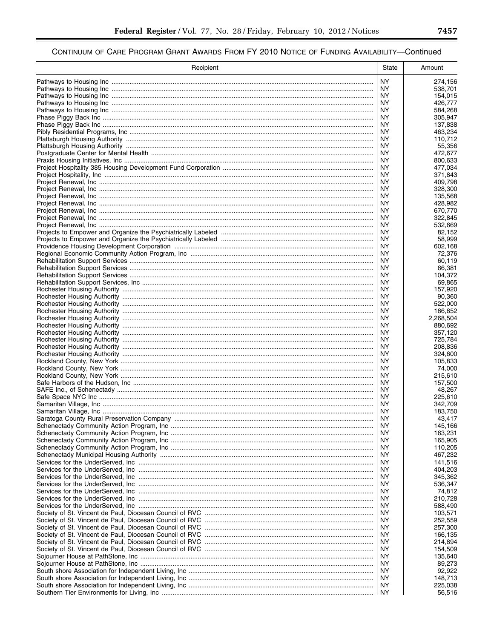| Recipient | State           | Amount             |
|-----------|-----------------|--------------------|
|           | <b>NY</b>       | 274,156            |
|           | ΝY              | 538.701            |
|           | ΝY              | 154,015            |
|           | NY<br>NY        | 426,777<br>584,268 |
|           | ΝY              | 305,947            |
|           | ΝY              | 137,838            |
|           | NY.             | 463,234            |
|           | ΝY              | 110,712            |
|           | ΝY<br>ΝY        | 55.356<br>472.677  |
|           | NY.             | 800,633            |
|           | ΝY              | 477,034            |
|           | NY.             | 371,843            |
|           | ΝY              | 409,798            |
|           | NY.<br>ΝY       | 328,300<br>135,568 |
|           | NY.             | 428,982            |
|           | NY              | 670,770            |
|           | NY.             | 322,845            |
|           | ΝY              | 532,669            |
|           | ΝY<br>ΝY        | 82,152<br>58,999   |
|           | ΝY              | 602.168            |
|           | ΝY              | 72,376             |
|           | ΝY              | 60,119             |
|           | ΝY              | 66.381             |
|           | ΝY              | 104.372            |
|           | NY.<br>ΝY       | 69.865<br>157,920  |
|           | <b>NY</b>       | 90,360             |
|           | ΝY              | 522,000            |
|           | NY              | 186,852            |
|           | ΝY              | 2,268,504          |
|           | <b>NY</b><br>ΝY | 880,692<br>357,120 |
|           | NY.             | 725,784            |
|           | ΝY              | 208,836            |
|           | ΝY              | 324,600            |
|           | ΝY              | 105,833            |
|           | ΝY<br>ΝY        | 74,000<br>215.610  |
|           | ΝY              | 157,500            |
|           | ΝY              | 48,267             |
|           | NY.             | 225,610            |
|           | ΝY              | 342.709            |
|           | NY.             | 183,750            |
|           | ΝY<br>NY        | 43,417<br>145,166  |
|           | ΝY              | 163,231            |
|           | NY.             | 165,905            |
|           | ΝY              | 110,205            |
|           | ΝY              | 467,232            |
|           | ΝY<br>NY.       | 141,516<br>404,203 |
|           | ΝY              | 345,362            |
|           | NY.             | 536,347            |
|           | ΝY              | 74,812             |
|           | NY.             | 210,728            |
|           | ΝY<br>NY.       | 588,490<br>103,571 |
|           | ΝY              | 252,559            |
|           | NY.             | 257,300            |
|           | ΝY              | 166,135            |
|           | NY.             | 214,894            |
|           | ΝY              | 154,509            |
|           | NY.<br>ΝY       | 135,640<br>89,273  |
|           | NY.             | 92,922             |
|           | ΝY              | 148,713            |
|           | NY.             | 225,038            |
|           |                 | 56,516             |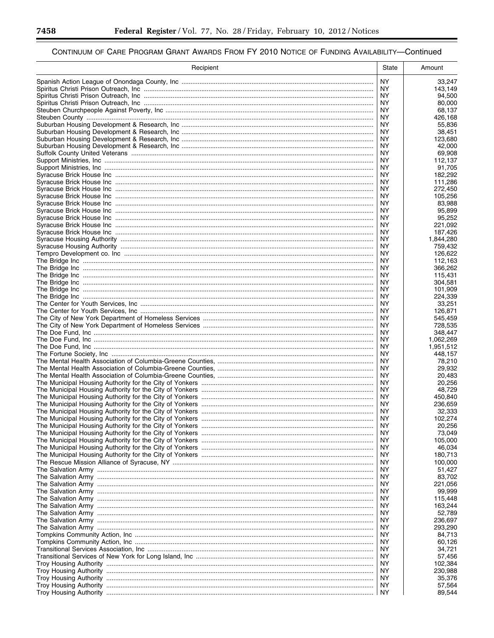▀

| Recipient                                                                             | State      | Amount             |
|---------------------------------------------------------------------------------------|------------|--------------------|
|                                                                                       | NY.        | 33,247             |
|                                                                                       |            | 143,149            |
|                                                                                       | ΝY         | 94,500             |
|                                                                                       | NY.        | 80,000             |
|                                                                                       | ΝY         | 68,137             |
|                                                                                       | NY.<br>ΝY  | 426.168<br>55,836  |
|                                                                                       | NY.        | 38,451             |
|                                                                                       | ΝY         | 123,680            |
|                                                                                       | NY.        | 42,000             |
|                                                                                       | ΝY         | 69,908             |
|                                                                                       | ΝY         | 112,137            |
|                                                                                       | ΝY         | 91,705             |
|                                                                                       | ΝY         | 182,292            |
|                                                                                       | ΝY         | 111,286            |
|                                                                                       | ΝY         | 272,450            |
|                                                                                       | ΝY<br>ΝY   | 105,256<br>83,988  |
|                                                                                       | NY.        | 95,899             |
|                                                                                       | NY.        | 95,252             |
|                                                                                       | ΝY         | 221,092            |
|                                                                                       | ΝY         | 187,426            |
|                                                                                       | <b>NY</b>  | 1,844,280          |
|                                                                                       | ΝY         | 759,432            |
|                                                                                       | NY.        | 126,622            |
|                                                                                       | ΝY         | 112,163            |
|                                                                                       | NY.        | 366,262            |
|                                                                                       | ΝY<br>NY.  | 115.431            |
|                                                                                       | ΝY         | 304,581<br>101.909 |
|                                                                                       | NY.        | 224,339            |
|                                                                                       | ΝY         | 33,251             |
|                                                                                       | NY.        | 126,871            |
|                                                                                       | ΝY         | 545,459            |
|                                                                                       | NY.        | 728,535            |
|                                                                                       | ΝY         | 348,447            |
|                                                                                       | NY.        | 1,062,269          |
|                                                                                       | NY         | 1,951,512          |
|                                                                                       | NY.<br>ΝY  | 448,157<br>78,210  |
|                                                                                       | NY.        | 29,932             |
|                                                                                       | ΝY         | 20,483             |
|                                                                                       | ΝY         | 20,256             |
|                                                                                       | ΝY         | 48,729             |
|                                                                                       | ΝY         | 450,840            |
|                                                                                       | ΝY         | 236,659            |
|                                                                                       | ΝY         | 32,333             |
|                                                                                       | NY.        | 102,274            |
| The Municipal Housing Authority for the City of Yonkers …………………………………………………………………………… | ΝY         | 20,256             |
| The Municipal Housing Authority for the City of Yonkers …………………………………………………………………………… | NY.<br>NY. | 73,049<br>105,000  |
|                                                                                       | NY.        | 46,034             |
|                                                                                       | NY.        | 180,713            |
|                                                                                       | NY.        | 100,000            |
|                                                                                       | NY.        | 51,427             |
|                                                                                       | NY.        | 83,702             |
|                                                                                       | NY.        | 221,056            |
|                                                                                       | NY.        | 99,999             |
|                                                                                       | NY.        | 115,448            |
|                                                                                       | NY.        | 163,244            |
|                                                                                       | NY.        | 52.789             |
|                                                                                       | NY.        | 236,697            |
|                                                                                       | NY.        | 293,290            |
|                                                                                       | NY.<br>NY. | 84,713<br>60,126   |
|                                                                                       | NY.        | 34,721             |
|                                                                                       | NY.        | 57,456             |
|                                                                                       | NY.        | 102,384            |
|                                                                                       | NY.        | 230,988            |
|                                                                                       | NY.        | 35,376             |
|                                                                                       | NY.        | 57,564             |
|                                                                                       | NY.        | 89,544             |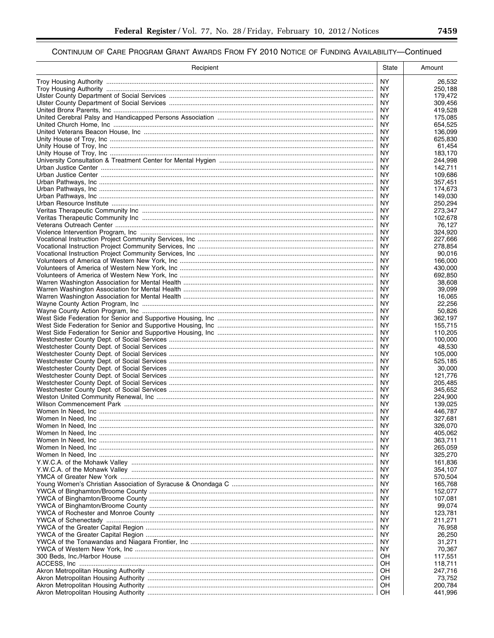| Recipient | State                  | Amount             |
|-----------|------------------------|--------------------|
|           | <b>NY</b>              | 26,532             |
|           | NY.                    | 250,188            |
|           | <b>NY</b><br><b>NY</b> | 179,472            |
|           | <b>NY</b>              | 309,456<br>419,528 |
|           | NY.                    | 175,085            |
|           | <b>NY</b>              | 654,525            |
|           | ΝY                     | 136,099            |
|           | ΝY<br>NY.              | 625,830<br>61,454  |
|           | ΝY                     | 183.170            |
|           | NY.                    | 244,998            |
|           | NY                     | 142,711            |
|           | NY.<br><b>NY</b>       | 109,686<br>357,451 |
|           | <b>NY</b>              | 174,673            |
|           | NY                     | 149,030            |
|           | <b>NY</b>              | 250,294            |
|           | <b>NY</b>              | 273,347            |
|           | <b>NY</b><br>NY        | 102,678<br>76,127  |
|           | <b>NY</b>              | 324,920            |
|           | <b>NY</b>              | 227,666            |
|           | ΝY                     | 278,854            |
|           | NY.                    | 90,016<br>166.000  |
|           | ΝY<br>NY.              | 430,000            |
|           | ΝY                     | 692,850            |
|           | NY.                    | 38,608             |
|           | ΝY                     | 39,099             |
|           | NY.<br><b>NY</b>       | 16,065<br>22,256   |
|           | NY.                    | 50,826             |
|           | ΝY                     | 362,197            |
|           | <b>NY</b>              | 155,715            |
|           | <b>NY</b>              | 110,205            |
|           | NY.<br><b>NY</b>       | 100,000<br>48,530  |
|           | NY.                    | 105,000            |
|           | ΝY                     | 525,185            |
|           | NY.                    | 30,000             |
|           | ΝY<br>NY.              | 121,776<br>205,485 |
|           | <b>NY</b>              | 345,652            |
|           | NY.                    | 224,900            |
|           | <b>NY</b>              | 139,025            |
|           | NY                     | 446,787            |
|           | <b>NY</b><br>ΝY        | 327,681<br>326,070 |
|           | ΝY                     | 405,062            |
|           | ΝY                     | 363,711            |
|           | ΝY                     | 265,059            |
|           | ΝY<br>ΝY               | 325,270            |
|           | ΝY                     | 161,836<br>354,107 |
|           | ΝY                     | 570,504            |
|           | ΝY                     | 165,768            |
|           | ΝY                     | 152,077            |
|           | ΝY<br>ΝY               | 107,081<br>99,074  |
|           | ΝY                     | 123,781            |
|           | ΝY                     | 211,271            |
|           | ΝY                     | 76,958             |
|           | ΝY                     | 26,250             |
|           | ΝY<br>ΝY               | 31,271<br>70,367   |
|           | ОH                     | 117,551            |
|           | OН                     | 118,711            |
|           | ОH                     | 247,716            |
|           | OН                     | 73,752             |
|           | OН<br>OН               | 200,784<br>441,996 |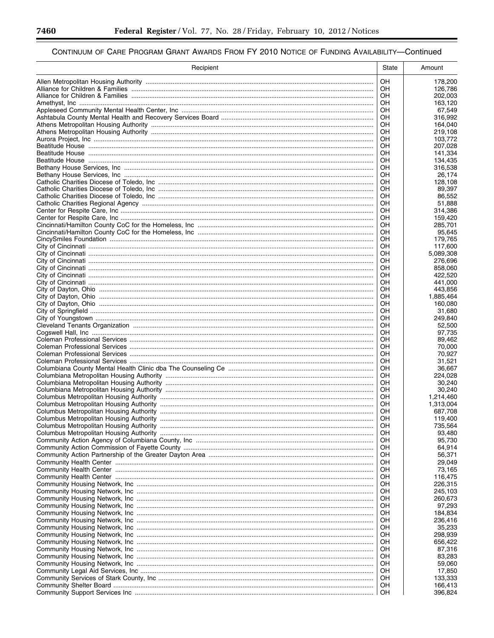▀

| Recipient | State    | Amount               |
|-----------|----------|----------------------|
|           | OH       | 178,200              |
|           | OH       | 126,786              |
|           | OН       | 202,003              |
|           | OH       | 163,120              |
|           | OН<br>OH | 67,549<br>316,992    |
|           | OН       | 164,040              |
|           | OH       | 219,108              |
|           | OН       | 103,772              |
|           | OН       | 207,028              |
|           | OН       | 141,334              |
|           | OH       | 134,435              |
|           | OН<br>OН | 316,538<br>26,174    |
|           | OН       | 128,108              |
|           | OH       | 89,397               |
|           | OН       | 86,552               |
|           | OН       | 51,888               |
|           | OН       | 314,386              |
|           | OH       | 159,420              |
|           | OН<br>OH | 285.701<br>95,645    |
|           | OH       | 179,765              |
|           | OН       | 117,600              |
|           | OH       | 5,089,308            |
|           | OH       | 276,696              |
|           | OH       | 858,060              |
|           | OН       | 422,520              |
|           | OH       | 441,000              |
|           | OН<br>OH | 443,856<br>1,885,464 |
|           | OН       | 160,080              |
|           | OH       | 31,680               |
|           | OН       | 249,840              |
|           | OH       | 52,500               |
|           | OН       | 97,735               |
|           | OH       | 89,462               |
|           | OH<br>OH | 70,000               |
|           | OН       | 70,927<br>31,521     |
|           | OН       | 36,667               |
|           | OН       | 224,028              |
|           | OН       | 30.240               |
|           | OН       | 30.240               |
|           | OН       | 1,214,460            |
|           | OН       | 1,313,004            |
|           | OН<br>OH | 687,708<br>119,400   |
|           | OН       | 735,564              |
|           | OH       | 93,480               |
|           | OН       | 95,730               |
|           | OН       | 64,914               |
|           | OН       | 56,371               |
|           | OН       | 29,049               |
|           | OН<br>OН | 73,165<br>116.475    |
|           | OН       | 226,315              |
|           | OН       | 245,103              |
|           | OН       | 260,673              |
|           | OН       | 97,293               |
|           | OН       | 184,834              |
|           | OН       | 236,416              |
|           | OН       | 35,233               |
|           | OН       | 298,939              |
|           | OН<br>OН | 656,422<br>87,316    |
|           | OН       | 83,283               |
|           | OН       | 59,060               |
|           | OH       | 17,850               |
|           | ΟH       | 133,333              |
|           | OН       | 166,413              |
|           | ΟH       | 396,824              |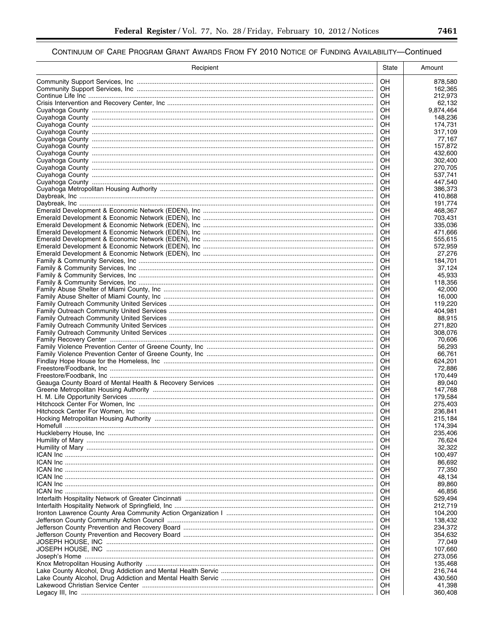| Recipient                                                                        | State    | Amount              |
|----------------------------------------------------------------------------------|----------|---------------------|
|                                                                                  | OН       | 878,580             |
|                                                                                  | OН       | 162,365             |
|                                                                                  | OН       | 212,973             |
|                                                                                  | OН<br>OН | 62,132<br>9,874,464 |
|                                                                                  | OН       | 148,236             |
|                                                                                  | OН       | 174,731             |
|                                                                                  | OН       | 317,109             |
|                                                                                  | OН       | 77,167              |
|                                                                                  | OН<br>OН | 157,872<br>432,600  |
|                                                                                  | OН       | 302,400             |
|                                                                                  | OН       | 270,705             |
|                                                                                  | OН       | 537,741             |
|                                                                                  | OН       | 447,540             |
|                                                                                  | OН<br>OH | 386,373<br>410,868  |
|                                                                                  | OН       | 191,774             |
|                                                                                  | OН       | 468,367             |
|                                                                                  | OН       | 703,431             |
|                                                                                  | OН       | 335,036             |
|                                                                                  | OН<br>OН | 471,666<br>555,615  |
|                                                                                  | OН       | 572,959             |
|                                                                                  | OН       | 27,276              |
|                                                                                  | OН       | 184.701             |
|                                                                                  | OН       | 37,124              |
|                                                                                  | OН<br>OН | 45.933<br>118,356   |
|                                                                                  | OН       | 42.000              |
|                                                                                  | OН       | 16,000              |
|                                                                                  | OН       | 119,220             |
|                                                                                  | OН       | 404,981             |
|                                                                                  | OН<br>OН | 88,915<br>271,820   |
|                                                                                  | OН       | 308,076             |
|                                                                                  | OН       | 70,606              |
|                                                                                  | OН       | 56,293              |
|                                                                                  | OН       | 66,761              |
|                                                                                  | OН<br>OН | 624,201<br>72,886   |
|                                                                                  | OН       | 170,449             |
|                                                                                  | OН       | 89,040              |
|                                                                                  | OН       | 147,768             |
|                                                                                  | OН       | 179,584             |
|                                                                                  | OН<br>OH | 275,403<br>236,841  |
|                                                                                  | OН       | 215,184             |
|                                                                                  | ОH       | 174,394             |
|                                                                                  | OН       | 235,406             |
|                                                                                  | ОH       | 76,624              |
|                                                                                  | OН       | 32,322              |
|                                                                                  | ОH<br>OН | 100,497<br>86,692   |
|                                                                                  | ОH       | 77,350              |
|                                                                                  | OН       | 48,134              |
|                                                                                  | ОH       | 89,860              |
|                                                                                  | OН       | 46,856              |
|                                                                                  | ОH<br>OН | 529,494<br>212,719  |
|                                                                                  | ОH       | 104,200             |
|                                                                                  | OН       | 138,432             |
|                                                                                  | ОH       | 234,372             |
| Jefferson County Prevention and Recovery Board ……………………………………………………………………………………… | OН       | 354,632             |
|                                                                                  | ОH<br>OН | 77,049<br>107,660   |
|                                                                                  | ОH       | 273,056             |
|                                                                                  | ОH       | 135,468             |
|                                                                                  | ОH       | 216,744             |
|                                                                                  | ОH       | 430,560             |
|                                                                                  | OН<br>OН | 41,398<br>360,408   |
|                                                                                  |          |                     |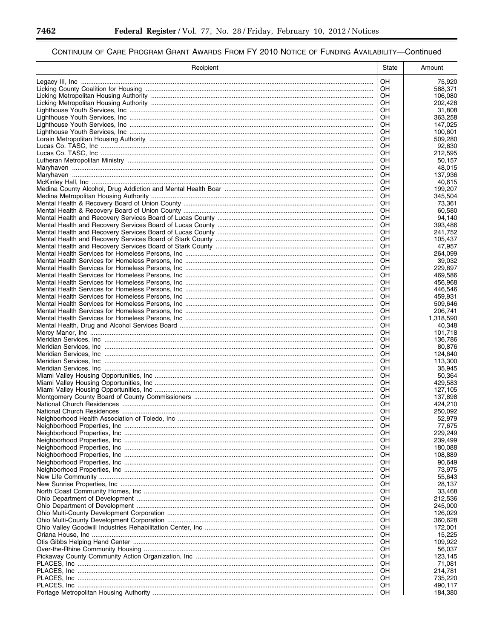▀

| Recipient | State     | Amount             |
|-----------|-----------|--------------------|
|           | <b>OH</b> | 75,920             |
|           | OH        | 588,371            |
|           | OН        | 106,080            |
|           | OH        | 202,428            |
|           | OH<br>OH  | 31.808<br>363,258  |
|           | OН        | 147,025            |
|           | OH        | 100,601            |
|           | OН        | 509,280            |
|           | OH        | 92,830             |
|           | OH        | 212,595            |
|           | OH        | 50,157             |
|           | OН<br>OН  | 48,015<br>137,936  |
|           | OН        | 40,615             |
|           | OН        | 199,207            |
|           | OН        | 345,504            |
|           | OН        | 73,361             |
|           | OН        | 60,580             |
|           | OH        | 94,140             |
|           | OН<br>OН  | 393,486<br>241,752 |
|           | OH        | 105.437            |
|           | OН        | 47,957             |
|           | OH        | 264,099            |
|           | OH        | 39,032             |
|           | OH        | 229,897            |
|           | OH        | 469,586            |
|           | OH        | 456,968            |
|           | OH<br>OH  | 446,546<br>459,931 |
|           | OН        | 509,646            |
|           | OH        | 206,741            |
|           | OH        | 1,318,590          |
|           | OH        | 40,348             |
|           | OН        | 101,718            |
|           | OH        | 136,786            |
|           | OН<br>OH  | 80,876<br>124,640  |
|           | OН        | 113,300            |
|           | OH        | 35,945             |
|           | OH        | 50,364             |
|           | OН        | 429,583            |
|           | OН        | 127,105            |
|           | OH        | 137,898            |
|           | OH<br>OH  | 424,210<br>250,092 |
|           | OH        | 52,979             |
|           | OН        | 77,675             |
|           | OH        | 229,249            |
|           | OН        | 239,499            |
|           | OН        | 180,088            |
|           | OН        | 108,889            |
|           | OН<br>OН  | 90,649             |
|           | OН        | 73,975<br>55,643   |
|           | OН        | 28,137             |
|           | OН        | 33,468             |
|           | OН        | 212,536            |
|           | OН        | 245,000            |
|           | OН        | 126,029            |
|           | OН        | 360,628            |
|           | OН<br>OН  | 172,001<br>15,225  |
|           | OН        | 109,922            |
|           | OН        | 56,037             |
|           | OН        | 123,145            |
|           | OН        | 71,081             |
|           | OН        | 214,781            |
|           | OН        | 735,220            |
|           | OН<br>ΟH  | 490,117            |
|           |           | 184,380            |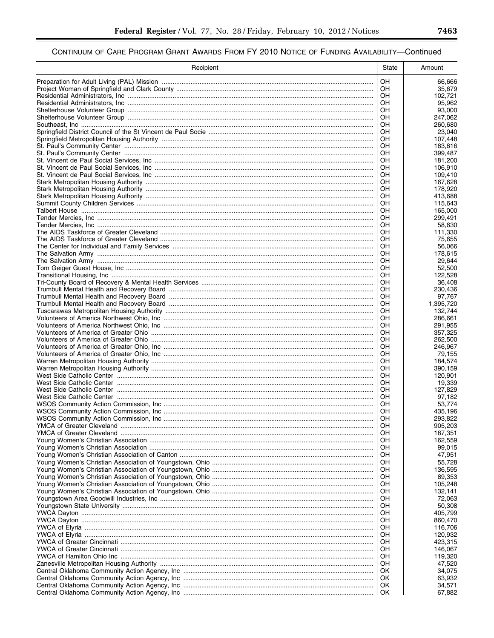| Recipient | State    | Amount             |
|-----------|----------|--------------------|
|           | OH.      | 66,666             |
|           | OН       | 35,679             |
|           | OН       | 102,721            |
|           | OH<br>OН | 95,962<br>93,000   |
|           | OН       | 247,062            |
|           | OН       | 260,680            |
|           | OН       | 23,040             |
|           | OН       | 107,448            |
|           | OН<br>OН | 183,816<br>399,487 |
|           | OН       | 181,200            |
|           | OН       | 106,910            |
|           | OН       | 109.410            |
|           | OН       | 167,628            |
|           | OΗ<br>OН | 178,920<br>413,688 |
|           | OН       | 115,643            |
|           | OН       | 165,000            |
|           | OН       | 299,491            |
|           | OН       | 58.630             |
|           | OН<br>OH | 111,330<br>75,655  |
|           | OН       | 56,066             |
|           | OН       | 178,615            |
|           | OН       | 29,644             |
|           | OH       | 52,500             |
|           | OН<br>OН | 122,528<br>36.408  |
|           | OН       | 230.436            |
|           | OH       | 97,767             |
|           | OН       | 1,395,720          |
|           | OH       | 132,744            |
|           | OН<br>OH | 286,661<br>291,955 |
|           | OН       | 357,325            |
|           | OН       | 262,500            |
|           | OH       | 246,967            |
|           | OН<br>OН | 79,155             |
|           | OН       | 184,574<br>390,159 |
|           | OН       | 120,901            |
|           | OН       | 19,339             |
|           | OН       | 127,829            |
|           | OН<br>OН | 97,182<br>53,774   |
|           | OН       | 435,196            |
|           | OН       | 293.822            |
|           | OН       | 905,203            |
|           | OН       | 187,351            |
|           | OН<br>OН | 162,559<br>99,015  |
|           | OН       | 47,951             |
|           | OН       | 55,728             |
|           | OН       | 136,595            |
|           | OН       | 89,353             |
|           | OН<br>OН | 105,248<br>132.141 |
|           | OН       | 72,063             |
|           | OН       | 50,308             |
|           | OН       | 405,799            |
|           | OН       | 860,470            |
|           | OН<br>OН | 116,706<br>120,932 |
|           | OН       | 423,315            |
|           | OН       | 146,067            |
|           | OН       | 119,320            |
|           | OН       | 47,520             |
|           | OK<br>OK | 34,075<br>63,932   |
|           | OK       | 34,571             |
|           | OK       | 67,882             |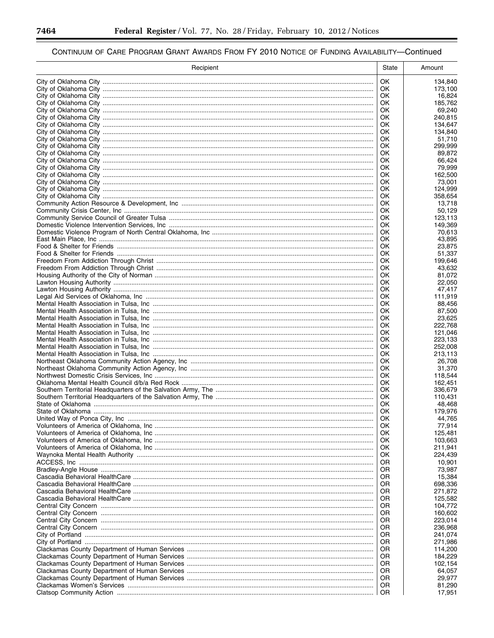▀

| Recipient | State     | Amount             |
|-----------|-----------|--------------------|
|           | 0K        | 134,840            |
|           | OK.       | 173,100            |
|           | 0K        | 16,824             |
|           | OK.       | 185,762            |
|           | OK.       | 69,240             |
|           | OK.<br>0K | 240,815<br>134,647 |
|           | OK.       | 134,840            |
|           | OK        | 51,710             |
|           | OK        | 299,999            |
|           | OK        | 89,872             |
|           | OK        | 66,424             |
|           | OK        | 79,999             |
|           | OK<br>OK  | 162,500<br>73,001  |
|           | OK        | 124,999            |
|           | OK.       | 358,654            |
|           | 0K        | 13,718             |
|           | OK        | 50,129             |
|           | OK        | 123,113            |
|           | OK        | 149,369            |
|           | 0K<br>OK  | 70.613             |
|           | OK        | 43,895<br>23,875   |
|           | OK        | 51,337             |
|           | OK        | 199,646            |
|           | OK        | 43,632             |
|           | OK        | 81,072             |
|           | OK        | 22,050             |
|           | OK        | 47,417             |
|           | OK<br>OK  | 111,919<br>88,456  |
|           | OK.       | 87,500             |
|           | 0K        | 23,625             |
|           | OK        | 222,768            |
|           | OK        | 121,046            |
|           | OK.       | 223,133            |
|           | OK        | 252,008            |
|           | OK<br>OK  | 213,113<br>26,708  |
|           | OK        | 31,370             |
|           | OK        | 118,544            |
|           | OK        | 162,451            |
|           | OK        | 336,679            |
|           | OK        | 110,431            |
|           | OK        | 48,468             |
|           | OK        | 179,976            |
|           | OK<br>OK  | 44,765<br>77,914   |
|           | OK        | 125,481            |
|           | OK        | 103,663            |
|           | OK        | 211,941            |
|           | OK        | 224,439            |
|           | OR        | 10,901             |
|           | OR        | 73,987             |
|           | OR        | 15,384             |
|           | OR<br>OR  | 698,336<br>271,872 |
|           | OR        | 125,582            |
|           | OR        | 104,772            |
|           | ΟR        | 160,602            |
|           | OR        | 223,014            |
|           | OR        | 236,968            |
|           | OR        | 241,074            |
|           | ΟR        | 271,986            |
|           | OR<br>OR  | 114,200<br>184,229 |
|           | OR        | 102,154            |
|           | ΟR        | 64,057             |
|           | OR        | 29,977             |
|           | OR        | 81,290             |
|           | <b>OR</b> | 17,951             |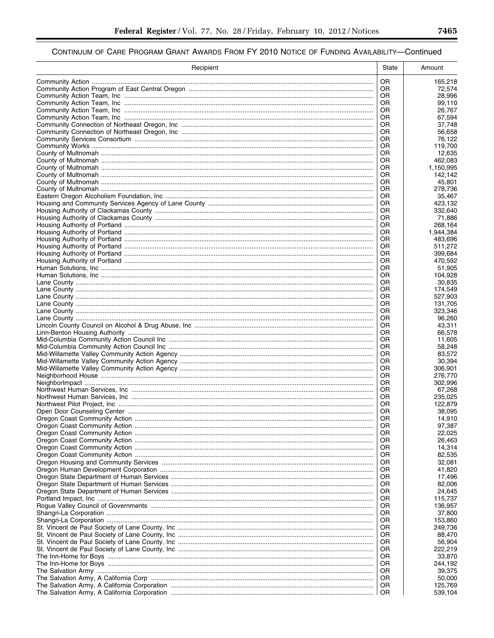| OR.<br>165,218<br>OR.<br>72,574<br>OR<br>28,996<br>OR<br>99,110<br>OR<br>26,767<br>OR.<br>67,594<br>OR<br>37,748<br>OR<br>56,658<br>OR<br>76,122<br>OR<br>119,700<br>OR<br>12.635<br>OR<br>462,083<br>OR<br>1,150,995<br>OR<br>142,142<br>OR<br>45,801<br>OR<br>278,736<br>OR<br>35,467<br>OR<br>423,132<br>OR<br>332,640<br>OR<br>71,886<br>OR<br>268,164<br>OR<br>1,944,384<br>OR<br>483,696<br>OR<br>511,272<br>OR<br>399,684<br>OR<br>470,592<br>OR<br>51.905<br>OR<br>104,928<br>OR<br>30,835<br>OR<br>174,549<br>OR<br>527,903<br>OR<br>131,705<br>OR<br>323,346<br>OR<br>96,260<br>OR<br>43,311<br>OR<br>66,578<br>OR.<br>11,605<br><b>OR</b><br>58,248<br>0R<br>83,572<br>OR<br>30,394<br>0R<br>306,901<br>OR<br>276.770<br>OR<br>302,996<br>OR<br>67,268<br>OR<br>235.025<br>OR<br>122,879<br>OR<br>38,095<br>OR<br>14,910<br>OR<br>97,387<br>OR<br>22,025<br>OR<br>26.463<br>14,314<br>OR<br>82,535<br>OR<br>0R<br>32,081<br>41,820<br>OR<br>OR<br>17,496<br>82,006<br>OR<br>0R<br>24,645<br>115,737<br>OR<br>OR<br>136,957<br>37,800<br>OR<br>OR<br>153,860<br>249,736<br>OR<br>OR<br>88,470<br>56,904<br>OR<br>OR<br>222,219<br>33,870<br>OR<br>244,192<br>OR<br>39,375<br>OR<br>50,000<br>OR<br>125,769<br>OR<br>539,104<br>OR. | Recipient | State | Amount |
|----------------------------------------------------------------------------------------------------------------------------------------------------------------------------------------------------------------------------------------------------------------------------------------------------------------------------------------------------------------------------------------------------------------------------------------------------------------------------------------------------------------------------------------------------------------------------------------------------------------------------------------------------------------------------------------------------------------------------------------------------------------------------------------------------------------------------------------------------------------------------------------------------------------------------------------------------------------------------------------------------------------------------------------------------------------------------------------------------------------------------------------------------------------------------------------------------------------------------------------------|-----------|-------|--------|
|                                                                                                                                                                                                                                                                                                                                                                                                                                                                                                                                                                                                                                                                                                                                                                                                                                                                                                                                                                                                                                                                                                                                                                                                                                              |           |       |        |
|                                                                                                                                                                                                                                                                                                                                                                                                                                                                                                                                                                                                                                                                                                                                                                                                                                                                                                                                                                                                                                                                                                                                                                                                                                              |           |       |        |
|                                                                                                                                                                                                                                                                                                                                                                                                                                                                                                                                                                                                                                                                                                                                                                                                                                                                                                                                                                                                                                                                                                                                                                                                                                              |           |       |        |
|                                                                                                                                                                                                                                                                                                                                                                                                                                                                                                                                                                                                                                                                                                                                                                                                                                                                                                                                                                                                                                                                                                                                                                                                                                              |           |       |        |
|                                                                                                                                                                                                                                                                                                                                                                                                                                                                                                                                                                                                                                                                                                                                                                                                                                                                                                                                                                                                                                                                                                                                                                                                                                              |           |       |        |
|                                                                                                                                                                                                                                                                                                                                                                                                                                                                                                                                                                                                                                                                                                                                                                                                                                                                                                                                                                                                                                                                                                                                                                                                                                              |           |       |        |
|                                                                                                                                                                                                                                                                                                                                                                                                                                                                                                                                                                                                                                                                                                                                                                                                                                                                                                                                                                                                                                                                                                                                                                                                                                              |           |       |        |
|                                                                                                                                                                                                                                                                                                                                                                                                                                                                                                                                                                                                                                                                                                                                                                                                                                                                                                                                                                                                                                                                                                                                                                                                                                              |           |       |        |
|                                                                                                                                                                                                                                                                                                                                                                                                                                                                                                                                                                                                                                                                                                                                                                                                                                                                                                                                                                                                                                                                                                                                                                                                                                              |           |       |        |
|                                                                                                                                                                                                                                                                                                                                                                                                                                                                                                                                                                                                                                                                                                                                                                                                                                                                                                                                                                                                                                                                                                                                                                                                                                              |           |       |        |
|                                                                                                                                                                                                                                                                                                                                                                                                                                                                                                                                                                                                                                                                                                                                                                                                                                                                                                                                                                                                                                                                                                                                                                                                                                              |           |       |        |
|                                                                                                                                                                                                                                                                                                                                                                                                                                                                                                                                                                                                                                                                                                                                                                                                                                                                                                                                                                                                                                                                                                                                                                                                                                              |           |       |        |
|                                                                                                                                                                                                                                                                                                                                                                                                                                                                                                                                                                                                                                                                                                                                                                                                                                                                                                                                                                                                                                                                                                                                                                                                                                              |           |       |        |
|                                                                                                                                                                                                                                                                                                                                                                                                                                                                                                                                                                                                                                                                                                                                                                                                                                                                                                                                                                                                                                                                                                                                                                                                                                              |           |       |        |
|                                                                                                                                                                                                                                                                                                                                                                                                                                                                                                                                                                                                                                                                                                                                                                                                                                                                                                                                                                                                                                                                                                                                                                                                                                              |           |       |        |
|                                                                                                                                                                                                                                                                                                                                                                                                                                                                                                                                                                                                                                                                                                                                                                                                                                                                                                                                                                                                                                                                                                                                                                                                                                              |           |       |        |
|                                                                                                                                                                                                                                                                                                                                                                                                                                                                                                                                                                                                                                                                                                                                                                                                                                                                                                                                                                                                                                                                                                                                                                                                                                              |           |       |        |
|                                                                                                                                                                                                                                                                                                                                                                                                                                                                                                                                                                                                                                                                                                                                                                                                                                                                                                                                                                                                                                                                                                                                                                                                                                              |           |       |        |
|                                                                                                                                                                                                                                                                                                                                                                                                                                                                                                                                                                                                                                                                                                                                                                                                                                                                                                                                                                                                                                                                                                                                                                                                                                              |           |       |        |
|                                                                                                                                                                                                                                                                                                                                                                                                                                                                                                                                                                                                                                                                                                                                                                                                                                                                                                                                                                                                                                                                                                                                                                                                                                              |           |       |        |
|                                                                                                                                                                                                                                                                                                                                                                                                                                                                                                                                                                                                                                                                                                                                                                                                                                                                                                                                                                                                                                                                                                                                                                                                                                              |           |       |        |
|                                                                                                                                                                                                                                                                                                                                                                                                                                                                                                                                                                                                                                                                                                                                                                                                                                                                                                                                                                                                                                                                                                                                                                                                                                              |           |       |        |
|                                                                                                                                                                                                                                                                                                                                                                                                                                                                                                                                                                                                                                                                                                                                                                                                                                                                                                                                                                                                                                                                                                                                                                                                                                              |           |       |        |
|                                                                                                                                                                                                                                                                                                                                                                                                                                                                                                                                                                                                                                                                                                                                                                                                                                                                                                                                                                                                                                                                                                                                                                                                                                              |           |       |        |
|                                                                                                                                                                                                                                                                                                                                                                                                                                                                                                                                                                                                                                                                                                                                                                                                                                                                                                                                                                                                                                                                                                                                                                                                                                              |           |       |        |
|                                                                                                                                                                                                                                                                                                                                                                                                                                                                                                                                                                                                                                                                                                                                                                                                                                                                                                                                                                                                                                                                                                                                                                                                                                              |           |       |        |
|                                                                                                                                                                                                                                                                                                                                                                                                                                                                                                                                                                                                                                                                                                                                                                                                                                                                                                                                                                                                                                                                                                                                                                                                                                              |           |       |        |
|                                                                                                                                                                                                                                                                                                                                                                                                                                                                                                                                                                                                                                                                                                                                                                                                                                                                                                                                                                                                                                                                                                                                                                                                                                              |           |       |        |
|                                                                                                                                                                                                                                                                                                                                                                                                                                                                                                                                                                                                                                                                                                                                                                                                                                                                                                                                                                                                                                                                                                                                                                                                                                              |           |       |        |
|                                                                                                                                                                                                                                                                                                                                                                                                                                                                                                                                                                                                                                                                                                                                                                                                                                                                                                                                                                                                                                                                                                                                                                                                                                              |           |       |        |
|                                                                                                                                                                                                                                                                                                                                                                                                                                                                                                                                                                                                                                                                                                                                                                                                                                                                                                                                                                                                                                                                                                                                                                                                                                              |           |       |        |
|                                                                                                                                                                                                                                                                                                                                                                                                                                                                                                                                                                                                                                                                                                                                                                                                                                                                                                                                                                                                                                                                                                                                                                                                                                              |           |       |        |
|                                                                                                                                                                                                                                                                                                                                                                                                                                                                                                                                                                                                                                                                                                                                                                                                                                                                                                                                                                                                                                                                                                                                                                                                                                              |           |       |        |
|                                                                                                                                                                                                                                                                                                                                                                                                                                                                                                                                                                                                                                                                                                                                                                                                                                                                                                                                                                                                                                                                                                                                                                                                                                              |           |       |        |
|                                                                                                                                                                                                                                                                                                                                                                                                                                                                                                                                                                                                                                                                                                                                                                                                                                                                                                                                                                                                                                                                                                                                                                                                                                              |           |       |        |
|                                                                                                                                                                                                                                                                                                                                                                                                                                                                                                                                                                                                                                                                                                                                                                                                                                                                                                                                                                                                                                                                                                                                                                                                                                              |           |       |        |
|                                                                                                                                                                                                                                                                                                                                                                                                                                                                                                                                                                                                                                                                                                                                                                                                                                                                                                                                                                                                                                                                                                                                                                                                                                              |           |       |        |
|                                                                                                                                                                                                                                                                                                                                                                                                                                                                                                                                                                                                                                                                                                                                                                                                                                                                                                                                                                                                                                                                                                                                                                                                                                              |           |       |        |
|                                                                                                                                                                                                                                                                                                                                                                                                                                                                                                                                                                                                                                                                                                                                                                                                                                                                                                                                                                                                                                                                                                                                                                                                                                              |           |       |        |
|                                                                                                                                                                                                                                                                                                                                                                                                                                                                                                                                                                                                                                                                                                                                                                                                                                                                                                                                                                                                                                                                                                                                                                                                                                              |           |       |        |
|                                                                                                                                                                                                                                                                                                                                                                                                                                                                                                                                                                                                                                                                                                                                                                                                                                                                                                                                                                                                                                                                                                                                                                                                                                              |           |       |        |
|                                                                                                                                                                                                                                                                                                                                                                                                                                                                                                                                                                                                                                                                                                                                                                                                                                                                                                                                                                                                                                                                                                                                                                                                                                              |           |       |        |
|                                                                                                                                                                                                                                                                                                                                                                                                                                                                                                                                                                                                                                                                                                                                                                                                                                                                                                                                                                                                                                                                                                                                                                                                                                              |           |       |        |
|                                                                                                                                                                                                                                                                                                                                                                                                                                                                                                                                                                                                                                                                                                                                                                                                                                                                                                                                                                                                                                                                                                                                                                                                                                              |           |       |        |
|                                                                                                                                                                                                                                                                                                                                                                                                                                                                                                                                                                                                                                                                                                                                                                                                                                                                                                                                                                                                                                                                                                                                                                                                                                              |           |       |        |
|                                                                                                                                                                                                                                                                                                                                                                                                                                                                                                                                                                                                                                                                                                                                                                                                                                                                                                                                                                                                                                                                                                                                                                                                                                              |           |       |        |
|                                                                                                                                                                                                                                                                                                                                                                                                                                                                                                                                                                                                                                                                                                                                                                                                                                                                                                                                                                                                                                                                                                                                                                                                                                              |           |       |        |
|                                                                                                                                                                                                                                                                                                                                                                                                                                                                                                                                                                                                                                                                                                                                                                                                                                                                                                                                                                                                                                                                                                                                                                                                                                              |           |       |        |
|                                                                                                                                                                                                                                                                                                                                                                                                                                                                                                                                                                                                                                                                                                                                                                                                                                                                                                                                                                                                                                                                                                                                                                                                                                              |           |       |        |
|                                                                                                                                                                                                                                                                                                                                                                                                                                                                                                                                                                                                                                                                                                                                                                                                                                                                                                                                                                                                                                                                                                                                                                                                                                              |           |       |        |
|                                                                                                                                                                                                                                                                                                                                                                                                                                                                                                                                                                                                                                                                                                                                                                                                                                                                                                                                                                                                                                                                                                                                                                                                                                              |           |       |        |
|                                                                                                                                                                                                                                                                                                                                                                                                                                                                                                                                                                                                                                                                                                                                                                                                                                                                                                                                                                                                                                                                                                                                                                                                                                              |           |       |        |
|                                                                                                                                                                                                                                                                                                                                                                                                                                                                                                                                                                                                                                                                                                                                                                                                                                                                                                                                                                                                                                                                                                                                                                                                                                              |           |       |        |
|                                                                                                                                                                                                                                                                                                                                                                                                                                                                                                                                                                                                                                                                                                                                                                                                                                                                                                                                                                                                                                                                                                                                                                                                                                              |           |       |        |
|                                                                                                                                                                                                                                                                                                                                                                                                                                                                                                                                                                                                                                                                                                                                                                                                                                                                                                                                                                                                                                                                                                                                                                                                                                              |           |       |        |
|                                                                                                                                                                                                                                                                                                                                                                                                                                                                                                                                                                                                                                                                                                                                                                                                                                                                                                                                                                                                                                                                                                                                                                                                                                              |           |       |        |
|                                                                                                                                                                                                                                                                                                                                                                                                                                                                                                                                                                                                                                                                                                                                                                                                                                                                                                                                                                                                                                                                                                                                                                                                                                              |           |       |        |
|                                                                                                                                                                                                                                                                                                                                                                                                                                                                                                                                                                                                                                                                                                                                                                                                                                                                                                                                                                                                                                                                                                                                                                                                                                              |           |       |        |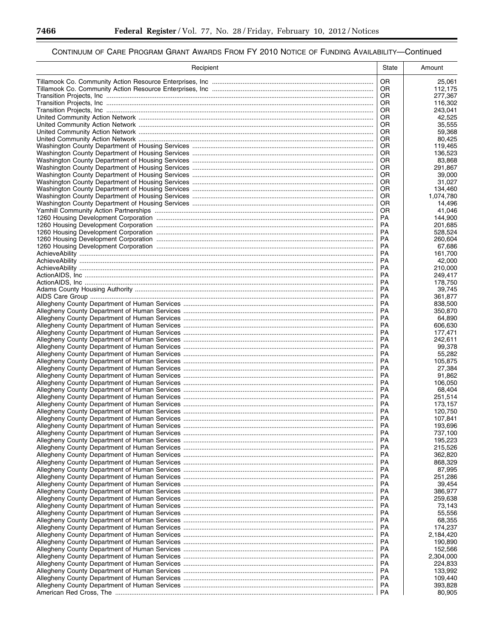▀

| Recipient | State           | Amount               |
|-----------|-----------------|----------------------|
|           | OR.             | 25,061               |
|           | OR.             | 112,175              |
|           | OR.             | 277,367              |
|           | OR.             | 116,302              |
|           | OR.<br>OR.      | 243.041<br>42,525    |
|           | 0R              | 35,555               |
|           | OR.             | 59,368               |
|           | OR.             | 80,425               |
|           | OR.             | 119,465              |
|           | <b>OR</b>       | 136,523              |
|           | OR.             | 83,868               |
|           | OR.<br>OR.      | 291.867              |
|           | OR.             | 39,000<br>31,027     |
|           | OR.             | 134,460              |
|           | OR.             | 1,074,780            |
|           | OR.             | 14,496               |
|           | OR.             | 41,046               |
|           | PA              | 144,900              |
|           | PA              | 201,685              |
|           | PA<br>PA        | 528,524<br>260,604   |
|           | PA              | 67.686               |
|           | PA              | 161,700              |
|           | PA              | 42,000               |
|           | PA              | 210,000              |
|           | PA              | 249.417              |
|           | <b>PA</b>       | 178,750              |
|           | PA<br><b>PA</b> | 39,745               |
|           | <b>PA</b>       | 361,877<br>838,500   |
|           | <b>PA</b>       | 350,870              |
|           | <b>PA</b>       | 64,890               |
|           | <b>PA</b>       | 606,630              |
|           | PA              | 177,471              |
|           |                 | 242,611              |
|           | PA<br>PA        | 99,378               |
|           | PA              | 55,282<br>105,875    |
|           | PA              | 27,384               |
|           | PA              | 91,862               |
|           | PA              | 106,050              |
|           | <b>PA</b>       | 68,404               |
|           | PA              | 251,514              |
|           | PA              | 173,157              |
|           | PA<br>PA        | 120,750<br>107,841   |
|           | <b>PA</b>       | 193,696              |
|           | <b>PA</b>       | 737,100              |
|           | <b>PA</b>       | 195,223              |
|           | PA              | 215,526              |
|           | PA              | 362,820              |
|           | PA              | 868,329              |
|           | PA<br>PA        | 87,995<br>251,286    |
|           | PA              | 39,454               |
|           | PA              | 386,977              |
|           | PA              | 259,638              |
|           | PA              | 73,143               |
|           | PA              | 55,556               |
|           | PA              | 68,355               |
|           | PA              | 174,237              |
|           | PA<br>PA        | 2,184,420<br>190,890 |
|           | PA              | 152,566              |
|           | PA              | 2,304,000            |
|           | PA              | 224,833              |
|           | PA              | 133,992              |
|           | PA              | 109,440              |
|           | PA              | 393,828              |
|           | PA              | 80,905               |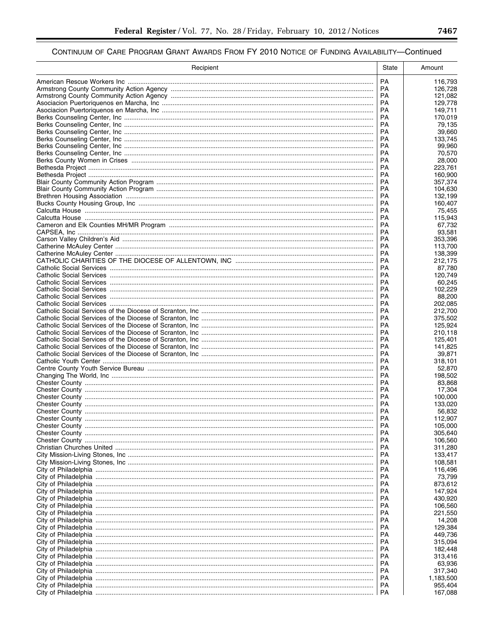| PA<br>116,793<br>PA<br>126,728<br>PA<br>121,082<br>PA<br>129,778<br>PA<br>149,711<br><b>PA</b><br>170,019<br>PA<br>79,135<br><b>PA</b><br>39,660<br>PA<br>133,745<br><b>PA</b><br>99,960<br>PA<br>70,570<br><b>PA</b><br>28,000<br>PA<br>223,761<br><b>PA</b><br>160.900<br>PA<br>357,374<br>PA<br>104,630<br>PA<br>132,199<br><b>PA</b><br>160,407<br>PA<br>75,455<br><b>PA</b><br>115,943<br><b>PA</b><br>67,732<br><b>PA</b><br>93,581<br><b>PA</b><br>353,396<br>РA<br>113.700<br><b>PA</b><br>138,399<br>РA<br>212,175<br>PA<br>87,780<br>PA<br>120,749<br><b>PA</b><br>60.245<br>РA<br>102.229<br>PA<br>88,200<br>РA<br>202,085<br>PA<br>212,700<br>PA<br>375,502<br>PA<br>125,924<br>PA<br>210,118<br><b>PA</b><br>125,401<br>PA<br>141,825<br><b>PA</b><br>39,871<br>PA<br>318,101<br><b>PA</b><br>52,870<br>PA<br>198,502<br>PA<br>83,868<br>PA<br>17,304<br>PA<br>100,000<br>PA<br>133,020<br>PA<br>56,832<br><b>PA</b><br>112,907<br>РA<br>105,000<br>РA<br>305,640<br>РA<br>106,560<br>РA<br>311,280<br>РA<br>133,417<br>РA<br>108,581<br>РA<br>116,496<br>РA<br>73,799<br>873,612<br>РA<br>РA<br>147,924<br>РA<br>430,920<br>РA<br>106,560<br>РA<br>221,550<br>РA<br>14,208<br>129,384<br>РA<br>РA<br>449,736<br>315,094<br>РA<br>РA<br>182,448<br>РA<br>313,416<br>РA<br>63,936<br>317,340<br>РA<br>РA<br>1,183,500<br>РA<br>955,404<br>РA<br>167,088 | Recipient | State | Amount |
|---------------------------------------------------------------------------------------------------------------------------------------------------------------------------------------------------------------------------------------------------------------------------------------------------------------------------------------------------------------------------------------------------------------------------------------------------------------------------------------------------------------------------------------------------------------------------------------------------------------------------------------------------------------------------------------------------------------------------------------------------------------------------------------------------------------------------------------------------------------------------------------------------------------------------------------------------------------------------------------------------------------------------------------------------------------------------------------------------------------------------------------------------------------------------------------------------------------------------------------------------------------------------------------------------------------------------------------------------------------------|-----------|-------|--------|
|                                                                                                                                                                                                                                                                                                                                                                                                                                                                                                                                                                                                                                                                                                                                                                                                                                                                                                                                                                                                                                                                                                                                                                                                                                                                                                                                                                     |           |       |        |
|                                                                                                                                                                                                                                                                                                                                                                                                                                                                                                                                                                                                                                                                                                                                                                                                                                                                                                                                                                                                                                                                                                                                                                                                                                                                                                                                                                     |           |       |        |
|                                                                                                                                                                                                                                                                                                                                                                                                                                                                                                                                                                                                                                                                                                                                                                                                                                                                                                                                                                                                                                                                                                                                                                                                                                                                                                                                                                     |           |       |        |
|                                                                                                                                                                                                                                                                                                                                                                                                                                                                                                                                                                                                                                                                                                                                                                                                                                                                                                                                                                                                                                                                                                                                                                                                                                                                                                                                                                     |           |       |        |
|                                                                                                                                                                                                                                                                                                                                                                                                                                                                                                                                                                                                                                                                                                                                                                                                                                                                                                                                                                                                                                                                                                                                                                                                                                                                                                                                                                     |           |       |        |
|                                                                                                                                                                                                                                                                                                                                                                                                                                                                                                                                                                                                                                                                                                                                                                                                                                                                                                                                                                                                                                                                                                                                                                                                                                                                                                                                                                     |           |       |        |
|                                                                                                                                                                                                                                                                                                                                                                                                                                                                                                                                                                                                                                                                                                                                                                                                                                                                                                                                                                                                                                                                                                                                                                                                                                                                                                                                                                     |           |       |        |
|                                                                                                                                                                                                                                                                                                                                                                                                                                                                                                                                                                                                                                                                                                                                                                                                                                                                                                                                                                                                                                                                                                                                                                                                                                                                                                                                                                     |           |       |        |
|                                                                                                                                                                                                                                                                                                                                                                                                                                                                                                                                                                                                                                                                                                                                                                                                                                                                                                                                                                                                                                                                                                                                                                                                                                                                                                                                                                     |           |       |        |
|                                                                                                                                                                                                                                                                                                                                                                                                                                                                                                                                                                                                                                                                                                                                                                                                                                                                                                                                                                                                                                                                                                                                                                                                                                                                                                                                                                     |           |       |        |
|                                                                                                                                                                                                                                                                                                                                                                                                                                                                                                                                                                                                                                                                                                                                                                                                                                                                                                                                                                                                                                                                                                                                                                                                                                                                                                                                                                     |           |       |        |
|                                                                                                                                                                                                                                                                                                                                                                                                                                                                                                                                                                                                                                                                                                                                                                                                                                                                                                                                                                                                                                                                                                                                                                                                                                                                                                                                                                     |           |       |        |
|                                                                                                                                                                                                                                                                                                                                                                                                                                                                                                                                                                                                                                                                                                                                                                                                                                                                                                                                                                                                                                                                                                                                                                                                                                                                                                                                                                     |           |       |        |
|                                                                                                                                                                                                                                                                                                                                                                                                                                                                                                                                                                                                                                                                                                                                                                                                                                                                                                                                                                                                                                                                                                                                                                                                                                                                                                                                                                     |           |       |        |
|                                                                                                                                                                                                                                                                                                                                                                                                                                                                                                                                                                                                                                                                                                                                                                                                                                                                                                                                                                                                                                                                                                                                                                                                                                                                                                                                                                     |           |       |        |
|                                                                                                                                                                                                                                                                                                                                                                                                                                                                                                                                                                                                                                                                                                                                                                                                                                                                                                                                                                                                                                                                                                                                                                                                                                                                                                                                                                     |           |       |        |
|                                                                                                                                                                                                                                                                                                                                                                                                                                                                                                                                                                                                                                                                                                                                                                                                                                                                                                                                                                                                                                                                                                                                                                                                                                                                                                                                                                     |           |       |        |
|                                                                                                                                                                                                                                                                                                                                                                                                                                                                                                                                                                                                                                                                                                                                                                                                                                                                                                                                                                                                                                                                                                                                                                                                                                                                                                                                                                     |           |       |        |
|                                                                                                                                                                                                                                                                                                                                                                                                                                                                                                                                                                                                                                                                                                                                                                                                                                                                                                                                                                                                                                                                                                                                                                                                                                                                                                                                                                     |           |       |        |
|                                                                                                                                                                                                                                                                                                                                                                                                                                                                                                                                                                                                                                                                                                                                                                                                                                                                                                                                                                                                                                                                                                                                                                                                                                                                                                                                                                     |           |       |        |
|                                                                                                                                                                                                                                                                                                                                                                                                                                                                                                                                                                                                                                                                                                                                                                                                                                                                                                                                                                                                                                                                                                                                                                                                                                                                                                                                                                     |           |       |        |
|                                                                                                                                                                                                                                                                                                                                                                                                                                                                                                                                                                                                                                                                                                                                                                                                                                                                                                                                                                                                                                                                                                                                                                                                                                                                                                                                                                     |           |       |        |
|                                                                                                                                                                                                                                                                                                                                                                                                                                                                                                                                                                                                                                                                                                                                                                                                                                                                                                                                                                                                                                                                                                                                                                                                                                                                                                                                                                     |           |       |        |
|                                                                                                                                                                                                                                                                                                                                                                                                                                                                                                                                                                                                                                                                                                                                                                                                                                                                                                                                                                                                                                                                                                                                                                                                                                                                                                                                                                     |           |       |        |
|                                                                                                                                                                                                                                                                                                                                                                                                                                                                                                                                                                                                                                                                                                                                                                                                                                                                                                                                                                                                                                                                                                                                                                                                                                                                                                                                                                     |           |       |        |
|                                                                                                                                                                                                                                                                                                                                                                                                                                                                                                                                                                                                                                                                                                                                                                                                                                                                                                                                                                                                                                                                                                                                                                                                                                                                                                                                                                     |           |       |        |
|                                                                                                                                                                                                                                                                                                                                                                                                                                                                                                                                                                                                                                                                                                                                                                                                                                                                                                                                                                                                                                                                                                                                                                                                                                                                                                                                                                     |           |       |        |
|                                                                                                                                                                                                                                                                                                                                                                                                                                                                                                                                                                                                                                                                                                                                                                                                                                                                                                                                                                                                                                                                                                                                                                                                                                                                                                                                                                     |           |       |        |
|                                                                                                                                                                                                                                                                                                                                                                                                                                                                                                                                                                                                                                                                                                                                                                                                                                                                                                                                                                                                                                                                                                                                                                                                                                                                                                                                                                     |           |       |        |
|                                                                                                                                                                                                                                                                                                                                                                                                                                                                                                                                                                                                                                                                                                                                                                                                                                                                                                                                                                                                                                                                                                                                                                                                                                                                                                                                                                     |           |       |        |
|                                                                                                                                                                                                                                                                                                                                                                                                                                                                                                                                                                                                                                                                                                                                                                                                                                                                                                                                                                                                                                                                                                                                                                                                                                                                                                                                                                     |           |       |        |
|                                                                                                                                                                                                                                                                                                                                                                                                                                                                                                                                                                                                                                                                                                                                                                                                                                                                                                                                                                                                                                                                                                                                                                                                                                                                                                                                                                     |           |       |        |
|                                                                                                                                                                                                                                                                                                                                                                                                                                                                                                                                                                                                                                                                                                                                                                                                                                                                                                                                                                                                                                                                                                                                                                                                                                                                                                                                                                     |           |       |        |
|                                                                                                                                                                                                                                                                                                                                                                                                                                                                                                                                                                                                                                                                                                                                                                                                                                                                                                                                                                                                                                                                                                                                                                                                                                                                                                                                                                     |           |       |        |
|                                                                                                                                                                                                                                                                                                                                                                                                                                                                                                                                                                                                                                                                                                                                                                                                                                                                                                                                                                                                                                                                                                                                                                                                                                                                                                                                                                     |           |       |        |
|                                                                                                                                                                                                                                                                                                                                                                                                                                                                                                                                                                                                                                                                                                                                                                                                                                                                                                                                                                                                                                                                                                                                                                                                                                                                                                                                                                     |           |       |        |
|                                                                                                                                                                                                                                                                                                                                                                                                                                                                                                                                                                                                                                                                                                                                                                                                                                                                                                                                                                                                                                                                                                                                                                                                                                                                                                                                                                     |           |       |        |
|                                                                                                                                                                                                                                                                                                                                                                                                                                                                                                                                                                                                                                                                                                                                                                                                                                                                                                                                                                                                                                                                                                                                                                                                                                                                                                                                                                     |           |       |        |
|                                                                                                                                                                                                                                                                                                                                                                                                                                                                                                                                                                                                                                                                                                                                                                                                                                                                                                                                                                                                                                                                                                                                                                                                                                                                                                                                                                     |           |       |        |
|                                                                                                                                                                                                                                                                                                                                                                                                                                                                                                                                                                                                                                                                                                                                                                                                                                                                                                                                                                                                                                                                                                                                                                                                                                                                                                                                                                     |           |       |        |
|                                                                                                                                                                                                                                                                                                                                                                                                                                                                                                                                                                                                                                                                                                                                                                                                                                                                                                                                                                                                                                                                                                                                                                                                                                                                                                                                                                     |           |       |        |
|                                                                                                                                                                                                                                                                                                                                                                                                                                                                                                                                                                                                                                                                                                                                                                                                                                                                                                                                                                                                                                                                                                                                                                                                                                                                                                                                                                     |           |       |        |
|                                                                                                                                                                                                                                                                                                                                                                                                                                                                                                                                                                                                                                                                                                                                                                                                                                                                                                                                                                                                                                                                                                                                                                                                                                                                                                                                                                     |           |       |        |
|                                                                                                                                                                                                                                                                                                                                                                                                                                                                                                                                                                                                                                                                                                                                                                                                                                                                                                                                                                                                                                                                                                                                                                                                                                                                                                                                                                     |           |       |        |
|                                                                                                                                                                                                                                                                                                                                                                                                                                                                                                                                                                                                                                                                                                                                                                                                                                                                                                                                                                                                                                                                                                                                                                                                                                                                                                                                                                     |           |       |        |
|                                                                                                                                                                                                                                                                                                                                                                                                                                                                                                                                                                                                                                                                                                                                                                                                                                                                                                                                                                                                                                                                                                                                                                                                                                                                                                                                                                     |           |       |        |
|                                                                                                                                                                                                                                                                                                                                                                                                                                                                                                                                                                                                                                                                                                                                                                                                                                                                                                                                                                                                                                                                                                                                                                                                                                                                                                                                                                     |           |       |        |
|                                                                                                                                                                                                                                                                                                                                                                                                                                                                                                                                                                                                                                                                                                                                                                                                                                                                                                                                                                                                                                                                                                                                                                                                                                                                                                                                                                     |           |       |        |
|                                                                                                                                                                                                                                                                                                                                                                                                                                                                                                                                                                                                                                                                                                                                                                                                                                                                                                                                                                                                                                                                                                                                                                                                                                                                                                                                                                     |           |       |        |
|                                                                                                                                                                                                                                                                                                                                                                                                                                                                                                                                                                                                                                                                                                                                                                                                                                                                                                                                                                                                                                                                                                                                                                                                                                                                                                                                                                     |           |       |        |
|                                                                                                                                                                                                                                                                                                                                                                                                                                                                                                                                                                                                                                                                                                                                                                                                                                                                                                                                                                                                                                                                                                                                                                                                                                                                                                                                                                     |           |       |        |
|                                                                                                                                                                                                                                                                                                                                                                                                                                                                                                                                                                                                                                                                                                                                                                                                                                                                                                                                                                                                                                                                                                                                                                                                                                                                                                                                                                     |           |       |        |
|                                                                                                                                                                                                                                                                                                                                                                                                                                                                                                                                                                                                                                                                                                                                                                                                                                                                                                                                                                                                                                                                                                                                                                                                                                                                                                                                                                     |           |       |        |
|                                                                                                                                                                                                                                                                                                                                                                                                                                                                                                                                                                                                                                                                                                                                                                                                                                                                                                                                                                                                                                                                                                                                                                                                                                                                                                                                                                     |           |       |        |
|                                                                                                                                                                                                                                                                                                                                                                                                                                                                                                                                                                                                                                                                                                                                                                                                                                                                                                                                                                                                                                                                                                                                                                                                                                                                                                                                                                     |           |       |        |
|                                                                                                                                                                                                                                                                                                                                                                                                                                                                                                                                                                                                                                                                                                                                                                                                                                                                                                                                                                                                                                                                                                                                                                                                                                                                                                                                                                     |           |       |        |
|                                                                                                                                                                                                                                                                                                                                                                                                                                                                                                                                                                                                                                                                                                                                                                                                                                                                                                                                                                                                                                                                                                                                                                                                                                                                                                                                                                     |           |       |        |
|                                                                                                                                                                                                                                                                                                                                                                                                                                                                                                                                                                                                                                                                                                                                                                                                                                                                                                                                                                                                                                                                                                                                                                                                                                                                                                                                                                     |           |       |        |
|                                                                                                                                                                                                                                                                                                                                                                                                                                                                                                                                                                                                                                                                                                                                                                                                                                                                                                                                                                                                                                                                                                                                                                                                                                                                                                                                                                     |           |       |        |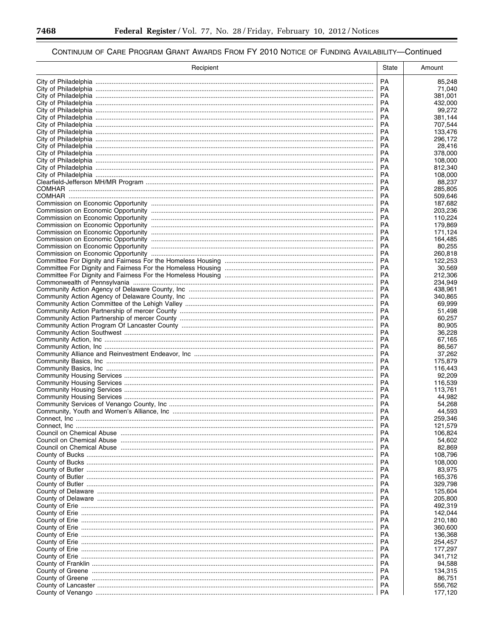▀

| Recipient | State           | Amount             |
|-----------|-----------------|--------------------|
|           | <b>PA</b>       | 85,248             |
|           | PA              | 71,040             |
|           | <b>PA</b>       | 381,001            |
|           | <b>PA</b>       | 432,000            |
|           | <b>PA</b><br>PA | 99,272<br>381,144  |
|           | PA              | 707,544            |
|           | <b>PA</b>       | 133,476            |
|           | PA              | 296,172            |
|           | PA              | 28,416             |
|           | PA              | 378,000            |
|           | PA<br><b>PA</b> | 108,000<br>812,340 |
|           | PA              | 108,000            |
|           | PA              | 88,237             |
|           | <b>PA</b>       | 285,805            |
|           | PA              | 509,646            |
|           | PA              | 187,682            |
|           | PA<br><b>PA</b> | 203,236<br>110,224 |
|           | PA              | 179,869            |
|           | PA              | 171,124            |
|           | <b>PA</b>       | 164,485            |
|           | PA              | 80,255             |
|           | PA              | 260,818            |
|           | PA<br>PA        | 122,253<br>30,569  |
|           | PA              | 212,306            |
|           | PA              | 234,949            |
|           | PA              | 438,961            |
|           | PA              | 340,865            |
|           | PA<br><b>PA</b> | 69,999             |
|           | PA              | 51,498<br>60,257   |
|           | PA              | 80,905             |
|           | PA              | 36,228             |
|           | PA              | 67,165             |
|           | PA              | 86,567             |
|           | PA<br>PA        | 37,262<br>175,879  |
|           | PA              | 116,443            |
|           | PA              | 92,209             |
|           | PA              | 116,539            |
|           | <b>PA</b>       | 113,761            |
|           | PA<br>PA        | 44,982<br>54,268   |
|           | PA              | 44,593             |
|           | <b>PA</b>       | 259,346            |
|           | PA              | 121,579            |
|           | PA              | 106,824            |
|           | PA              | 54,602             |
|           | PA<br>PA        | 82,869<br>108,796  |
|           | РA              | 108,000            |
|           | PA              | 83,975             |
|           | РA              | 165,376            |
|           | PA              | 329,798            |
|           | РA              | 125,604            |
|           | PA<br>РA        | 205,800<br>492,319 |
|           | PA              | 142.044            |
|           | РA              | 210,180            |
|           | PA              | 360,600            |
|           | РA              | 136,368            |
|           | PA              | 254,457            |
|           | РA<br>PA        | 177,297<br>341,712 |
|           | PA              | 94,588             |
|           | PA              | 134,315            |
|           | PA              | 86,751             |
|           | PA              | 556,762            |
|           | PA              | 177,120            |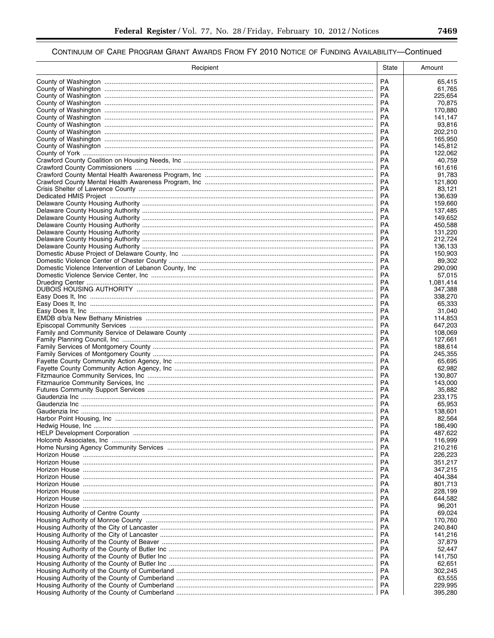| Recipient | State           | Amount             |
|-----------|-----------------|--------------------|
|           | <b>PA</b>       | 65,415             |
|           | PA              | 61,765             |
|           | <b>PA</b>       | 225,654            |
|           | PA              | 70.875             |
|           | <b>PA</b><br>PA | 170,880<br>141.147 |
|           | PA              | 93,816             |
|           | PA              | 202,210            |
|           | PA              | 165,950            |
|           | <b>PA</b>       | 145,812            |
|           | PA              | 122.062            |
|           | <b>PA</b>       | 40,759             |
|           | <b>PA</b>       | 161,616            |
|           | PA<br>PA        | 91,783<br>121,800  |
|           | <b>PA</b>       | 83,121             |
|           | PA              | 136,639            |
|           | PA              | 159,660            |
|           | PA              | 137,485            |
|           | PA              | 149,652            |
|           | PA<br>PA        | 450,588            |
|           | PA              | 131,220<br>212,724 |
|           | PA              | 136,133            |
|           | PA              | 150,903            |
|           | PA              | 89,302             |
|           | <b>PA</b>       | 290,090            |
|           | PA              | 57.015             |
|           | <b>PA</b>       | 1,081,414          |
|           | PA<br><b>PA</b> | 347,388<br>338,270 |
|           | РA              | 65,333             |
|           | PA              | 31,040             |
|           | PA              | 114,853            |
|           | <b>PA</b>       | 647,203            |
|           | PA              | 108,069            |
|           | PA<br>PA        | 127,661<br>188,614 |
|           | <b>PA</b>       | 245,355            |
|           | PA              | 65,695             |
|           | <b>PA</b>       | 62,982             |
|           | <b>PA</b>       | 130,807            |
|           | PA              | 143,000            |
|           | PA              | 35,882             |
|           | PA<br>PA        | 233,175<br>65,953  |
|           | <b>PA</b>       | 138,601            |
|           | <b>PA</b>       | 82,564             |
|           | РA              | 186,490            |
|           | PA              | 487,622            |
|           | РA              | 116,999            |
|           | РA              | 210,216            |
|           | РA<br>РA        | 226,223<br>351,217 |
|           | РA              | 347,215            |
|           | РA              | 404,384            |
|           | РA              | 801,713            |
|           | РA              | 228.199            |
|           | РA              | 644,582            |
|           | РA<br>РA        | 96,201<br>69.024   |
|           | PA              | 170,760            |
|           | РA              | 240,840            |
|           | РA              | 141,216            |
|           | РA              | 37,879             |
|           | РA              | 52,447             |
|           | РA<br>РA        | 141,750            |
|           | РA              | 62,651<br>302,245  |
|           | PA              | 63,555             |
|           | РA              | 229,995            |
|           | РA              | 395,280            |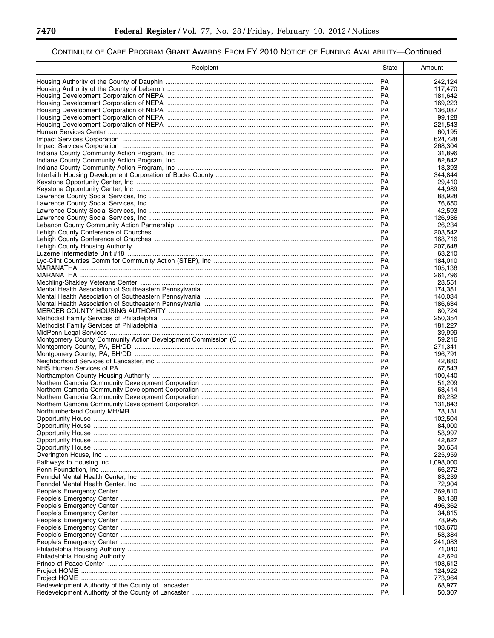-

▀

| Recipient                                                                         | State           | Amount             |
|-----------------------------------------------------------------------------------|-----------------|--------------------|
|                                                                                   | <b>PA</b>       | 242,124            |
|                                                                                   | <b>PA</b>       | 117,470            |
|                                                                                   | <b>PA</b>       | 181,642            |
|                                                                                   | PA              | 169,223            |
|                                                                                   | <b>PA</b>       | 136,087            |
|                                                                                   | PA<br>PA        | 99,128<br>221,543  |
|                                                                                   | PA              | 60,195             |
|                                                                                   | PA              | 624,728            |
|                                                                                   | PA              | 268,304            |
|                                                                                   | PA              | 31,896             |
|                                                                                   | PA              | 82,842             |
|                                                                                   | PA              | 13,393             |
|                                                                                   | PA<br>PA        | 344,844<br>29,410  |
|                                                                                   | <b>PA</b>       | 44,989             |
|                                                                                   | PA              | 88,928             |
|                                                                                   | PA              | 76,650             |
|                                                                                   | PA              | 42,593             |
|                                                                                   | PA              | 126,936            |
|                                                                                   | PA              | 26,234             |
|                                                                                   | PA<br>PA        | 203,542<br>168,716 |
|                                                                                   | PA              | 207,648            |
|                                                                                   | PA              | 63.210             |
|                                                                                   | PA              | 184,010            |
|                                                                                   | PA              | 105,138            |
|                                                                                   | <b>PA</b>       | 261,796            |
|                                                                                   | <b>PA</b>       | 28,551             |
|                                                                                   | PA<br><b>PA</b> | 174,351<br>140,034 |
|                                                                                   | PA              | 186,634            |
|                                                                                   | PA              | 80,724             |
|                                                                                   | <b>PA</b>       | 250,354            |
|                                                                                   | PA              | 181,227            |
|                                                                                   | PA              | 39,999             |
|                                                                                   | PA              | 59,216             |
|                                                                                   | PA<br>PA        | 271,341<br>196,791 |
|                                                                                   | PA              | 42,880             |
|                                                                                   | PA              | 67,543             |
|                                                                                   | PA              | 100,440            |
|                                                                                   | PA              | 51,209             |
|                                                                                   | PA              | 63,414             |
|                                                                                   | PA              | 69,232             |
|                                                                                   | PA<br><b>PA</b> | 131.843<br>78,131  |
|                                                                                   | PA              | 102,504            |
|                                                                                   | PA              | 84,000             |
|                                                                                   | PA              | 58,997             |
|                                                                                   | PA              | 42,827             |
|                                                                                   | PA              | 30,654             |
|                                                                                   | PA              | 225,959            |
|                                                                                   | PA              | 1,098,000          |
|                                                                                   | PA<br>PA        | 66,272<br>83,239   |
|                                                                                   | PA              | 72,904             |
|                                                                                   | PA              | 369,810            |
|                                                                                   | PA              | 98,188             |
|                                                                                   | PA              | 496,362            |
|                                                                                   | PA              | 34,815             |
|                                                                                   | PA<br>PA        | 78,995<br>103.670  |
|                                                                                   | PA              | 53,384             |
|                                                                                   | PA              | 241,083            |
|                                                                                   | PA              | 71,040             |
|                                                                                   | PA              | 42,624             |
|                                                                                   | PA              | 103,612            |
|                                                                                   | РA              | 124,922            |
|                                                                                   | PA              | 773,964            |
| Redevelopment Authority of the County of Lancaster ……………………………………………………………………………… | PA<br>PA        | 68,977<br>50,307   |
|                                                                                   |                 |                    |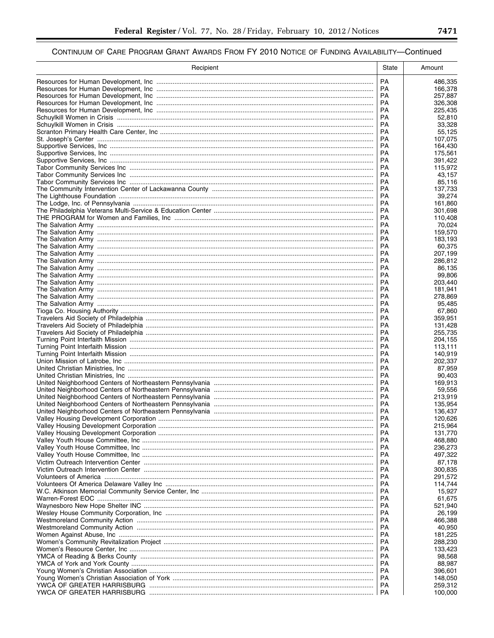| PA<br>486,335<br>PA<br>166,378<br>PA<br>257,887<br>PA<br>326,308<br>PA<br>225,435<br>PA<br>52,810<br>PA<br>33,328<br>PA<br>55,125<br>PA<br>107,075<br>PA<br>164,430<br>PA<br>175,561<br><b>PA</b><br>391,422<br>PA<br>115,972<br>PA<br>43,157<br>PA<br>85,116<br>PA<br>137,733<br>PA<br>39,274<br><b>PA</b><br>161,860<br>PA<br>301,698<br><b>PA</b><br>110,408<br>PA<br>70,024<br><b>PA</b><br>159,570<br><b>PA</b><br>183,193<br>PA<br>60,375<br>PA<br>207,199<br>PA<br>286,812<br>PA<br>86,135<br>PA<br>99,806<br>PA<br>203,440<br>PA<br>181,941<br>PA<br>278,869<br>PA<br>95,485<br>PA<br>67,860<br>PA<br>359,951<br><b>PA</b><br>131,428<br>PA<br>255,735<br>PA<br>204,155<br><b>PA</b><br>113,111<br>PA<br>140,919<br><b>PA</b><br>202,337<br>PA<br>87,959<br><b>PA</b><br>90,403<br>PA<br>169,913<br>PA<br>59,556<br>PA<br>213,919<br>PA<br>135,954<br>PA<br>136,437<br>PA<br>120,626<br>PA<br>215,964<br>PA<br>131,770<br>PA<br>468,880<br>PA<br>236,273<br>PA<br>497,322<br>PA<br>87,178<br>PA<br>300,835<br>PA<br>291,572<br>PA<br>114,744<br>PA<br>15,927<br>PA<br>61,675<br>PA<br>521,940<br>PA<br>26,199<br>PA<br>466,388<br>PA<br>40,950<br>PA<br>181,225<br>PA<br>288,230<br>PA<br>133,423<br>PA<br>98,568<br>PA<br>88,987<br>PA<br>396,601<br>PA<br>148,050<br>PA<br>259,312<br><b>PA</b><br>100,000 | Recipient | State | Amount |
|----------------------------------------------------------------------------------------------------------------------------------------------------------------------------------------------------------------------------------------------------------------------------------------------------------------------------------------------------------------------------------------------------------------------------------------------------------------------------------------------------------------------------------------------------------------------------------------------------------------------------------------------------------------------------------------------------------------------------------------------------------------------------------------------------------------------------------------------------------------------------------------------------------------------------------------------------------------------------------------------------------------------------------------------------------------------------------------------------------------------------------------------------------------------------------------------------------------------------------------------------------------------------------------------------------------------|-----------|-------|--------|
|                                                                                                                                                                                                                                                                                                                                                                                                                                                                                                                                                                                                                                                                                                                                                                                                                                                                                                                                                                                                                                                                                                                                                                                                                                                                                                                      |           |       |        |
|                                                                                                                                                                                                                                                                                                                                                                                                                                                                                                                                                                                                                                                                                                                                                                                                                                                                                                                                                                                                                                                                                                                                                                                                                                                                                                                      |           |       |        |
|                                                                                                                                                                                                                                                                                                                                                                                                                                                                                                                                                                                                                                                                                                                                                                                                                                                                                                                                                                                                                                                                                                                                                                                                                                                                                                                      |           |       |        |
|                                                                                                                                                                                                                                                                                                                                                                                                                                                                                                                                                                                                                                                                                                                                                                                                                                                                                                                                                                                                                                                                                                                                                                                                                                                                                                                      |           |       |        |
|                                                                                                                                                                                                                                                                                                                                                                                                                                                                                                                                                                                                                                                                                                                                                                                                                                                                                                                                                                                                                                                                                                                                                                                                                                                                                                                      |           |       |        |
|                                                                                                                                                                                                                                                                                                                                                                                                                                                                                                                                                                                                                                                                                                                                                                                                                                                                                                                                                                                                                                                                                                                                                                                                                                                                                                                      |           |       |        |
|                                                                                                                                                                                                                                                                                                                                                                                                                                                                                                                                                                                                                                                                                                                                                                                                                                                                                                                                                                                                                                                                                                                                                                                                                                                                                                                      |           |       |        |
|                                                                                                                                                                                                                                                                                                                                                                                                                                                                                                                                                                                                                                                                                                                                                                                                                                                                                                                                                                                                                                                                                                                                                                                                                                                                                                                      |           |       |        |
|                                                                                                                                                                                                                                                                                                                                                                                                                                                                                                                                                                                                                                                                                                                                                                                                                                                                                                                                                                                                                                                                                                                                                                                                                                                                                                                      |           |       |        |
|                                                                                                                                                                                                                                                                                                                                                                                                                                                                                                                                                                                                                                                                                                                                                                                                                                                                                                                                                                                                                                                                                                                                                                                                                                                                                                                      |           |       |        |
|                                                                                                                                                                                                                                                                                                                                                                                                                                                                                                                                                                                                                                                                                                                                                                                                                                                                                                                                                                                                                                                                                                                                                                                                                                                                                                                      |           |       |        |
|                                                                                                                                                                                                                                                                                                                                                                                                                                                                                                                                                                                                                                                                                                                                                                                                                                                                                                                                                                                                                                                                                                                                                                                                                                                                                                                      |           |       |        |
|                                                                                                                                                                                                                                                                                                                                                                                                                                                                                                                                                                                                                                                                                                                                                                                                                                                                                                                                                                                                                                                                                                                                                                                                                                                                                                                      |           |       |        |
|                                                                                                                                                                                                                                                                                                                                                                                                                                                                                                                                                                                                                                                                                                                                                                                                                                                                                                                                                                                                                                                                                                                                                                                                                                                                                                                      |           |       |        |
|                                                                                                                                                                                                                                                                                                                                                                                                                                                                                                                                                                                                                                                                                                                                                                                                                                                                                                                                                                                                                                                                                                                                                                                                                                                                                                                      |           |       |        |
|                                                                                                                                                                                                                                                                                                                                                                                                                                                                                                                                                                                                                                                                                                                                                                                                                                                                                                                                                                                                                                                                                                                                                                                                                                                                                                                      |           |       |        |
|                                                                                                                                                                                                                                                                                                                                                                                                                                                                                                                                                                                                                                                                                                                                                                                                                                                                                                                                                                                                                                                                                                                                                                                                                                                                                                                      |           |       |        |
|                                                                                                                                                                                                                                                                                                                                                                                                                                                                                                                                                                                                                                                                                                                                                                                                                                                                                                                                                                                                                                                                                                                                                                                                                                                                                                                      |           |       |        |
|                                                                                                                                                                                                                                                                                                                                                                                                                                                                                                                                                                                                                                                                                                                                                                                                                                                                                                                                                                                                                                                                                                                                                                                                                                                                                                                      |           |       |        |
|                                                                                                                                                                                                                                                                                                                                                                                                                                                                                                                                                                                                                                                                                                                                                                                                                                                                                                                                                                                                                                                                                                                                                                                                                                                                                                                      |           |       |        |
|                                                                                                                                                                                                                                                                                                                                                                                                                                                                                                                                                                                                                                                                                                                                                                                                                                                                                                                                                                                                                                                                                                                                                                                                                                                                                                                      |           |       |        |
|                                                                                                                                                                                                                                                                                                                                                                                                                                                                                                                                                                                                                                                                                                                                                                                                                                                                                                                                                                                                                                                                                                                                                                                                                                                                                                                      |           |       |        |
|                                                                                                                                                                                                                                                                                                                                                                                                                                                                                                                                                                                                                                                                                                                                                                                                                                                                                                                                                                                                                                                                                                                                                                                                                                                                                                                      |           |       |        |
|                                                                                                                                                                                                                                                                                                                                                                                                                                                                                                                                                                                                                                                                                                                                                                                                                                                                                                                                                                                                                                                                                                                                                                                                                                                                                                                      |           |       |        |
|                                                                                                                                                                                                                                                                                                                                                                                                                                                                                                                                                                                                                                                                                                                                                                                                                                                                                                                                                                                                                                                                                                                                                                                                                                                                                                                      |           |       |        |
|                                                                                                                                                                                                                                                                                                                                                                                                                                                                                                                                                                                                                                                                                                                                                                                                                                                                                                                                                                                                                                                                                                                                                                                                                                                                                                                      |           |       |        |
|                                                                                                                                                                                                                                                                                                                                                                                                                                                                                                                                                                                                                                                                                                                                                                                                                                                                                                                                                                                                                                                                                                                                                                                                                                                                                                                      |           |       |        |
|                                                                                                                                                                                                                                                                                                                                                                                                                                                                                                                                                                                                                                                                                                                                                                                                                                                                                                                                                                                                                                                                                                                                                                                                                                                                                                                      |           |       |        |
|                                                                                                                                                                                                                                                                                                                                                                                                                                                                                                                                                                                                                                                                                                                                                                                                                                                                                                                                                                                                                                                                                                                                                                                                                                                                                                                      |           |       |        |
|                                                                                                                                                                                                                                                                                                                                                                                                                                                                                                                                                                                                                                                                                                                                                                                                                                                                                                                                                                                                                                                                                                                                                                                                                                                                                                                      |           |       |        |
|                                                                                                                                                                                                                                                                                                                                                                                                                                                                                                                                                                                                                                                                                                                                                                                                                                                                                                                                                                                                                                                                                                                                                                                                                                                                                                                      |           |       |        |
|                                                                                                                                                                                                                                                                                                                                                                                                                                                                                                                                                                                                                                                                                                                                                                                                                                                                                                                                                                                                                                                                                                                                                                                                                                                                                                                      |           |       |        |
|                                                                                                                                                                                                                                                                                                                                                                                                                                                                                                                                                                                                                                                                                                                                                                                                                                                                                                                                                                                                                                                                                                                                                                                                                                                                                                                      |           |       |        |
|                                                                                                                                                                                                                                                                                                                                                                                                                                                                                                                                                                                                                                                                                                                                                                                                                                                                                                                                                                                                                                                                                                                                                                                                                                                                                                                      |           |       |        |
|                                                                                                                                                                                                                                                                                                                                                                                                                                                                                                                                                                                                                                                                                                                                                                                                                                                                                                                                                                                                                                                                                                                                                                                                                                                                                                                      |           |       |        |
|                                                                                                                                                                                                                                                                                                                                                                                                                                                                                                                                                                                                                                                                                                                                                                                                                                                                                                                                                                                                                                                                                                                                                                                                                                                                                                                      |           |       |        |
|                                                                                                                                                                                                                                                                                                                                                                                                                                                                                                                                                                                                                                                                                                                                                                                                                                                                                                                                                                                                                                                                                                                                                                                                                                                                                                                      |           |       |        |
|                                                                                                                                                                                                                                                                                                                                                                                                                                                                                                                                                                                                                                                                                                                                                                                                                                                                                                                                                                                                                                                                                                                                                                                                                                                                                                                      |           |       |        |
|                                                                                                                                                                                                                                                                                                                                                                                                                                                                                                                                                                                                                                                                                                                                                                                                                                                                                                                                                                                                                                                                                                                                                                                                                                                                                                                      |           |       |        |
|                                                                                                                                                                                                                                                                                                                                                                                                                                                                                                                                                                                                                                                                                                                                                                                                                                                                                                                                                                                                                                                                                                                                                                                                                                                                                                                      |           |       |        |
|                                                                                                                                                                                                                                                                                                                                                                                                                                                                                                                                                                                                                                                                                                                                                                                                                                                                                                                                                                                                                                                                                                                                                                                                                                                                                                                      |           |       |        |
|                                                                                                                                                                                                                                                                                                                                                                                                                                                                                                                                                                                                                                                                                                                                                                                                                                                                                                                                                                                                                                                                                                                                                                                                                                                                                                                      |           |       |        |
|                                                                                                                                                                                                                                                                                                                                                                                                                                                                                                                                                                                                                                                                                                                                                                                                                                                                                                                                                                                                                                                                                                                                                                                                                                                                                                                      |           |       |        |
|                                                                                                                                                                                                                                                                                                                                                                                                                                                                                                                                                                                                                                                                                                                                                                                                                                                                                                                                                                                                                                                                                                                                                                                                                                                                                                                      |           |       |        |
|                                                                                                                                                                                                                                                                                                                                                                                                                                                                                                                                                                                                                                                                                                                                                                                                                                                                                                                                                                                                                                                                                                                                                                                                                                                                                                                      |           |       |        |
|                                                                                                                                                                                                                                                                                                                                                                                                                                                                                                                                                                                                                                                                                                                                                                                                                                                                                                                                                                                                                                                                                                                                                                                                                                                                                                                      |           |       |        |
|                                                                                                                                                                                                                                                                                                                                                                                                                                                                                                                                                                                                                                                                                                                                                                                                                                                                                                                                                                                                                                                                                                                                                                                                                                                                                                                      |           |       |        |
|                                                                                                                                                                                                                                                                                                                                                                                                                                                                                                                                                                                                                                                                                                                                                                                                                                                                                                                                                                                                                                                                                                                                                                                                                                                                                                                      |           |       |        |
|                                                                                                                                                                                                                                                                                                                                                                                                                                                                                                                                                                                                                                                                                                                                                                                                                                                                                                                                                                                                                                                                                                                                                                                                                                                                                                                      |           |       |        |
|                                                                                                                                                                                                                                                                                                                                                                                                                                                                                                                                                                                                                                                                                                                                                                                                                                                                                                                                                                                                                                                                                                                                                                                                                                                                                                                      |           |       |        |
|                                                                                                                                                                                                                                                                                                                                                                                                                                                                                                                                                                                                                                                                                                                                                                                                                                                                                                                                                                                                                                                                                                                                                                                                                                                                                                                      |           |       |        |
|                                                                                                                                                                                                                                                                                                                                                                                                                                                                                                                                                                                                                                                                                                                                                                                                                                                                                                                                                                                                                                                                                                                                                                                                                                                                                                                      |           |       |        |
|                                                                                                                                                                                                                                                                                                                                                                                                                                                                                                                                                                                                                                                                                                                                                                                                                                                                                                                                                                                                                                                                                                                                                                                                                                                                                                                      |           |       |        |
|                                                                                                                                                                                                                                                                                                                                                                                                                                                                                                                                                                                                                                                                                                                                                                                                                                                                                                                                                                                                                                                                                                                                                                                                                                                                                                                      |           |       |        |
|                                                                                                                                                                                                                                                                                                                                                                                                                                                                                                                                                                                                                                                                                                                                                                                                                                                                                                                                                                                                                                                                                                                                                                                                                                                                                                                      |           |       |        |
|                                                                                                                                                                                                                                                                                                                                                                                                                                                                                                                                                                                                                                                                                                                                                                                                                                                                                                                                                                                                                                                                                                                                                                                                                                                                                                                      |           |       |        |
|                                                                                                                                                                                                                                                                                                                                                                                                                                                                                                                                                                                                                                                                                                                                                                                                                                                                                                                                                                                                                                                                                                                                                                                                                                                                                                                      |           |       |        |
|                                                                                                                                                                                                                                                                                                                                                                                                                                                                                                                                                                                                                                                                                                                                                                                                                                                                                                                                                                                                                                                                                                                                                                                                                                                                                                                      |           |       |        |
|                                                                                                                                                                                                                                                                                                                                                                                                                                                                                                                                                                                                                                                                                                                                                                                                                                                                                                                                                                                                                                                                                                                                                                                                                                                                                                                      |           |       |        |
|                                                                                                                                                                                                                                                                                                                                                                                                                                                                                                                                                                                                                                                                                                                                                                                                                                                                                                                                                                                                                                                                                                                                                                                                                                                                                                                      |           |       |        |
|                                                                                                                                                                                                                                                                                                                                                                                                                                                                                                                                                                                                                                                                                                                                                                                                                                                                                                                                                                                                                                                                                                                                                                                                                                                                                                                      |           |       |        |
|                                                                                                                                                                                                                                                                                                                                                                                                                                                                                                                                                                                                                                                                                                                                                                                                                                                                                                                                                                                                                                                                                                                                                                                                                                                                                                                      |           |       |        |
|                                                                                                                                                                                                                                                                                                                                                                                                                                                                                                                                                                                                                                                                                                                                                                                                                                                                                                                                                                                                                                                                                                                                                                                                                                                                                                                      |           |       |        |
|                                                                                                                                                                                                                                                                                                                                                                                                                                                                                                                                                                                                                                                                                                                                                                                                                                                                                                                                                                                                                                                                                                                                                                                                                                                                                                                      |           |       |        |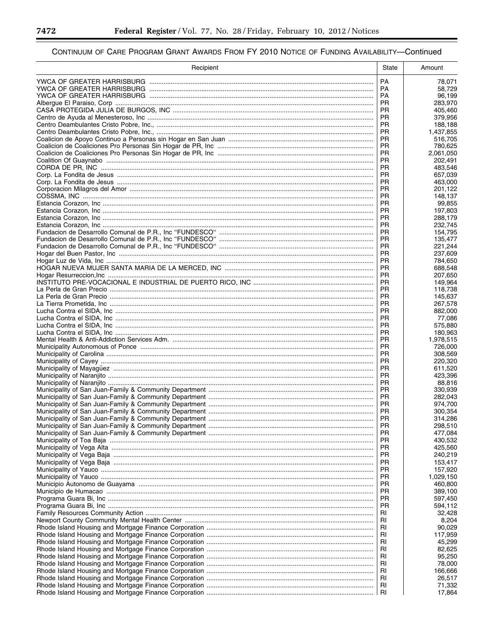۳

▀

| Recipient | State                  | Amount             |
|-----------|------------------------|--------------------|
|           | <b>PA</b>              | 78,071             |
|           | <b>PA</b>              | 58,729             |
|           | <b>PA</b>              | 96,199             |
|           | <b>PR</b><br><b>PR</b> | 283,970<br>405,460 |
|           | <b>PR</b>              | 379,956            |
|           | <b>PR</b>              | 188,188            |
|           | <b>PR</b>              | 1,437,855          |
|           | <b>PR</b><br><b>PR</b> | 516,705<br>780,625 |
|           | <b>PR</b>              | 2,061,050          |
|           | <b>PR</b>              | 202,491            |
|           | <b>PR</b><br><b>PR</b> | 483,546<br>657.039 |
|           | <b>PR</b>              | 463,000            |
|           | <b>PR</b>              | 201,122            |
|           | <b>PR</b>              | 148,137            |
|           | <b>PR</b><br><b>PR</b> | 99,855<br>197,803  |
|           | <b>PR</b>              | 288,179            |
|           | <b>PR</b>              | 232,745            |
|           | <b>PR</b>              | 154,795            |
|           | <b>PR</b><br><b>PR</b> | 135,477<br>221,244 |
|           | <b>PR</b>              | 237,609            |
|           | <b>PR</b>              | 784,650            |
|           | <b>PR</b>              | 688,548            |
|           | <b>PR</b><br><b>PR</b> | 207,650<br>149,964 |
|           | <b>PR</b>              | 118,738            |
|           | <b>PR</b>              | 145,637            |
|           | <b>PR</b>              | 267,578            |
|           | <b>PR</b><br><b>PR</b> | 882,000<br>77,086  |
|           | <b>PR</b>              | 575,880            |
|           | <b>PR</b>              | 180,963            |
|           | <b>PR</b>              | 1,978,515          |
|           | <b>PR</b><br><b>PR</b> | 726,000<br>308,569 |
|           | <b>PR</b>              | 220,320            |
|           | <b>PR</b>              | 611,520            |
|           | <b>PR</b><br><b>PR</b> | 423,396            |
|           | <b>PR</b>              | 88,816<br>330.939  |
|           | <b>PR</b>              | 282,043            |
|           | <b>PR</b>              | 974,700            |
|           | <b>PR</b><br><b>PR</b> | 300.354            |
|           | <b>PR</b>              | 314,286<br>298,510 |
|           | <b>PR</b>              | 477,084            |
|           | <b>PR</b>              | 430,532            |
|           | <b>PR</b><br><b>PR</b> | 425,560<br>240,219 |
|           | <b>PR</b>              | 153,417            |
|           | <b>PR</b>              | 157,920            |
|           | PR                     | 1,029,150          |
|           | <b>PR</b><br><b>PR</b> | 460,800<br>389,100 |
|           | <b>PR</b>              | 597,450            |
|           | PR                     | 594,112            |
|           | RI                     | 32,428             |
|           | RI<br>RI               | 8,204<br>90,029    |
|           | RI                     | 117,959            |
|           | RI                     | 45,299             |
|           | RI                     | 82,625             |
|           | RI<br>RI               | 95,250<br>78,000   |
|           | RI                     | 166,666            |
|           | RI                     | 26,517             |
|           | <b>RI</b>              | 71,332             |
|           | RI                     | 17,864             |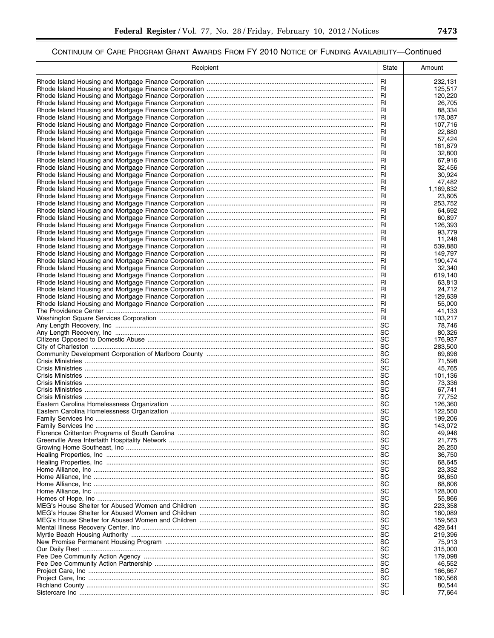| RI<br>232,131<br>RI<br>125,517<br>RI<br>120,220<br><b>RI</b><br>26,705<br>RI<br>88,334<br>RI<br>178,087<br>RI<br>107,716<br>RI<br>22,880<br>RI<br>57,424<br>RI<br>161,879<br>RI<br>32,800<br>RI<br>67,916<br>RI<br>32,456<br>RI<br>30,924<br>RI<br>47,482<br>RI<br>1,169,832<br>RI<br>23,605<br>RI<br>253,752<br>RI<br>64,692<br><b>RI</b><br>60,897<br>RI<br>126,393<br>RI<br>93,779<br>RI<br>11,248<br>RI<br>539,880<br>RI<br>149,797<br>RI<br>190,474<br>RI<br>32.340<br>RI<br>619,140<br>RI<br>63,813<br>RI<br>24,712<br>RI<br>129,639<br><b>RI</b><br>55,000<br><b>RI</b><br>41,133<br><b>RI</b><br>103,217<br>SC<br>78,746<br>SC<br>80,326<br>SC<br>176,937<br>SC<br>283,500<br>SC<br>69,698<br>SC<br>71,598<br>SC<br>45,765<br>SC<br>101,136<br>SC<br>73,336<br>SC<br>67,741<br>SC<br>77,752<br>SC<br>126,360<br>SC<br>122,550<br>SC<br>199,206<br>SC<br>143,072<br>SC<br>49,946<br>SC<br>21,775<br>SC<br>26,250<br>SC<br>36,750<br>SC<br>68,645<br>SC<br>23,332<br>SC<br>98,650<br>SC<br>68,606<br>SC<br>128,000<br>SC<br>55,866<br>SC<br>223,358<br>SC<br>160,089<br>SC<br>159,563<br>SC<br>429,641<br>SC<br>219,396<br>SC<br>75,913<br>SC<br>315,000<br>SC<br>179,098<br>SC<br>46,552<br>SC<br>166,667<br>SC<br>160,566<br>SC<br>80,544<br>SC<br>77,664 | Recipient | State | Amount |
|-------------------------------------------------------------------------------------------------------------------------------------------------------------------------------------------------------------------------------------------------------------------------------------------------------------------------------------------------------------------------------------------------------------------------------------------------------------------------------------------------------------------------------------------------------------------------------------------------------------------------------------------------------------------------------------------------------------------------------------------------------------------------------------------------------------------------------------------------------------------------------------------------------------------------------------------------------------------------------------------------------------------------------------------------------------------------------------------------------------------------------------------------------------------------------------------------------------------------------------------------------------------|-----------|-------|--------|
|                                                                                                                                                                                                                                                                                                                                                                                                                                                                                                                                                                                                                                                                                                                                                                                                                                                                                                                                                                                                                                                                                                                                                                                                                                                                   |           |       |        |
|                                                                                                                                                                                                                                                                                                                                                                                                                                                                                                                                                                                                                                                                                                                                                                                                                                                                                                                                                                                                                                                                                                                                                                                                                                                                   |           |       |        |
|                                                                                                                                                                                                                                                                                                                                                                                                                                                                                                                                                                                                                                                                                                                                                                                                                                                                                                                                                                                                                                                                                                                                                                                                                                                                   |           |       |        |
|                                                                                                                                                                                                                                                                                                                                                                                                                                                                                                                                                                                                                                                                                                                                                                                                                                                                                                                                                                                                                                                                                                                                                                                                                                                                   |           |       |        |
|                                                                                                                                                                                                                                                                                                                                                                                                                                                                                                                                                                                                                                                                                                                                                                                                                                                                                                                                                                                                                                                                                                                                                                                                                                                                   |           |       |        |
|                                                                                                                                                                                                                                                                                                                                                                                                                                                                                                                                                                                                                                                                                                                                                                                                                                                                                                                                                                                                                                                                                                                                                                                                                                                                   |           |       |        |
|                                                                                                                                                                                                                                                                                                                                                                                                                                                                                                                                                                                                                                                                                                                                                                                                                                                                                                                                                                                                                                                                                                                                                                                                                                                                   |           |       |        |
|                                                                                                                                                                                                                                                                                                                                                                                                                                                                                                                                                                                                                                                                                                                                                                                                                                                                                                                                                                                                                                                                                                                                                                                                                                                                   |           |       |        |
|                                                                                                                                                                                                                                                                                                                                                                                                                                                                                                                                                                                                                                                                                                                                                                                                                                                                                                                                                                                                                                                                                                                                                                                                                                                                   |           |       |        |
|                                                                                                                                                                                                                                                                                                                                                                                                                                                                                                                                                                                                                                                                                                                                                                                                                                                                                                                                                                                                                                                                                                                                                                                                                                                                   |           |       |        |
|                                                                                                                                                                                                                                                                                                                                                                                                                                                                                                                                                                                                                                                                                                                                                                                                                                                                                                                                                                                                                                                                                                                                                                                                                                                                   |           |       |        |
|                                                                                                                                                                                                                                                                                                                                                                                                                                                                                                                                                                                                                                                                                                                                                                                                                                                                                                                                                                                                                                                                                                                                                                                                                                                                   |           |       |        |
|                                                                                                                                                                                                                                                                                                                                                                                                                                                                                                                                                                                                                                                                                                                                                                                                                                                                                                                                                                                                                                                                                                                                                                                                                                                                   |           |       |        |
|                                                                                                                                                                                                                                                                                                                                                                                                                                                                                                                                                                                                                                                                                                                                                                                                                                                                                                                                                                                                                                                                                                                                                                                                                                                                   |           |       |        |
|                                                                                                                                                                                                                                                                                                                                                                                                                                                                                                                                                                                                                                                                                                                                                                                                                                                                                                                                                                                                                                                                                                                                                                                                                                                                   |           |       |        |
|                                                                                                                                                                                                                                                                                                                                                                                                                                                                                                                                                                                                                                                                                                                                                                                                                                                                                                                                                                                                                                                                                                                                                                                                                                                                   |           |       |        |
|                                                                                                                                                                                                                                                                                                                                                                                                                                                                                                                                                                                                                                                                                                                                                                                                                                                                                                                                                                                                                                                                                                                                                                                                                                                                   |           |       |        |
|                                                                                                                                                                                                                                                                                                                                                                                                                                                                                                                                                                                                                                                                                                                                                                                                                                                                                                                                                                                                                                                                                                                                                                                                                                                                   |           |       |        |
|                                                                                                                                                                                                                                                                                                                                                                                                                                                                                                                                                                                                                                                                                                                                                                                                                                                                                                                                                                                                                                                                                                                                                                                                                                                                   |           |       |        |
|                                                                                                                                                                                                                                                                                                                                                                                                                                                                                                                                                                                                                                                                                                                                                                                                                                                                                                                                                                                                                                                                                                                                                                                                                                                                   |           |       |        |
|                                                                                                                                                                                                                                                                                                                                                                                                                                                                                                                                                                                                                                                                                                                                                                                                                                                                                                                                                                                                                                                                                                                                                                                                                                                                   |           |       |        |
|                                                                                                                                                                                                                                                                                                                                                                                                                                                                                                                                                                                                                                                                                                                                                                                                                                                                                                                                                                                                                                                                                                                                                                                                                                                                   |           |       |        |
|                                                                                                                                                                                                                                                                                                                                                                                                                                                                                                                                                                                                                                                                                                                                                                                                                                                                                                                                                                                                                                                                                                                                                                                                                                                                   |           |       |        |
|                                                                                                                                                                                                                                                                                                                                                                                                                                                                                                                                                                                                                                                                                                                                                                                                                                                                                                                                                                                                                                                                                                                                                                                                                                                                   |           |       |        |
|                                                                                                                                                                                                                                                                                                                                                                                                                                                                                                                                                                                                                                                                                                                                                                                                                                                                                                                                                                                                                                                                                                                                                                                                                                                                   |           |       |        |
|                                                                                                                                                                                                                                                                                                                                                                                                                                                                                                                                                                                                                                                                                                                                                                                                                                                                                                                                                                                                                                                                                                                                                                                                                                                                   |           |       |        |
|                                                                                                                                                                                                                                                                                                                                                                                                                                                                                                                                                                                                                                                                                                                                                                                                                                                                                                                                                                                                                                                                                                                                                                                                                                                                   |           |       |        |
|                                                                                                                                                                                                                                                                                                                                                                                                                                                                                                                                                                                                                                                                                                                                                                                                                                                                                                                                                                                                                                                                                                                                                                                                                                                                   |           |       |        |
|                                                                                                                                                                                                                                                                                                                                                                                                                                                                                                                                                                                                                                                                                                                                                                                                                                                                                                                                                                                                                                                                                                                                                                                                                                                                   |           |       |        |
|                                                                                                                                                                                                                                                                                                                                                                                                                                                                                                                                                                                                                                                                                                                                                                                                                                                                                                                                                                                                                                                                                                                                                                                                                                                                   |           |       |        |
|                                                                                                                                                                                                                                                                                                                                                                                                                                                                                                                                                                                                                                                                                                                                                                                                                                                                                                                                                                                                                                                                                                                                                                                                                                                                   |           |       |        |
|                                                                                                                                                                                                                                                                                                                                                                                                                                                                                                                                                                                                                                                                                                                                                                                                                                                                                                                                                                                                                                                                                                                                                                                                                                                                   |           |       |        |
|                                                                                                                                                                                                                                                                                                                                                                                                                                                                                                                                                                                                                                                                                                                                                                                                                                                                                                                                                                                                                                                                                                                                                                                                                                                                   |           |       |        |
|                                                                                                                                                                                                                                                                                                                                                                                                                                                                                                                                                                                                                                                                                                                                                                                                                                                                                                                                                                                                                                                                                                                                                                                                                                                                   |           |       |        |
|                                                                                                                                                                                                                                                                                                                                                                                                                                                                                                                                                                                                                                                                                                                                                                                                                                                                                                                                                                                                                                                                                                                                                                                                                                                                   |           |       |        |
|                                                                                                                                                                                                                                                                                                                                                                                                                                                                                                                                                                                                                                                                                                                                                                                                                                                                                                                                                                                                                                                                                                                                                                                                                                                                   |           |       |        |
|                                                                                                                                                                                                                                                                                                                                                                                                                                                                                                                                                                                                                                                                                                                                                                                                                                                                                                                                                                                                                                                                                                                                                                                                                                                                   |           |       |        |
|                                                                                                                                                                                                                                                                                                                                                                                                                                                                                                                                                                                                                                                                                                                                                                                                                                                                                                                                                                                                                                                                                                                                                                                                                                                                   |           |       |        |
|                                                                                                                                                                                                                                                                                                                                                                                                                                                                                                                                                                                                                                                                                                                                                                                                                                                                                                                                                                                                                                                                                                                                                                                                                                                                   |           |       |        |
|                                                                                                                                                                                                                                                                                                                                                                                                                                                                                                                                                                                                                                                                                                                                                                                                                                                                                                                                                                                                                                                                                                                                                                                                                                                                   |           |       |        |
|                                                                                                                                                                                                                                                                                                                                                                                                                                                                                                                                                                                                                                                                                                                                                                                                                                                                                                                                                                                                                                                                                                                                                                                                                                                                   |           |       |        |
|                                                                                                                                                                                                                                                                                                                                                                                                                                                                                                                                                                                                                                                                                                                                                                                                                                                                                                                                                                                                                                                                                                                                                                                                                                                                   |           |       |        |
|                                                                                                                                                                                                                                                                                                                                                                                                                                                                                                                                                                                                                                                                                                                                                                                                                                                                                                                                                                                                                                                                                                                                                                                                                                                                   |           |       |        |
|                                                                                                                                                                                                                                                                                                                                                                                                                                                                                                                                                                                                                                                                                                                                                                                                                                                                                                                                                                                                                                                                                                                                                                                                                                                                   |           |       |        |
|                                                                                                                                                                                                                                                                                                                                                                                                                                                                                                                                                                                                                                                                                                                                                                                                                                                                                                                                                                                                                                                                                                                                                                                                                                                                   |           |       |        |
|                                                                                                                                                                                                                                                                                                                                                                                                                                                                                                                                                                                                                                                                                                                                                                                                                                                                                                                                                                                                                                                                                                                                                                                                                                                                   |           |       |        |
|                                                                                                                                                                                                                                                                                                                                                                                                                                                                                                                                                                                                                                                                                                                                                                                                                                                                                                                                                                                                                                                                                                                                                                                                                                                                   |           |       |        |
|                                                                                                                                                                                                                                                                                                                                                                                                                                                                                                                                                                                                                                                                                                                                                                                                                                                                                                                                                                                                                                                                                                                                                                                                                                                                   |           |       |        |
|                                                                                                                                                                                                                                                                                                                                                                                                                                                                                                                                                                                                                                                                                                                                                                                                                                                                                                                                                                                                                                                                                                                                                                                                                                                                   |           |       |        |
|                                                                                                                                                                                                                                                                                                                                                                                                                                                                                                                                                                                                                                                                                                                                                                                                                                                                                                                                                                                                                                                                                                                                                                                                                                                                   |           |       |        |
|                                                                                                                                                                                                                                                                                                                                                                                                                                                                                                                                                                                                                                                                                                                                                                                                                                                                                                                                                                                                                                                                                                                                                                                                                                                                   |           |       |        |
|                                                                                                                                                                                                                                                                                                                                                                                                                                                                                                                                                                                                                                                                                                                                                                                                                                                                                                                                                                                                                                                                                                                                                                                                                                                                   |           |       |        |
|                                                                                                                                                                                                                                                                                                                                                                                                                                                                                                                                                                                                                                                                                                                                                                                                                                                                                                                                                                                                                                                                                                                                                                                                                                                                   |           |       |        |
|                                                                                                                                                                                                                                                                                                                                                                                                                                                                                                                                                                                                                                                                                                                                                                                                                                                                                                                                                                                                                                                                                                                                                                                                                                                                   |           |       |        |
|                                                                                                                                                                                                                                                                                                                                                                                                                                                                                                                                                                                                                                                                                                                                                                                                                                                                                                                                                                                                                                                                                                                                                                                                                                                                   |           |       |        |
|                                                                                                                                                                                                                                                                                                                                                                                                                                                                                                                                                                                                                                                                                                                                                                                                                                                                                                                                                                                                                                                                                                                                                                                                                                                                   |           |       |        |
|                                                                                                                                                                                                                                                                                                                                                                                                                                                                                                                                                                                                                                                                                                                                                                                                                                                                                                                                                                                                                                                                                                                                                                                                                                                                   |           |       |        |
|                                                                                                                                                                                                                                                                                                                                                                                                                                                                                                                                                                                                                                                                                                                                                                                                                                                                                                                                                                                                                                                                                                                                                                                                                                                                   |           |       |        |
|                                                                                                                                                                                                                                                                                                                                                                                                                                                                                                                                                                                                                                                                                                                                                                                                                                                                                                                                                                                                                                                                                                                                                                                                                                                                   |           |       |        |
|                                                                                                                                                                                                                                                                                                                                                                                                                                                                                                                                                                                                                                                                                                                                                                                                                                                                                                                                                                                                                                                                                                                                                                                                                                                                   |           |       |        |
|                                                                                                                                                                                                                                                                                                                                                                                                                                                                                                                                                                                                                                                                                                                                                                                                                                                                                                                                                                                                                                                                                                                                                                                                                                                                   |           |       |        |
|                                                                                                                                                                                                                                                                                                                                                                                                                                                                                                                                                                                                                                                                                                                                                                                                                                                                                                                                                                                                                                                                                                                                                                                                                                                                   |           |       |        |
|                                                                                                                                                                                                                                                                                                                                                                                                                                                                                                                                                                                                                                                                                                                                                                                                                                                                                                                                                                                                                                                                                                                                                                                                                                                                   |           |       |        |
|                                                                                                                                                                                                                                                                                                                                                                                                                                                                                                                                                                                                                                                                                                                                                                                                                                                                                                                                                                                                                                                                                                                                                                                                                                                                   |           |       |        |
|                                                                                                                                                                                                                                                                                                                                                                                                                                                                                                                                                                                                                                                                                                                                                                                                                                                                                                                                                                                                                                                                                                                                                                                                                                                                   |           |       |        |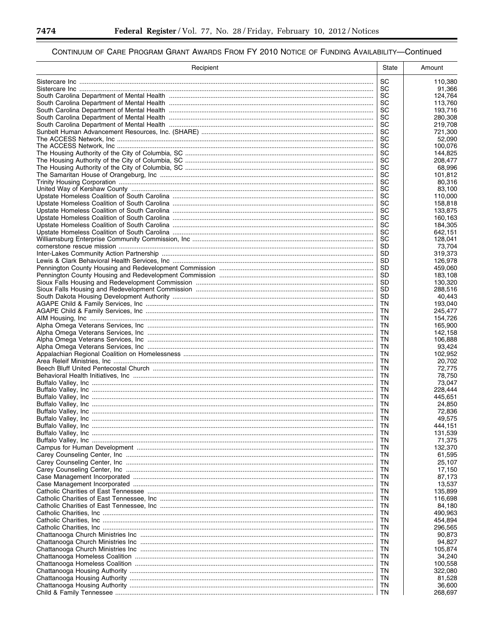۳

▀

| Recipient | State     | Amount             |
|-----------|-----------|--------------------|
|           | SC        | 110,380            |
|           | <b>SC</b> | 91,366             |
|           | SC        | 124,764            |
|           | SC<br>SC  | 113,760<br>193,716 |
|           | SC        | 280,308            |
|           | SC        | 219,708            |
|           | SC        | 721,300            |
|           | SC        | 52,090             |
|           | SC<br>SC  | 100.076<br>144,825 |
|           | SC        | 208,477            |
|           | SC        | 68,996             |
|           | SC        | 101,812            |
|           | SC        | 80,316             |
|           | SC<br>SC  | 83,100<br>110,000  |
|           | SC        | 158,818            |
|           | SC        | 133,875            |
|           | SC        | 160,163            |
|           | SC        | 184,305            |
|           | SC<br>SC  | 642,151            |
|           | SD        | 128,041<br>73.704  |
|           | SD.       | 319.373            |
|           | SD        | 126,978            |
|           | <b>SD</b> | 459,060            |
|           | SD        | 183,108            |
|           | SD<br>SD  | 130,320<br>288,516 |
|           | <b>SD</b> | 40,443             |
|           | TN        | 193,040            |
|           | TN        | 245,477            |
|           | TN        | 154,726            |
|           | TN<br>TN  | 165,900<br>142,158 |
|           | TN        | 106,888            |
|           | TN        | 93,424             |
|           | TN        | 102,952            |
|           | TN        | 20,702             |
|           | TN<br>ΤN  | 72,775<br>78,750   |
|           | TN        | 73,047             |
|           | TN        | 228,444            |
|           | TN        | 445,651            |
|           | TN        | 24,850             |
|           | TN<br>TN  | 72,836<br>49.575   |
|           | ΤN        | 444,151            |
|           | TN        | 131,539            |
|           | TN        | 71,375             |
|           | ΤN        | 132,370            |
|           | ΤN<br>ΤN  | 61,595<br>25,107   |
|           | ΤN        | 17,150             |
|           | ΤN        | 87,173             |
|           | ΤN        | 13,537             |
|           | TN        | 135,899            |
|           | ΤN<br>ΤN  | 116,698<br>84,180  |
|           | ΤN        | 490,963            |
|           | TN        | 454,894            |
|           | ΤN        | 296,565            |
|           | ΤN        | 90,873             |
|           | ΤN<br>TN  | 94,827<br>105,874  |
|           | ΤN        | 34,240             |
|           | ΤN        | 100,558            |
|           | ΤN        | 322,080            |
|           | ΤN        | 81,528             |
|           | ΤN        | 36,600             |
|           | TN        | 268,697            |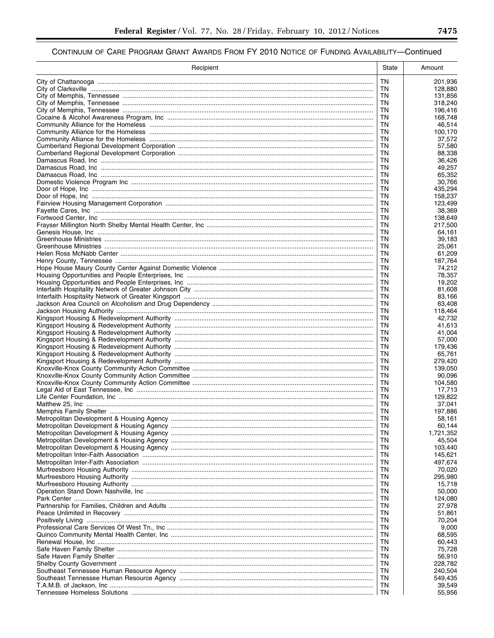| Recipient | State     | Amount             |
|-----------|-----------|--------------------|
|           | ΤN        | 201,936            |
|           | ΤN        | 128,880            |
|           | ΤN        | 131,856            |
|           | ΤN<br>ΤN  | 318,240            |
|           | ΤN        | 196,416<br>168,748 |
|           | ΤN        | 46,514             |
|           | ΤN        | 100,170            |
|           | ΤN        | 37,572             |
|           | ΤN        | 57,580             |
|           | ΤN<br>ΤN  | 88,338<br>36.426   |
|           | ΤN        | 49,257             |
|           | ΤN        | 65,352             |
|           | ΤN        | 30,766             |
|           | ΤN<br>ΤN  | 435,294<br>158,237 |
|           | ΤN        | 123,499            |
|           | ΤN        | 38,369             |
|           | ΤN        | 138,649            |
|           | ΤN        | 217,500            |
|           | ΤN<br>ΤN  | 64,161<br>39,183   |
|           | ΤN        | 25,061             |
|           | ΤN        | 61,209             |
|           | ΤN        | 187,764            |
|           | ΤN        | 74,212             |
|           | ΤN<br>ΤN  | 78,357<br>19,202   |
|           | ΤN        | 81,608             |
|           | ΤN        | 83,166             |
|           | ΤN        | 63,408             |
|           | ΤN<br>ΤN  | 118,464<br>42,732  |
|           | ΤN        | 41,613             |
|           | ΤN        | 41,004             |
|           | TN        | 57,000             |
|           | ΤN        | 179,436            |
|           | ΤN<br>ΤN  | 65,761<br>279,420  |
|           | TN        | 139,050            |
|           | ΤN        | 90,096             |
|           | ΤN        | 104,580            |
|           | ΤN<br>ΤN  | 17,713             |
|           | ΤN        | 129,822<br>37,041  |
|           | ΤN        | 197,886            |
|           | <b>TN</b> | 58,161             |
|           | ΤN        | 60,144             |
|           | ΤN<br>ΤN  | 1,721,352          |
|           | ΤN        | 45,504<br>103,440  |
|           | ΤN        | 145,621            |
|           | ΤN        | 497,674            |
|           | ΤN        | 70,020             |
|           | ΤN<br>ΤN  | 295,980<br>15,718  |
|           | ΤN        | 50,000             |
|           | ΤN        | 124,080            |
|           | ΤN        | 27,978             |
|           | ΤN        | 51,861             |
|           | ΤN<br>ΤN  | 70,204<br>9,000    |
|           | ΤN        | 68,595             |
|           | ΤN        | 60,443             |
|           | ΤN        | 75,728             |
|           | ΤN        | 56,910             |
|           | ΤN<br>ΤN  | 228,782<br>240,504 |
|           | ΤN        | 549,435            |
|           | ΤN        | 39,549             |
|           | ΤN        | 55,956             |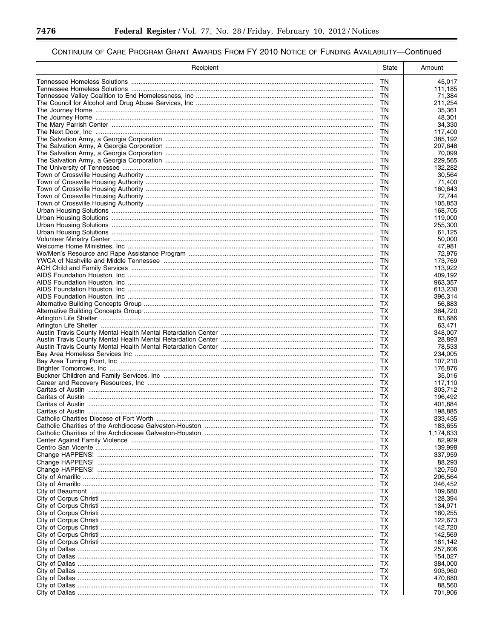-

▀

| Recipient                                                                             | State     | Amount             |
|---------------------------------------------------------------------------------------|-----------|--------------------|
|                                                                                       | <b>TN</b> | 45,017             |
|                                                                                       | TN.       | 111,185            |
|                                                                                       | TN        | 71,384             |
|                                                                                       | TN.       | 211,254            |
|                                                                                       | TN<br>TN. | 35.361             |
|                                                                                       | <b>TN</b> | 48,301<br>34,330   |
|                                                                                       | TN        | 117,400            |
|                                                                                       | TN        | 385,192            |
|                                                                                       | TN        | 207,648            |
|                                                                                       | TN        | 70,099             |
|                                                                                       | TN        | 229,565            |
|                                                                                       | TN        | 132,282            |
|                                                                                       | TN        | 30.564             |
|                                                                                       | ΤN<br>ΤN  | 71,400<br>160,643  |
|                                                                                       | TN        | 72,744             |
|                                                                                       | TN        | 105,853            |
|                                                                                       | TN        | 168,705            |
|                                                                                       | TN        | 119,000            |
|                                                                                       | TN        | 255,300            |
|                                                                                       | TN        | 61,125             |
|                                                                                       | <b>TN</b> | 50,000             |
|                                                                                       | TN<br>TN. | 47,981             |
|                                                                                       | <b>TN</b> | 72,976<br>173,769  |
|                                                                                       | TX        | 113,922            |
|                                                                                       | TХ        | 409,192            |
|                                                                                       | ТX        | 963,357            |
|                                                                                       | TХ        | 613,230            |
|                                                                                       | ТX        | 396,314            |
|                                                                                       | TX        | 56,883             |
|                                                                                       | TХ        | 384,720            |
|                                                                                       | TX        | 83,686             |
|                                                                                       | ТX<br>TХ  | 63,471<br>348,007  |
|                                                                                       | ТX        | 28,893             |
|                                                                                       | TX        | 78,533             |
|                                                                                       | ТX        | 234,005            |
|                                                                                       | TX        | 107,210            |
|                                                                                       | ТX        | 176,876            |
|                                                                                       | TX        | 35,016             |
|                                                                                       | TХ        | 117,110            |
|                                                                                       | TX<br>TХ  | 303,712<br>196,492 |
|                                                                                       | TХ        | 401,884            |
|                                                                                       | TХ        | 198,885            |
|                                                                                       | TX        | 333,435            |
| Catholic Charities of the Archdiocese Galveston-Houston …………………………………………………………………………… | тх        | 183,655            |
|                                                                                       | TХ        | 1,174,633          |
|                                                                                       | TХ        | 82,929             |
|                                                                                       | TХ        | 139,998            |
|                                                                                       | TХ        | 337,959            |
|                                                                                       | TХ<br>TХ  | 88,293<br>120,750  |
|                                                                                       | TХ        | 206,564            |
|                                                                                       | TХ        | 346,452            |
|                                                                                       | TХ        | 109,680            |
|                                                                                       | TХ        | 128,394            |
|                                                                                       | TХ        | 134,971            |
|                                                                                       | тх        | 160,255            |
|                                                                                       | TХ        | 122,673            |
|                                                                                       | TХ        | 142.720            |
|                                                                                       | TХ        | 142,569            |
|                                                                                       | тх<br>TХ  | 181,142<br>257,606 |
|                                                                                       | TХ        | 154,027            |
|                                                                                       | TХ        | 384,000            |
|                                                                                       | тх        | 903,960            |
|                                                                                       | TХ        | 470,880            |
|                                                                                       | TХ        | 88,560             |
|                                                                                       | TХ        | 701,906            |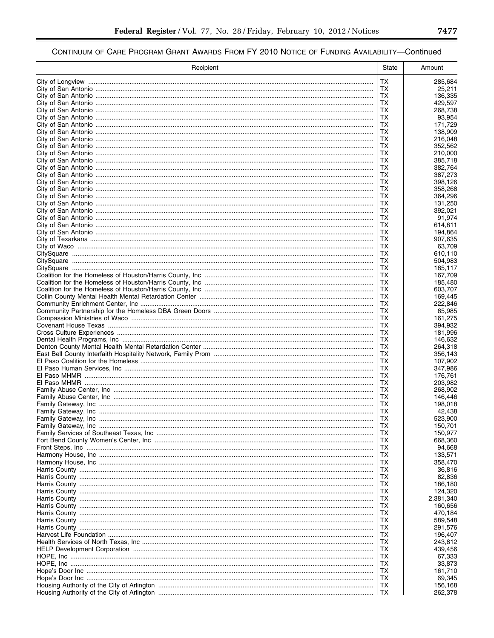| ТX<br>285,684<br>ТX<br>25,211<br>ТX<br>136,335<br>ТX<br>429,597<br>ТX<br>268,738<br>ТX<br>93.954<br>ТX<br>171,729<br>ТX<br>138,909<br>ТX<br>216,048<br>ТX<br>352,562<br>ТX<br>210,000<br>ТX<br>385,718<br>ТX<br>382,764<br>ТX<br>387,273<br>ТX<br>398,126<br>ТX<br>358,268<br>ТX<br>364,296<br>ТX<br>131,250<br>ТX<br>392,021<br>ТX<br>91,974<br>ТX<br>614,811<br>ТX<br>194,864<br>ТX<br>907.635<br>ТX<br>63,709<br>ТX<br>610,110<br>ТX<br>504,983<br>ТX<br>185,117<br>TХ<br>167,709<br>ТX<br>185,480<br>ТX<br>603,707<br>ТX<br>169,445<br>ТX<br>222,846<br>ТX<br>65,985<br>ТX<br>161,275<br>ТX<br>394,932<br>ТX<br>181,996<br>ТX<br>146,632<br>ТX<br>264,318<br>ТX<br>356,143<br>ТX<br>107,902<br>ТX<br>347,986<br><b>TX</b><br>176,761<br>ТX<br>203,982<br><b>TX</b><br>268,902<br>ТX<br>146,446<br>ТX<br>198,018<br><b>TX</b><br>42,438<br>TX<br>523,900<br>150,701<br>TХ<br>ТX<br>150,977<br>ТX<br>668,360<br>ТX<br>94,668<br>133,571<br>ТX<br>ТX<br>358,470<br>ТX<br>36,816<br>ТX<br>82,836<br>186,180<br>ТX<br>ТX<br>124,320<br>2,381,340<br>ТX<br>ТX<br>160,656<br>470,184<br>ТX<br>ТX<br>589,548<br>ТX<br>291,576<br>ТX<br>196,407<br>243,812<br>ТX<br>ТX<br>439,456<br>ТX<br>67,333<br>ТX<br>33,873<br>161,710<br>ТX<br>ТX<br>69,345<br>156,168<br>TХ<br>ТХ<br>262,378 | Recipient | State | Amount |
|---------------------------------------------------------------------------------------------------------------------------------------------------------------------------------------------------------------------------------------------------------------------------------------------------------------------------------------------------------------------------------------------------------------------------------------------------------------------------------------------------------------------------------------------------------------------------------------------------------------------------------------------------------------------------------------------------------------------------------------------------------------------------------------------------------------------------------------------------------------------------------------------------------------------------------------------------------------------------------------------------------------------------------------------------------------------------------------------------------------------------------------------------------------------------------------------------------------------------------------------------------------------------------|-----------|-------|--------|
|                                                                                                                                                                                                                                                                                                                                                                                                                                                                                                                                                                                                                                                                                                                                                                                                                                                                                                                                                                                                                                                                                                                                                                                                                                                                                 |           |       |        |
|                                                                                                                                                                                                                                                                                                                                                                                                                                                                                                                                                                                                                                                                                                                                                                                                                                                                                                                                                                                                                                                                                                                                                                                                                                                                                 |           |       |        |
|                                                                                                                                                                                                                                                                                                                                                                                                                                                                                                                                                                                                                                                                                                                                                                                                                                                                                                                                                                                                                                                                                                                                                                                                                                                                                 |           |       |        |
|                                                                                                                                                                                                                                                                                                                                                                                                                                                                                                                                                                                                                                                                                                                                                                                                                                                                                                                                                                                                                                                                                                                                                                                                                                                                                 |           |       |        |
|                                                                                                                                                                                                                                                                                                                                                                                                                                                                                                                                                                                                                                                                                                                                                                                                                                                                                                                                                                                                                                                                                                                                                                                                                                                                                 |           |       |        |
|                                                                                                                                                                                                                                                                                                                                                                                                                                                                                                                                                                                                                                                                                                                                                                                                                                                                                                                                                                                                                                                                                                                                                                                                                                                                                 |           |       |        |
|                                                                                                                                                                                                                                                                                                                                                                                                                                                                                                                                                                                                                                                                                                                                                                                                                                                                                                                                                                                                                                                                                                                                                                                                                                                                                 |           |       |        |
|                                                                                                                                                                                                                                                                                                                                                                                                                                                                                                                                                                                                                                                                                                                                                                                                                                                                                                                                                                                                                                                                                                                                                                                                                                                                                 |           |       |        |
|                                                                                                                                                                                                                                                                                                                                                                                                                                                                                                                                                                                                                                                                                                                                                                                                                                                                                                                                                                                                                                                                                                                                                                                                                                                                                 |           |       |        |
|                                                                                                                                                                                                                                                                                                                                                                                                                                                                                                                                                                                                                                                                                                                                                                                                                                                                                                                                                                                                                                                                                                                                                                                                                                                                                 |           |       |        |
|                                                                                                                                                                                                                                                                                                                                                                                                                                                                                                                                                                                                                                                                                                                                                                                                                                                                                                                                                                                                                                                                                                                                                                                                                                                                                 |           |       |        |
|                                                                                                                                                                                                                                                                                                                                                                                                                                                                                                                                                                                                                                                                                                                                                                                                                                                                                                                                                                                                                                                                                                                                                                                                                                                                                 |           |       |        |
|                                                                                                                                                                                                                                                                                                                                                                                                                                                                                                                                                                                                                                                                                                                                                                                                                                                                                                                                                                                                                                                                                                                                                                                                                                                                                 |           |       |        |
|                                                                                                                                                                                                                                                                                                                                                                                                                                                                                                                                                                                                                                                                                                                                                                                                                                                                                                                                                                                                                                                                                                                                                                                                                                                                                 |           |       |        |
|                                                                                                                                                                                                                                                                                                                                                                                                                                                                                                                                                                                                                                                                                                                                                                                                                                                                                                                                                                                                                                                                                                                                                                                                                                                                                 |           |       |        |
|                                                                                                                                                                                                                                                                                                                                                                                                                                                                                                                                                                                                                                                                                                                                                                                                                                                                                                                                                                                                                                                                                                                                                                                                                                                                                 |           |       |        |
|                                                                                                                                                                                                                                                                                                                                                                                                                                                                                                                                                                                                                                                                                                                                                                                                                                                                                                                                                                                                                                                                                                                                                                                                                                                                                 |           |       |        |
|                                                                                                                                                                                                                                                                                                                                                                                                                                                                                                                                                                                                                                                                                                                                                                                                                                                                                                                                                                                                                                                                                                                                                                                                                                                                                 |           |       |        |
|                                                                                                                                                                                                                                                                                                                                                                                                                                                                                                                                                                                                                                                                                                                                                                                                                                                                                                                                                                                                                                                                                                                                                                                                                                                                                 |           |       |        |
|                                                                                                                                                                                                                                                                                                                                                                                                                                                                                                                                                                                                                                                                                                                                                                                                                                                                                                                                                                                                                                                                                                                                                                                                                                                                                 |           |       |        |
|                                                                                                                                                                                                                                                                                                                                                                                                                                                                                                                                                                                                                                                                                                                                                                                                                                                                                                                                                                                                                                                                                                                                                                                                                                                                                 |           |       |        |
|                                                                                                                                                                                                                                                                                                                                                                                                                                                                                                                                                                                                                                                                                                                                                                                                                                                                                                                                                                                                                                                                                                                                                                                                                                                                                 |           |       |        |
|                                                                                                                                                                                                                                                                                                                                                                                                                                                                                                                                                                                                                                                                                                                                                                                                                                                                                                                                                                                                                                                                                                                                                                                                                                                                                 |           |       |        |
|                                                                                                                                                                                                                                                                                                                                                                                                                                                                                                                                                                                                                                                                                                                                                                                                                                                                                                                                                                                                                                                                                                                                                                                                                                                                                 |           |       |        |
|                                                                                                                                                                                                                                                                                                                                                                                                                                                                                                                                                                                                                                                                                                                                                                                                                                                                                                                                                                                                                                                                                                                                                                                                                                                                                 |           |       |        |
|                                                                                                                                                                                                                                                                                                                                                                                                                                                                                                                                                                                                                                                                                                                                                                                                                                                                                                                                                                                                                                                                                                                                                                                                                                                                                 |           |       |        |
|                                                                                                                                                                                                                                                                                                                                                                                                                                                                                                                                                                                                                                                                                                                                                                                                                                                                                                                                                                                                                                                                                                                                                                                                                                                                                 |           |       |        |
|                                                                                                                                                                                                                                                                                                                                                                                                                                                                                                                                                                                                                                                                                                                                                                                                                                                                                                                                                                                                                                                                                                                                                                                                                                                                                 |           |       |        |
|                                                                                                                                                                                                                                                                                                                                                                                                                                                                                                                                                                                                                                                                                                                                                                                                                                                                                                                                                                                                                                                                                                                                                                                                                                                                                 |           |       |        |
|                                                                                                                                                                                                                                                                                                                                                                                                                                                                                                                                                                                                                                                                                                                                                                                                                                                                                                                                                                                                                                                                                                                                                                                                                                                                                 |           |       |        |
|                                                                                                                                                                                                                                                                                                                                                                                                                                                                                                                                                                                                                                                                                                                                                                                                                                                                                                                                                                                                                                                                                                                                                                                                                                                                                 |           |       |        |
|                                                                                                                                                                                                                                                                                                                                                                                                                                                                                                                                                                                                                                                                                                                                                                                                                                                                                                                                                                                                                                                                                                                                                                                                                                                                                 |           |       |        |
|                                                                                                                                                                                                                                                                                                                                                                                                                                                                                                                                                                                                                                                                                                                                                                                                                                                                                                                                                                                                                                                                                                                                                                                                                                                                                 |           |       |        |
|                                                                                                                                                                                                                                                                                                                                                                                                                                                                                                                                                                                                                                                                                                                                                                                                                                                                                                                                                                                                                                                                                                                                                                                                                                                                                 |           |       |        |
|                                                                                                                                                                                                                                                                                                                                                                                                                                                                                                                                                                                                                                                                                                                                                                                                                                                                                                                                                                                                                                                                                                                                                                                                                                                                                 |           |       |        |
|                                                                                                                                                                                                                                                                                                                                                                                                                                                                                                                                                                                                                                                                                                                                                                                                                                                                                                                                                                                                                                                                                                                                                                                                                                                                                 |           |       |        |
|                                                                                                                                                                                                                                                                                                                                                                                                                                                                                                                                                                                                                                                                                                                                                                                                                                                                                                                                                                                                                                                                                                                                                                                                                                                                                 |           |       |        |
|                                                                                                                                                                                                                                                                                                                                                                                                                                                                                                                                                                                                                                                                                                                                                                                                                                                                                                                                                                                                                                                                                                                                                                                                                                                                                 |           |       |        |
|                                                                                                                                                                                                                                                                                                                                                                                                                                                                                                                                                                                                                                                                                                                                                                                                                                                                                                                                                                                                                                                                                                                                                                                                                                                                                 |           |       |        |
|                                                                                                                                                                                                                                                                                                                                                                                                                                                                                                                                                                                                                                                                                                                                                                                                                                                                                                                                                                                                                                                                                                                                                                                                                                                                                 |           |       |        |
|                                                                                                                                                                                                                                                                                                                                                                                                                                                                                                                                                                                                                                                                                                                                                                                                                                                                                                                                                                                                                                                                                                                                                                                                                                                                                 |           |       |        |
|                                                                                                                                                                                                                                                                                                                                                                                                                                                                                                                                                                                                                                                                                                                                                                                                                                                                                                                                                                                                                                                                                                                                                                                                                                                                                 |           |       |        |
|                                                                                                                                                                                                                                                                                                                                                                                                                                                                                                                                                                                                                                                                                                                                                                                                                                                                                                                                                                                                                                                                                                                                                                                                                                                                                 |           |       |        |
|                                                                                                                                                                                                                                                                                                                                                                                                                                                                                                                                                                                                                                                                                                                                                                                                                                                                                                                                                                                                                                                                                                                                                                                                                                                                                 |           |       |        |
|                                                                                                                                                                                                                                                                                                                                                                                                                                                                                                                                                                                                                                                                                                                                                                                                                                                                                                                                                                                                                                                                                                                                                                                                                                                                                 |           |       |        |
|                                                                                                                                                                                                                                                                                                                                                                                                                                                                                                                                                                                                                                                                                                                                                                                                                                                                                                                                                                                                                                                                                                                                                                                                                                                                                 |           |       |        |
|                                                                                                                                                                                                                                                                                                                                                                                                                                                                                                                                                                                                                                                                                                                                                                                                                                                                                                                                                                                                                                                                                                                                                                                                                                                                                 |           |       |        |
|                                                                                                                                                                                                                                                                                                                                                                                                                                                                                                                                                                                                                                                                                                                                                                                                                                                                                                                                                                                                                                                                                                                                                                                                                                                                                 |           |       |        |
|                                                                                                                                                                                                                                                                                                                                                                                                                                                                                                                                                                                                                                                                                                                                                                                                                                                                                                                                                                                                                                                                                                                                                                                                                                                                                 |           |       |        |
|                                                                                                                                                                                                                                                                                                                                                                                                                                                                                                                                                                                                                                                                                                                                                                                                                                                                                                                                                                                                                                                                                                                                                                                                                                                                                 |           |       |        |
|                                                                                                                                                                                                                                                                                                                                                                                                                                                                                                                                                                                                                                                                                                                                                                                                                                                                                                                                                                                                                                                                                                                                                                                                                                                                                 |           |       |        |
|                                                                                                                                                                                                                                                                                                                                                                                                                                                                                                                                                                                                                                                                                                                                                                                                                                                                                                                                                                                                                                                                                                                                                                                                                                                                                 |           |       |        |
|                                                                                                                                                                                                                                                                                                                                                                                                                                                                                                                                                                                                                                                                                                                                                                                                                                                                                                                                                                                                                                                                                                                                                                                                                                                                                 |           |       |        |
|                                                                                                                                                                                                                                                                                                                                                                                                                                                                                                                                                                                                                                                                                                                                                                                                                                                                                                                                                                                                                                                                                                                                                                                                                                                                                 |           |       |        |
|                                                                                                                                                                                                                                                                                                                                                                                                                                                                                                                                                                                                                                                                                                                                                                                                                                                                                                                                                                                                                                                                                                                                                                                                                                                                                 |           |       |        |
|                                                                                                                                                                                                                                                                                                                                                                                                                                                                                                                                                                                                                                                                                                                                                                                                                                                                                                                                                                                                                                                                                                                                                                                                                                                                                 |           |       |        |
|                                                                                                                                                                                                                                                                                                                                                                                                                                                                                                                                                                                                                                                                                                                                                                                                                                                                                                                                                                                                                                                                                                                                                                                                                                                                                 |           |       |        |
|                                                                                                                                                                                                                                                                                                                                                                                                                                                                                                                                                                                                                                                                                                                                                                                                                                                                                                                                                                                                                                                                                                                                                                                                                                                                                 |           |       |        |
|                                                                                                                                                                                                                                                                                                                                                                                                                                                                                                                                                                                                                                                                                                                                                                                                                                                                                                                                                                                                                                                                                                                                                                                                                                                                                 |           |       |        |
|                                                                                                                                                                                                                                                                                                                                                                                                                                                                                                                                                                                                                                                                                                                                                                                                                                                                                                                                                                                                                                                                                                                                                                                                                                                                                 |           |       |        |
|                                                                                                                                                                                                                                                                                                                                                                                                                                                                                                                                                                                                                                                                                                                                                                                                                                                                                                                                                                                                                                                                                                                                                                                                                                                                                 |           |       |        |
|                                                                                                                                                                                                                                                                                                                                                                                                                                                                                                                                                                                                                                                                                                                                                                                                                                                                                                                                                                                                                                                                                                                                                                                                                                                                                 |           |       |        |
|                                                                                                                                                                                                                                                                                                                                                                                                                                                                                                                                                                                                                                                                                                                                                                                                                                                                                                                                                                                                                                                                                                                                                                                                                                                                                 |           |       |        |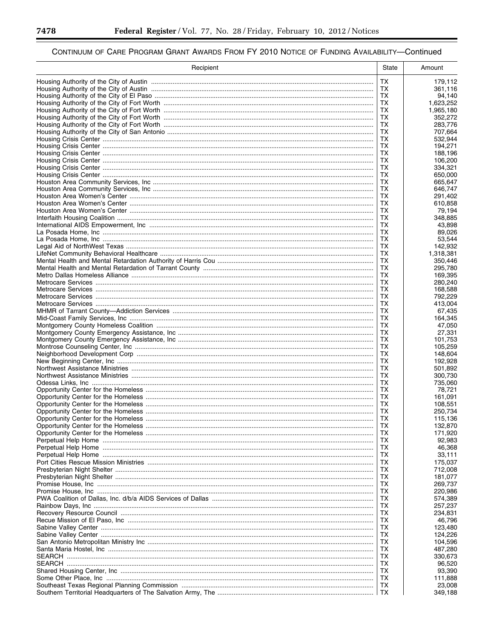-

▀

| Recipient | State     | Amount             |
|-----------|-----------|--------------------|
|           | <b>TX</b> | 179,112            |
|           | TX        | 361,116            |
|           | TX        | 94,140             |
|           | TX.       | 1,623,252          |
|           | TX        | 1,965,180          |
|           | TX<br>TX  | 352,272<br>283,776 |
|           | ТX        | 707,664            |
|           | TХ        | 532,944            |
|           | ТX        | 194,271            |
|           | ТX        | 188,196            |
|           | ТX        | 106,200            |
|           | TX<br>ТX  | 334,321<br>650,000 |
|           | TX        | 665,647            |
|           | ТX        | 646,747            |
|           | TX        | 291,402            |
|           | TХ        | 610,858            |
|           | TX        | 79,194             |
|           | TХ        | 348,885            |
|           | TX<br>TХ  | 43,898<br>89.026   |
|           | TХ        | 53,544             |
|           | TХ        | 142,932            |
|           | ТX        | 1,318,381          |
|           | ТX        | 350,446            |
|           | ТX        | 295,780            |
|           | TХ        | 169,395            |
|           | ТX        | 280,240            |
|           | ТX<br>ТX  | 168,588<br>792,229 |
|           | TX        | 413,004            |
|           | TХ        | 67,435             |
|           | TX        | 164,345            |
|           | ТX        | 47,050             |
|           | TX        | 27,331             |
|           | ТХ        | 101,753            |
|           | ТX<br>ТX  | 105,259<br>148,604 |
|           | TX        | 192,928            |
|           | ТX        | 501,892            |
|           | ТX        | 300.730            |
|           | ТX        | 735,060            |
|           | TX        | 78,721             |
|           | ТX        | 161,091            |
|           | TX<br>TX. | 108,551<br>250,734 |
|           | TX        | 115.136            |
|           | TХ        | 132,870            |
|           | TX        | 171,920            |
|           | TX.       | 92,983             |
|           | TX        | 46,368             |
|           | TХ        | 33,111             |
|           | TX<br>TX  | 175,037<br>712,008 |
|           | TX        | 181,077            |
|           | TХ        | 269,737            |
|           | TX        | 220,986            |
|           | TХ        | 574,389            |
|           | TХ        | 257,237            |
|           | TХ        | 234,831            |
|           | TX        | 46,796             |
|           | TХ<br>TX  | 123,480<br>124,226 |
|           | TХ        | 104,596            |
|           | TX        | 487,280            |
|           | TХ        | 330,673            |
|           | TX        | 96,520             |
|           | TХ        | 93,390             |
|           | TX        | 111,888            |
|           | TX<br>TX  | 23,008<br>349,188  |
|           |           |                    |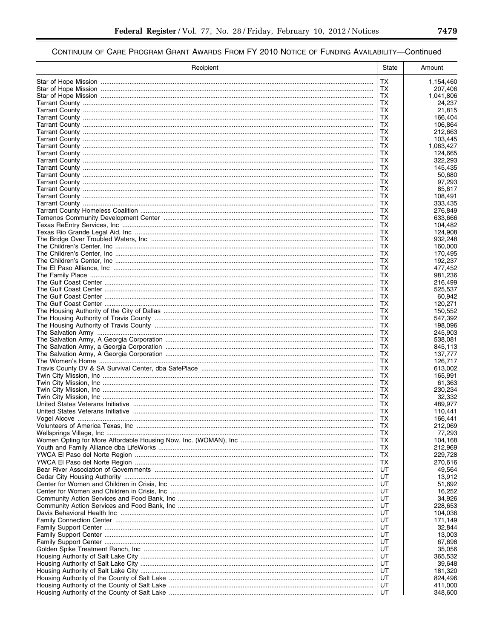| Recipient | State           | Amount               |
|-----------|-----------------|----------------------|
|           | ТX              | 1,154,460            |
|           | ТX              | 207,406              |
|           | ТX<br>ТX        | 1,041,806            |
|           | ТX              | 24,237<br>21,815     |
|           | ТX              | 166,404              |
|           | ТX              | 106,864              |
|           | <b>TX</b><br>ТX | 212,663              |
|           | ТX              | 103,445<br>1,063,427 |
|           | ТX              | 124,665              |
|           | <b>TX</b>       | 322,293              |
|           | ТX<br>ТX        | 145,435              |
|           | ТX              | 50,680<br>97,293     |
|           | ТX              | 85,617               |
|           | ТX              | 108,491              |
|           | ТX              | 333,435              |
|           | ТX<br>ТX        | 276,849<br>633,666   |
|           | ТX              | 104,482              |
|           | TX              | 124,908              |
|           | ТX              | 932,248              |
|           | ТX<br>ТX        | 160,000<br>170,495   |
|           | ТX              | 192,237              |
|           | <b>TX</b>       | 477,452              |
|           | ТX              | 981,236              |
|           | ТX<br>ТX        | 216.499<br>525,537   |
|           | ТX              | 60,942               |
|           | ТX              | 120,271              |
|           | ТX              | 150,552              |
|           | ТX<br>ТX        | 547,392<br>198,096   |
|           | ТX              | 245,903              |
|           | <b>TX</b>       | 538,081              |
|           | ТX<br>ТX        | 845,113<br>137,777   |
|           | ТX              | 126,717              |
|           | <b>TX</b>       | 613,002              |
|           | ТX              | 165,991              |
|           | ТX<br>ТX        | 61,363<br>230,234    |
|           | ТX              | 32,332               |
|           | ТX              | 489,977              |
|           | TХ              | 110,441              |
|           | <b>TX</b><br>TХ | 166,441<br>212,069   |
|           | ТX              | 77,293               |
|           | TX.             | 104,168              |
|           | ТX              | 212,969              |
|           | ТX<br>ТX        | 229,728<br>270,616   |
|           | UT              | 49,564               |
|           | UT              | 13,912               |
|           | UT              | 51,692               |
|           | UT<br>UT        | 16,252<br>34,926     |
|           | UT              | 228,653              |
|           | UT              | 104,036              |
|           | UT              | 171,149              |
|           | UT<br>UT        | 32,844<br>13,003     |
|           | UT              | 67,698               |
|           | UT              | 35,056               |
|           | UT<br>UT        | 365,532              |
|           | UT              | 39,648<br>181,320    |
|           | UT              | 824,496              |
|           | UT              | 411,000              |
|           | UT              | 348,600              |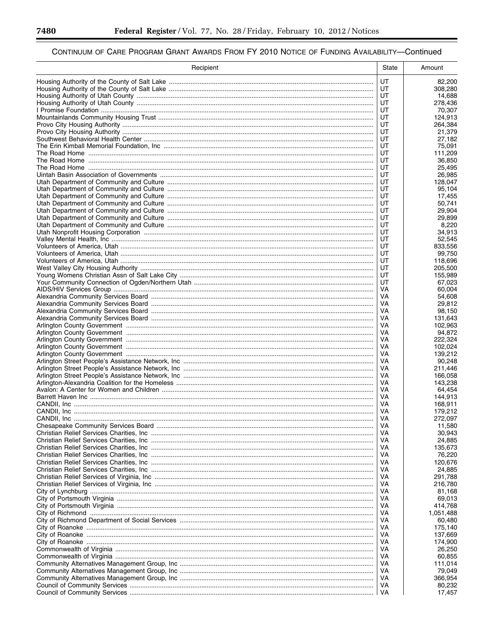▀

| Recipient | State    | Amount             |
|-----------|----------|--------------------|
|           | UT       | 82,200             |
|           | UT       | 308,280            |
|           | UT<br>UT | 14,688             |
|           | UT       | 278,436<br>70,307  |
|           | UT       | 124,913            |
|           | UT       | 264,384            |
|           | UT       | 21,379             |
|           | UT<br>UT | 27,182<br>75,091   |
|           | UT       | 111,209            |
|           | UT       | 36,850             |
|           | UT       | 25,495             |
|           | UT       | 26,985             |
|           | UT<br>UT | 128,047<br>95,104  |
|           | UT       | 17,455             |
|           | UT       | 50,741             |
|           | UT       | 29,904             |
|           | UT       | 29,899             |
|           | UT<br>UT | 8,220<br>34,913    |
|           | UT       | 52,545             |
|           | UT       | 833,556            |
|           | UT       | 99,750             |
|           | UT       | 118,696            |
|           | UT       | 205,500            |
|           | UT<br>UT | 155,989<br>67,023  |
|           | VA       | 60,004             |
|           | VA       | 54,608             |
|           | VA       | 29,812             |
|           | VA       | 98,150             |
|           | VA<br>VA | 131,643<br>102,963 |
|           | VA       | 94,872             |
|           | VA       | 222,324            |
|           | VA       | 102,024            |
|           | VA       | 139,212            |
|           | VA<br>VA | 90,248<br>211,446  |
|           | VA       | 166,058            |
|           | VA       | 143,238            |
|           | VA       | 64,454             |
|           | VA       | 144,913            |
|           | VA<br>VA | 168,911<br>179,212 |
|           | VA       | 272,097            |
|           | VA       | 11,580             |
|           | VA       | 30,943             |
|           | VA.      | 24,885             |
|           | VA<br>VA | 135,673<br>76,220  |
|           | VA       | 120.676            |
|           | VA       | 24,885             |
|           | VA       | 291,788            |
|           | VA       | 216,780            |
|           | VA<br>VA | 81,168<br>69,013   |
|           | VA       | 414,768            |
|           | VA       | 1,051,488          |
|           | VA       | 60,480             |
|           | VA       | 175,140            |
|           | VA       | 137,669            |
|           | VA<br>VA | 174,900<br>26,250  |
|           | VA       | 60,855             |
|           | VA       | 111,014            |
|           | VA       | 79,049             |
|           | VA       | 366,954            |
|           | VA<br>VA | 80,232<br>17,457   |
|           |          |                    |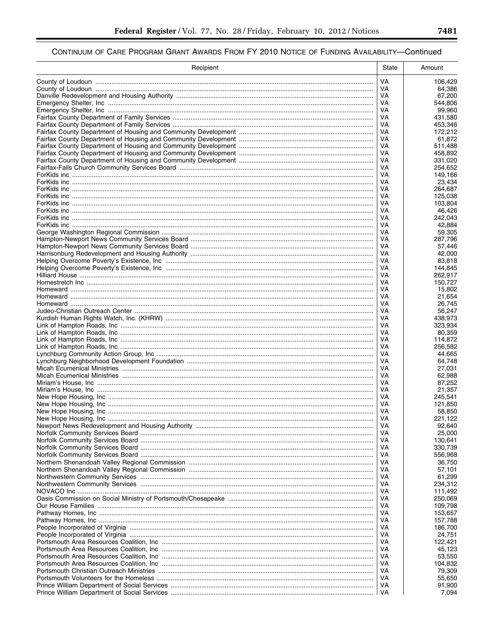| Recipient | State    | Amount             |
|-----------|----------|--------------------|
|           | VA       | 106,429            |
|           | VA       | 64,386             |
|           | VA       | 67,200             |
|           | VA<br>VA | 544,806<br>99,960  |
|           | VA       | 431,580            |
|           | VA       | 453,346            |
|           | VA       | 172,212            |
|           | VA       | 61,872             |
|           | VA<br>VA | 511,488<br>458,892 |
|           | VA       | 331,020            |
|           | VA       | 254,652            |
|           | VA       | 149,166            |
|           | VA<br>VA | 23,434<br>264,687  |
|           | VA       | 125,038            |
|           | VA       | 103,804            |
|           | VA       | 46,426             |
|           | VA       | 242,043            |
|           | VA<br>VA | 42,884<br>59,305   |
|           | VA       | 287,796            |
|           | VA       | 57.446             |
|           | VA       | 42,000             |
|           | VA       | 83,818             |
|           | VA<br>VA | 144.845<br>262,917 |
|           | VA       | 150,727            |
|           | VA       | 15,802             |
|           | VA       | 21,654             |
|           | VA<br>VA | 26,745<br>56,247   |
|           | VA       | 438,973            |
|           | VA       | 323,934            |
|           | VA       | 80,359             |
|           | VA       | 114,872            |
|           | VA<br>VA | 256,582<br>44,665  |
|           | VA       | 64,748             |
|           | VA       | 27,031             |
|           | VA       | 62,988             |
|           | VA<br>VA | 87,252<br>21,357   |
|           | VA       | 245,541            |
|           | VA       | 121,850            |
|           | VA       | 58,850             |
|           | VA       | 221,122            |
|           | VA<br>VA | 92,640<br>25,000   |
|           | VA       | 130,641            |
|           | VA       | 330,739            |
|           | VA       | 556,968            |
|           | VA       | 36,750             |
|           | VA<br>VA | 57,101<br>61,299   |
|           | VA       | 234,312            |
|           | VA       | 111,492            |
|           | VA       | 250,069            |
|           | VA       | 109,798            |
|           | VA<br>VA | 153,657<br>157,788 |
|           | VA       | 186,700            |
|           | VA       | 24,751             |
|           | VA       | 122,421            |
|           | VA       | 45,123             |
|           | VA<br>VA | 53,550<br>104,832  |
|           | VA       | 79,309             |
|           | VA       | 55,650             |
|           | VA       | 91,900             |
|           | VA       | 7,094              |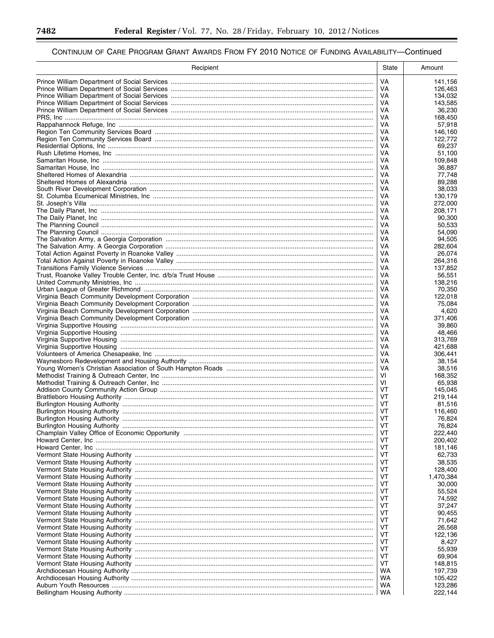Ξ

▀

| Recipient | State    | Amount             |
|-----------|----------|--------------------|
|           | VA       | 141,156            |
|           | VA.      | 126.463            |
|           | VA       | 134,032            |
|           | VA       | 143,585            |
|           | VA       | 36,230             |
|           | VA.      | 168,450            |
|           | VA<br>VA | 57,918<br>146,160  |
|           | VA       | 122,772            |
|           | VA       | 69.237             |
|           | VA       | 51,100             |
|           | VA       | 109.848            |
|           | VA       | 36,887             |
|           | VA<br>VA | 77.748<br>89,288   |
|           | VA       | 38,033             |
|           | VA       | 130,179            |
|           | VA       | 272,000            |
|           | VA       | 208,171            |
|           | VA       | 90,300             |
|           | VA       | 50,533             |
|           | VA<br>VA | 54.090<br>94,505   |
|           | VA       | 282,604            |
|           | VA       | 26,074             |
|           | VA       | 264,316            |
|           | VA       | 137,852            |
|           | VA       | 56,551             |
|           | VA       | 138,216            |
|           | VA<br>VA | 70,350<br>122,018  |
|           | VA       | 75,084             |
|           | VA       | 4,620              |
|           | VA       | 371,406            |
|           | VA       | 39,860             |
|           | VA<br>VA | 48,466             |
|           | VA       | 313,769<br>421,688 |
|           | VA       | 306,441            |
|           | VA       | 38,154             |
|           | VA       | 38,516             |
|           | VI       | 168,352            |
|           | VI<br>VT | 65,938             |
|           | VT       | 145,045<br>219,144 |
|           | VT       | 81,516             |
|           | VT       | 116,460            |
|           | VT       | 76,824             |
|           | VT       | 76,824             |
|           | VT       | 222,440            |
|           | VT<br>VT | 200,402<br>181,146 |
|           | VT       | 62,733             |
|           | VT       | 38,535             |
|           | VT       | 128,400            |
|           | VT       | 1,470,384          |
|           | VT       | 30,000             |
|           | VT<br>VT | 55,524             |
|           | VT       | 74,592<br>37,247   |
|           | VT       | 90,455             |
|           | VT       | 71,642             |
|           | VT       | 26,568             |
|           | VT       | 122,136            |
|           | VT       | 8,427              |
|           | VT<br>VT | 55,939<br>69,904   |
|           | VT       | 148,815            |
|           | WA       | 197,739            |
|           | WA       | 105,422            |
|           | WA       | 123,286            |
|           | WA       | 222,144            |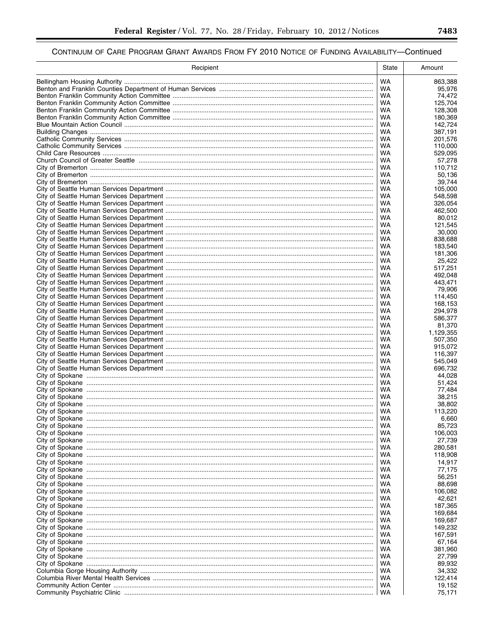| Recipient | State     | Amount               |
|-----------|-----------|----------------------|
|           | <b>WA</b> | 863,388              |
|           | WA        | 95,976               |
|           | WA        | 74,472               |
|           | WA        | 125,704              |
|           | WA<br>WA  | 128,308              |
|           | WA        | 180,369<br>142,724   |
|           | WA        | 387,191              |
|           | WA        | 201,576              |
|           | WA        | 110,000              |
|           | WA        | 529.095              |
|           | WA        | 57,278               |
|           | WA<br>WA  | 110,712              |
|           | WA        | 50,136<br>39,744     |
|           | WA        | 105,000              |
|           | WA        | 548,598              |
|           | WA        | 326,054              |
|           | WA        | 462,500              |
|           | WA<br>WA  | 80,012<br>121,545    |
|           | WA        | 30,000               |
|           | WA        | 838,688              |
|           | WA        | 183,540              |
|           | WA        | 181,306              |
|           | WA        | 25,422               |
|           | WA        | 517,251              |
|           | WA<br>WA  | 492,048<br>443,471   |
|           | WA        | 79.906               |
|           | WA        | 114,450              |
|           | WA        | 168,153              |
|           | WA        | 294,978              |
|           | WA        | 586,377              |
|           | <b>WA</b> | 81,370               |
|           | WA<br>WA  | 1,129,355<br>507,350 |
|           | WA        | 915,072              |
|           | WA        | 116,397              |
|           | WA        | 545,049              |
|           | WA        | 696,732              |
|           | WA        | 44,028               |
|           | WA<br>WA  | 51,424<br>77,484     |
|           | WA        | 38,215               |
|           | WA        | 38,802               |
|           | WA        | 113,220              |
|           | WA        | 6,660                |
|           | WA        | 85,723               |
|           | WA<br>WA  | 106,003              |
|           | WA        | 27,739<br>280,581    |
|           | WA        | 118,908              |
|           | WA        | 14,917               |
|           | WA        | 77,175               |
|           | WA        | 56,251               |
|           | WA        | 88,698               |
|           | WA<br>WA  | 106,082<br>42,621    |
|           | WA        | 187,365              |
|           | WA        | 169,684              |
|           | WA        | 169,687              |
|           | WA        | 149,232              |
|           | WA        | 167,591              |
|           | WA<br>WA  | 67,164<br>381,960    |
|           | WA        | 27,799               |
|           | WA        | 89,932               |
|           | WA        | 34,332               |
|           | WA        | 122,414              |
|           | WA        | 19,152               |
|           | WA        | 75,171               |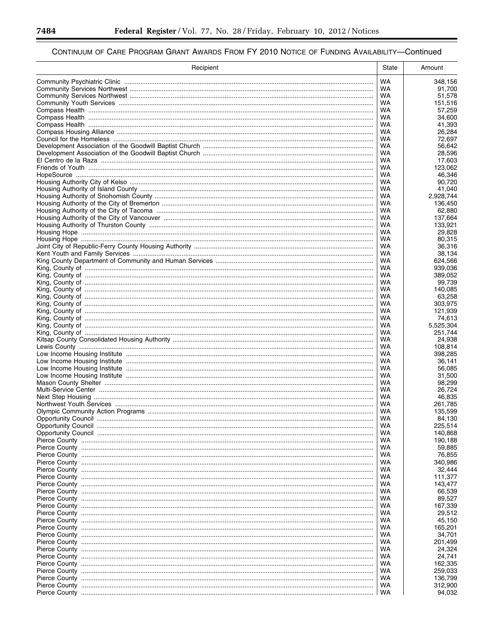Ξ

▀

| <b>WA</b><br>348,156<br>WA<br>91,700<br>WA<br>51,578<br>WA<br>151,516<br><b>WA</b><br>57,259<br>WA<br>34,600<br>WA<br>41,393<br>WA<br>26,284<br>WA<br>72,697<br>WA<br>56,642<br>WA<br>28,596<br>WA<br>17,603<br>WA<br>123,062<br>WA<br>46,346<br>WA<br>90,720<br>WA<br>41,040<br>WA<br>2,928,744<br>WA<br>136,450<br>WA<br>62,880<br>WA<br>137,664<br>WA<br>133.921<br>WA<br>29,828<br>WA<br>80.315<br>WA<br>36,316<br>WA<br>38,134<br>WA<br>624,566<br><b>WA</b><br>939,036<br>WA<br>389,052<br>WA<br>99,739<br>WA<br>140,085<br>WA<br>63,258<br>WA<br>303,975<br>WA<br>121,939<br>WA<br>74,613<br>WA<br>5,525,304<br>WA<br>251,744<br>WA<br>24,938<br>WA<br>108,814<br>WA<br>398,285<br>WA<br>36,141<br>WA<br>56,085<br>WA<br>31,500<br>WA<br>98,299<br>WA<br>26,724<br>WA<br>46,835<br>WA<br>261,785<br>WA<br>135,599<br>WA<br>84,130<br>225,514<br>WA<br>WA<br>140,868<br>WA<br>190,188<br>WA<br>59,885<br>WA<br>76,855<br>WA<br>340,986<br>WA<br>32,444<br>WA<br>111,377<br>WA<br>143,477<br>WA<br>66,539<br>WA<br>89,527<br>167,339<br>WA<br>29,512<br>WA<br>WA<br>45,150<br>165,201<br>WA<br>34,701<br>WA<br>WA<br>201,499<br>WA<br>24,324<br>24,741<br>WA<br>WA<br>162,335<br>259,033<br>WA<br>WA<br>136,799<br>WA<br>312,900<br>WA<br>94,032 | Recipient | State | Amount |
|-------------------------------------------------------------------------------------------------------------------------------------------------------------------------------------------------------------------------------------------------------------------------------------------------------------------------------------------------------------------------------------------------------------------------------------------------------------------------------------------------------------------------------------------------------------------------------------------------------------------------------------------------------------------------------------------------------------------------------------------------------------------------------------------------------------------------------------------------------------------------------------------------------------------------------------------------------------------------------------------------------------------------------------------------------------------------------------------------------------------------------------------------------------------------------------------------------------------------------------------------------|-----------|-------|--------|
|                                                                                                                                                                                                                                                                                                                                                                                                                                                                                                                                                                                                                                                                                                                                                                                                                                                                                                                                                                                                                                                                                                                                                                                                                                                       |           |       |        |
|                                                                                                                                                                                                                                                                                                                                                                                                                                                                                                                                                                                                                                                                                                                                                                                                                                                                                                                                                                                                                                                                                                                                                                                                                                                       |           |       |        |
|                                                                                                                                                                                                                                                                                                                                                                                                                                                                                                                                                                                                                                                                                                                                                                                                                                                                                                                                                                                                                                                                                                                                                                                                                                                       |           |       |        |
|                                                                                                                                                                                                                                                                                                                                                                                                                                                                                                                                                                                                                                                                                                                                                                                                                                                                                                                                                                                                                                                                                                                                                                                                                                                       |           |       |        |
|                                                                                                                                                                                                                                                                                                                                                                                                                                                                                                                                                                                                                                                                                                                                                                                                                                                                                                                                                                                                                                                                                                                                                                                                                                                       |           |       |        |
|                                                                                                                                                                                                                                                                                                                                                                                                                                                                                                                                                                                                                                                                                                                                                                                                                                                                                                                                                                                                                                                                                                                                                                                                                                                       |           |       |        |
|                                                                                                                                                                                                                                                                                                                                                                                                                                                                                                                                                                                                                                                                                                                                                                                                                                                                                                                                                                                                                                                                                                                                                                                                                                                       |           |       |        |
|                                                                                                                                                                                                                                                                                                                                                                                                                                                                                                                                                                                                                                                                                                                                                                                                                                                                                                                                                                                                                                                                                                                                                                                                                                                       |           |       |        |
|                                                                                                                                                                                                                                                                                                                                                                                                                                                                                                                                                                                                                                                                                                                                                                                                                                                                                                                                                                                                                                                                                                                                                                                                                                                       |           |       |        |
|                                                                                                                                                                                                                                                                                                                                                                                                                                                                                                                                                                                                                                                                                                                                                                                                                                                                                                                                                                                                                                                                                                                                                                                                                                                       |           |       |        |
|                                                                                                                                                                                                                                                                                                                                                                                                                                                                                                                                                                                                                                                                                                                                                                                                                                                                                                                                                                                                                                                                                                                                                                                                                                                       |           |       |        |
|                                                                                                                                                                                                                                                                                                                                                                                                                                                                                                                                                                                                                                                                                                                                                                                                                                                                                                                                                                                                                                                                                                                                                                                                                                                       |           |       |        |
|                                                                                                                                                                                                                                                                                                                                                                                                                                                                                                                                                                                                                                                                                                                                                                                                                                                                                                                                                                                                                                                                                                                                                                                                                                                       |           |       |        |
|                                                                                                                                                                                                                                                                                                                                                                                                                                                                                                                                                                                                                                                                                                                                                                                                                                                                                                                                                                                                                                                                                                                                                                                                                                                       |           |       |        |
|                                                                                                                                                                                                                                                                                                                                                                                                                                                                                                                                                                                                                                                                                                                                                                                                                                                                                                                                                                                                                                                                                                                                                                                                                                                       |           |       |        |
|                                                                                                                                                                                                                                                                                                                                                                                                                                                                                                                                                                                                                                                                                                                                                                                                                                                                                                                                                                                                                                                                                                                                                                                                                                                       |           |       |        |
|                                                                                                                                                                                                                                                                                                                                                                                                                                                                                                                                                                                                                                                                                                                                                                                                                                                                                                                                                                                                                                                                                                                                                                                                                                                       |           |       |        |
|                                                                                                                                                                                                                                                                                                                                                                                                                                                                                                                                                                                                                                                                                                                                                                                                                                                                                                                                                                                                                                                                                                                                                                                                                                                       |           |       |        |
|                                                                                                                                                                                                                                                                                                                                                                                                                                                                                                                                                                                                                                                                                                                                                                                                                                                                                                                                                                                                                                                                                                                                                                                                                                                       |           |       |        |
|                                                                                                                                                                                                                                                                                                                                                                                                                                                                                                                                                                                                                                                                                                                                                                                                                                                                                                                                                                                                                                                                                                                                                                                                                                                       |           |       |        |
|                                                                                                                                                                                                                                                                                                                                                                                                                                                                                                                                                                                                                                                                                                                                                                                                                                                                                                                                                                                                                                                                                                                                                                                                                                                       |           |       |        |
|                                                                                                                                                                                                                                                                                                                                                                                                                                                                                                                                                                                                                                                                                                                                                                                                                                                                                                                                                                                                                                                                                                                                                                                                                                                       |           |       |        |
|                                                                                                                                                                                                                                                                                                                                                                                                                                                                                                                                                                                                                                                                                                                                                                                                                                                                                                                                                                                                                                                                                                                                                                                                                                                       |           |       |        |
|                                                                                                                                                                                                                                                                                                                                                                                                                                                                                                                                                                                                                                                                                                                                                                                                                                                                                                                                                                                                                                                                                                                                                                                                                                                       |           |       |        |
|                                                                                                                                                                                                                                                                                                                                                                                                                                                                                                                                                                                                                                                                                                                                                                                                                                                                                                                                                                                                                                                                                                                                                                                                                                                       |           |       |        |
|                                                                                                                                                                                                                                                                                                                                                                                                                                                                                                                                                                                                                                                                                                                                                                                                                                                                                                                                                                                                                                                                                                                                                                                                                                                       |           |       |        |
|                                                                                                                                                                                                                                                                                                                                                                                                                                                                                                                                                                                                                                                                                                                                                                                                                                                                                                                                                                                                                                                                                                                                                                                                                                                       |           |       |        |
|                                                                                                                                                                                                                                                                                                                                                                                                                                                                                                                                                                                                                                                                                                                                                                                                                                                                                                                                                                                                                                                                                                                                                                                                                                                       |           |       |        |
|                                                                                                                                                                                                                                                                                                                                                                                                                                                                                                                                                                                                                                                                                                                                                                                                                                                                                                                                                                                                                                                                                                                                                                                                                                                       |           |       |        |
|                                                                                                                                                                                                                                                                                                                                                                                                                                                                                                                                                                                                                                                                                                                                                                                                                                                                                                                                                                                                                                                                                                                                                                                                                                                       |           |       |        |
|                                                                                                                                                                                                                                                                                                                                                                                                                                                                                                                                                                                                                                                                                                                                                                                                                                                                                                                                                                                                                                                                                                                                                                                                                                                       |           |       |        |
|                                                                                                                                                                                                                                                                                                                                                                                                                                                                                                                                                                                                                                                                                                                                                                                                                                                                                                                                                                                                                                                                                                                                                                                                                                                       |           |       |        |
|                                                                                                                                                                                                                                                                                                                                                                                                                                                                                                                                                                                                                                                                                                                                                                                                                                                                                                                                                                                                                                                                                                                                                                                                                                                       |           |       |        |
|                                                                                                                                                                                                                                                                                                                                                                                                                                                                                                                                                                                                                                                                                                                                                                                                                                                                                                                                                                                                                                                                                                                                                                                                                                                       |           |       |        |
|                                                                                                                                                                                                                                                                                                                                                                                                                                                                                                                                                                                                                                                                                                                                                                                                                                                                                                                                                                                                                                                                                                                                                                                                                                                       |           |       |        |
|                                                                                                                                                                                                                                                                                                                                                                                                                                                                                                                                                                                                                                                                                                                                                                                                                                                                                                                                                                                                                                                                                                                                                                                                                                                       |           |       |        |
|                                                                                                                                                                                                                                                                                                                                                                                                                                                                                                                                                                                                                                                                                                                                                                                                                                                                                                                                                                                                                                                                                                                                                                                                                                                       |           |       |        |
|                                                                                                                                                                                                                                                                                                                                                                                                                                                                                                                                                                                                                                                                                                                                                                                                                                                                                                                                                                                                                                                                                                                                                                                                                                                       |           |       |        |
|                                                                                                                                                                                                                                                                                                                                                                                                                                                                                                                                                                                                                                                                                                                                                                                                                                                                                                                                                                                                                                                                                                                                                                                                                                                       |           |       |        |
|                                                                                                                                                                                                                                                                                                                                                                                                                                                                                                                                                                                                                                                                                                                                                                                                                                                                                                                                                                                                                                                                                                                                                                                                                                                       |           |       |        |
|                                                                                                                                                                                                                                                                                                                                                                                                                                                                                                                                                                                                                                                                                                                                                                                                                                                                                                                                                                                                                                                                                                                                                                                                                                                       |           |       |        |
|                                                                                                                                                                                                                                                                                                                                                                                                                                                                                                                                                                                                                                                                                                                                                                                                                                                                                                                                                                                                                                                                                                                                                                                                                                                       |           |       |        |
|                                                                                                                                                                                                                                                                                                                                                                                                                                                                                                                                                                                                                                                                                                                                                                                                                                                                                                                                                                                                                                                                                                                                                                                                                                                       |           |       |        |
|                                                                                                                                                                                                                                                                                                                                                                                                                                                                                                                                                                                                                                                                                                                                                                                                                                                                                                                                                                                                                                                                                                                                                                                                                                                       |           |       |        |
|                                                                                                                                                                                                                                                                                                                                                                                                                                                                                                                                                                                                                                                                                                                                                                                                                                                                                                                                                                                                                                                                                                                                                                                                                                                       |           |       |        |
|                                                                                                                                                                                                                                                                                                                                                                                                                                                                                                                                                                                                                                                                                                                                                                                                                                                                                                                                                                                                                                                                                                                                                                                                                                                       |           |       |        |
|                                                                                                                                                                                                                                                                                                                                                                                                                                                                                                                                                                                                                                                                                                                                                                                                                                                                                                                                                                                                                                                                                                                                                                                                                                                       |           |       |        |
|                                                                                                                                                                                                                                                                                                                                                                                                                                                                                                                                                                                                                                                                                                                                                                                                                                                                                                                                                                                                                                                                                                                                                                                                                                                       |           |       |        |
|                                                                                                                                                                                                                                                                                                                                                                                                                                                                                                                                                                                                                                                                                                                                                                                                                                                                                                                                                                                                                                                                                                                                                                                                                                                       |           |       |        |
|                                                                                                                                                                                                                                                                                                                                                                                                                                                                                                                                                                                                                                                                                                                                                                                                                                                                                                                                                                                                                                                                                                                                                                                                                                                       |           |       |        |
|                                                                                                                                                                                                                                                                                                                                                                                                                                                                                                                                                                                                                                                                                                                                                                                                                                                                                                                                                                                                                                                                                                                                                                                                                                                       |           |       |        |
|                                                                                                                                                                                                                                                                                                                                                                                                                                                                                                                                                                                                                                                                                                                                                                                                                                                                                                                                                                                                                                                                                                                                                                                                                                                       |           |       |        |
|                                                                                                                                                                                                                                                                                                                                                                                                                                                                                                                                                                                                                                                                                                                                                                                                                                                                                                                                                                                                                                                                                                                                                                                                                                                       |           |       |        |
|                                                                                                                                                                                                                                                                                                                                                                                                                                                                                                                                                                                                                                                                                                                                                                                                                                                                                                                                                                                                                                                                                                                                                                                                                                                       |           |       |        |
|                                                                                                                                                                                                                                                                                                                                                                                                                                                                                                                                                                                                                                                                                                                                                                                                                                                                                                                                                                                                                                                                                                                                                                                                                                                       |           |       |        |
|                                                                                                                                                                                                                                                                                                                                                                                                                                                                                                                                                                                                                                                                                                                                                                                                                                                                                                                                                                                                                                                                                                                                                                                                                                                       |           |       |        |
|                                                                                                                                                                                                                                                                                                                                                                                                                                                                                                                                                                                                                                                                                                                                                                                                                                                                                                                                                                                                                                                                                                                                                                                                                                                       |           |       |        |
|                                                                                                                                                                                                                                                                                                                                                                                                                                                                                                                                                                                                                                                                                                                                                                                                                                                                                                                                                                                                                                                                                                                                                                                                                                                       |           |       |        |
|                                                                                                                                                                                                                                                                                                                                                                                                                                                                                                                                                                                                                                                                                                                                                                                                                                                                                                                                                                                                                                                                                                                                                                                                                                                       |           |       |        |
|                                                                                                                                                                                                                                                                                                                                                                                                                                                                                                                                                                                                                                                                                                                                                                                                                                                                                                                                                                                                                                                                                                                                                                                                                                                       |           |       |        |
|                                                                                                                                                                                                                                                                                                                                                                                                                                                                                                                                                                                                                                                                                                                                                                                                                                                                                                                                                                                                                                                                                                                                                                                                                                                       |           |       |        |
|                                                                                                                                                                                                                                                                                                                                                                                                                                                                                                                                                                                                                                                                                                                                                                                                                                                                                                                                                                                                                                                                                                                                                                                                                                                       |           |       |        |
|                                                                                                                                                                                                                                                                                                                                                                                                                                                                                                                                                                                                                                                                                                                                                                                                                                                                                                                                                                                                                                                                                                                                                                                                                                                       |           |       |        |
|                                                                                                                                                                                                                                                                                                                                                                                                                                                                                                                                                                                                                                                                                                                                                                                                                                                                                                                                                                                                                                                                                                                                                                                                                                                       |           |       |        |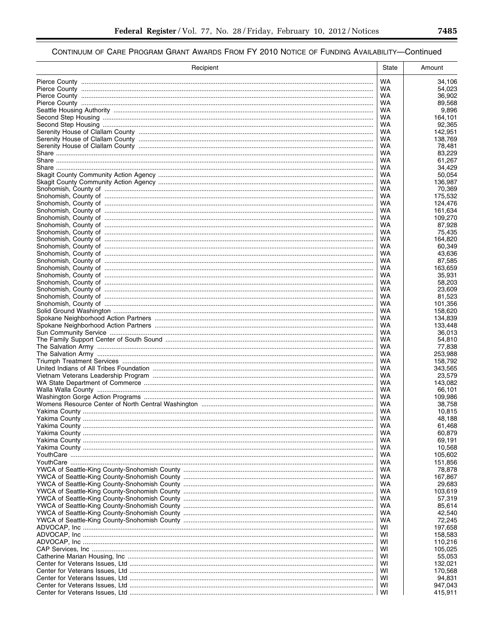| Recipient | State     | Amount             |
|-----------|-----------|--------------------|
|           | <b>WA</b> | 34,106             |
|           | WA.       | 54,023             |
|           | WA        | 36,902             |
|           | WA        | 89,568             |
|           | WA        | 9,896              |
|           | WA<br>WA  | 164,101<br>92,365  |
|           | WA        | 142,951            |
|           | WA        | 138,769            |
|           | WA        | 78,481             |
|           | WA        | 83,229             |
|           | WA        | 61,267             |
|           | WA        | 34,429             |
|           | WA.       | 50,054             |
|           | WA<br>WA  | 136,987<br>70,369  |
|           | WA        | 175,532            |
|           | WA        | 124,476            |
|           | WA        | 161,634            |
|           | WA        | 109,270            |
|           | WA        | 87,928             |
|           | WA        | 75,435             |
|           | WA        | 164,820            |
|           | WA        | 60,349             |
|           | WA<br>WA  | 43,636<br>87,585   |
|           | WA        | 163,659            |
|           | WA        | 35,931             |
|           | WA        | 58,203             |
|           | WA        | 23,609             |
|           | WA        | 81,523             |
|           | WA        | 101,356            |
|           | WA        | 158,620            |
|           | WA        | 134,839            |
|           | WA<br>WA  | 133,448<br>36,013  |
|           | WA        | 54,810             |
|           | WA        | 77,838             |
|           | WA        | 253,988            |
|           | WA        | 158,792            |
|           | WA        | 343,565            |
|           | WA        | 23,579             |
|           | WA.       | 143,082            |
|           | WA<br>WA  | 66,101<br>109,986  |
|           | WA        | 38,758             |
|           | WA        | 10,815             |
|           | WA        | 48,188             |
|           | WA        | 61,468             |
|           | WA        | 60,879             |
|           | WA        | 69,191             |
|           | WA        | 10,568             |
|           | WA        | 105,602            |
|           | WA<br>WA  | 151,856<br>78,878  |
|           | WA        | 167,867            |
|           | WA        | 29,683             |
|           | WA        | 103,619            |
|           | WA        | 57,319             |
|           | WA        | 85,614             |
|           | WA        | 42,540             |
|           | WA        | 72,245             |
|           | wı<br>wı  | 197,658            |
|           | wı        | 158,583<br>110,216 |
|           | wı        | 105,025            |
|           | wı        | 55,053             |
|           | WI        | 132,021            |
|           | WI        | 170,568            |
|           | WI        | 94,831             |
|           | WI        | 947,043            |
|           | WI        | 415,911            |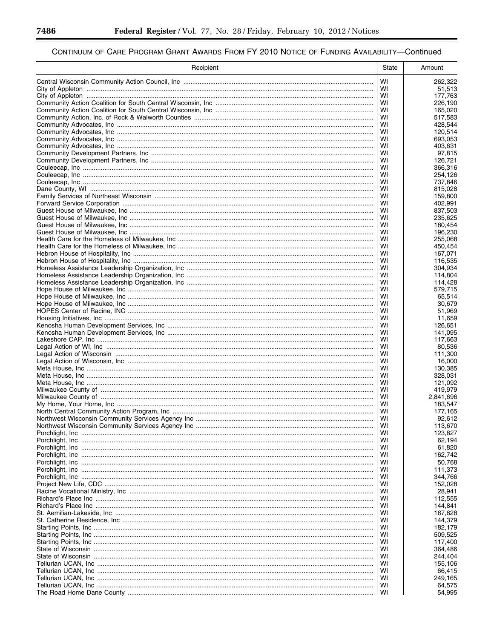▀

| Recipient | State    | Amount             |
|-----------|----------|--------------------|
|           | WI       | 262,322            |
|           | WI       | 51,513             |
|           | WI       | 177,763            |
|           | WI<br>WI | 226.190            |
|           | WI       | 165,020<br>517.583 |
|           | WI       | 428,544            |
|           | WI       | 120,514            |
|           | WI       | 693,053            |
|           | WI       | 403,631            |
|           | WI       | 97,815             |
|           | WI       | 126,721            |
|           | WI<br>WI | 366,316<br>254,126 |
|           | WI       | 737,846            |
|           | WI       | 815,028            |
|           | WI       | 159,800            |
|           | WI       | 402,991            |
|           | WI       | 837,503            |
|           | WI       | 235,625            |
|           | WI       | 180,454            |
|           | WI<br>WI | 196,230<br>255,068 |
|           | WI       | 450.454            |
|           | WI       | 167,071            |
|           | WI       | 116,535            |
|           | WI       | 304,934            |
|           | WI       | 114,804            |
|           | WI       | 114,428            |
|           | WI       | 579,715            |
|           | WI<br>WI | 65,514<br>30,679   |
|           | WI       | 51,969             |
|           | WI       | 11,659             |
|           | WI       | 126,651            |
|           | WI       | 141,095            |
|           | WI       | 117,663            |
|           | WI       | 80,536             |
|           | WI       | 111,300            |
|           | WI<br>WI | 16,000<br>130,385  |
|           | WI       | 328,031            |
|           | WI       | 121,092            |
|           | WI       | 419,979            |
|           | WI       | 2,841,696          |
|           | WI       | 183,547            |
|           | WI       | 177,165            |
|           | WI       | 92,612             |
|           | WI<br>WI | 113,670<br>123,827 |
|           | WI       | 62,194             |
|           | WI       | 61,820             |
|           | WI       | 162,742            |
|           | WI       | 50,768             |
|           | WI       | 111,373            |
|           | WI       | 344,766            |
|           | WI       | 152,028            |
|           | WI<br>WI | 28,941<br>112,555  |
|           | WI       | 144,841            |
|           | WI       | 167,828            |
|           | WI       | 144,379            |
|           | WI       | 182,179            |
|           | WI       | 509,525            |
|           | WI       | 117,400            |
|           | WI       | 364,486            |
|           | WI       | 244,404            |
|           | WI<br>WI | 155,106            |
|           | WI       | 66,415<br>249,165  |
|           | WI       | 64,575             |
|           | WI       | 54,995             |